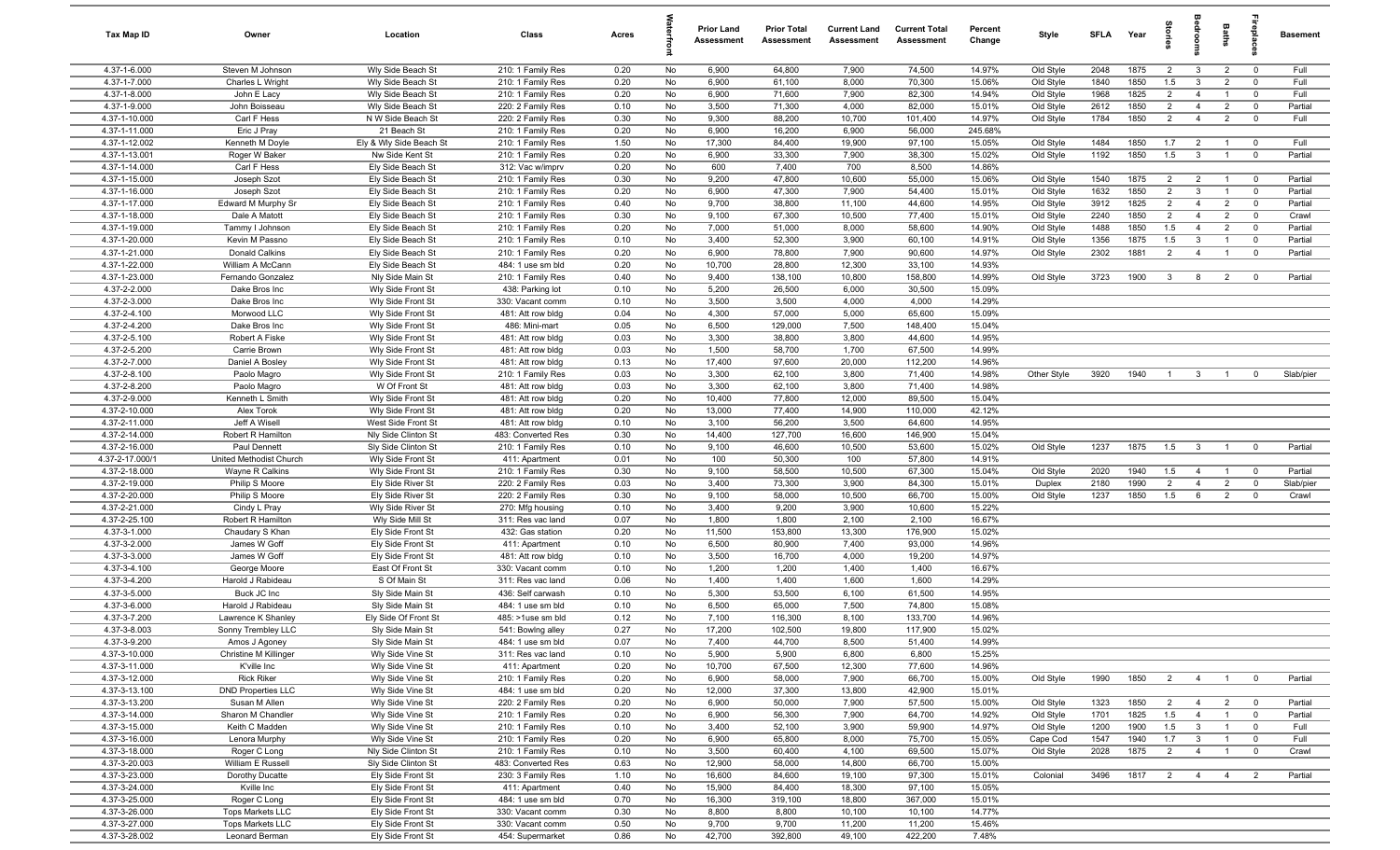| Tax Map ID                     | Owner                                   | Location                                | Class                                  | Acres        |          | <b>Prior Land</b><br>Assessment | <b>Prior Total</b><br><b>Assessment</b> | <b>Current Land</b><br><b>Assessment</b> | <b>Current Total</b><br><b>Assessment</b> | Percent<br>Change | Style                  | <b>SFLA</b>  | Year         | 흪                                |                                  | Baths                            | eble                                      | <b>Basement</b>    |
|--------------------------------|-----------------------------------------|-----------------------------------------|----------------------------------------|--------------|----------|---------------------------------|-----------------------------------------|------------------------------------------|-------------------------------------------|-------------------|------------------------|--------------|--------------|----------------------------------|----------------------------------|----------------------------------|-------------------------------------------|--------------------|
| 4.37-1-6.000                   | Steven M Johnson                        | Wly Side Beach St                       | 210: 1 Family Res                      | 0.20         | No       | 6,900                           | 64,800                                  | 7,900                                    | 74,500                                    | 14.97%            | Old Style              | 2048         | 1875         | $\overline{2}$                   | $\mathbf{3}$                     | $\overline{2}$                   | $\overline{0}$                            | Full               |
| 4.37-1-7.000                   | Charles L Wright                        | Wly Side Beach St                       | 210: 1 Family Res                      | 0.20         | No       | 6,900                           | 61,100                                  | 8,000                                    | 70,300                                    | 15.06%            | Old Style              | 1840         | 1850         | 1.5                              | $\mathbf{3}$                     | $\overline{2}$                   | $^{\circ}$                                | Full               |
| 4.37-1-8.000<br>4.37-1-9.000   | John E Lacy<br>John Boisseau            | Wly Side Beach St<br>Wly Side Beach St  | 210: 1 Family Res<br>220: 2 Family Res | 0.20<br>0.10 | No<br>No | 6,900<br>3,500                  | 71,600<br>71,300                        | 7,900<br>4,000                           | 82,300<br>82,000                          | 14.94%<br>15.01%  | Old Style<br>Old Style | 1968<br>2612 | 1825<br>1850 | $\overline{2}$<br>$\overline{2}$ | $\overline{4}$<br>$\overline{4}$ | $\overline{1}$<br>$\overline{2}$ | $^{\circ}$<br>$\mathbf 0$                 | Full<br>Partial    |
| 4.37-1-10.000                  | Carl F Hess                             | N W Side Beach St                       | 220: 2 Family Res                      | 0.30         | No       | 9,300                           | 88,200                                  | 10,700                                   | 101,400                                   | 14.97%            | Old Style              | 1784         | 1850         | $\overline{2}$                   | $\overline{4}$                   | $\overline{2}$                   | $\overline{0}$                            | Full               |
| 4.37-1-11.000                  | Eric J Pray                             | 21 Beach St                             | 210: 1 Family Res                      | 0.20         | No       | 6,900                           | 16,200                                  | 6,900                                    | 56,000                                    | 245.68%           |                        |              |              |                                  |                                  |                                  |                                           |                    |
| 4.37-1-12.002                  | Kenneth M Doyle                         | Ely & Wly Side Beach St                 | 210: 1 Family Res                      | 1.50         | No       | 17,300                          | 84,400                                  | 19,900                                   | 97,100                                    | 15.05%            | Old Style              | 1484         | 1850         | 1.7                              | $\overline{2}$                   | $\overline{1}$                   | $\overline{0}$                            | Full               |
| 4.37-1-13.001                  | Roger W Baker                           | Nw Side Kent St                         | 210: 1 Family Res                      | 0.20         | No       | 6,900                           | 33,300                                  | 7,900                                    | 38,300                                    | 15.02%            | Old Style              | 1192         | 1850         | 1.5                              | $\mathbf{3}$                     | $\overline{1}$                   | $\overline{0}$                            | Partial            |
| 4.37-1-14.000                  | Carl F Hess                             | Ely Side Beach St                       | 312: Vac w/imprv                       | 0.20         | No       | 600                             | 7,400                                   | 700                                      | 8,500                                     | 14.86%            |                        |              |              |                                  |                                  |                                  |                                           |                    |
| 4.37-1-15.000                  | Joseph Szot                             | Ely Side Beach St                       | 210: 1 Family Res                      | 0.30         | No       | 9,200                           | 47,800                                  | 10,600                                   | 55,000                                    | 15.06%            | Old Style              | 1540         | 1875         | $\overline{2}$                   | 2                                | $\overline{1}$                   | $\overline{0}$                            | Partial            |
| 4.37-1-16.000                  | Joseph Szot                             | Ely Side Beach St                       | 210: 1 Family Res                      | 0.20         | No       | 6,900                           | 47,300                                  | 7,900                                    | 54,400                                    | 15.01%            | Old Style              | 1632         | 1850         | $\overline{2}$                   | $\mathbf{3}$                     | $\overline{1}$                   | $\mathbf 0$                               | Partial            |
| 4.37-1-17.000<br>4.37-1-18.000 | Edward M Murphy Sr<br>Dale A Matott     | Ely Side Beach St<br>Ely Side Beach St  | 210: 1 Family Res<br>210: 1 Family Res | 0.40<br>0.30 | No<br>No | 9,700<br>9,100                  | 38,800<br>67,300                        | 11,100<br>10,500                         | 44,600<br>77,400                          | 14.95%<br>15.01%  | Old Style<br>Old Style | 3912<br>2240 | 1825<br>1850 | $\overline{2}$<br>$\overline{2}$ | $\overline{4}$<br>$\overline{4}$ | $\overline{2}$<br>$\overline{2}$ | $\mathbf 0$<br>$\mathbf 0$                | Partial<br>Crawl   |
| 4.37-1-19.000                  | Tammy I Johnson                         | Ely Side Beach St                       | 210: 1 Family Res                      | 0.20         | No       | 7,000                           | 51,000                                  | 8,000                                    | 58,600                                    | 14.90%            | Old Style              | 1488         | 1850         | 1.5                              | $\overline{4}$                   | $\overline{2}$                   | $\overline{0}$                            | Partial            |
| 4.37-1-20.000                  | Kevin M Passno                          | Ely Side Beach St                       | 210: 1 Family Res                      | 0.10         | No       | 3,400                           | 52,300                                  | 3,900                                    | 60,100                                    | 14.91%            | Old Style              | 1356         | 1875         | 1.5                              | $\mathbf{3}$                     |                                  | $^{\circ}$                                | Partial            |
| 4.37-1-21.000                  | Donald Calkins                          | Ely Side Beach St                       | 210: 1 Family Res                      | 0.20         | No       | 6,900                           | 78,800                                  | 7,900                                    | 90,600                                    | 14.97%            | Old Style              | 2302         | 1881         | $\overline{2}$                   | $\overline{4}$                   | $\overline{1}$                   | $\overline{0}$                            | Partial            |
| 4.37-1-22.000                  | William A McCann                        | Ely Side Beach St                       | 484: 1 use sm bld                      | 0.20         | No       | 10,700                          | 28,800                                  | 12,300                                   | 33,100                                    | 14.93%            |                        |              |              |                                  |                                  |                                  |                                           |                    |
| 4.37-1-23.000                  | Fernando Gonzalez                       | Nly Side Main St                        | 210: 1 Family Res                      | 0.40         | No       | 9,400                           | 138,100                                 | 10,800                                   | 158,800                                   | 14.99%            | Old Style              | 3723         | 1900         | $\overline{3}$                   | 8                                | $\overline{2}$                   | $\overline{0}$                            | Partial            |
| 4.37-2-2.000                   | Dake Bros Inc                           | Wly Side Front St                       | 438: Parking lot                       | 0.10         | No       | 5,200                           | 26,500                                  | 6,000                                    | 30,500                                    | 15.09%            |                        |              |              |                                  |                                  |                                  |                                           |                    |
| 4.37-2-3.000<br>4.37-2-4.100   | Dake Bros Inc<br>Morwood LLC            | Wly Side Front St                       | 330: Vacant comm<br>481: Att row bldg  | 0.10         | No       | 3,500<br>4,300                  | 3,500                                   | 4,000                                    | 4,000                                     | 14.29%<br>15.09%  |                        |              |              |                                  |                                  |                                  |                                           |                    |
| 4.37-2-4.200                   | Dake Bros Inc                           | Wly Side Front St<br>Wly Side Front St  | 486: Mini-mart                         | 0.04<br>0.05 | No<br>No | 6,500                           | 57,000<br>129,000                       | 5,000<br>7,500                           | 65,600<br>148,400                         | 15.04%            |                        |              |              |                                  |                                  |                                  |                                           |                    |
| 4.37-2-5.100                   | Robert A Fiske                          | Wly Side Front St                       | 481: Att row bldg                      | 0.03         | No       | 3,300                           | 38,800                                  | 3,800                                    | 44,600                                    | 14.95%            |                        |              |              |                                  |                                  |                                  |                                           |                    |
| 4.37-2-5.200                   | Carrie Brown                            | Wly Side Front St                       | 481: Att row bldg                      | 0.03         | No       | 1,500                           | 58,700                                  | 1,700                                    | 67,500                                    | 14.99%            |                        |              |              |                                  |                                  |                                  |                                           |                    |
| 4.37-2-7.000                   | Daniel A Bosley                         | Wly Side Front St                       | 481: Att row bldg                      | 0.13         | No       | 17,400                          | 97,600                                  | 20,000                                   | 112,200                                   | 14.96%            |                        |              |              |                                  |                                  |                                  |                                           |                    |
| 4.37-2-8.100                   | Paolo Magro                             | Wly Side Front St                       | 210: 1 Family Res                      | 0.03         | No       | 3,300                           | 62,100                                  | 3,800                                    | 71,400                                    | 14.98%            | Other Style            | 3920         | 1940         | $\overline{1}$                   | $\mathbf{3}$                     | $\overline{1}$                   | $^{\circ}$                                | Slab/pier          |
| 4.37-2-8.200                   | Paolo Magro                             | W Of Front St                           | 481: Att row bldg                      | 0.03         | No       | 3,300                           | 62,100                                  | 3,800                                    | 71,400                                    | 14.98%            |                        |              |              |                                  |                                  |                                  |                                           |                    |
| 4.37-2-9.000                   | Kenneth L Smith                         | Wly Side Front St                       | 481: Att row bldg                      | 0.20         | No       | 10,400                          | 77,800                                  | 12,000                                   | 89,500                                    | 15.04%            |                        |              |              |                                  |                                  |                                  |                                           |                    |
| 4.37-2-10.000<br>4.37-2-11.000 | Alex Torok<br>Jeff A Wisell             | Wly Side Front St<br>West Side Front St | 481: Att row bldg<br>481: Att row bldg | 0.20<br>0.10 | No<br>No | 13,000<br>3,100                 | 77,400<br>56,200                        | 14,900<br>3,500                          | 110,000<br>64,600                         | 42.12%<br>14.95%  |                        |              |              |                                  |                                  |                                  |                                           |                    |
| 4.37-2-14.000                  | Robert R Hamilton                       | Nly Side Clinton St                     | 483: Converted Res                     | 0.30         | No       | 14,400                          | 127,700                                 | 16,600                                   | 146,900                                   | 15.04%            |                        |              |              |                                  |                                  |                                  |                                           |                    |
| 4.37-2-16.000                  | Paul Dennett                            | Sly Side Clinton St                     | 210: 1 Family Res                      | 0.10         | No       | 9,100                           | 46,600                                  | 10,500                                   | 53,600                                    | 15.02%            | Old Style              | 1237         | 1875         | 1.5                              | $\overline{\mathbf{3}}$          | $\overline{1}$                   | $\overline{0}$                            | Partial            |
| 4.37-2-17.000/1                | United Methodist Church                 | Wly Side Front St                       | 411: Apartment                         | 0.01         | No       | 100                             | 50,300                                  | 100                                      | 57,800                                    | 14.91%            |                        |              |              |                                  |                                  |                                  |                                           |                    |
| 4.37-2-18.000                  | Wayne R Calkins                         | Wly Side Front St                       | 210: 1 Family Res                      | 0.30         | No       | 9,100                           | 58,500                                  | 10,500                                   | 67,300                                    | 15.04%            | Old Style              | 2020         | 1940         | 1.5                              | $\overline{4}$                   | $\overline{1}$                   | $\overline{0}$                            | Partial            |
| 4.37-2-19.000                  | Philip S Moore                          | Ely Side River St                       | 220: 2 Family Res                      | 0.03         | No       | 3,400                           | 73,300                                  | 3,900                                    | 84,300                                    | 15.01%            | Duplex                 | 2180         | 1990         | $\overline{2}$                   | $\overline{4}$                   | $\overline{2}$                   | $\mathbf 0$                               | Slab/pier          |
| 4.37-2-20.000                  | Philip S Moore                          | Ely Side River St                       | 220: 2 Family Res                      | 0.30         | No       | 9,100                           | 58,000                                  | 10,500                                   | 66,700                                    | 15.00%            | Old Style              | 1237         | 1850         | 1.5                              | 6                                | $\overline{2}$                   | $\mathbf 0$                               | Crawl              |
| 4.37-2-21.000<br>4.37-2-25.100 | Cindy L Pray<br>Robert R Hamilton       | Wly Side River St<br>Wly Side Mill St   | 270: Mfg housing<br>311: Res vac land  | 0.10<br>0.07 | No<br>No | 3,400<br>1,800                  | 9,200<br>1,800                          | 3,900<br>2,100                           | 10,600<br>2,100                           | 15.22%<br>16.67%  |                        |              |              |                                  |                                  |                                  |                                           |                    |
| 4.37-3-1.000                   | Chaudary S Khan                         | Ely Side Front St                       | 432: Gas station                       | 0.20         | No       | 11,500                          | 153,800                                 | 13,300                                   | 176,900                                   | 15.02%            |                        |              |              |                                  |                                  |                                  |                                           |                    |
| 4.37-3-2.000                   | James W Goff                            | Ely Side Front St                       | 411: Apartment                         | 0.10         | No       | 6,500                           | 80,900                                  | 7,400                                    | 93,000                                    | 14.96%            |                        |              |              |                                  |                                  |                                  |                                           |                    |
| 4.37-3-3.000                   | James W Goff                            | Ely Side Front St                       | 481: Att row bldg                      | 0.10         | No       | 3,500                           | 16,700                                  | 4,000                                    | 19,200                                    | 14.97%            |                        |              |              |                                  |                                  |                                  |                                           |                    |
| 4.37-3-4.100                   | George Moore                            | East Of Front St                        | 330: Vacant comm                       | 0.10         | No       | 1,200                           | 1,200                                   | 1,400                                    | 1,400                                     | 16.67%            |                        |              |              |                                  |                                  |                                  |                                           |                    |
| 4.37-3-4.200                   | Harold J Rabideau                       | S Of Main St                            | 311: Res vac land                      | 0.06         | No       | 1,400                           | 1,400                                   | 1,600                                    | 1,600                                     | 14.29%            |                        |              |              |                                  |                                  |                                  |                                           |                    |
| 4.37-3-5.000<br>4.37-3-6.000   | Buck JC Inc<br>Harold J Rabideau        | Sly Side Main St<br>Sly Side Main St    | 436: Self carwash<br>484: 1 use sm bld | 0.10<br>0.10 | No<br>No | 5,300<br>6,500                  | 53,500<br>65,000                        | 6,100<br>7,500                           | 61,500<br>74,800                          | 14.95%<br>15.08%  |                        |              |              |                                  |                                  |                                  |                                           |                    |
| 4.37-3-7.200                   | Lawrence K Shanley                      | Ely Side Of Front St                    | 485: >1use sm bld                      | 0.12         | No       | 7,100                           | 116,300                                 | 8,100                                    | 133,700                                   | 14.96%            |                        |              |              |                                  |                                  |                                  |                                           |                    |
| 4.37-3-8.003                   | Sonny Tremblev LLC                      | Sly Side Main St                        | 541: Bowlng alley                      | 0.27         | No       | 17.200                          | 102.500                                 | 19,800                                   | 117.900                                   | 15.02%            |                        |              |              |                                  |                                  |                                  |                                           |                    |
| 4.37-3-9.200                   | Amos J Agoney                           | Sly Side Main St                        | 484: 1 use sm bld                      | 0.07         | No       | 7,400                           | 44,700                                  | 8,500                                    | 51,400                                    | 14.99%            |                        |              |              |                                  |                                  |                                  |                                           |                    |
| 4.37-3-10.000                  | Christine M Killinger                   | Wly Side Vine St                        | 311: Res vac land                      | 0.10         | No       | 5,900                           | 5,900                                   | 6,800                                    | 6,800                                     | 15.25%            |                        |              |              |                                  |                                  |                                  |                                           |                    |
| 4.37-3-11.000                  | K'ville Inc                             | Wly Side Vine St                        | 411: Apartment                         | 0.20         | No       | 10,700                          | 67,500                                  | 12,300                                   | 77,600                                    | 14.96%            |                        |              |              |                                  |                                  |                                  |                                           |                    |
| 4.37-3-12.000                  | <b>Rick Riker</b>                       | Wly Side Vine St                        | 210: 1 Family Res                      | 0.20         | No       | 6,900                           | 58,000                                  | 7,900                                    | 66,700                                    | 15.00%            | Old Style              | 1990         | 1850         | $\overline{2}$                   | $\overline{4}$                   | $\overline{1}$                   | $\overline{\mathbf{0}}$                   | Partial            |
| 4.37-3-13.100                  | <b>DND Properties LLC</b>               | Wly Side Vine St                        | 484: 1 use sm bld                      | 0.20         | No       | 12,000                          | 37,300                                  | 13,800                                   | 42,900                                    | 15.01%            |                        |              |              |                                  |                                  |                                  |                                           |                    |
| 4.37-3-13.200<br>4.37-3-14.000 | Susan M Allen<br>Sharon M Chandler      | Wly Side Vine St<br>Wly Side Vine St    | 220: 2 Family Res<br>210: 1 Family Res | 0.20<br>0.20 | No<br>No | 6,900<br>6,900                  | 50,000<br>56,300                        | 7,900<br>7,900                           | 57,500<br>64,700                          | 15.00%<br>14.92%  | Old Style<br>Old Style | 1323<br>1701 | 1850<br>1825 | $\overline{2}$<br>1.5            | $\overline{4}$<br>$\overline{4}$ | $\overline{2}$<br>$\overline{1}$ | $\overline{\mathbf{0}}$<br>$\overline{0}$ | Partial<br>Partial |
| 4.37-3-15.000                  | Keith C Madden                          | Wly Side Vine St                        | 210: 1 Family Res                      | 0.10         | No       | 3,400                           | 52,100                                  | 3,900                                    | 59,900                                    | 14.97%            | Old Style              | 1200         | 1900         | 1.5                              | $\mathbf{3}$                     | $\overline{1}$                   | $\overline{0}$                            | Full               |
| 4.37-3-16.000                  | Lenora Murphy                           | Wly Side Vine St                        | 210: 1 Family Res                      | 0.20         | No       | 6,900                           | 65,800                                  | 8,000                                    | 75,700                                    | 15.05%            | Cape Cod               | 1547         | 1940         | 1.7                              | $\mathbf{3}$                     | $\overline{1}$                   | $\overline{0}$                            | Full               |
| 4.37-3-18.000                  | Roger C Long                            | Nly Side Clinton St                     | 210: 1 Family Res                      | 0.10         | No       | 3,500                           | 60,400                                  | 4,100                                    | 69,500                                    | 15.07%            | Old Style              | 2028         | 1875         | $\overline{2}$                   | $\overline{4}$                   | $\overline{1}$                   | $\overline{0}$                            | Crawl              |
| 4.37-3-20.003                  | William E Russell                       | Sly Side Clinton St                     | 483: Converted Res                     | 0.63         | No       | 12,900                          | 58,000                                  | 14,800                                   | 66,700                                    | 15.00%            |                        |              |              |                                  |                                  |                                  |                                           |                    |
| 4.37-3-23.000                  | Dorothy Ducatte                         | Ely Side Front St                       | 230: 3 Family Res                      | 1.10         | No       | 16,600                          | 84,600                                  | 19,100                                   | 97,300                                    | 15.01%            | Colonial               | 3496         | 1817         | $\overline{2}$                   | $\overline{4}$                   | $\overline{4}$                   | $\overline{2}$                            | Partial            |
| 4.37-3-24.000                  | Kville Inc                              | Ely Side Front St                       | 411: Apartment                         | 0.40         | No       | 15,900                          | 84,400                                  | 18,300                                   | 97,100                                    | 15.05%            |                        |              |              |                                  |                                  |                                  |                                           |                    |
| 4.37-3-25.000<br>4.37-3-26.000 | Roger C Long<br><b>Tops Markets LLC</b> | Ely Side Front St<br>Ely Side Front St  | 484: 1 use sm bld<br>330: Vacant comm  | 0.70<br>0.30 | No<br>No | 16,300<br>8,800                 | 319,100<br>8,800                        | 18,800<br>10,100                         | 367,000<br>10,100                         | 15.01%<br>14.77%  |                        |              |              |                                  |                                  |                                  |                                           |                    |
| 4.37-3-27.000                  | <b>Tops Markets LLC</b>                 | Ely Side Front St                       | 330: Vacant comm                       | 0.50         | No       | 9,700                           | 9,700                                   | 11,200                                   | 11,200                                    | 15.46%            |                        |              |              |                                  |                                  |                                  |                                           |                    |
| 4.37-3-28.002                  | Leonard Berman                          | Ely Side Front St                       | 454: Supermarket                       | 0.86         | No       | 42,700                          | 392,800                                 | 49,100                                   | 422,200                                   | 7.48%             |                        |              |              |                                  |                                  |                                  |                                           |                    |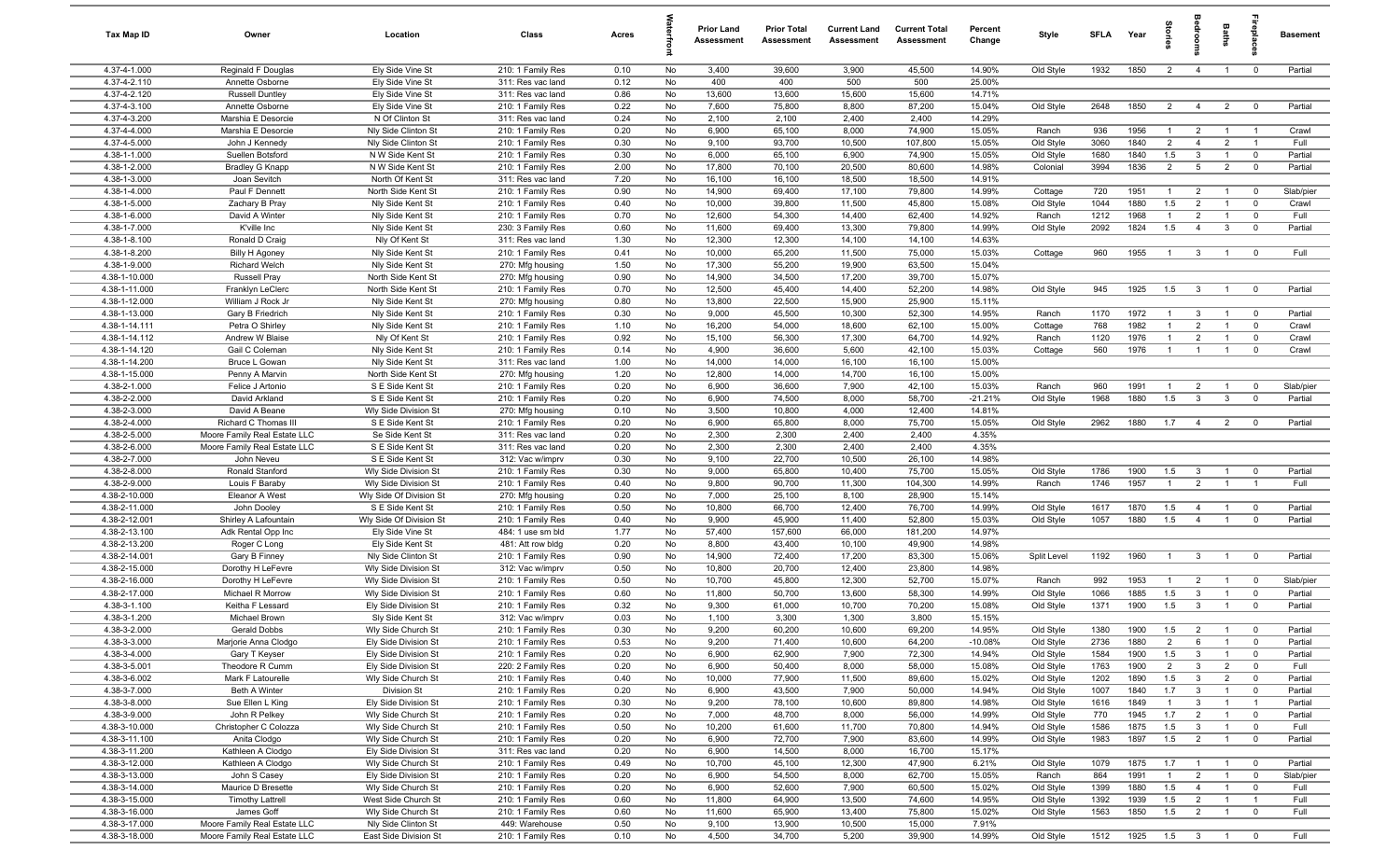| Tax Map ID                     | Owner                                                        | Location                                     | Class                                  | Acres        |          | <b>Prior Land</b><br>Assessment | <b>Prior Total</b><br><b>Assessment</b> | <b>Current Land</b><br><b>Assessment</b> | <b>Current Total</b><br><b>Assessment</b> | Percent<br>Change | Style                  | SFLA         | Year            | ğ                   |                                  | Baths                            | repla                         | <b>Basement</b>      |
|--------------------------------|--------------------------------------------------------------|----------------------------------------------|----------------------------------------|--------------|----------|---------------------------------|-----------------------------------------|------------------------------------------|-------------------------------------------|-------------------|------------------------|--------------|-----------------|---------------------|----------------------------------|----------------------------------|-------------------------------|----------------------|
| 4.37-4-1.000                   | Reginald F Douglas                                           | Ely Side Vine St                             | 210: 1 Family Res                      | 0.10         | No       | 3,400                           | 39,600                                  | 3,900                                    | 45,500                                    | 14.90%            | Old Style              | 1932         | 1850            | $\overline{2}$      | $\overline{4}$                   | $\overline{1}$                   | $\mathbf{0}$                  | Partial              |
| 4.37-4-2.110                   | Annette Osborne                                              | Ely Side Vine St                             | 311: Res vac land                      | 0.12         | No       | 400                             | 400                                     | 500                                      | 500                                       | 25.00%            |                        |              |                 |                     |                                  |                                  |                               |                      |
| 4.37-4-2.120                   | <b>Russell Duntley</b>                                       | Ely Side Vine St                             | 311: Res vac land                      | 0.86         | No       | 13,600                          | 13,600                                  | 15,600                                   | 15,600                                    | 14.71%            |                        |              |                 |                     |                                  |                                  |                               |                      |
| 4.37-4-3.100<br>4.37-4-3.200   | Annette Osborne<br>Marshia E Desorcie                        | Ely Side Vine St<br>N Of Clinton St          | 210: 1 Family Res<br>311: Res vac land | 0.22<br>0.24 | No<br>No | 7,600<br>2,100                  | 75,800<br>2,100                         | 8,800<br>2,400                           | 87,200<br>2,400                           | 15.04%<br>14.29%  | Old Style              | 2648         | 1850            | $\overline{2}$      | $\overline{4}$                   | $\overline{2}$                   | $^{\circ}$                    | Partial              |
| 4.37-4-4.000                   | Marshia E Desorcie                                           | Nly Side Clinton St                          | 210: 1 Family Res                      | 0.20         | No       | 6,900                           | 65,100                                  | 8,000                                    | 74,900                                    | 15.05%            | Ranch                  | 936          | 1956            | -1                  | $\overline{2}$                   | $\overline{1}$                   |                               | Crawl                |
| 4.37-4-5.000                   | John J Kennedy                                               | Nly Side Clinton St                          | 210: 1 Family Res                      | 0.30         | No       | 9,100                           | 93,700                                  | 10,500                                   | 107,800                                   | 15.05%            | Old Style              | 3060         | 1840            | $\overline{2}$      | $\overline{4}$                   | $\overline{2}$                   | $\overline{1}$                | Full                 |
| 4.38-1-1.000                   | Suellen Botsford                                             | N W Side Kent St                             | 210: 1 Family Res                      | 0.30         | No       | 6,000                           | 65,100                                  | 6,900                                    | 74,900                                    | 15.05%            | Old Style              | 1680         | 1840            | 1.5                 | 3                                | $\overline{1}$                   | $\overline{0}$                | Partial              |
| 4.38-1-2.000                   | <b>Bradley G Knapp</b>                                       | N W Side Kent St                             | 210: 1 Family Res                      | 2.00         | No       | 17,800                          | 70,100                                  | 20,500                                   | 80,600                                    | 14.98%            | Colonial               | 3994         | 1836            | $\overline{2}$      | $5^{\circ}$                      | $\overline{2}$                   | $\overline{0}$                | Partial              |
| 4.38-1-3.000                   | Joan Sevitch                                                 | North Of Kent St                             | 311: Res vac land                      | 7.20         | No       | 16,100                          | 16,100                                  | 18,500                                   | 18,500                                    | 14.91%            |                        |              |                 |                     |                                  |                                  |                               |                      |
| 4.38-1-4.000                   | Paul F Dennett                                               | North Side Kent St                           | 210: 1 Family Res                      | 0.90         | No       | 14,900                          | 69,400                                  | 17,100                                   | 79,800                                    | 14.99%            | Cottage                | 720          | 1951            | $\overline{1}$      | $\overline{2}$                   | $\overline{1}$                   | $\mathbf 0$                   | Slab/pier            |
| 4.38-1-5.000                   | Zachary B Pray                                               | Nly Side Kent St                             | 210: 1 Family Res                      | 0.40         | No       | 10,000                          | 39,800                                  | 11,500                                   | 45,800                                    | 15.08%            | Old Style              | 1044         | 1880            | 1.5                 | $\overline{2}$                   | $\overline{1}$                   | $^{\circ}$                    | Crawl                |
| 4.38-1-6.000<br>4.38-1-7.000   | David A Winter                                               | Nly Side Kent St                             | 210: 1 Family Res                      | 0.70         | No<br>No | 12,600                          | 54,300                                  | 14,400                                   | 62,400                                    | 14.92%            | Ranch                  | 1212         | 1968            | $\mathbf{1}$        | $\overline{2}$<br>$\overline{4}$ | $\overline{1}$<br>$\mathbf{3}$   | $^{\circ}$<br>$\mathbf 0$     | Full                 |
| 4.38-1-8.100                   | K'ville Inc<br>Ronald D Craig                                | Nly Side Kent St<br>Nly Of Kent St           | 230: 3 Family Res<br>311: Res vac land | 0.60<br>1.30 | No       | 11,600<br>12,300                | 69,400<br>12,300                        | 13,300<br>14,100                         | 79,800<br>14,100                          | 14.99%<br>14.63%  | Old Style              | 2092         | 1824            | 1.5                 |                                  |                                  |                               | Partial              |
| 4.38-1-8.200                   | <b>Billy H Agoney</b>                                        | Nly Side Kent St                             | 210: 1 Family Res                      | 0.41         | No       | 10,000                          | 65,200                                  | 11,500                                   | 75,000                                    | 15.03%            | Cottage                | 960          | 1955            | $\overline{1}$      | $\mathbf{3}$                     | $\overline{1}$                   | $\mathbf 0$                   | Full                 |
| 4.38-1-9.000                   | <b>Richard Welch</b>                                         | Nly Side Kent St                             | 270: Mfg housing                       | 1.50         | No       | 17,300                          | 55,200                                  | 19,900                                   | 63,500                                    | 15.04%            |                        |              |                 |                     |                                  |                                  |                               |                      |
| 4.38-1-10.000                  | <b>Russell Pray</b>                                          | North Side Kent St                           | 270: Mfg housing                       | 0.90         | No       | 14,900                          | 34,500                                  | 17,200                                   | 39,700                                    | 15.07%            |                        |              |                 |                     |                                  |                                  |                               |                      |
| 4.38-1-11.000                  | Franklyn LeClerc                                             | North Side Kent St                           | 210: 1 Family Res                      | 0.70         | No       | 12,500                          | 45,400                                  | 14,400                                   | 52,200                                    | 14.98%            | Old Style              | 945          | 1925            | 1.5                 | $\mathbf{3}$                     | $\overline{1}$                   | $\overline{0}$                | Partial              |
| 4.38-1-12.000                  | William J Rock Jr                                            | Nly Side Kent St                             | 270: Mfg housing                       | 0.80         | No       | 13,800                          | 22,500                                  | 15,900                                   | 25,900                                    | 15.11%            |                        |              |                 |                     |                                  |                                  |                               |                      |
| 4.38-1-13.000                  | Gary B Friedrich                                             | Nly Side Kent St                             | 210: 1 Family Res                      | 0.30         | No       | 9,000                           | 45,500                                  | 10,300                                   | 52,300                                    | 14.95%            | Ranch                  | 1170         | 1972            | $\overline{1}$      | $\mathbf{3}$                     | $\overline{1}$                   | $\overline{0}$                | Partial              |
| 4.38-1-14.111                  | Petra O Shirley                                              | Nly Side Kent St                             | 210: 1 Family Res                      | 1.10         | No       | 16,200                          | 54,000                                  | 18,600                                   | 62,100                                    | 15.00%            | Cottage                | 768          | 1982            | $\mathbf{1}$        | $\overline{2}$                   | $\overline{1}$                   | $\mathbf 0$                   | Crawl                |
| 4.38-1-14.112                  | Andrew W Blaise                                              | Nly Of Kent St                               | 210: 1 Family Res                      | 0.92         | No       | 15,100                          | 56,300                                  | 17,300                                   | 64,700                                    | 14.92%            | Ranch                  | 1120         | 1976            | $\overline{1}$      | $\overline{2}$                   | $\overline{1}$                   | $\overline{0}$                | Crawl                |
| 4.38-1-14.120<br>4.38-1-14.200 | Gail C Coleman<br>Bruce L Gowan                              | Nly Side Kent St<br>Nly Side Kent St         | 210: 1 Family Res<br>311: Res vac land | 0.14<br>1.00 | No<br>No | 4,900<br>14,000                 | 36,600<br>14,000                        | 5,600<br>16,100                          | 42,100<br>16,100                          | 15.03%<br>15.00%  | Cottage                | 560          | 1976            | $\overline{1}$      | $\overline{1}$                   | $\overline{1}$                   | $\overline{0}$                | Crawl                |
| 4.38-1-15.000                  | Penny A Marvin                                               | North Side Kent St                           | 270: Mfg housing                       | 1.20         | No       | 12,800                          | 14,000                                  | 14,700                                   | 16,100                                    | 15.00%            |                        |              |                 |                     |                                  |                                  |                               |                      |
| 4.38-2-1.000                   | Felice J Artonio                                             | S E Side Kent St                             | 210: 1 Family Res                      | 0.20         | No       | 6,900                           | 36,600                                  | 7,900                                    | 42,100                                    | 15.03%            | Ranch                  | 960          | 1991            | $\mathbf{1}$        | $\overline{2}$                   | $\overline{1}$                   | $\mathbf 0$                   | Slab/pier            |
| 4.38-2-2.000                   | David Arkland                                                | S E Side Kent St                             | 210: 1 Family Res                      | 0.20         | No       | 6,900                           | 74,500                                  | 8,000                                    | 58,700                                    | $-21.21%$         | Old Style              | 1968         | 1880            | 1.5                 | $\mathbf{3}$                     | $\mathbf{3}$                     | $\mathbf 0$                   | Partial              |
| 4.38-2-3.000                   | David A Beane                                                | Wly Side Division St                         | 270: Mfg housing                       | 0.10         | No       | 3,500                           | 10,800                                  | 4,000                                    | 12,400                                    | 14.81%            |                        |              |                 |                     |                                  |                                  |                               |                      |
| 4.38-2-4.000                   | Richard C Thomas III                                         | S E Side Kent St                             | 210: 1 Family Res                      | 0.20         | No       | 6,900                           | 65,800                                  | 8,000                                    | 75,700                                    | 15.05%            | Old Style              | 2962         | 1880            | 1.7                 | $\overline{4}$                   | $\overline{2}$                   | $\mathbf 0$                   | Partial              |
| 4.38-2-5.000                   | Moore Family Real Estate LLC                                 | Se Side Kent St                              | 311: Res vac land                      | 0.20         | No       | 2,300                           | 2,300                                   | 2,400                                    | 2,400                                     | 4.35%             |                        |              |                 |                     |                                  |                                  |                               |                      |
| 4.38-2-6.000                   | Moore Family Real Estate LLC                                 | S E Side Kent St                             | 311: Res vac land                      | 0.20         | No       | 2,300                           | 2,300                                   | 2,400                                    | 2,400                                     | 4.35%             |                        |              |                 |                     |                                  |                                  |                               |                      |
| 4.38-2-7.000                   | John Neveu                                                   | S E Side Kent St                             | 312: Vac w/imprv                       | 0.30         | No       | 9,100                           | 22,700                                  | 10,500                                   | 26,100                                    | 14.98%            |                        |              |                 |                     |                                  |                                  |                               |                      |
| 4.38-2-8.000<br>4.38-2-9.000   | Ronald Stanford<br>Louis F Baraby                            | Wly Side Division St<br>Wly Side Division St | 210: 1 Family Res<br>210: 1 Family Res | 0.30<br>0.40 | No<br>No | 9,000<br>9,800                  | 65,800<br>90,700                        | 10,400<br>11,300                         | 75,700<br>104,300                         | 15.05%<br>14.99%  | Old Style<br>Ranch     | 1786<br>1746 | 1900<br>1957    | 1.5<br>$\mathbf{1}$ | -3<br>$\overline{2}$             | $\overline{1}$<br>$\overline{1}$ | $\mathbf 0$<br>$\overline{1}$ | Partial<br>Full      |
| 4.38-2-10.000                  | Eleanor A West                                               | Wly Side Of Division St                      | 270: Mfg housing                       | 0.20         | No       | 7,000                           | 25,100                                  | 8,100                                    | 28,900                                    | 15.14%            |                        |              |                 |                     |                                  |                                  |                               |                      |
| 4.38-2-11.000                  | John Dooley                                                  | S E Side Kent St                             | 210: 1 Family Res                      | 0.50         | No       | 10,800                          | 66,700                                  | 12,400                                   | 76,700                                    | 14.99%            | Old Style              | 1617         | 1870            | 1.5                 | $\overline{4}$                   | $\overline{1}$                   | $\overline{0}$                | Partial              |
| 4.38-2-12.001                  | Shirley A Lafountain                                         | Wly Side Of Division St                      | 210: 1 Family Res                      | 0.40         | No       | 9,900                           | 45,900                                  | 11,400                                   | 52,800                                    | 15.03%            | Old Style              | 1057         | 1880            | 1.5                 | $\overline{4}$                   | $\overline{1}$                   | $\overline{0}$                | Partial              |
| 4.38-2-13.100                  | Adk Rental Opp Inc                                           | Ely Side Vine St                             | 484: 1 use sm bld                      | 1.77         | No       | 57,400                          | 157,600                                 | 66,000                                   | 181,200                                   | 14.97%            |                        |              |                 |                     |                                  |                                  |                               |                      |
| 4.38-2-13.200                  | Roger C Long                                                 | Ely Side Kent St                             | 481: Att row bldg                      | 0.20         | No       | 8,800                           | 43,400                                  | 10,100                                   | 49,900                                    | 14.98%            |                        |              |                 |                     |                                  |                                  |                               |                      |
| 4.38-2-14.001                  | Gary B Finney                                                | Nly Side Clinton St                          | 210: 1 Family Res                      | 0.90         | No       | 14,900                          | 72,400                                  | 17,200                                   | 83,300                                    | 15.06%            | Split Level            | 1192         | 1960            | $\overline{1}$      | $\mathbf{3}$                     | $\overline{1}$                   | $\mathbf 0$                   | Partial              |
| 4.38-2-15.000                  | Dorothy H LeFevre                                            | Wly Side Division St                         | 312: Vac w/imprv                       | 0.50         | No       | 10,800                          | 20,700                                  | 12,400                                   | 23,800                                    | 14.98%            |                        |              |                 |                     |                                  |                                  |                               |                      |
| 4.38-2-16.000<br>4.38-2-17.000 | Dorothy H LeFevre<br>Michael R Morrow                        | Wly Side Division St                         | 210: 1 Family Res<br>210: 1 Family Res | 0.50<br>0.60 | No<br>No | 10,700<br>11,800                | 45,800<br>50,700                        | 12,300<br>13,600                         | 52,700<br>58,300                          | 15.07%<br>14.99%  | Ranch                  | 992<br>1066  | 1953<br>1885    | $\mathbf{1}$<br>1.5 | $\overline{2}$<br>3              | $\overline{1}$                   | $\mathbf 0$<br>$\Omega$       | Slab/pier<br>Partial |
| 4.38-3-1.100                   | Keitha F Lessard                                             | Wly Side Division St<br>Ely Side Division St | 210: 1 Family Res                      | 0.32         | No       | 9,300                           | 61,000                                  | 10,700                                   | 70,200                                    | 15.08%            | Old Style<br>Old Style | 1371         | 1900            | 1.5                 | 3                                | $\overline{1}$                   | $\Omega$                      | Partial              |
| 4.38-3-1.200                   | Michael Brown                                                | Sly Side Kent St                             | 312: Vac w/imprv                       | 0.03         | No       | 1,100                           | 3,300                                   | 1,300                                    | 3,800                                     | 15.15%            |                        |              |                 |                     |                                  |                                  |                               |                      |
| 4.38-3-2.000                   | Gerald Dobbs                                                 | Wly Side Church St                           | 210: 1 Family Res                      | 0.30         | No       | 9,200                           | 60,200                                  | 10,600                                   | 69,200                                    | 14.95%            | Old Style              | 1380         | 1900            | 1.5                 | $\overline{\mathbf{2}}$          | $\overline{1}$                   |                               | Partial              |
| 4.38-3-3.000                   | Marjorie Anna Clodgo                                         | Ely Side Division St                         | 210: 1 Family Res                      | 0.53         | No       | 9,200                           | 71,400                                  | 10,600                                   | 64,200                                    | $-10.08%$         | Old Style              | 2736         | 1880            | $\overline{2}$      | 6                                | $\overline{1}$                   | $\mathbf 0$                   | Partial              |
| 4.38-3-4.000                   | Gary T Keyser                                                | Ely Side Division St                         | 210: 1 Family Res                      | 0.20         | No       | 6,900                           | 62,900                                  | 7,900                                    | 72,300                                    | 14.94%            | Old Style              | 1584         | 1900            | 1.5                 | 3                                | $\overline{1}$                   | $\mathbf 0$                   | Partial              |
| 4.38-3-5.001                   | Theodore R Cumm                                              | Ely Side Division St                         | 220: 2 Family Res                      | 0.20         | No       | 6,900                           | 50,400                                  | 8,000                                    | 58,000                                    | 15.08%            | Old Style              | 1763         | 1900            | $\overline{2}$      | 3                                | $\overline{2}$                   | $^{\circ}$                    | Full                 |
| 4.38-3-6.002                   | Mark F Latourelle                                            | Wly Side Church St                           | 210: 1 Family Res                      | 0.40         | No       | 10,000                          | 77,900                                  | 11,500                                   | 89,600                                    | 15.02%            | Old Style              | 1202         | 1890            | 1.5                 | $\mathbf{3}$                     | $\overline{2}$                   | $\overline{0}$                | Partial              |
| 4.38-3-7.000                   | Beth A Winter                                                | Division St                                  | 210: 1 Family Res                      | 0.20         | No       | 6,900                           | 43,500                                  | 7,900                                    | 50,000                                    | 14.94%            | Old Style              | 1007         | 1840            | 1.7                 | $\mathbf{3}$                     | $\overline{1}$                   | $\mathbf 0$                   | Partial              |
| 4.38-3-8.000                   | Sue Ellen L King                                             | Ely Side Division St                         | 210: 1 Family Res<br>210: 1 Family Res | 0.30         | No       | 9,200                           | 78,100                                  | 10,600                                   | 89,800                                    | 14.98%            | Old Style              | 1616         | 1849            | $\mathbf{1}$<br>1.7 | $\mathbf{3}$<br>$\overline{2}$   | $\overline{1}$                   | $\overline{1}$                | Partial              |
| 4.38-3-9.000<br>4.38-3-10.000  | John R Pelkey<br>Christopher C Colozza                       | Wly Side Church St<br>Wly Side Church St     | 210: 1 Family Res                      | 0.20<br>0.50 | No<br>No | 7,000<br>10,200                 | 48,700<br>61,600                        | 8,000<br>11,700                          | 56,000<br>70,800                          | 14.99%<br>14.94%  | Old Style<br>Old Style | 770<br>1586  | 1945<br>1875    | 1.5                 | $\mathbf{3}$                     | $\overline{1}$                   | $\mathbf 0$<br>$\mathbf 0$    | Partial<br>Full      |
| 4.38-3-11.100                  | Anita Clodgo                                                 | Wly Side Church St                           | 210: 1 Family Res                      | 0.20         | No       | 6,900                           | 72,700                                  | 7,900                                    | 83,600                                    | 14.99%            | Old Style              | 1983         | 1897            | 1.5                 | $\overline{2}$                   | $\overline{1}$                   | $\mathbf 0$                   | Partial              |
| 4.38-3-11.200                  | Kathleen A Clodgo                                            | Ely Side Division St                         | 311: Res vac land                      | 0.20         | No       | 6,900                           | 14,500                                  | 8,000                                    | 16,700                                    | 15.17%            |                        |              |                 |                     |                                  |                                  |                               |                      |
| 4.38-3-12.000                  | Kathleen A Clodgo                                            | Wly Side Church St                           | 210: 1 Family Res                      | 0.49         | No       | 10,700                          | 45,100                                  | 12,300                                   | 47,900                                    | 6.21%             | Old Style              | 1079         | 1875            | 1.7                 | $\overline{1}$                   | $\overline{1}$                   | $\overline{0}$                | Partial              |
| 4.38-3-13.000                  | John S Casey                                                 | Ely Side Division St                         | 210: 1 Family Res                      | 0.20         | No       | 6,900                           | 54,500                                  | 8,000                                    | 62,700                                    | 15.05%            | Ranch                  | 864          | 1991            | $\mathbf{1}$        | $\overline{2}$                   | $\overline{1}$                   | $\overline{0}$                | Slab/pier            |
| 4.38-3-14.000                  | Maurice D Bresette                                           | Wly Side Church St                           | 210: 1 Family Res                      | 0.20         | No       | 6,900                           | 52,600                                  | 7,900                                    | 60,500                                    | 15.02%            | Old Style              | 1399         | 1880            | 1.5                 | $\overline{4}$                   | $\overline{1}$                   | $\mathbf 0$                   | Full                 |
| 4.38-3-15.000                  | <b>Timothy Lattrell</b>                                      | West Side Church St                          | 210: 1 Family Res                      | 0.60         | No       | 11,800                          | 64,900                                  | 13,500                                   | 74,600                                    | 14.95%            | Old Style              | 1392         | 1939            | 1.5                 | $\overline{2}$                   | $\overline{1}$                   | $\overline{1}$                | Full                 |
| 4.38-3-16.000                  | James Goff                                                   | Wly Side Church St                           | 210: 1 Family Res                      | 0.60         | No       | 11,600                          | 65,900                                  | 13,400                                   | 75,800                                    | 15.02%            | Old Style              | 1563         | 1850            | 1.5                 | $\overline{2}$                   | $\overline{1}$                   | $\mathbf 0$                   | Full                 |
| 4.38-3-17.000<br>4.38-3-18.000 | Moore Family Real Estate LLC<br>Moore Family Real Estate LLC | Nly Side Clinton St<br>East Side Division St | 449: Warehouse<br>210: 1 Family Res    | 0.50<br>0.10 | No<br>No | 9,100<br>4,500                  | 13,900<br>34,700                        | 10,500<br>5,200                          | 15,000<br>39,900                          | 7.91%<br>14.99%   | Old Style              | 1512         | 1925  1.5  3  1 |                     |                                  |                                  | $\overline{\mathbf{0}}$       | Full                 |
|                                |                                                              |                                              |                                        |              |          |                                 |                                         |                                          |                                           |                   |                        |              |                 |                     |                                  |                                  |                               |                      |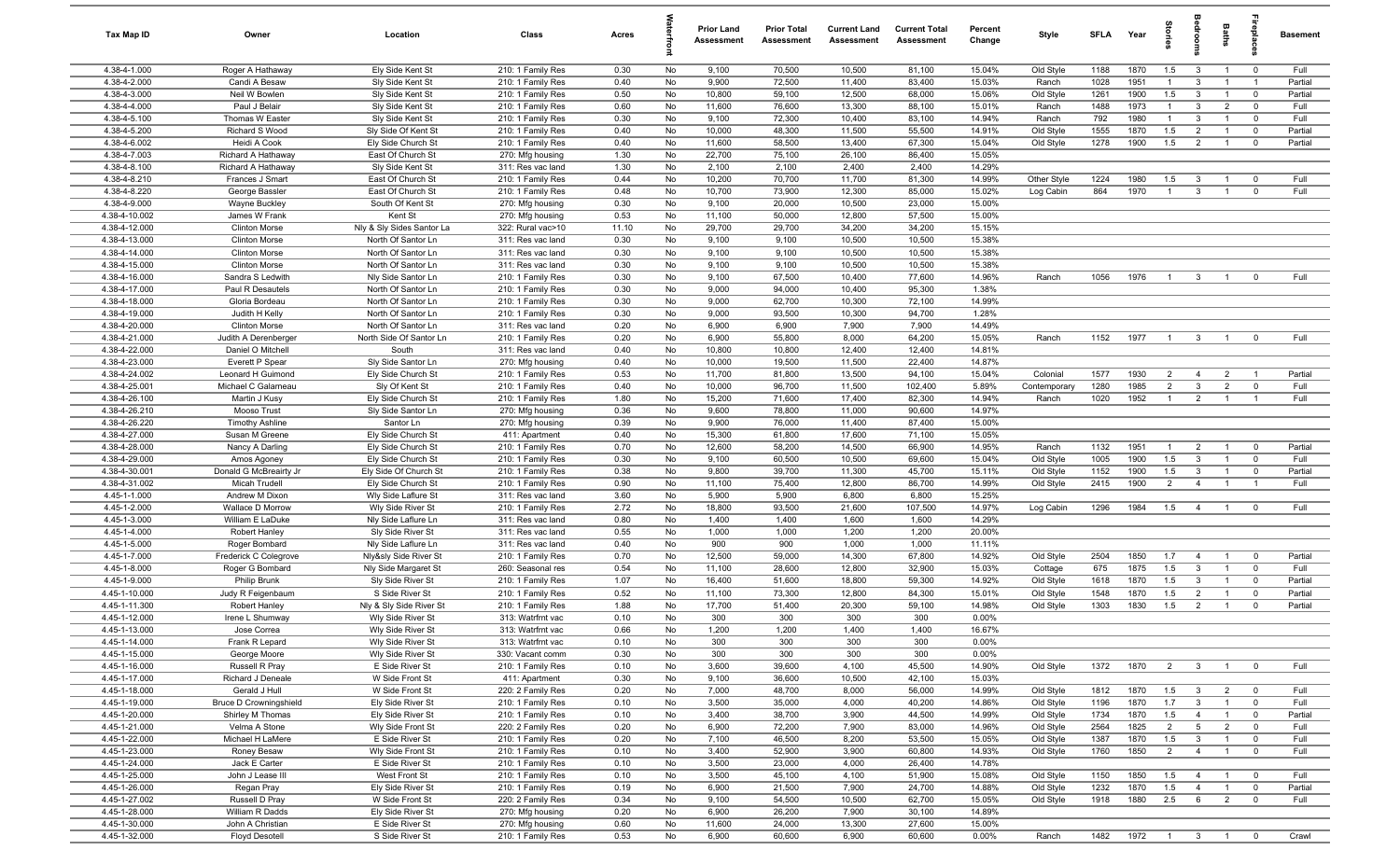| Tax Map ID                     | Owner                                        | Location                                 | Class                                  | Acres        |          | <b>Prior Land</b><br>Assessment | <b>Prior Total</b><br>Assessment | <b>Current Land</b><br>Assessment | <b>Current Total</b><br><b>Assessment</b> | Percent<br>Change | Style                 | SFLA         | Year         | gie                            |                                | Baths                            | repla                      | <b>Basement</b> |
|--------------------------------|----------------------------------------------|------------------------------------------|----------------------------------------|--------------|----------|---------------------------------|----------------------------------|-----------------------------------|-------------------------------------------|-------------------|-----------------------|--------------|--------------|--------------------------------|--------------------------------|----------------------------------|----------------------------|-----------------|
| 4.38-4-1.000                   | Roger A Hathaway                             | Ely Side Kent St                         | 210: 1 Family Res                      | 0.30         | No       | 9,100                           | 70,500                           | 10,500                            | 81,100                                    | 15.04%            | Old Style             | 1188         | 1870         | 1.5                            | $\mathbf{3}$                   | $\overline{1}$                   | $\overline{\mathbf{0}}$    | Full            |
| 4.38-4-2.000                   | Candi A Besaw                                | Sly Side Kent St                         | 210: 1 Family Res                      | 0.40         | No       | 9,900                           | 72,500                           | 11,400                            | 83,400                                    | 15.03%            | Ranch                 | 1028         | 1951         | $\mathbf{1}$                   | 3                              |                                  |                            | Partial         |
| 4.38-4-3.000                   | Neil W Bowlen                                | Sly Side Kent St                         | 210: 1 Family Res                      | 0.50         | No       | 10,800                          | 59,100                           | 12,500                            | 68,000                                    | 15.06%            | Old Style             | 1261         | 1900         | 1.5                            | $\mathbf{3}$                   | $\overline{1}$                   | $\mathbf{0}$               | Partial         |
| 4.38-4-4.000                   | Paul J Belair                                | Sly Side Kent St                         | 210: 1 Family Res                      | 0.60         | No       | 11,600                          | 76,600                           | 13,300                            | 88,100                                    | 15.01%            | Ranch                 | 1488         | 1973         | $\mathbf{1}$                   | 3                              | $\overline{2}$<br>$\overline{1}$ | $\overline{0}$             | Full            |
| 4.38-4-5.100<br>4.38-4-5.200   | Thomas W Easter<br>Richard S Wood            | Sly Side Kent St<br>Sly Side Of Kent St  | 210: 1 Family Res<br>210: 1 Family Res | 0.30<br>0.40 | No<br>No | 9,100<br>10,000                 | 72,300<br>48,300                 | 10,400<br>11,500                  | 83,100<br>55,500                          | 14.94%<br>14.91%  | Ranch<br>Old Style    | 792<br>1555  | 1980<br>1870 | $\overline{1}$<br>1.5          | $\mathbf{3}$<br>$\overline{2}$ | $\overline{1}$                   | $\mathbf 0$<br>$\mathbf 0$ | Full<br>Partial |
| 4.38-4-6.002                   | Heidi A Cook                                 | Ely Side Church St                       | 210: 1 Family Res                      | 0.40         | No       | 11,600                          | 58,500                           | 13,400                            | 67,300                                    | 15.04%            | Old Style             | 1278         | 1900         | 1.5                            | $\overline{2}$                 | $\overline{1}$                   | $\overline{\mathbf{0}}$    | Partial         |
| 4.38-4-7.003                   | Richard A Hathaway                           | East Of Church St                        | 270: Mfg housing                       | 1.30         | No       | 22,700                          | 75,100                           | 26,100                            | 86,400                                    | 15.05%            |                       |              |              |                                |                                |                                  |                            |                 |
| 4.38-4-8.100                   | Richard A Hathaway                           | Sly Side Kent St                         | 311: Res vac land                      | 1.30         | No       | 2,100                           | 2,100                            | 2,400                             | 2,400                                     | 14.29%            |                       |              |              |                                |                                |                                  |                            |                 |
| 4.38-4-8.210                   | Frances J Smart                              | East Of Church St                        | 210: 1 Family Res                      | 0.44         | No       | 10,200                          | 70,700                           | 11,700                            | 81,300                                    | 14.99%            | Other Style           | 1224         | 1980         | 1.5                            | 3                              | $\mathbf{1}$                     | $\overline{0}$             | Full            |
| 4.38-4-8.220                   | George Bassler                               | East Of Church St                        | 210: 1 Family Res                      | 0.48         | No       | 10,700                          | 73,900                           | 12,300                            | 85,000                                    | 15.02%            | Log Cabin             | 864          | 1970         | $\overline{1}$                 | $\mathbf{3}$                   | $\overline{1}$                   | $\mathbf 0$                | Full            |
| 4.38-4-9.000                   | <b>Wayne Buckley</b>                         | South Of Kent St                         | 270: Mfg housing                       | 0.30         | No       | 9,100                           | 20,000                           | 10,500                            | 23,000                                    | 15.00%            |                       |              |              |                                |                                |                                  |                            |                 |
| 4.38-4-10.002                  | James W Frank                                | Kent St                                  | 270: Mfg housing                       | 0.53         | No       | 11,100                          | 50,000                           | 12,800                            | 57,500                                    | 15.00%            |                       |              |              |                                |                                |                                  |                            |                 |
| 4.38-4-12.000                  | <b>Clinton Morse</b>                         | Nly & Sly Sides Santor La                | 322: Rural vac>10                      | 11.10        | No       | 29,700                          | 29,700                           | 34,200                            | 34,200                                    | 15.15%            |                       |              |              |                                |                                |                                  |                            |                 |
| 4.38-4-13.000<br>4.38-4-14.000 | <b>Clinton Morse</b>                         | North Of Santor Ln                       | 311: Res vac land                      | 0.30         | No       | 9,100                           | 9,100                            | 10,500                            | 10,500<br>10,500                          | 15.38%<br>15.38%  |                       |              |              |                                |                                |                                  |                            |                 |
| 4.38-4-15.000                  | <b>Clinton Morse</b><br><b>Clinton Morse</b> | North Of Santor Ln<br>North Of Santor Ln | 311: Res vac land<br>311: Res vac land | 0.30<br>0.30 | No<br>No | 9,100<br>9,100                  | 9,100<br>9,100                   | 10,500<br>10,500                  | 10,500                                    | 15.38%            |                       |              |              |                                |                                |                                  |                            |                 |
| 4.38-4-16.000                  | Sandra S Ledwith                             | Nly Side Santor Ln                       | 210: 1 Family Res                      | 0.30         | No       | 9,100                           | 67,500                           | 10,400                            | 77,600                                    | 14.96%            | Ranch                 | 1056         | 1976         | $\overline{1}$                 | $\mathbf{3}$                   | $\overline{1}$                   | $\overline{0}$             | Full            |
| 4.38-4-17.000                  | Paul R Desautels                             | North Of Santor Ln                       | 210: 1 Family Res                      | 0.30         | No       | 9,000                           | 94,000                           | 10,400                            | 95,300                                    | 1.38%             |                       |              |              |                                |                                |                                  |                            |                 |
| 4.38-4-18.000                  | Gloria Bordeau                               | North Of Santor Ln                       | 210: 1 Family Res                      | 0.30         | No       | 9,000                           | 62,700                           | 10,300                            | 72,100                                    | 14.99%            |                       |              |              |                                |                                |                                  |                            |                 |
| 4.38-4-19.000                  | Judith H Kelly                               | North Of Santor Ln                       | 210: 1 Family Res                      | 0.30         | No       | 9,000                           | 93,500                           | 10,300                            | 94,700                                    | 1.28%             |                       |              |              |                                |                                |                                  |                            |                 |
| $4.38 - 4 - 20.000$            | <b>Clinton Morse</b>                         | North Of Santor Ln                       | 311: Res vac land                      | 0.20         | No       | 6,900                           | 6,900                            | 7,900                             | 7,900                                     | 14.49%            |                       |              |              |                                |                                |                                  |                            |                 |
| 4.38-4-21.000                  | Judith A Derenberger                         | North Side Of Santor Ln                  | 210: 1 Family Res                      | 0.20         | No       | 6,900                           | 55,800                           | 8,000                             | 64,200                                    | 15.05%            | Ranch                 | 1152         | 1977         | $\overline{1}$                 | $\mathbf{3}$                   | $\overline{1}$                   | $\mathbf 0$                | Full            |
| 4.38-4-22.000                  | Daniel O Mitchell                            | South                                    | 311: Res vac land                      | 0.40         | No       | 10,800                          | 10,800                           | 12,400                            | 12,400                                    | 14.81%            |                       |              |              |                                |                                |                                  |                            |                 |
| 4.38-4-23.000                  | Everett P Spear                              | Sly Side Santor Ln                       | 270: Mfg housing                       | 0.40         | No       | 10,000                          | 19,500                           | 11,500                            | 22,400                                    | 14.87%            |                       |              |              |                                |                                |                                  |                            |                 |
| 4.38-4-24.002                  | Leonard H Guimond                            | Ely Side Church St                       | 210: 1 Family Res                      | 0.53         | No       | 11,700                          | 81,800                           | 13,500                            | 94,100                                    | 15.04%            | Colonial              | 1577         | 1930         | $\overline{2}$                 | $\overline{4}$                 | $\overline{2}$                   |                            | Partial         |
| 4.38-4-25.001<br>4.38-4-26.100 | Michael C Galarneau<br>Martin J Kusy         | Sly Of Kent St<br>Ely Side Church St     | 210: 1 Family Res<br>210: 1 Family Res | 0.40<br>1.80 | No<br>No | 10,000<br>15,200                | 96,700<br>71,600                 | 11,500<br>17,400                  | 102,400<br>82,300                         | 5.89%<br>14.94%   | Contemporary<br>Ranch | 1280<br>1020 | 1985<br>1952 | $\overline{2}$<br>$\mathbf{1}$ | $\mathbf{3}$<br>$\overline{2}$ | $\overline{2}$<br>$\overline{1}$ | $\overline{0}$             | Full<br>Full    |
| 4.38-4-26.210                  | Mooso Trust                                  | Sly Side Santor Ln                       | 270: Mfg housing                       | 0.36         | No       | 9,600                           | 78,800                           | 11,000                            | 90,600                                    | 14.97%            |                       |              |              |                                |                                |                                  |                            |                 |
| 4.38-4-26.220                  | <b>Timothy Ashline</b>                       | Santor Ln                                | 270: Mfg housing                       | 0.39         | No       | 9,900                           | 76,000                           | 11,400                            | 87,400                                    | 15.00%            |                       |              |              |                                |                                |                                  |                            |                 |
| 4.38-4-27.000                  | Susan M Greene                               | Ely Side Church St                       | 411: Apartment                         | 0.40         | No       | 15,300                          | 61,800                           | 17,600                            | 71,100                                    | 15.05%            |                       |              |              |                                |                                |                                  |                            |                 |
| 4.38-4-28.000                  | Nancy A Darling                              | Ely Side Church St                       | 210: 1 Family Res                      | 0.70         | No       | 12,600                          | 58,200                           | 14,500                            | 66,900                                    | 14.95%            | Ranch                 | 1132         | 1951         | $\overline{1}$                 | $\overline{2}$                 | $\overline{1}$                   | $\overline{0}$             | Partial         |
| 4.38-4-29.000                  | Amos Agoney                                  | Ely Side Church St                       | 210: 1 Family Res                      | 0.30         | No       | 9,100                           | 60,500                           | 10,500                            | 69,600                                    | 15.04%            | Old Style             | 1005         | 1900         | 1.5                            | $\mathbf{3}$                   | $\overline{1}$                   | $\overline{0}$             | Full            |
| 4.38-4-30.001                  | Donald G McBreairty Jr                       | Ely Side Of Church St                    | 210: 1 Family Res                      | 0.38         | No       | 9,800                           | 39,700                           | 11,300                            | 45,700                                    | 15.11%            | Old Style             | 1152         | 1900         | 1.5                            | $\mathbf{3}$                   | $\overline{1}$                   | $\overline{0}$             | Partial         |
| 4.38-4-31.002                  | Micah Trudell                                | Ely Side Church St                       | 210: 1 Family Res                      | 0.90         | No       | 11,100                          | 75,400                           | 12,800                            | 86,700                                    | 14.99%            | Old Style             | 2415         | 1900         | $\overline{2}$                 | $\overline{4}$                 | $\overline{1}$                   | $\overline{1}$             | Full            |
| 4.45-1-1.000                   | Andrew M Dixon                               | Wly Side Laflure St                      | 311: Res vac land                      | 3.60         | No       | 5,900                           | 5,900                            | 6,800                             | 6,800                                     | 15.25%            |                       |              |              |                                |                                |                                  |                            |                 |
| 4.45-1-2.000<br>4.45-1-3.000   | Wallace D Morrow<br>William E LaDuke         | Wly Side River St<br>Nly Side Laflure Ln | 210: 1 Family Res<br>311: Res vac land | 2.72<br>0.80 | No<br>No | 18,800<br>1,400                 | 93,500<br>1,400                  | 21,600<br>1,600                   | 107,500<br>1,600                          | 14.97%<br>14.29%  | Log Cabin             | 1296         | 1984         | 1.5                            | $\overline{4}$                 | $\overline{1}$                   | $\overline{\mathbf{0}}$    | Full            |
| 4.45-1-4.000                   | Robert Hanley                                | Sly Side River St                        | 311: Res vac land                      | 0.55         | No       | 1,000                           | 1,000                            | 1,200                             | 1,200                                     | 20.00%            |                       |              |              |                                |                                |                                  |                            |                 |
| 4.45-1-5.000                   | Roger Bombard                                | Nly Side Laflure Ln                      | 311: Res vac land                      | 0.40         | No       | 900                             | 900                              | 1,000                             | 1,000                                     | 11.11%            |                       |              |              |                                |                                |                                  |                            |                 |
| 4.45-1-7.000                   | Frederick C Colegrove                        | Nly&sly Side River St                    | 210: 1 Family Res                      | 0.70         | No       | 12,500                          | 59,000                           | 14,300                            | 67,800                                    | 14.92%            | Old Style             | 2504         | 1850         | 1.7                            | $\overline{4}$                 | $\overline{1}$                   | $\mathbf{0}$               | Partial         |
| 4.45-1-8.000                   | Roger G Bombard                              | Nly Side Margaret St                     | 260: Seasonal res                      | 0.54         | No       | 11,100                          | 28,600                           | 12,800                            | 32,900                                    | 15.03%            | Cottage               | 675          | 1875         | 1.5                            | $\mathbf{3}$                   | $\overline{1}$                   | $\mathbf 0$                | Full            |
| 4.45-1-9.000                   | Philip Brunk                                 | Sly Side River St                        | 210: 1 Family Res                      | 1.07         | No       | 16,400                          | 51,600                           | 18,800                            | 59,300                                    | 14.92%            | Old Style             | 1618         | 1870         | 1.5                            | $\mathbf{3}$                   | $\overline{1}$                   | $\mathbf 0$                | Partial         |
| 4.45-1-10.000                  | Judy R Feigenbaum                            | S Side River St                          | 210: 1 Family Res                      | 0.52         | No       | 11,100                          | 73,300                           | 12,800                            | 84,300                                    | 15.01%            | Old Style             | 1548         | 1870         | 1.5                            | $\overline{2}$                 | $\overline{1}$                   | $\overline{\mathbf{0}}$    | Partial         |
| 4.45-1-11.300                  | Robert Hanley                                | Nly & Sly Side River St                  | 210: 1 Family Res                      | 1.88         | No       | 17,700                          | 51,400                           | 20,300                            | 59,100                                    | 14.98%            | Old Style             | 1303         | 1830         | 1.5                            | $\overline{2}$                 | $\overline{1}$                   | $\mathbf 0$                | Partial         |
| 4.45-1-12.000                  | Irene L Shumway                              | Wly Side River St                        | 313: Watrfrnt vac                      | 0.10         | No       | 300                             | 300                              | 300                               | 300                                       | 0.00%<br>16.67%   |                       |              |              |                                |                                |                                  |                            |                 |
| 4.45-1-13.000<br>4.45-1-14.000 | Jose Correa<br>Frank R Lepard                | Wly Side River St<br>Wly Side River St   | 313: Watrfrnt vac<br>313: Watrfrnt vac | 0.66<br>0.10 | No<br>No | 1.200<br>300                    | 1,200<br>300                     | 1,400<br>300                      | 1,400<br>300                              | 0.00%             |                       |              |              |                                |                                |                                  |                            |                 |
| 4.45-1-15.000                  | George Moore                                 | Wly Side River St                        | 330: Vacant comm                       | 0.30         | No       | 300                             | 300                              | 300                               | 300                                       | 0.00%             |                       |              |              |                                |                                |                                  |                            |                 |
| 4.45-1-16.000                  | Russell R Pray                               | E Side River St                          | 210: 1 Family Res                      | 0.10         | No       | 3,600                           | 39,600                           | 4,100                             | 45,500                                    | 14.90%            | Old Style             | 1372         | 1870         | $\overline{2}$                 | $\overline{\mathbf{3}}$        | $\overline{1}$                   | $\overline{\mathbf{0}}$    | Full            |
| 4.45-1-17.000                  | Richard J Deneale                            | W Side Front St                          | 411: Apartment                         | 0.30         | No       | 9,100                           | 36,600                           | 10,500                            | 42,100                                    | 15.03%            |                       |              |              |                                |                                |                                  |                            |                 |
| 4.45-1-18.000                  | Gerald J Hull                                | W Side Front St                          | 220: 2 Family Res                      | 0.20         | No       | 7,000                           | 48,700                           | 8,000                             | 56,000                                    | 14.99%            | Old Style             | 1812         | 1870         | 1.5                            | $\mathbf{3}$                   | $\overline{2}$                   | $\overline{0}$             | Full            |
| 4.45-1-19.000                  | <b>Bruce D Crowningshield</b>                | Ely Side River St                        | 210: 1 Family Res                      | 0.10         | No       | 3,500                           | 35,000                           | 4,000                             | 40,200                                    | 14.86%            | Old Style             | 1196         | 1870         | 1.7                            | $\mathbf{3}$                   | $\overline{1}$                   | $\mathbf 0$                | Full            |
| 4.45-1-20.000                  | Shirley M Thomas                             | Ely Side River St                        | 210: 1 Family Res                      | 0.10         | No       | 3,400                           | 38,700                           | 3,900                             | 44,500                                    | 14.99%            | Old Style             | 1734         | 1870         | 1.5                            | $\overline{4}$                 | $\overline{1}$                   | $\overline{\mathbf{0}}$    | Partial         |
| 4.45-1-21.000                  | Velma A Stone                                | Wly Side Front St                        | 220: 2 Family Res                      | 0.20         | No       | 6,900                           | 72,200                           | 7,900                             | 83,000                                    | 14.96%            | Old Style             | 2564         | 1825         | $\overline{2}$                 | $5\overline{)}$                | $\overline{2}$                   | $\overline{\mathbf{0}}$    | Full            |
| 4.45-1-22.000                  | Michael H LaMere                             | E Side River St                          | 210: 1 Family Res                      | 0.20         | No       | 7,100                           | 46,500                           | 8,200                             | 53,500                                    | 15.05%            | Old Style             | 1387         | 1870         | 1.5                            | $\mathbf{3}$                   | $\overline{1}$                   | $\mathbf 0$                | Full            |
| 4.45-1-23.000<br>4.45-1-24.000 | Roney Besaw<br>Jack E Carter                 | Wly Side Front St<br>E Side River St     | 210: 1 Family Res<br>210: 1 Family Res | 0.10<br>0.10 | No<br>No | 3,400<br>3,500                  | 52,900<br>23,000                 | 3,900<br>4,000                    | 60,800<br>26,400                          | 14.93%<br>14.78%  | Old Style             | 1760         | 1850         | $\overline{2}$                 | $\overline{4}$                 | $\overline{1}$                   | $\overline{\mathbf{0}}$    | Full            |
| 4.45-1-25.000                  | John J Lease III                             | West Front St                            | 210: 1 Family Res                      | 0.10         | No       | 3,500                           | 45,100                           | 4,100                             | 51,900                                    | 15.08%            | Old Style             | 1150         | 1850         | 1.5                            | $\overline{4}$                 | $\overline{1}$                   | $\overline{\mathbf{0}}$    | Full            |
| $4.45 - 1 - 26.000$            | Regan Pray                                   | Ely Side River St                        | 210: 1 Family Res                      | 0.19         | No       | 6,900                           | 21,500                           | 7,900                             | 24,700                                    | 14.88%            | Old Style             | 1232         | 1870         | 1.5                            | $\overline{4}$                 | $\overline{1}$                   | $\mathbf 0$                | Partial         |
| 4.45-1-27.002                  | Russell D Pray                               | W Side Front St                          | 220: 2 Family Res                      | 0.34         | No       | 9,100                           | 54,500                           | 10,500                            | 62,700                                    | 15.05%            | Old Style             | 1918         | 1880         | 2.5                            | 6                              | $\overline{2}$                   | $\mathbf 0$                | Full            |
| 4.45-1-28.000                  | William R Dadds                              | Ely Side River St                        | 270: Mfg housing                       | 0.20         | No       | 6,900                           | 26,200                           | 7,900                             | 30,100                                    | 14.89%            |                       |              |              |                                |                                |                                  |                            |                 |
| 4.45-1-30.000                  | John A Christian                             | E Side River St                          | 270: Mfg housing                       | 0.60         | No       | 11,600                          | 24,000                           | 13,300                            | 27,600                                    | 15.00%            |                       |              |              |                                |                                |                                  |                            |                 |
| 4.45-1-32.000                  | <b>Floyd Desotell</b>                        | S Side River St                          | 210: 1 Family Res                      | 0.53         | No       | 6,900                           | 60,600                           | 6,900                             | 60,600                                    | $0.00\%$          | Ranch                 | 1482         | 1972 1 3 1   |                                |                                |                                  | $\overline{\mathbf{0}}$    | Crawl           |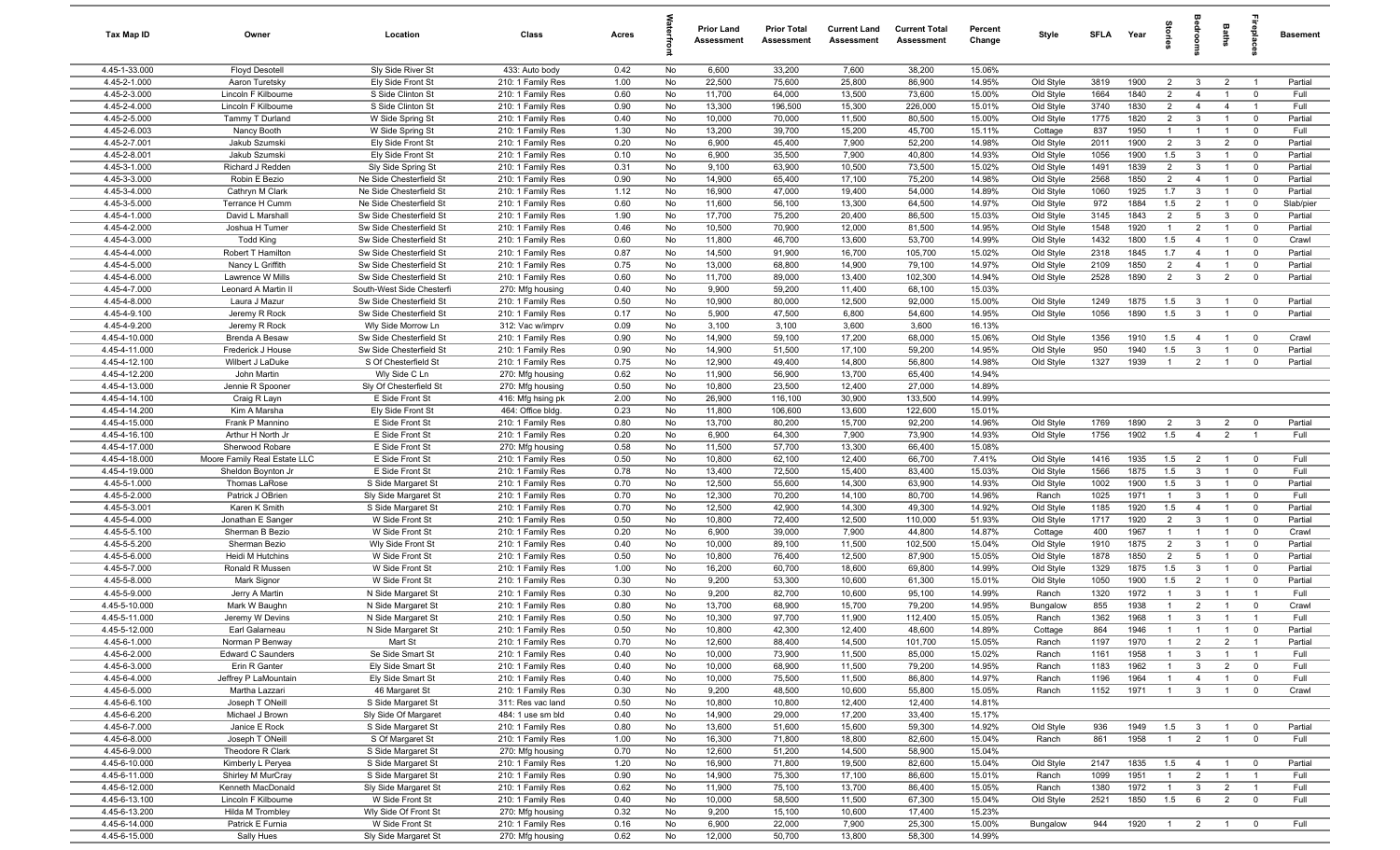| Tax Map ID                    | Owner                              | Location                                      | Class                                  | Acres        |          | <b>Prior Land</b><br>Assessment | <b>Prior Total</b><br>Assessment | <b>Current Land</b><br>Assessment | <b>Current Total</b><br>Assessment | Percent<br>Change | Style                  | SFLA         | Year         | lories                           |                                | Baths                            |                                  | <b>Basement</b>    |
|-------------------------------|------------------------------------|-----------------------------------------------|----------------------------------------|--------------|----------|---------------------------------|----------------------------------|-----------------------------------|------------------------------------|-------------------|------------------------|--------------|--------------|----------------------------------|--------------------------------|----------------------------------|----------------------------------|--------------------|
| 4.45-1-33.000                 | <b>Floyd Desotell</b>              | Sly Side River St                             | 433: Auto body                         | 0.42         | No       | 6,600                           | 33,200                           | 7,600                             | 38,200                             | 15.06%            |                        |              |              |                                  |                                |                                  |                                  |                    |
| 4.45-2-1.000                  | Aaron Turetsky                     | Ely Side Front St                             | 210: 1 Family Res                      | 1.00         | No       | 22,500                          | 75,600                           | 25,800                            | 86,900                             | 14.95%            | Old Style              | 3819         | 1900         | 2                                | 3                              | $\overline{2}$                   | $\overline{1}$                   | Partial            |
| 4.45-2-3.000                  | Lincoln F Kilbourne                | S Side Clinton St                             | 210: 1 Family Res                      | 0.60         | No       | 11,700                          | 64,000                           | 13,500                            | 73,600                             | 15.00%            | Old Style              | 1664         | 1840         | $\overline{2}$                   | $\overline{4}$                 |                                  | $\overline{0}$                   | Full               |
| 4.45-2-4.000                  | Lincoln F Kilbourne                | S Side Clinton St                             | 210: 1 Family Res                      | 0.90         | No       | 13,300                          | 196,500                          | 15,300                            | 226,000                            | 15.01%            | Old Style              | 3740         | 1830         | $\overline{2}$                   | $\overline{4}$                 | $\overline{4}$                   | $\overline{1}$                   | Full               |
| 4.45-2-5.000                  | Tammy T Durland                    | W Side Spring St                              | 210: 1 Family Res                      | 0.40         | No       | 10,000                          | 70,000                           | 11,500                            | 80,500                             | 15.00%            | Old Style              | 1775         | 1820         | $\overline{2}$                   | $\mathbf{3}$                   | $\overline{1}$                   | $\overline{0}$                   | Partial            |
| 4.45-2-6.003                  | Nancy Booth                        | W Side Spring St                              | 210: 1 Family Res                      | 1.30         | No       | 13,200                          | 39,700                           | 15,200                            | 45,700                             | 15.11%            | Cottage                | 837          | 1950<br>1900 | $\overline{1}$<br>2              | $\overline{1}$<br>$\mathbf{3}$ | $\overline{1}$<br>$\overline{2}$ | $\overline{0}$<br>$\overline{0}$ | Full<br>Partial    |
| 4.45-2-7.001<br>4.45-2-8.001  | Jakub Szumski<br>Jakub Szumski     | Ely Side Front St<br>Ely Side Front St        | 210: 1 Family Res<br>210: 1 Family Res | 0.20<br>0.10 | No<br>No | 6,900<br>6,900                  | 45,400<br>35,500                 | 7,900<br>7,900                    | 52,200<br>40,800                   | 14.98%<br>14.93%  | Old Style<br>Old Style | 2011<br>1056 | 1900         | 1.5                              | $\mathbf{3}$                   | $\overline{1}$                   | $\overline{0}$                   | Partial            |
| 4.45-3-1.000                  | Richard J Redden                   | Sly Side Spring St                            | 210: 1 Family Res                      | 0.31         | No       | 9,100                           | 63,900                           | 10,500                            | 73,500                             | 15.02%            | Old Style              | 1491         | 1839         | 2                                | 3                              | $\overline{1}$                   | $\overline{0}$                   | Partial            |
| 4.45-3-3.000                  | Robin E Bezio                      | Ne Side Chesterfield St                       | 210: 1 Family Res                      | 0.90         | No       | 14,900                          | 65,400                           | 17,100                            | 75,200                             | 14.98%            | Old Style              | 2568         | 1850         | $\overline{2}$                   | $\overline{4}$                 | $\overline{1}$                   | $\overline{0}$                   | Partial            |
| 4.45-3-4.000                  | Cathryn M Clark                    | Ne Side Chesterfield St                       | 210: 1 Family Res                      | 1.12         | No       | 16,900                          | 47,000                           | 19,400                            | 54,000                             | 14.89%            | Old Style              | 1060         | 1925         | 1.7                              | $\mathbf{3}$                   | $\mathbf{1}$                     | $\overline{0}$                   | Partial            |
| 4.45-3-5.000                  | Terrance H Cumm                    | Ne Side Chesterfield St                       | 210: 1 Family Res                      | 0.60         | No       | 11,600                          | 56,100                           | 13,300                            | 64,500                             | 14.97%            | Old Style              | 972          | 1884         | 1.5                              | $\overline{2}$                 | $\overline{1}$                   | $\overline{0}$                   | Slab/pier          |
| 4.45-4-1.000                  | David L Marshall                   | Sw Side Chesterfield St                       | 210: 1 Family Res                      | 1.90         | No       | 17,700                          | 75,200                           | 20,400                            | 86,500                             | 15.03%            | Old Style              | 3145         | 1843         | 2                                | 5                              | 3                                | $\overline{0}$                   | Partial            |
| 4.45-4-2.000                  | Joshua H Turner                    | Sw Side Chesterfield St                       | 210: 1 Family Res                      | 0.46         | No       | 10,500                          | 70,900                           | 12,000                            | 81,500                             | 14.95%            | Old Style              | 1548         | 1920         | $\overline{1}$                   | $\overline{2}$                 | $\overline{1}$                   | $\overline{0}$                   | Partial            |
| 4.45-4-3.000                  | Todd King                          | Sw Side Chesterfield St                       | 210: 1 Family Res                      | 0.60         | No       | 11,800                          | 46,700                           | 13,600                            | 53,700                             | 14.99%            | Old Style              | 1432         | 1800         | 1.5                              | $\overline{4}$                 |                                  | $\Omega$                         | Crawl              |
| 4.45-4-4.000                  | Robert T Hamilton                  | Sw Side Chesterfield St                       | 210: 1 Family Res                      | 0.87         | No       | 14,500                          | 91,900                           | 16,700                            | 105,700                            | 15.02%            | Old Style              | 2318         | 1845         | 1.7                              | $\overline{4}$                 |                                  | $\overline{0}$                   | Partial            |
| 4.45-4-5.000                  | Nancy L Griffith                   | Sw Side Chesterfield St                       | 210: 1 Family Res                      | 0.75         | No       | 13,000                          | 68,800                           | 14,900                            | 79,100                             | 14.97%            | Old Style              | 2109         | 1850         | $\overline{2}$                   | $\overline{4}$                 |                                  | $\overline{0}$                   | Partial            |
| 4.45-4-6.000                  | Lawrence W Mills                   | Sw Side Chesterfield St                       | 210: 1 Family Res                      | 0.60         | No       | 11,700                          | 89,000                           | 13,400                            | 102,300                            | 14.94%            | Old Style              | 2528         | 1890         | $\overline{2}$                   | $\mathbf{3}$                   | $\overline{2}$                   | $\overline{0}$                   | Partial            |
| 4.45-4-7.000                  | Leonard A Martin I                 | South-West Side Chesterfi                     | 270: Mfg housing                       | 0.40         | No       | 9,900                           | 59,200                           | 11,400                            | 68,100                             | 15.03%            |                        |              |              |                                  |                                |                                  |                                  |                    |
| $4.45 - 4 - 8.000$            | Laura J Mazur                      | Sw Side Chesterfield St                       | 210: 1 Family Res                      | 0.50         | No       | 10,900                          | 80,000                           | 12,500                            | 92,000                             | 15.00%            | Old Style              | 1249         | 1875         | 1.5                              | 3                              | $\overline{1}$                   | $\overline{0}$                   | Partial            |
| 4.45-4-9.100                  | Jeremy R Rock                      | Sw Side Chesterfield St                       | 210: 1 Family Res                      | 0.17         | No       | 5,900                           | 47,500                           | 6,800                             | 54,600                             | 14.95%<br>16.13%  | Old Style              | 1056         | 1890         | 1.5                              | $\mathbf{3}$                   | $\overline{1}$                   | $\overline{0}$                   | Partial            |
| 4.45-4-9.200<br>4.45-4-10.000 | Jeremy R Rock<br>Brenda A Besaw    | Wly Side Morrow Ln<br>Sw Side Chesterfield St | 312: Vac w/imprv<br>210: 1 Family Res  | 0.09<br>0.90 | No<br>No | 3,100<br>14,900                 | 3,100<br>59,100                  | 3,600<br>17,200                   | 3,600<br>68,000                    | 15.06%            | Old Style              | 1356         | 1910         | 1.5                              | $\overline{4}$                 | $\overline{1}$                   | $\overline{\mathbf{0}}$          | Crawl              |
| 4.45-4-11.000                 | Frederick J House                  | Sw Side Chesterfield St                       | 210: 1 Family Res                      | 0.90         | No       | 14,900                          | 51,500                           | 17,100                            | 59,200                             | 14.95%            | Old Style              | 950          | 1940         | 1.5                              | 3                              | $\mathbf{1}$                     | $\mathbf 0$                      | Partial            |
| 4.45-4-12.100                 | Wilbert J LaDuke                   | S Of Chesterfield St                          | 210: 1 Family Res                      | 0.75         | No       | 12,900                          | 49,400                           | 14,800                            | 56,800                             | 14.98%            | Old Style              | 1327         | 1939         | $\mathbf{1}$                     | $\overline{2}$                 | $\overline{1}$                   | $\mathbf 0$                      | Partial            |
| $4.45 - 4 - 12.200$           | John Martin                        | Wly Side C Ln                                 | 270: Mfg housing                       | 0.62         | No       | 11,900                          | 56,900                           | 13,700                            | 65,400                             | 14.94%            |                        |              |              |                                  |                                |                                  |                                  |                    |
| 4.45-4-13.000                 | Jennie R Spooner                   | Sly Of Chesterfield St                        | 270: Mfg housing                       | 0.50         | No       | 10,800                          | 23,500                           | 12,400                            | 27,000                             | 14.89%            |                        |              |              |                                  |                                |                                  |                                  |                    |
| 4.45-4-14.100                 | Craig R Layn                       | E Side Front St                               | 416: Mfg hsing pk                      | 2.00         | No       | 26,900                          | 116,100                          | 30,900                            | 133,500                            | 14.99%            |                        |              |              |                                  |                                |                                  |                                  |                    |
| 4.45-4-14.200                 | Kim A Marsha                       | Ely Side Front St                             | 464: Office bldg.                      | 0.23         | No       | 11,800                          | 106,600                          | 13,600                            | 122,600                            | 15.01%            |                        |              |              |                                  |                                |                                  |                                  |                    |
| 4.45-4-15.000                 | Frank P Mannino                    | E Side Front St                               | 210: 1 Family Res                      | 0.80         | No       | 13,700                          | 80,200                           | 15,700                            | 92,200                             | 14.96%            | Old Style              | 1769         | 1890         | $\overline{2}$                   | 3                              | $\overline{2}$                   | $\overline{0}$                   | Partial            |
| 4.45-4-16.100                 | Arthur H North Jr                  | E Side Front St                               | 210: 1 Family Res                      | 0.20         | No       | 6,900                           | 64,300                           | 7,900                             | 73,900                             | 14.93%            | Old Style              | 1756         | 1902         | 1.5                              | $\overline{4}$                 | $\overline{2}$                   | $\overline{1}$                   | Full               |
| $4.45 - 4 - 17.000$           | Sherwood Robare                    | E Side Front St                               | 270: Mfg housing                       | 0.58         | No       | 11,500                          | 57,700                           | 13,300                            | 66,400                             | 15.08%            |                        |              |              |                                  |                                |                                  |                                  |                    |
| 4.45-4-18.000                 | Moore Family Real Estate LLC       | E Side Front St                               | 210: 1 Family Res                      | 0.50         | No       | 10,800                          | 62,100                           | 12,400                            | 66,700                             | 7.41%             | Old Style              | 1416         | 1935         | 1.5                              | $\overline{2}$                 | $\overline{1}$                   | $\overline{0}$                   | Full               |
| 4.45-4-19.000                 | Sheldon Boynton Jr                 | E Side Front St                               | 210: 1 Family Res                      | 0.78         | No       | 13,400                          | 72,500                           | 15,400                            | 83,400                             | 15.03%            | Old Style              | 1566         | 1875         | 1.5                              | $\mathbf{3}$                   | $\overline{1}$                   | $\Omega$                         | Full               |
| 4.45-5-1.000                  | Thomas LaRose                      | S Side Margaret St                            | 210: 1 Family Res                      | 0.70         | No       | 12,500                          | 55,600                           | 14,300                            | 63,900                             | 14.93%            | Old Style              | 1002         | 1900         | 1.5                              | $\mathbf{3}$                   | $\overline{1}$                   | $\overline{0}$                   | Partial            |
| 4.45-5-2.000                  | Patrick J OBrien                   | Sly Side Margaret St                          | 210: 1 Family Res                      | 0.70         | No       | 12,300                          | 70,200                           | 14,100                            | 80,700                             | 14.96%            | Ranch                  | 1025         | 1971         | $\overline{1}$                   | $\mathbf{3}$                   | $\mathbf{1}$<br>$\mathbf{1}$     | $\mathbf 0$                      | Full               |
| 4.45-5-3.001<br>4.45-5-4.000  | Karen K Smith<br>Jonathan E Sanger | S Side Margaret St<br>W Side Front St         | 210: 1 Family Res<br>210: 1 Family Res | 0.70<br>0.50 | No<br>No | 12,500<br>10,800                | 42,900<br>72,400                 | 14,300<br>12,500                  | 49,300<br>110,000                  | 14.92%<br>51.93%  | Old Style<br>Old Style | 1185<br>1717 | 1920<br>1920 | 1.5<br>2                         | $\overline{4}$<br>$\mathbf{3}$ | $\mathbf{1}$                     | $\overline{0}$<br>$\overline{0}$ | Partial<br>Partial |
| 4.45-5-5.100                  | Sherman B Bezio                    | W Side Front St                               | 210: 1 Family Res                      | 0.20         | No       | 6,900                           | 39,000                           | 7,900                             | 44,800                             | 14.87%            | Cottage                | 400          | 1967         |                                  |                                |                                  | $\overline{0}$                   | Crawl              |
| 4.45-5-5.200                  | Sherman Bezio                      | Wly Side Front St                             | 210: 1 Family Res                      | 0.40         | No       | 10,000                          | 89,100                           | 11,500                            | 102,500                            | 15.04%            | Old Style              | 1910         | 1875         | 2                                | 3                              |                                  | $\Omega$                         | Partial            |
| 4.45-5-6.000                  | Heidi M Hutchins                   | W Side Front St                               | 210: 1 Family Res                      | 0.50         | No       | 10,800                          | 76,400                           | 12,500                            | 87,900                             | 15.05%            | Old Style              | 1878         | 1850         | $\overline{2}$                   | 5                              |                                  | $\mathbf{0}$                     | Partial            |
| 4.45-5-7.000                  | Ronald R Mussen                    | W Side Front St                               | 210: 1 Family Res                      | 1.00         | No       | 16,200                          | 60,700                           | 18,600                            | 69,800                             | 14.99%            | Old Style              | 1329         | 1875         | 1.5                              | $\mathbf{3}$                   | $\mathbf 1$                      | $\overline{0}$                   | Partial            |
| 4.45-5-8.000                  | Mark Signor                        | W Side Front St                               | 210: 1 Family Res                      | 0.30         | No       | 9,200                           | 53,300                           | 10,600                            | 61,300                             | 15.01%            | Old Style              | 1050         | 1900         | 1.5                              | $\overline{2}$                 | -1                               | $\overline{0}$                   | Partial            |
| 4.45-5-9.000                  | Jerry A Martin                     | N Side Margaret St                            | 210: 1 Family Res                      | 0.30         | No       | 9,200                           | 82,700                           | 10,600                            | 95,100                             | 14.99%            | Ranch                  | 1320         | 1972         | $\overline{1}$                   | 3                              | $\overline{1}$                   | $\overline{1}$                   | Full               |
| 4.45-5-10.000                 | Mark W Baughn                      | N Side Margaret St                            | 210: 1 Family Res                      | 0.80         | No       | 13,700                          | 68,900                           | 15,700                            | 79,200                             | 14.95%            | Bungalow               | 855          | 1938         | $\overline{1}$                   | $\overline{2}$                 | $\overline{1}$                   | $\overline{0}$                   | Crawl              |
| 4.45-5-11.000                 | Jeremy W Devins                    | N Side Margaret St                            | 210: 1 Family Res                      | 0.50         | No       | 10,300                          | 97,700                           | 11,900                            | 112,400                            | 15.05%            | Ranch                  | 1362         | 1968         | $\overline{1}$                   | 3                              | $\overline{1}$                   | $\overline{1}$                   | Full               |
| 4.45-5-12.000                 | Earl Galarneau                     | N Side Margaret St                            | 210: 1 Family Res                      | 0.50         | No       | 10.800                          | 42.300                           | 12.400                            | 48,600                             | 14.89%            | Cottage                | 864          | 1946         |                                  | $\overline{1}$                 | $\overline{1}$                   | $\Omega$                         | Partial            |
| 4.45-6-1.000                  | Norman P Benway                    | Mart St                                       | 210: 1 Family Res                      | 0.70         | No       | 12,600                          | 88,400                           | 14,500                            | 101,700                            | 15.05%            | Ranch                  | 1197         | 1970         | $\overline{1}$                   | $\overline{2}$                 | $\overline{2}$                   | $\overline{1}$                   | Partial            |
| 4.45-6-2.000                  | <b>Edward C Saunders</b>           | Se Side Smart St                              | 210: 1 Family Res                      | 0.40         | No       | 10,000                          | 73,900                           | 11,500                            | 85,000                             | 15.02%            | Ranch                  | 1161         | 1958         |                                  | $\mathbf{3}$                   | $\mathbf{1}$                     | $\overline{1}$                   | Full               |
| 4.45-6-3.000                  | Erin R Ganter                      | Ely Side Smart St                             | 210: 1 Family Res                      | 0.40         | No       | 10,000                          | 68,900                           | 11,500                            | 79,200                             | 14.95%            | Ranch                  | 1183         | 1962         |                                  | $\mathbf{3}$                   | $\overline{2}$                   | $\mathbf 0$                      | Full               |
| 4.45-6-4.000                  | Jeffrey P LaMountain               | Ely Side Smart St                             | 210: 1 Family Res                      | 0.40         | No       | 10,000                          | 75,500                           | 11,500                            | 86,800                             | 14.97%            | Ranch                  | 1196         | 1964         | $\overline{1}$<br>$\overline{1}$ | $\overline{4}$                 | $\overline{1}$                   | $\mathbf 0$                      | Full               |
| 4.45-6-5.000<br>4.45-6-6.100  | Martha Lazzari<br>Joseph T ONeill  | 46 Margaret St<br>S Side Margaret St          | 210: 1 Family Res<br>311: Res vac land | 0.30<br>0.50 | No<br>No | 9,200<br>10,800                 | 48,500<br>10,800                 | 10,600<br>12,400                  | 55,800<br>12,400                   | 15.05%<br>14.81%  | Ranch                  | 1152         | 1971         |                                  | $\mathbf{3}$                   |                                  | $\mathbf 0$                      | Crawl              |
| 4.45-6-6.200                  | Michael J Brown                    | Sly Side Of Margaret                          | 484: 1 use sm bld                      | 0.40         | No       | 14,900                          | 29,000                           | 17,200                            | 33,400                             | 15.17%            |                        |              |              |                                  |                                |                                  |                                  |                    |
| 4.45-6-7.000                  | Janice E Rock                      | S Side Margaret St                            | 210: 1 Family Res                      | 0.80         | No       | 13,600                          | 51,600                           | 15,600                            | 59,300                             | 14.92%            | Old Style              | 936          | 1949         | 1.5                              | $\mathbf{3}$                   | $\overline{1}$                   | $\overline{0}$                   | Partial            |
| 4.45-6-8.000                  | Joseph T ONeill                    | S Of Margaret St                              | 210: 1 Family Res                      | 1.00         | No       | 16,300                          | 71,800                           | 18,800                            | 82,600                             | 15.04%            | Ranch                  | 861          | 1958         | $\overline{1}$                   | $\overline{2}$                 | $\overline{1}$                   | $\mathbf 0$                      | Full               |
| 4.45-6-9.000                  | Theodore R Clark                   | S Side Margaret St                            | 270: Mfg housing                       | 0.70         | No       | 12,600                          | 51,200                           | 14,500                            | 58,900                             | 15.04%            |                        |              |              |                                  |                                |                                  |                                  |                    |
| 4.45-6-10.000                 | Kimberly L Peryea                  | S Side Margaret St                            | 210: 1 Family Res                      | 1.20         | No       | 16,900                          | 71,800                           | 19,500                            | 82,600                             | 15.04%            | Old Style              | 2147         | 1835         | 1.5                              | $\overline{4}$                 | $\overline{1}$                   | $\overline{\mathbf{0}}$          | Partial            |
| 4.45-6-11.000                 | Shirley M MurCray                  | S Side Margaret St                            | 210: 1 Family Res                      | 0.90         | No       | 14,900                          | 75,300                           | 17,100                            | 86,600                             | 15.01%            | Ranch                  | 1099         | 1951         | $\overline{1}$                   | $\overline{2}$                 | $\overline{1}$                   | $\overline{1}$                   | Full               |
| 4.45-6-12.000                 | Kenneth MacDonald                  | Sly Side Margaret St                          | 210: 1 Family Res                      | 0.62         | No       | 11,900                          | 75,100                           | 13,700                            | 86,400                             | 15.05%            | Ranch                  | 1380         | 1972         | $\overline{1}$                   | $\mathbf{3}$                   | $\overline{2}$                   | $\overline{1}$                   | Full               |
| 4.45-6-13.100                 | Lincoln F Kilbourne                | W Side Front St                               | 210: 1 Family Res                      | 0.40         | No       | 10,000                          | 58,500                           | 11,500                            | 67,300                             | 15.04%            | Old Style              | 2521         | 1850         | 1.5                              | 6                              | $\overline{2}$                   | $\overline{0}$                   | Full               |
| 4.45-6-13.200                 | Hilda M Trombley                   | Wly Side Of Front St                          | 270: Mfg housing                       | 0.32         | No       | 9,200                           | 15,100                           | 10,600                            | 17,400                             | 15.23%            |                        |              |              |                                  |                                |                                  |                                  |                    |
| 4.45-6-14.000                 | Patrick E Furnia                   | W Side Front St                               | 210: 1 Family Res                      | 0.16         | No       | 6,900                           | 22,000                           | 7,900                             | 25,300                             | 15.00%            | Bungalow               | 944          | 1920         | $\overline{1}$                   | $\overline{2}$                 |                                  | $\mathbf 0$                      | Full               |
| 4.45-6-15.000                 | Sally Hues                         | Sly Side Margaret St                          | 270: Mfg housing                       | 0.62         | No       | 12,000                          | 50,700                           | 13,800                            | 58,300                             | 14.99%            |                        |              |              |                                  |                                |                                  |                                  |                    |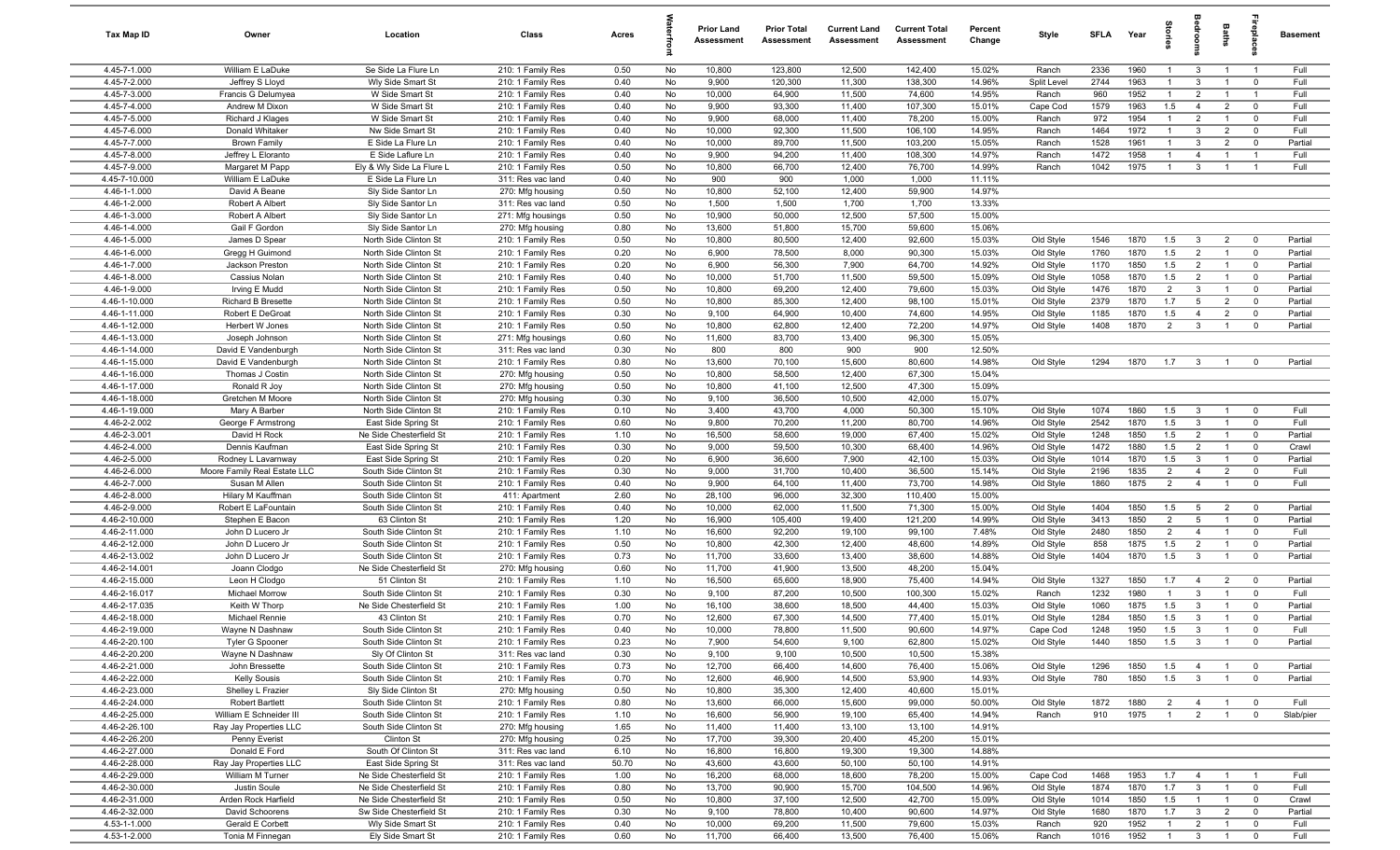| Tax Map ID                     | Owner                                    | Location                                       | Class                                  | Acres        |          | <b>Prior Land</b><br>Assessment | <b>Prior Total</b><br>Assessment | <b>Current Land</b><br>Assessment | <b>Current Total</b><br><b>Assessment</b> | Percent<br>Change | Style                  | SFLA         | Year         | ğ                                |                                           | Baths                            | abis                                               | <b>Basement</b>    |
|--------------------------------|------------------------------------------|------------------------------------------------|----------------------------------------|--------------|----------|---------------------------------|----------------------------------|-----------------------------------|-------------------------------------------|-------------------|------------------------|--------------|--------------|----------------------------------|-------------------------------------------|----------------------------------|----------------------------------------------------|--------------------|
| 4.45-7-1.000                   | William E LaDuke                         | Se Side La Flure Ln                            | 210: 1 Family Res                      | 0.50         | No       | 10,800                          | 123,800                          | 12,500                            | 142,400                                   | 15.02%            | Ranch                  | 2336         | 1960         | $\mathbf{1}$                     | $\mathbf{3}$                              | $\overline{1}$                   | $\overline{1}$                                     | Full               |
| 4.45-7-2.000                   | Jeffrey S Lloyd                          | Wly Side Smart St                              | 210: 1 Family Res                      | 0.40         | No       | 9,900                           | 120,300                          | 11,300                            | 138,300                                   | 14.96%            | Split Level            | 2744         | 1963         |                                  | 3                                         |                                  | $\mathbf{0}$                                       | Full               |
| 4.45-7-3.000                   | Francis G Delumyea                       | W Side Smart St                                | 210: 1 Family Res                      | 0.40         | No       | 10,000                          | 64,900                           | 11,500                            | 74,600                                    | 14.95%            | Ranch                  | 960          | 1952         | $\mathbf{1}$                     | $\overline{2}$                            |                                  | $\overline{1}$                                     | Full               |
| 4.45-7-4.000                   | Andrew M Dixon                           | W Side Smart St                                | 210: 1 Family Res                      | 0.40         | No       | 9,900                           | 93,300                           | 11,400                            | 107,300                                   | 15.01%            | Cape Cod               | 1579         | 1963         | 1.5                              | $\overline{4}$                            | $\overline{2}$                   | $\mathbf 0$                                        | Full               |
| 4.45-7-5.000<br>4.45-7-6.000   | Richard J Klages<br>Donald Whitaker      | W Side Smart St<br>Nw Side Smart St            | 210: 1 Family Res                      | 0.40<br>0.40 | No<br>No | 9,900<br>10,000                 | 68,000<br>92,300                 | 11,400<br>11,500                  | 78,200<br>106,100                         | 15.00%<br>14.95%  | Ranch                  | 972<br>1464  | 1954<br>1972 | $\overline{1}$<br>$\overline{1}$ | $\overline{2}$<br>$\mathbf{3}$            | $\overline{1}$<br>$\overline{2}$ | $\mathbf 0$<br>$\mathbf 0$                         | Full<br>Full       |
| 4.45-7-7.000                   | <b>Brown Family</b>                      | E Side La Flure Ln                             | 210: 1 Family Res<br>210: 1 Family Res | 0.40         | No       | 10,000                          | 89,700                           | 11,500                            | 103,200                                   | 15.05%            | Ranch<br>Ranch         | 1528         | 1961         | $\overline{1}$                   | $\mathbf{3}$                              | $\overline{2}$                   | $\mathbf 0$                                        | Partial            |
| 4.45-7-8.000                   | Jeffrey L Eloranto                       | E Side Laflure Ln                              | 210: 1 Family Res                      | 0.40         | No       | 9,900                           | 94,200                           | 11,400                            | 108,300                                   | 14.97%            | Ranch                  | 1472         | 1958         | $\overline{1}$                   | $\overline{4}$                            | $\mathbf{1}$                     | $\overline{1}$                                     | Full               |
| 4.45-7-9.000                   | Margaret M Papp                          | Ely & Wly Side La Flure L                      | 210: 1 Family Res                      | 0.50         | No       | 10,800                          | 66,700                           | 12,400                            | 76,700                                    | 14.99%            | Ranch                  | 1042         | 1975         | $\overline{1}$                   | $\mathbf{3}$                              | $\mathbf{1}$                     | $\overline{1}$                                     | Full               |
| 4.45-7-10.000                  | William E LaDuke                         | E Side La Flure Ln                             | 311: Res vac land                      | 0.40         | No       | 900                             | 900                              | 1,000                             | 1,000                                     | 11.11%            |                        |              |              |                                  |                                           |                                  |                                                    |                    |
| 4.46-1-1.000                   | David A Beane                            | Sly Side Santor Ln                             | 270: Mfg housing                       | 0.50         | No       | 10,800                          | 52,100                           | 12,400                            | 59,900                                    | 14.97%            |                        |              |              |                                  |                                           |                                  |                                                    |                    |
| 4.46-1-2.000                   | Robert A Albert                          | Sly Side Santor Ln                             | 311: Res vac land                      | 0.50         | No       | 1,500                           | 1,500                            | 1,700                             | 1,700                                     | 13.33%            |                        |              |              |                                  |                                           |                                  |                                                    |                    |
| 4.46-1-3.000                   | Robert A Albert                          | Sly Side Santor Ln                             | 271: Mfg housings                      | 0.50         | No       | 10,900                          | 50,000                           | 12,500                            | 57,500                                    | 15.00%            |                        |              |              |                                  |                                           |                                  |                                                    |                    |
| 4.46-1-4.000                   | Gail F Gordon                            | Sly Side Santor Ln                             | 270: Mfg housing                       | 0.80         | No       | 13,600                          | 51,800                           | 15,700                            | 59,600                                    | 15.06%            |                        |              |              |                                  |                                           |                                  |                                                    |                    |
| 4.46-1-5.000                   | James D Spear                            | North Side Clinton St                          | 210: 1 Family Res                      | 0.50         | No       | 10,800                          | 80,500                           | 12,400                            | 92,600                                    | 15.03%            | Old Style              | 1546         | 1870         | 1.5                              | $\mathbf{3}$                              | $\overline{2}$                   | $\mathbf{0}$                                       | Partial            |
| 4.46-1-6.000                   | Gregg H Guimond                          | North Side Clinton St                          | 210: 1 Family Res                      | 0.20         | No       | 6,900                           | 78,500                           | 8,000                             | 90,300                                    | 15.03%            | Old Style              | 1760         | 1870         | 1.5                              | $\overline{2}$                            | $\overline{1}$                   | $\mathbf 0$                                        | Partial            |
| 4.46-1-7.000                   | Jackson Preston                          | North Side Clinton St                          | 210: 1 Family Res                      | 0.20         | No       | 6,900                           | 56,300                           | 7,900                             | 64,700                                    | 14.92%            | Old Style              | 1170         | 1850         | 1.5                              | $\overline{2}$                            | $\mathbf{1}$                     | $\mathbf 0$                                        | Partial            |
| 4.46-1-8.000                   | Cassius Nolan                            | North Side Clinton St                          | 210: 1 Family Res                      | 0.40         | No       | 10,000                          | 51,700                           | 11,500                            | 59,500                                    | 15.09%            | Old Style              | 1058         | 1870         | 1.5                              | $\overline{2}$                            | $\overline{1}$                   | $\overline{0}$                                     | Partial            |
| 4.46-1-9.000                   | Irving E Mudd                            | North Side Clinton St                          | 210: 1 Family Res                      | 0.50         | No       | 10,800                          | 69,200                           | 12,400                            | 79,600                                    | 15.03%            | Old Style              | 1476         | 1870         | $\overline{2}$                   | $\mathbf{3}$                              | $\overline{1}$                   | $\mathbf 0$                                        | Partial            |
| 4.46-1-10.000                  | <b>Richard B Bresette</b>                | North Side Clinton St                          | 210: 1 Family Res                      | 0.50         | No       | 10,800                          | 85,300                           | 12,400                            | 98,100                                    | 15.01%            | Old Style              | 2379         | 1870         | 1.7                              | $5\overline{5}$                           | $\overline{2}$                   | $\mathbf 0$                                        | Partial            |
| 4.46-1-11.000<br>4.46-1-12.000 | Robert E DeGroat<br>Herbert W Jones      | North Side Clinton St<br>North Side Clinton St | 210: 1 Family Res<br>210: 1 Family Res | 0.30<br>0.50 | No<br>No | 9,100<br>10,800                 | 64,900<br>62,800                 | 10,400<br>12,400                  | 74,600<br>72,200                          | 14.95%<br>14.97%  | Old Style<br>Old Style | 1185<br>1408 | 1870<br>1870 | 1.5<br>2                         | $\overline{4}$<br>$\mathbf{3}$            | $\overline{2}$<br>$\overline{1}$ | $\overline{0}$<br>$\overline{0}$                   | Partial<br>Partial |
| 4.46-1-13.000                  | Joseph Johnson                           | North Side Clinton St                          | 271: Mfg housings                      | 0.60         | No       | 11,600                          | 83,700                           | 13,400                            | 96,300                                    | 15.05%            |                        |              |              |                                  |                                           |                                  |                                                    |                    |
| 4.46-1-14.000                  | David E Vandenburgh                      | North Side Clinton St                          | 311: Res vac land                      | 0.30         | No       | 800                             | 800                              | 900                               | 900                                       | 12.50%            |                        |              |              |                                  |                                           |                                  |                                                    |                    |
| 4.46-1-15.000                  | David E Vandenburgh                      | North Side Clinton St                          | 210: 1 Family Res                      | 0.80         | No       | 13,600                          | 70,100                           | 15,600                            | 80,600                                    | 14.98%            | Old Style              | 1294         | 1870         | 1.7                              | $\mathbf{3}$                              |                                  | $\mathbf 0$                                        | Partial            |
| 4.46-1-16.000                  | Thomas J Costin                          | North Side Clinton St                          | 270: Mfg housing                       | 0.50         | No       | 10,800                          | 58,500                           | 12,400                            | 67,300                                    | 15.04%            |                        |              |              |                                  |                                           |                                  |                                                    |                    |
| 4.46-1-17.000                  | Ronald R Joy                             | North Side Clinton St                          | 270: Mfg housing                       | 0.50         | No       | 10,800                          | 41,100                           | 12,500                            | 47,300                                    | 15.09%            |                        |              |              |                                  |                                           |                                  |                                                    |                    |
| 4.46-1-18.000                  | Gretchen M Moore                         | North Side Clinton St                          | 270: Mfg housing                       | 0.30         | No       | 9,100                           | 36,500                           | 10,500                            | 42,000                                    | 15.07%            |                        |              |              |                                  |                                           |                                  |                                                    |                    |
| 4.46-1-19.000                  | Mary A Barber                            | North Side Clinton St                          | 210: 1 Family Res                      | 0.10         | No       | 3,400                           | 43,700                           | 4,000                             | 50,300                                    | 15.10%            | Old Style              | 1074         | 1860         | 1.5                              | $\mathbf{3}$                              | $\overline{1}$                   | $\overline{0}$                                     | Full               |
| 4.46-2-2.002                   | George F Armstrong                       | East Side Spring St                            | 210: 1 Family Res                      | 0.60         | No       | 9,800                           | 70,200                           | 11,200                            | 80,700                                    | 14.96%            | Old Style              | 2542         | 1870         | 1.5                              | $\mathbf{3}$                              | $\overline{1}$                   | $\overline{0}$                                     | Full               |
| 4.46-2-3.001                   | David H Rock                             | Ne Side Chesterfield St                        | 210: 1 Family Res                      | 1.10         | No       | 16,500                          | 58,600                           | 19,000                            | 67,400                                    | 15.02%            | Old Style              | 1248         | 1850         | 1.5                              | $\overline{2}$                            | $\overline{1}$                   | $\mathbf 0$                                        | Partial            |
| 4.46-2-4.000                   | Dennis Kaufman                           | East Side Spring St                            | 210: 1 Family Res                      | 0.30         | No       | 9,000                           | 59,500                           | 10,300                            | 68,400                                    | 14.96%            | Old Style              | 1472         | 1880         | 1.5                              | $\overline{2}$                            | $\overline{1}$                   | $\mathbf 0$                                        | Crawl              |
| 4.46-2-5.000                   | Rodney L Lavarnway                       | East Side Spring St                            | 210: 1 Family Res                      | 0.20         | No       | 6,900                           | 36,600                           | 7,900                             | 42,100                                    | 15.03%            | Old Style              | 1014         | 1870         | 1.5                              | $\mathbf{3}$                              | $\overline{1}$                   | $\mathbf{0}$                                       | Partial            |
| 4.46-2-6.000                   | Moore Family Real Estate LLC             | South Side Clinton St                          | 210: 1 Family Res                      | 0.30         | No       | 9,000                           | 31,700                           | 10,400                            | 36,500                                    | 15.14%            | Old Style              | 2196         | 1835         | $\overline{2}$                   | $\overline{4}$                            | $\overline{2}$                   | $\mathbf 0$                                        | Full               |
| 4.46-2-7.000<br>4.46-2-8.000   | Susan M Allen                            | South Side Clinton St                          | 210: 1 Family Res                      | 0.40<br>2.60 | No       | 9,900                           | 64,100                           | 11,400                            | 73,700                                    | 14.98%            | Old Style              | 1860         | 1875         | $\overline{2}$                   | $\overline{4}$                            | $\overline{1}$                   | $\overline{0}$                                     | Full               |
| 4.46-2-9.000                   | Hilary M Kauffman<br>Robert E LaFountain | South Side Clinton St<br>South Side Clinton St | 411: Apartment<br>210: 1 Family Res    | 0.40         | No<br>No | 28,100<br>10,000                | 96,000<br>62,000                 | 32,300<br>11,500                  | 110,400<br>71,300                         | 15.00%<br>15.00%  | Old Style              | 1404         | 1850         | 1.5                              | 5                                         | $\overline{2}$                   | $\mathbf 0$                                        | Partial            |
| 4.46-2-10.000                  | Stephen E Bacon                          | 63 Clinton St                                  | 210: 1 Family Res                      | 1.20         | No       | 16,900                          | 105,400                          | 19,400                            | 121,200                                   | 14.99%            | Old Style              | 3413         | 1850         | $\overline{2}$                   | 5                                         |                                  | $\mathbf 0$                                        | Partial            |
| 4.46-2-11.000                  | John D Lucero Jr                         | South Side Clinton St                          | 210: 1 Family Res                      | 1.10         | No       | 16,600                          | 92,200                           | 19,100                            | 99,100                                    | 7.48%             | Old Style              | 2480         | 1850         | $\overline{2}$                   | $\overline{4}$                            |                                  | $^{\circ}$                                         | Full               |
| 4.46-2-12.000                  | John D Lucero Jr                         | South Side Clinton St                          | 210: 1 Family Res                      | 0.50         | No       | 10,800                          | 42,300                           | 12,400                            | 48,600                                    | 14.89%            | Old Style              | 858          | 1875         | 1.5                              | $\overline{2}$                            | $\mathbf{1}$                     | $\mathbf{0}$                                       | Partial            |
| 4.46-2-13.002                  | John D Lucero Jr                         | South Side Clinton St                          | 210: 1 Family Res                      | 0.73         | No       | 11,700                          | 33,600                           | 13,400                            | 38,600                                    | 14.88%            | Old Style              | 1404         | 1870         | 1.5                              | $\mathbf{3}$                              |                                  | $\mathbf 0$                                        | Partial            |
| 4.46-2-14.001                  | Joann Clodgo                             | Ne Side Chesterfield St                        | 270: Mfg housing                       | 0.60         | No       | 11,700                          | 41,900                           | 13,500                            | 48,200                                    | 15.04%            |                        |              |              |                                  |                                           |                                  |                                                    |                    |
| 4.46-2-15.000                  | Leon H Clodgo                            | 51 Clinton St                                  | 210: 1 Family Res                      | 1.10         | No       | 16,500                          | 65,600                           | 18,900                            | 75,400                                    | 14.94%            | Old Style              | 1327         | 1850         | 1.7                              | $\overline{4}$                            | $\overline{2}$                   | $\overline{\mathbf{0}}$                            | Partial            |
| 4.46-2-16.017                  | Michael Morrow                           | South Side Clinton St                          | 210: 1 Family Res                      | 0.30         | No       | 9,100                           | 87,200                           | 10,500                            | 100,300                                   | 15.02%            | Ranch                  | 1232         | 1980         | $\overline{1}$                   | $\mathbf{3}$                              | $\overline{1}$                   | $\mathbf 0$                                        | Full               |
| $4.46 - 2 - 17.035$            | Keith W Thorp                            | Ne Side Chesterfield St                        | 210: 1 Family Res                      | 1.00         | No       | 16,100                          | 38,600                           | 18,500                            | 44,400                                    | 15.03%            | Old Style              | 1060         | 1875         | 1.5                              | $\mathbf{3}$                              | $\mathbf{1}$                     | $\mathbf{0}$                                       | Partial            |
| 4.46-2-18.000                  | Michael Rennie                           | 43 Clinton St                                  | 210: 1 Family Res                      | 0.70         | No       | 12,600                          | 67,300                           | 14,500                            | 77,400                                    | 15.01%            | Old Style              | 1284         | 1850         | 1.5                              | $\mathbf{3}$                              | $\overline{1}$                   | $\mathbf{0}$                                       | Partial            |
| 4.46-2-19.000                  | Wayne N Dashnaw                          | South Side Clinton St                          | 210: 1 Family Res                      | 0.40         | No       | 10.000                          | 78.800                           | 11.500                            | 90,600                                    | 14.97%            | Cape Cod               | 1248         | 1950         | 1.5                              | $\overline{\mathbf{3}}$                   | -1                               | $\Omega$                                           | Full               |
| 4.46-2-20.100                  | Tyler G Spooner                          | South Side Clinton St                          | 210: 1 Family Res                      | 0.23         | No       | 7,900                           | 54,600                           | 9,100                             | 62,800                                    | 15.02%            | Old Style              | 1440         | 1850         | 1.5                              | $\mathbf{3}$                              | $\overline{1}$                   | $\overline{0}$                                     | Partial            |
| 4.46-2-20.200                  | Wayne N Dashnaw                          | Sly Of Clinton St                              | 311: Res vac land                      | 0.30         | No       | 9,100                           | 9,100                            | 10,500                            | 10,500                                    | 15.38%            |                        |              |              |                                  |                                           |                                  |                                                    |                    |
| 4.46-2-21.000<br>4.46-2-22.000 | John Bressette<br><b>Kelly Sousis</b>    | South Side Clinton St<br>South Side Clinton St | 210: 1 Family Res<br>210: 1 Family Res | 0.73<br>0.70 | No<br>No | 12,700<br>12,600                | 66,400<br>46,900                 | 14,600<br>14,500                  | 76,400<br>53,900                          | 15.06%<br>14.93%  | Old Style<br>Old Style | 1296<br>780  | 1850<br>1850 | 1.5<br>1.5                       | $\overline{4}$<br>$\overline{\mathbf{3}}$ | $\mathbf{1}$<br>$\overline{1}$   | $\overline{\mathbf{0}}$<br>$\overline{\mathbf{0}}$ | Partial<br>Partial |
| 4.46-2-23.000                  | Shelley L Frazier                        | Sly Side Clinton St                            | 270: Mfg housing                       | 0.50         | No       | 10,800                          | 35,300                           | 12,400                            | 40,600                                    | 15.01%            |                        |              |              |                                  |                                           |                                  |                                                    |                    |
| 4.46-2-24.000                  | <b>Robert Bartlett</b>                   | South Side Clinton St                          | 210: 1 Family Res                      | 0.80         | No       | 13,600                          | 66,000                           | 15,600                            | 99,000                                    | 50.00%            | Old Style              | 1872         | 1880         | $\overline{2}$                   | $\overline{4}$                            | $\overline{1}$                   | $\mathbf 0$                                        | Full               |
| 4.46-2-25.000                  | William E Schneider III                  | South Side Clinton St                          | 210: 1 Family Res                      | 1.10         | No       | 16,600                          | 56,900                           | 19,100                            | 65,400                                    | 14.94%            | Ranch                  | 910          | 1975         | $\overline{1}$                   | $\overline{2}$                            | $\overline{1}$                   | $\mathbf 0$                                        | Slab/pier          |
| 4.46-2-26.100                  | Ray Jay Properties LLC                   | South Side Clinton St                          | 270: Mfg housing                       | 1.65         | No       | 11,400                          | 11,400                           | 13,100                            | 13,100                                    | 14.91%            |                        |              |              |                                  |                                           |                                  |                                                    |                    |
| 4.46-2-26.200                  | Penny Everist                            | Clinton St                                     | 270: Mfg housing                       | 0.25         | No       | 17,700                          | 39,300                           | 20,400                            | 45,200                                    | 15.01%            |                        |              |              |                                  |                                           |                                  |                                                    |                    |
| 4.46-2-27.000                  | Donald E Ford                            | South Of Clinton St                            | 311: Res vac land                      | 6.10         | No       | 16,800                          | 16,800                           | 19,300                            | 19,300                                    | 14.88%            |                        |              |              |                                  |                                           |                                  |                                                    |                    |
| $4.46 - 2 - 28.000$            | Ray Jay Properties LLC                   | East Side Spring St                            | 311: Res vac land                      | 50.70        | No       | 43,600                          | 43,600                           | 50,100                            | 50,100                                    | 14.91%            |                        |              |              |                                  |                                           |                                  |                                                    |                    |
| 4.46-2-29.000                  | William M Turner                         | Ne Side Chesterfield St                        | 210: 1 Family Res                      | 1.00         | No       | 16,200                          | 68,000                           | 18,600                            | 78,200                                    | 15.00%            | Cape Cod               | 1468         | 1953         | 1.7                              | $\overline{4}$                            | $\overline{1}$                   | - 1                                                | Full               |
| $4.46 - 2 - 30.000$            | Justin Soule                             | Ne Side Chesterfield St                        | 210: 1 Family Res                      | 0.80         | No       | 13,700                          | 90,900                           | 15,700                            | 104,500                                   | 14.96%            | Old Style              | 1874         | 1870         | 1.7                              | $\mathbf{3}$                              | $\overline{1}$                   | $\mathbf 0$                                        | Full               |
| 4.46-2-31.000                  | Arden Rock Harfield                      | Ne Side Chesterfield St                        | 210: 1 Family Res                      | 0.50         | No       | 10,800                          | 37,100                           | 12,500                            | 42,700                                    | 15.09%            | Old Style              | 1014         | 1850         | 1.5                              | $\overline{1}$                            | $\overline{1}$                   | $\overline{0}$                                     | Crawl              |
| 4.46-2-32.000                  | David Schoorens                          | Sw Side Chesterfield St                        | 210: 1 Family Res                      | 0.30         | No       | 9,100                           | 78,800                           | 10,400                            | 90,600                                    | 14.97%            | Old Style              | 1680         | 1870         | 1.7                              | $\mathbf{3}$                              | $\overline{2}$                   | $\mathbf 0$                                        | Partial            |
| 4.53-1-1.000                   | Gerald E Corbett                         | Wly Side Smart St                              | 210: 1 Family Res                      | 0.40         | No       | 10,000                          | 69,200                           | 11,500                            | 79,600                                    | 15.03%            | Ranch                  | 920          | 1952         | $\mathbf{1}$                     | $\overline{2}$                            | $\overline{1}$                   | $\mathbf 0$                                        | Full               |
| 4.53-1-2.000                   | Tonia M Finnegan                         | Ely Side Smart St                              | 210: 1 Family Res                      | 0.60         | No       | 11,700                          | 66,400                           | 13,500                            | 76,400                                    | 15.06%            | Ranch                  | 1016         | 1952         | $\overline{1}$                   | 3 <sup>3</sup>                            | $-1$                             | $\overline{0}$                                     | Full               |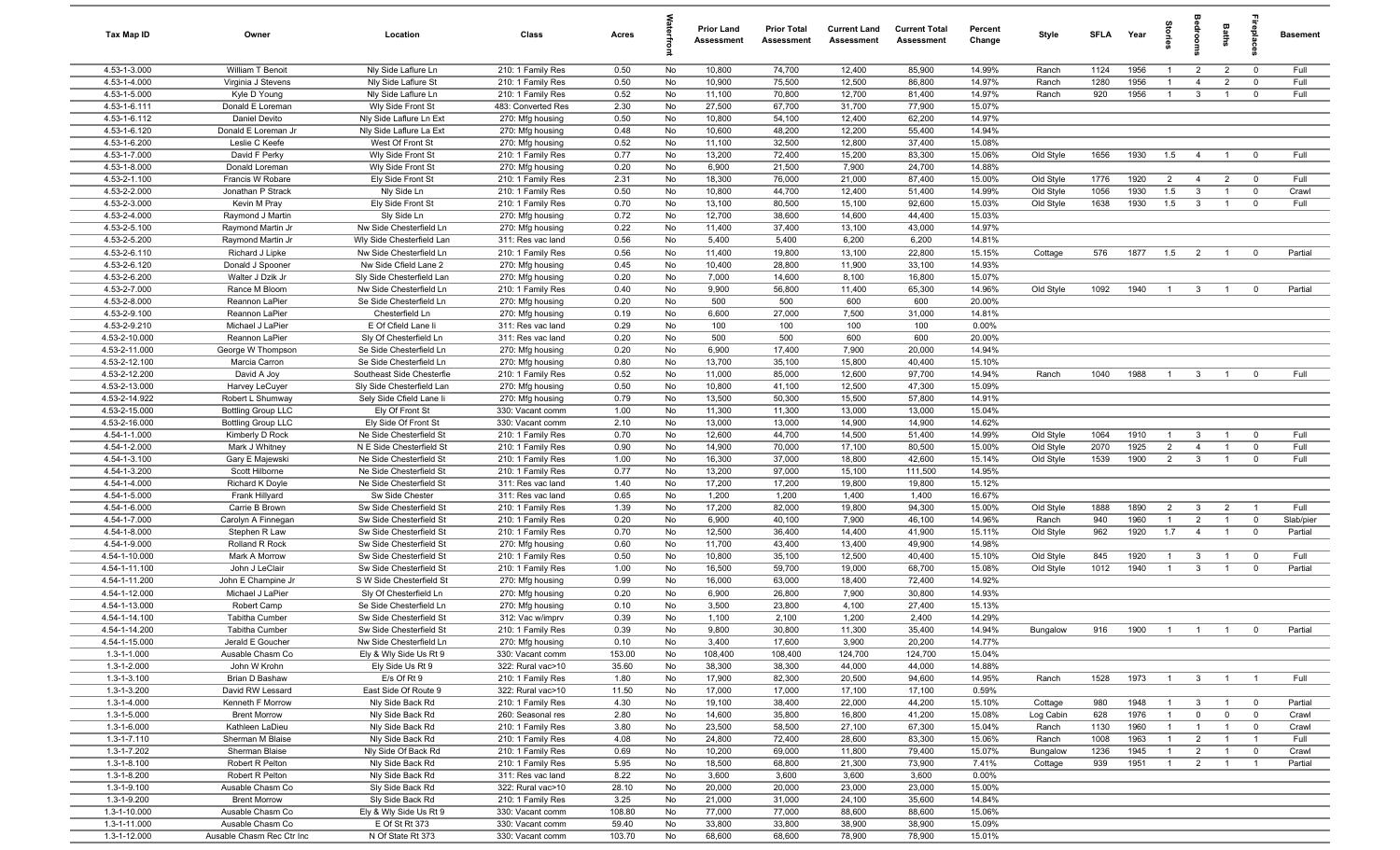| Tax Map ID                     | Owner                                                  | Location                                           | Class                                 | Acres        |          | <b>Prior Land</b><br>Assessment | <b>Prior Total</b><br>Assessment | <b>Current Land</b><br>Assessment | <b>Current Total</b><br>Assessment | Percent<br>Change | Style     | <b>SFLA</b> | Year | 읈              | edroo          | Baths          |                         | <b>Basement</b> |
|--------------------------------|--------------------------------------------------------|----------------------------------------------------|---------------------------------------|--------------|----------|---------------------------------|----------------------------------|-----------------------------------|------------------------------------|-------------------|-----------|-------------|------|----------------|----------------|----------------|-------------------------|-----------------|
| 4.53-1-3.000                   | William T Benoit                                       | Nly Side Laflure Ln                                | 210: 1 Family Res                     | 0.50         | No       | 10,800                          | 74,700                           | 12,400                            | 85,900                             | 14.99%            | Ranch     | 1124        | 1956 | -1             | $\overline{2}$ | $\overline{2}$ | $\overline{0}$          | Full            |
| 4.53-1-4.000                   | Virginia J Stevens                                     | Nly Side Laflure St                                | 210: 1 Family Res                     | 0.50         | No       | 10,900                          | 75,500                           | 12,500                            | 86,800                             | 14.97%            | Ranch     | 1280        | 1956 |                | $\overline{4}$ | $\overline{2}$ | $\mathbf{0}$            | Full            |
| 4.53-1-5.000                   | Kyle D Young                                           | Nly Side Laflure Ln                                | 210: 1 Family Res                     | 0.52         | No       | 11,100                          | 70,800                           | 12,700                            | 81,400                             | 14.97%            | Ranch     | 920         | 1956 | $\overline{1}$ | $\mathbf{3}$   |                | $\mathbf 0$             | Full            |
| 4.53-1-6.111                   | Donald E Loreman                                       | Wly Side Front St                                  | 483: Converted Res                    | 2.30         | No       | 27,500                          | 67,700                           | 31,700                            | 77,900                             | 15.07%            |           |             |      |                |                |                |                         |                 |
| 4.53-1-6.112                   | Daniel Devito                                          | Nly Side Laflure Ln Ext                            | 270: Mfg housing                      | 0.50         | No       | 10,800                          | 54,100                           | 12,400                            | 62,200                             | 14.97%            |           |             |      |                |                |                |                         |                 |
| 4.53-1-6.120                   | Donald E Loreman Jr                                    | Nly Side Laflure La Ext                            | 270: Mfg housing                      | 0.48         | No       | 10,600                          | 48,200                           | 12,200                            | 55,400                             | 14.94%            |           |             |      |                |                |                |                         |                 |
| 4.53-1-6.200                   | Leslie C Keefe<br>David F Perky                        | West Of Front St                                   | 270: Mfg housing                      | 0.52         | No       | 11,100                          | 32,500                           | 12,800                            | 37,400                             | 15.08%            |           |             |      |                |                |                |                         | Full            |
| 4.53-1-7.000<br>4.53-1-8.000   | Donald Loreman                                         | Wly Side Front St                                  | 210: 1 Family Res                     | 0.77         | No       | 13,200                          | 72,400                           | 15,200                            | 83,300                             | 15.06%<br>14.88%  | Old Style | 1656        | 1930 | 1.5            | $\overline{4}$ | $\overline{1}$ | $\overline{0}$          |                 |
| 4.53-2-1.100                   | Francis W Robare                                       | Wly Side Front St<br>Ely Side Front St             | 270: Mfg housing<br>210: 1 Family Res | 0.20<br>2.31 | No<br>No | 6,900<br>18,300                 | 21,500<br>76,000                 | 7,900<br>21,000                   | 24,700<br>87,400                   | 15.00%            | Old Style | 1776        | 1920 | 2              | $\overline{4}$ | $\overline{2}$ | $\overline{0}$          | Full            |
| 4.53-2-2.000                   | Jonathan P Strack                                      | Nly Side Ln                                        | 210: 1 Family Res                     | 0.50         | No       | 10,800                          | 44,700                           | 12,400                            | 51,400                             | 14.99%            | Old Style | 1056        | 1930 | 1.5            | $\mathbf{3}$   | $\overline{1}$ | $\overline{0}$          | Crawl           |
| 4.53-2-3.000                   | Kevin M Pray                                           | Ely Side Front St                                  | 210: 1 Family Res                     | 0.70         | No       | 13,100                          | 80,500                           | 15,100                            | 92,600                             | 15.03%            | Old Style | 1638        | 1930 | 1.5            | $\mathbf{3}$   | $\overline{1}$ | $\mathbf 0$             | Full            |
| 4.53-2-4.000                   | Raymond J Martin                                       | Sly Side Ln                                        | 270: Mfg housing                      | 0.72         | No       | 12,700                          | 38,600                           | 14,600                            | 44,400                             | 15.03%            |           |             |      |                |                |                |                         |                 |
| 4.53-2-5.100                   | Raymond Martin Jr                                      | Nw Side Chesterfield Ln                            | 270: Mfg housing                      | 0.22         | No       | 11,400                          | 37,400                           | 13,100                            | 43,000                             | 14.97%            |           |             |      |                |                |                |                         |                 |
| 4.53-2-5.200                   | Raymond Martin Jr                                      | Wly Side Chesterfield Lan                          | 311: Res vac land                     | 0.56         | No       | 5,400                           | 5,400                            | 6,200                             | 6,200                              | 14.81%            |           |             |      |                |                |                |                         |                 |
| 4.53-2-6.110                   | Richard J Lipke                                        | Nw Side Chesterfield Ln                            | 210: 1 Family Res                     | 0.56         | No       | 11,400                          | 19,800                           | 13,100                            | 22,800                             | 15.15%            | Cottage   | 576         | 1877 | 1.5            | $\overline{2}$ |                | $\overline{0}$          | Partial         |
| 4.53-2-6.120                   | Donald J Spooner                                       | Nw Side Cfield Lane 2                              | 270: Mfg housing                      | 0.45         | No       | 10,400                          | 28,800                           | 11,900                            | 33,100                             | 14.93%            |           |             |      |                |                |                |                         |                 |
| 4.53-2-6.200                   | Walter J Dzik Jr                                       | Sly Side Chesterfield Lan                          | 270: Mfg housing                      | 0.20         | No       | 7,000                           | 14,600                           | 8,100                             | 16,800                             | 15.07%            |           |             |      |                |                |                |                         |                 |
| 4.53-2-7.000                   | Rance M Bloom                                          | Nw Side Chesterfield Ln                            | 210: 1 Family Res                     | 0.40         | No       | 9,900                           | 56,800                           | 11,400                            | 65,300                             | 14.96%            | Old Style | 1092        | 1940 | $\overline{1}$ | $\mathbf{3}$   | $\overline{1}$ | $\overline{0}$          | Partial         |
| 4.53-2-8.000                   | Reannon LaPier                                         | Se Side Chesterfield Ln                            | 270: Mfg housing                      | 0.20         | No       | 500                             | 500                              | 600                               | 600                                | 20.00%            |           |             |      |                |                |                |                         |                 |
| 4.53-2-9.100                   | Reannon LaPier                                         | Chesterfield Ln                                    | 270: Mfg housing                      | 0.19         | No       | 6,600                           | 27,000                           | 7,500                             | 31,000                             | 14.81%            |           |             |      |                |                |                |                         |                 |
| 4.53-2-9.210                   | Michael J LaPier                                       | E Of Cfield Lane li                                | 311: Res vac land                     | 0.29         | No       | 100                             | 100                              | 100                               | 100                                | 0.00%             |           |             |      |                |                |                |                         |                 |
| 4.53-2-10.000                  | Reannon LaPier                                         | Sly Of Chesterfield Ln                             | 311: Res vac land                     | 0.20         | No       | 500                             | 500                              | 600                               | 600                                | 20.00%            |           |             |      |                |                |                |                         |                 |
| 4.53-2-11.000                  | George W Thompson                                      | Se Side Chesterfield Ln                            | 270: Mfg housing                      | 0.20         | No       | 6,900                           | 17,400                           | 7,900                             | 20,000                             | 14.94%            |           |             |      |                |                |                |                         |                 |
| 4.53-2-12.100                  | Marcia Carron                                          | Se Side Chesterfield Ln                            | 270: Mfg housing                      | 0.80         | No       | 13,700                          | 35,100                           | 15,800                            | 40,400                             | 15.10%            |           |             |      |                |                |                |                         |                 |
| 4.53-2-12.200                  | David A Joy                                            | Southeast Side Chesterfie                          | 210: 1 Family Res                     | 0.52         | No       | 11,000                          | 85,000                           | 12,600                            | 97,700                             | 14.94%            | Ranch     | 1040        | 1988 | $\overline{1}$ | $\mathbf{3}$   | $\overline{1}$ | $\overline{0}$          | Full            |
| 4.53-2-13.000                  | Harvey LeCuyer                                         | Sly Side Chesterfield Lan                          | 270: Mfg housing                      | 0.50         | No       | 10,800                          | 41,100                           | 12,500                            | 47,300                             | 15.09%            |           |             |      |                |                |                |                         |                 |
| 4.53-2-14.922                  | Robert L Shumway                                       | Sely Side Cfield Lane li                           | 270: Mfg housing                      | 0.79         | No       | 13,500                          | 50,300                           | 15,500                            | 57,800                             | 14.91%            |           |             |      |                |                |                |                         |                 |
| 4.53-2-15.000<br>4.53-2-16.000 | <b>Bottling Group LLC</b><br><b>Bottling Group LLC</b> | Ely Of Front St<br>Ely Side Of Front St            | 330: Vacant comm<br>330: Vacant comm  | 1.00<br>2.10 | No<br>No | 11,300<br>13,000                | 11,300<br>13,000                 | 13,000<br>14,900                  | 13,000<br>14,900                   | 15.04%<br>14.62%  |           |             |      |                |                |                |                         |                 |
| 4.54-1-1.000                   | Kimberly D Rock                                        | Ne Side Chesterfield St                            | 210: 1 Family Res                     | 0.70         | No       | 12,600                          | 44,700                           | 14,500                            | 51,400                             | 14.99%            | Old Style | 1064        | 1910 | $\overline{1}$ | 3              | $\overline{1}$ | $\overline{0}$          | Full            |
| 4.54-1-2.000                   | Mark J Whitney                                         | N E Side Chesterfield St                           | 210: 1 Family Res                     | 0.90         | No       | 14,900                          | 70,000                           | 17,100                            | 80,500                             | 15.00%            | Old Style | 2070        | 1925 | $\overline{2}$ | $\overline{4}$ | $\overline{1}$ | $\mathbf 0$             | Full            |
| 4.54-1-3.100                   | Gary E Majewski                                        | Ne Side Chesterfield St                            | 210: 1 Family Res                     | 1.00         | No       | 16,300                          | 37,000                           | 18,800                            | 42,600                             | 15.14%            | Old Style | 1539        | 1900 | $\overline{2}$ | $\mathbf{3}$   | $\overline{1}$ | $\overline{0}$          | Full            |
| 4.54-1-3.200                   | Scott Hilborne                                         | Ne Side Chesterfield St                            | 210: 1 Family Res                     | 0.77         | No       | 13,200                          | 97,000                           | 15,100                            | 111,500                            | 14.95%            |           |             |      |                |                |                |                         |                 |
| 4.54-1-4.000                   | Richard K Doyle                                        | Ne Side Chesterfield St                            | 311: Res vac land                     | 1.40         | No       | 17,200                          | 17,200                           | 19,800                            | 19,800                             | 15.12%            |           |             |      |                |                |                |                         |                 |
| 4.54-1-5.000                   | Frank Hillyard                                         | Sw Side Chester                                    | 311: Res vac land                     | 0.65         | No       | 1,200                           | 1,200                            | 1,400                             | 1,400                              | 16.67%            |           |             |      |                |                |                |                         |                 |
| 4.54-1-6.000                   | Carrie B Brown                                         | Sw Side Chesterfield St                            | 210: 1 Family Res                     | 1.39         | No       | 17,200                          | 82,000                           | 19,800                            | 94,300                             | 15.00%            | Old Style | 1888        | 1890 | 2              | $\mathbf{3}$   | $\overline{2}$ | $\overline{1}$          | Full            |
| 4.54-1-7.000                   | Carolyn A Finnegan                                     | Sw Side Chesterfield St                            | 210: 1 Family Res                     | 0.20         | No       | 6,900                           | 40,100                           | 7,900                             | 46,100                             | 14.96%            | Ranch     | 940         | 1960 | -1             | $\overline{2}$ | $\overline{1}$ | $\overline{0}$          | Slab/pier       |
| 4.54-1-8.000                   | Stephen R Law                                          | Sw Side Chesterfield St                            | 210: 1 Family Res                     | 0.70         | No       | 12,500                          | 36,400                           | 14,400                            | 41,900                             | 15.11%            | Old Style | 962         | 1920 | 1.7            | $\overline{4}$ |                | $\overline{0}$          | Partial         |
| 4.54-1-9.000                   | Rolland R Rock                                         | Sw Side Chesterfield St                            | 270: Mfg housing                      | 0.60         | No       | 11,700                          | 43,400                           | 13,400                            | 49,900                             | 14.98%            |           |             |      |                |                |                |                         |                 |
| 4.54-1-10.000                  | Mark A Morrow                                          | Sw Side Chesterfield St                            | 210: 1 Family Res                     | 0.50         | No       | 10,800                          | 35,100                           | 12,500                            | 40,400                             | 15.10%            | Old Style | 845         | 1920 | -1             | 3              |                | $\overline{0}$          | Full            |
| 4.54-1-11.100                  | John J LeClair                                         | Sw Side Chesterfield St                            | 210: 1 Family Res                     | 1.00         | No       | 16,500                          | 59,700                           | 19,000                            | 68,700                             | 15.08%            | Old Style | 1012        | 1940 |                | $\mathbf{3}$   |                | $\overline{0}$          | Partial         |
| 4.54-1-11.200                  | John E Champine Jr                                     | S W Side Chesterfield St                           | 270: Mfg housing                      | 0.99         | No       | 16,000                          | 63,000                           | 18,400                            | 72,400                             | 14.92%            |           |             |      |                |                |                |                         |                 |
| 4.54-1-12.000                  | Michael J LaPier                                       | Sly Of Chesterfield Ln                             | 270: Mfg housing                      | 0.20         | No       | 6,900                           | 26,800                           | 7,900                             | 30,800                             | 14.93%            |           |             |      |                |                |                |                         |                 |
| 4.54-1-13.000                  | Robert Camp                                            | Se Side Chesterfield Ln                            | 270: Mfg housing                      | 0.10         | No       | 3,500                           | 23,800                           | 4,100                             | 27,400                             | 15.13%            |           |             |      |                |                |                |                         |                 |
| 4.54-1-14.100<br>4.54-1-14.200 | Tabitha Cumber<br>Tabitha Cumber                       | Sw Side Chesterfield St<br>Sw Side Chesterfield St | 312: Vac w/imprv                      | 0.39         | No<br>No | 1,100<br>9,800                  | 2,100                            | 1,200                             | 2,400                              | 14.29%<br>14.94%  |           |             | 1900 |                |                |                | $\Omega$                | Partial         |
| 4.54-1-15.000                  | Jerald E Goucher                                       | Nw Side Chesterfield Ln                            | 210: 1 Family Res<br>270: Mfg housing | 0.39<br>0.10 | No       | 3,400                           | 30,800<br>17,600                 | 11,300<br>3,900                   | 35,400<br>20,200                   | 14.77%            | Bungalow  | 916         |      |                |                |                |                         |                 |
| 1.3-1-1.000                    | Ausable Chasm Co                                       | Ely & Wly Side Us Rt 9                             | 330: Vacant comm                      | 153.00       | No       | 108,400                         | 108,400                          | 124,700                           | 124,700                            | 15.04%            |           |             |      |                |                |                |                         |                 |
| 1.3-1-2.000                    | John W Krohn                                           | Ely Side Us Rt 9                                   | 322: Rural vac>10                     | 35.60        | No       | 38,300                          | 38,300                           | 44,000                            | 44,000                             | 14.88%            |           |             |      |                |                |                |                         |                 |
| 1.3-1-3.100                    | Brian D Bashaw                                         | E/s Of Rt 9                                        | 210: 1 Family Res                     | 1.80         | No       | 17,900                          | 82,300                           | 20,500                            | 94,600                             | 14.95%            | Ranch     | 1528        | 1973 | $\overline{1}$ | $3^{\circ}$    | $\blacksquare$ | $\overline{1}$          | Full            |
| 1.3-1-3.200                    | David RW Lessard                                       | East Side Of Route 9                               | 322: Rural vac>10                     | 11.50        | No       | 17,000                          | 17,000                           | 17,100                            | 17,100                             | 0.59%             |           |             |      |                |                |                |                         |                 |
| $1.3 - 1 - 4.000$              | Kenneth F Morrow                                       | Nly Side Back Rd                                   | 210: 1 Family Res                     | 4.30         | No       | 19,100                          | 38,400                           | 22,000                            | 44,200                             | 15.10%            | Cottage   | 980         | 1948 | $\overline{1}$ | 3              | $\overline{1}$ | $\overline{\mathbf{0}}$ | Partial         |
| 1.3-1-5.000                    | <b>Brent Morrow</b>                                    | Nly Side Back Rd                                   | 260: Seasonal res                     | 2.80         | No       | 14,600                          | 35,800                           | 16,800                            | 41,200                             | 15.08%            | Log Cabin | 628         | 1976 |                | $\mathbf 0$    | $\mathbf 0$    | $\overline{\mathbf{0}}$ | Crawl           |
| $1.3 - 1 - 6.000$              | Kathleen LaDieu                                        | Nly Side Back Rd                                   | 210: 1 Family Res                     | 3.80         | No       | 23,500                          | 58,500                           | 27,100                            | 67,300                             | 15.04%            | Ranch     | 1130        | 1960 |                | $\mathbf{1}$   | $\overline{1}$ | $\overline{0}$          | Crawl           |
| $1.3 - 1 - 7.110$              | Sherman M Blaise                                       | Nly Side Back Rd                                   | 210: 1 Family Res                     | 4.08         | No       | 24,800                          | 72,400                           | 28,600                            | 83,300                             | 15.06%            | Ranch     | 1008        | 1963 |                | $\overline{2}$ |                | $\overline{1}$          | Full            |
| 1.3-1-7.202                    | Sherman Blaise                                         | Nly Side Of Back Rd                                | 210: 1 Family Res                     | 0.69         | No       | 10,200                          | 69,000                           | 11,800                            | 79,400                             | 15.07%            | Bungalow  | 1236        | 1945 | $\overline{1}$ | $\overline{2}$ | $\overline{1}$ | $\overline{0}$          | Crawl           |
| $1.3 - 1 - 8.100$              | Robert R Pelton                                        | Nly Side Back Rd                                   | 210: 1 Family Res                     | 5.95         | No       | 18,500                          | 68,800                           | 21,300                            | 73,900                             | 7.41%             | Cottage   | 939         | 1951 | $\overline{1}$ | $\overline{2}$ | $\overline{1}$ | $\overline{1}$          | Partial         |
| 1.3-1-8.200                    | Robert R Pelton                                        | Nly Side Back Rd                                   | 311: Res vac land                     | 8.22         | No       | 3,600                           | 3,600                            | 3,600                             | 3,600                              | 0.00%             |           |             |      |                |                |                |                         |                 |
| 1.3-1-9.100                    | Ausable Chasm Co                                       | Sly Side Back Rd                                   | 322: Rural vac>10                     | 28.10        | No       | 20,000                          | 20,000                           | 23,000                            | 23,000                             | 15.00%            |           |             |      |                |                |                |                         |                 |
| 1.3-1-9.200                    | <b>Brent Morrow</b>                                    | Sly Side Back Rd                                   | 210: 1 Family Res                     | 3.25         | No       | 21,000                          | 31,000                           | 24,100                            | 35,600                             | 14.84%            |           |             |      |                |                |                |                         |                 |
| 1.3-1-10.000                   | Ausable Chasm Co                                       | Ely & Wly Side Us Rt 9                             | 330: Vacant comm                      | 108.80       | No       | 77,000                          | 77,000                           | 88,600                            | 88,600                             | 15.06%            |           |             |      |                |                |                |                         |                 |
| 1.3-1-11.000                   | Ausable Chasm Co                                       | E Of St Rt 373                                     | 330: Vacant comm                      | 59.40        | No       | 33,800                          | 33,800                           | 38,900                            | 38,900                             | 15.09%            |           |             |      |                |                |                |                         |                 |
| 1.3-1-12.000                   | Ausable Chasm Rec Ctr Inc                              | N Of State Rt 373                                  | 330: Vacant comm                      | 103.70       | No       | 68,600                          | 68,600                           | 78,900                            | 78,900                             | 15.01%            |           |             |      |                |                |                |                         |                 |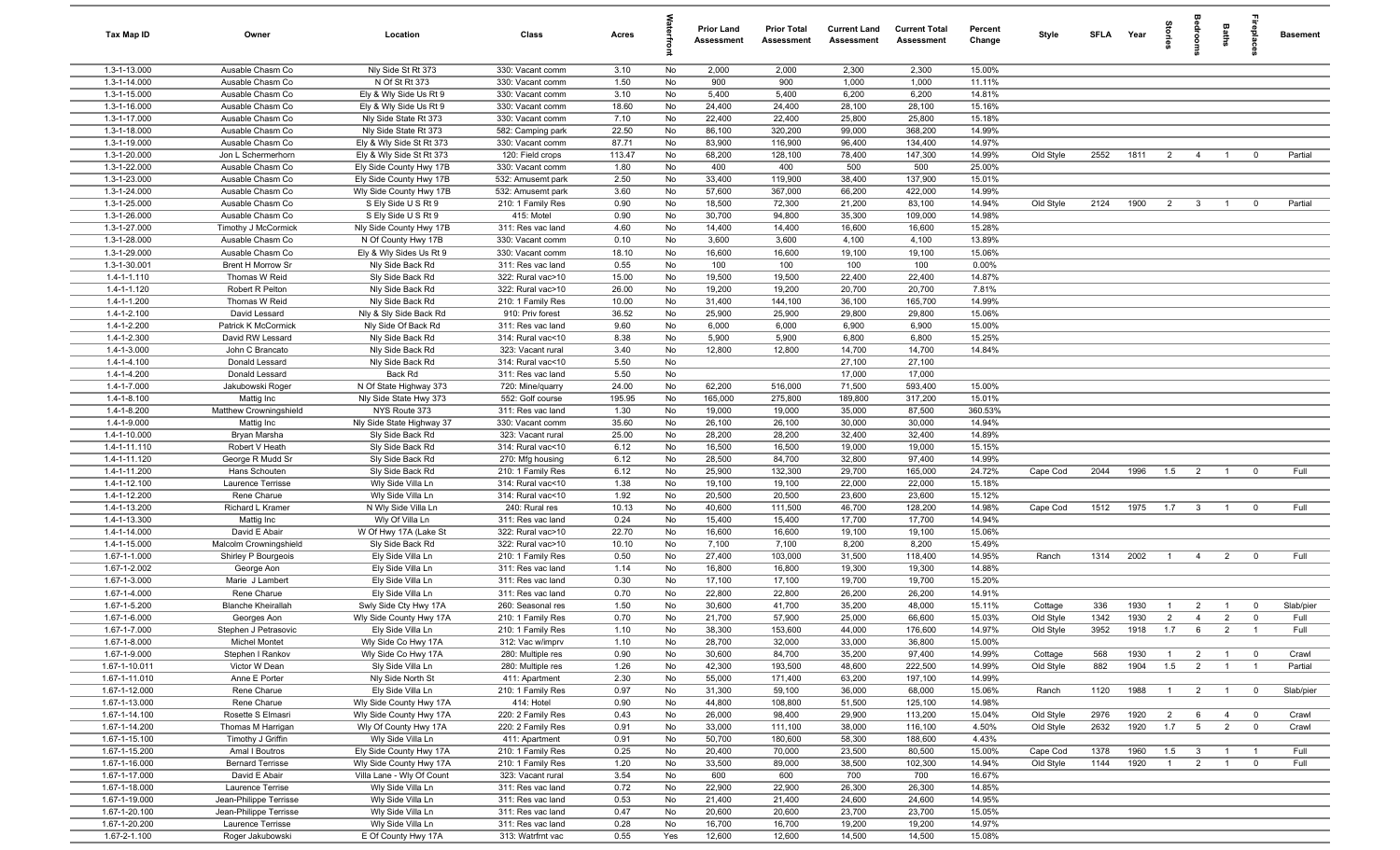| Tax Map ID                     | Owner                                     | Location                                           | Class                                  | Acres         |           | <b>Prior Land</b><br>Assessment | <b>Prior Total</b><br>Assessment | <b>Current Land</b><br>Assessment | <b>Current Total</b><br>Assessment | Percent<br>Change | Style                 | <b>SFLA</b>  | Year         | prie                  | edroo                          | Baths                            | leb<br>18      | <b>Basement</b> |
|--------------------------------|-------------------------------------------|----------------------------------------------------|----------------------------------------|---------------|-----------|---------------------------------|----------------------------------|-----------------------------------|------------------------------------|-------------------|-----------------------|--------------|--------------|-----------------------|--------------------------------|----------------------------------|----------------|-----------------|
| 1.3-1-13.000                   | Ausable Chasm Co                          | Nly Side St Rt 373                                 | 330: Vacant comm                       | 3.10          | No        | 2,000                           | 2,000                            | 2,300                             | 2,300                              | 15.00%            |                       |              |              |                       |                                |                                  |                |                 |
| 1.3-1-14.000                   | Ausable Chasm Co                          | N Of St Rt 373                                     | 330: Vacant comm                       | 1.50          | No        | 900                             | 900                              | 1,000                             | 1,000                              | 11.11%            |                       |              |              |                       |                                |                                  |                |                 |
| 1.3-1-15.000                   | Ausable Chasm Co                          | Ely & Wly Side Us Rt 9                             | 330: Vacant comm                       | 3.10          | No        | 5,400                           | 5,400                            | 6,200                             | 6,200                              | 14.81%            |                       |              |              |                       |                                |                                  |                |                 |
| 1.3-1-16.000<br>1.3-1-17.000   | Ausable Chasm Co<br>Ausable Chasm Co      | Ely & Wly Side Us Rt 9<br>Nly Side State Rt 373    | 330: Vacant comm<br>330: Vacant comm   | 18.60<br>7.10 | No<br>No  | 24,400<br>22,400                | 24,400<br>22,400                 | 28,100<br>25,800                  | 28,100<br>25,800                   | 15.16%<br>15.18%  |                       |              |              |                       |                                |                                  |                |                 |
| 1.3-1-18.000                   | Ausable Chasm Co                          | Nly Side State Rt 373                              | 582: Camping park                      | 22.50         | No        | 86,100                          | 320,200                          | 99,000                            | 368,200                            | 14.99%            |                       |              |              |                       |                                |                                  |                |                 |
| 1.3-1-19.000                   | Ausable Chasm Co                          | Ely & Wly Side St Rt 373                           | 330: Vacant comm                       | 87.71         | No        | 83,900                          | 116,900                          | 96,400                            | 134,400                            | 14.97%            |                       |              |              |                       |                                |                                  |                |                 |
| 1.3-1-20.000                   | Jon L Schermerhorn                        | Ely & Wly Side St Rt 373                           | 120: Field crops                       | 113.47        | No        | 68,200                          | 128,100                          | 78,400                            | 147,300                            | 14.99%            | Old Style             | 2552         | 1811         | $\overline{2}$        | $\overline{4}$                 | $\overline{1}$                   | $\mathbf 0$    | Partial         |
| 1.3-1-22.000                   | Ausable Chasm Co                          | Ely Side County Hwy 17B                            | 330: Vacant comm                       | 1.80          | No        | 400                             | 400                              | 500                               | 500                                | 25.00%            |                       |              |              |                       |                                |                                  |                |                 |
| 1.3-1-23.000                   | Ausable Chasm Co                          | Ely Side County Hwy 17B                            | 532: Amusemt park                      | 2.50          | No        | 33,400                          | 119,900                          | 38,400                            | 137,900                            | 15.01%            |                       |              |              |                       |                                |                                  |                |                 |
| 1.3-1-24.000                   | Ausable Chasm Co                          | Wly Side County Hwy 17B                            | 532: Amusemt park                      | 3.60          | No        | 57,600                          | 367,000                          | 66,200                            | 422,000                            | 14.99%            |                       |              |              |                       |                                |                                  |                |                 |
| 1.3-1-25.000                   | Ausable Chasm Co                          | S Ely Side U S Rt 9                                | 210: 1 Family Res                      | 0.90          | No        | 18,500                          | 72,300                           | 21,200                            | 83,100                             | 14.94%            | Old Style             | 2124         | 1900         | $\overline{2}$        | $\overline{\mathbf{3}}$        | $\overline{1}$                   | $^{\circ}$     | Partial         |
| 1.3-1-26.000                   | Ausable Chasm Co                          | S Ely Side U S Rt 9                                | 415: Motel                             | 0.90          | No        | 30,700                          | 94,800                           | 35,300                            | 109,000                            | 14.98%            |                       |              |              |                       |                                |                                  |                |                 |
| 1.3-1-27.000                   | Timothy J McCormick                       | Nly Side County Hwy 17B                            | 311: Res vac land                      | 4.60          | No        | 14,400                          | 14,400                           | 16,600                            | 16,600                             | 15.28%            |                       |              |              |                       |                                |                                  |                |                 |
| 1.3-1-28.000<br>1.3-1-29.000   | Ausable Chasm Co<br>Ausable Chasm Co      | N Of County Hwy 17B<br>Ely & Wly Sides Us Rt 9     | 330: Vacant comm<br>330: Vacant comm   | 0.10<br>18.10 | No<br>No  | 3,600<br>16,600                 | 3,600<br>16,600                  | 4,100<br>19,100                   | 4,100<br>19,100                    | 13.89%<br>15.06%  |                       |              |              |                       |                                |                                  |                |                 |
| 1.3-1-30.001                   | <b>Brent H Morrow Sr</b>                  | Nly Side Back Rd                                   | 311: Res vac land                      | 0.55          | No        | 100                             | 100                              | 100                               | 100                                | 0.00%             |                       |              |              |                       |                                |                                  |                |                 |
| $1.4 - 1 - 1.110$              | Thomas W Reid                             | Sly Side Back Rd                                   | 322: Rural vac>10                      | 15.00         | No        | 19,500                          | 19,500                           | 22,400                            | 22,400                             | 14.87%            |                       |              |              |                       |                                |                                  |                |                 |
| 1.4-1-1.120                    | Robert R Pelton                           | Nly Side Back Rd                                   | 322: Rural vac>10                      | 26.00         | No        | 19,200                          | 19,200                           | 20,700                            | 20,700                             | 7.81%             |                       |              |              |                       |                                |                                  |                |                 |
| 1.4-1-1.200                    | Thomas W Reid                             | Nly Side Back Rd                                   | 210: 1 Family Res                      | 10.00         | No        | 31,400                          | 144,100                          | 36,100                            | 165,700                            | 14.99%            |                       |              |              |                       |                                |                                  |                |                 |
| $1.4 - 1 - 2.100$              | David Lessard                             | Nly & Sly Side Back Rd                             | 910: Priv forest                       | 36.52         | No        | 25,900                          | 25,900                           | 29,800                            | 29,800                             | 15.06%            |                       |              |              |                       |                                |                                  |                |                 |
| 1.4-1-2.200                    | Patrick K McCormick                       | Nly Side Of Back Rd                                | 311: Res vac land                      | 9.60          | No        | 6,000                           | 6,000                            | 6,900                             | 6,900                              | 15.00%            |                       |              |              |                       |                                |                                  |                |                 |
| 1.4-1-2.300                    | David RW Lessard                          | Nly Side Back Rd                                   | 314: Rural vac<10                      | 8.38          | No        | 5,900                           | 5,900                            | 6,800                             | 6,800                              | 15.25%            |                       |              |              |                       |                                |                                  |                |                 |
| 1.4-1-3.000                    | John C Brancato                           | Nly Side Back Rd                                   | 323: Vacant rural                      | 3.40          | No        | 12,800                          | 12,800                           | 14,700                            | 14,700                             | 14.84%            |                       |              |              |                       |                                |                                  |                |                 |
| $1.4 - 1 - 4.100$              | Donald Lessard                            | Nly Side Back Rd                                   | 314: Rural vac<10                      | 5.50          | No        |                                 |                                  | 27,100                            | 27,100                             |                   |                       |              |              |                       |                                |                                  |                |                 |
| 1.4-1-4.200<br>1.4-1-7.000     | Donald Lessard<br>Jakubowski Roger        | Back Rd<br>N Of State Highway 373                  | 311: Res vac land                      | 5.50<br>24.00 | No<br>No  | 62,200                          | 516,000                          | 17,000<br>71,500                  | 17,000<br>593,400                  | 15.00%            |                       |              |              |                       |                                |                                  |                |                 |
| $1.4 - 1 - 8.100$              | Mattig Inc                                | Nly Side State Hwy 373                             | 720: Mine/quarry<br>552: Golf course   | 195.95        | No        | 165,000                         | 275,800                          | 189,800                           | 317,200                            | 15.01%            |                       |              |              |                       |                                |                                  |                |                 |
| 1.4-1-8.200                    | Matthew Crowningshield                    | NYS Route 373                                      | 311: Res vac land                      | 1.30          | No        | 19,000                          | 19,000                           | 35,000                            | 87,500                             | 360.53%           |                       |              |              |                       |                                |                                  |                |                 |
| 1.4-1-9.000                    | Mattig Inc                                | Nly Side State Highway 37                          | 330: Vacant comm                       | 35.60         | No        | 26,100                          | 26,100                           | 30,000                            | 30,000                             | 14.94%            |                       |              |              |                       |                                |                                  |                |                 |
| 1.4-1-10.000                   | Bryan Marsha                              | Sly Side Back Rd                                   | 323: Vacant rural                      | 25.00         | No        | 28,200                          | 28,200                           | 32,400                            | 32,400                             | 14.89%            |                       |              |              |                       |                                |                                  |                |                 |
| 1.4-1-11.110                   | Robert V Heath                            | Sly Side Back Rd                                   | 314: Rural vac<10                      | 6.12          | No        | 16,500                          | 16,500                           | 19,000                            | 19,000                             | 15.15%            |                       |              |              |                       |                                |                                  |                |                 |
| 1.4-1-11.120                   | George R Mudd Sr                          | Sly Side Back Rd                                   | 270: Mfg housing                       | 6.12          | No        | 28,500                          | 84,700                           | 32,800                            | 97,400                             | 14.99%            |                       |              |              |                       |                                |                                  |                |                 |
| 1.4-1-11.200                   | Hans Schouten                             | Sly Side Back Rd                                   | 210: 1 Family Res                      | 6.12          | No        | 25,900                          | 132,300                          | 29,700                            | 165,000                            | 24.72%            | Cape Cod              | 2044         | 1996         | 1.5                   | $\overline{2}$                 | $\overline{1}$                   | $\mathbf 0$    | Full            |
| 1.4-1-12.100                   | Laurence Terrisse                         | Wly Side Villa Ln                                  | 314: Rural vac<10                      | 1.38          | No        | 19,100                          | 19,100                           | 22,000                            | 22,000                             | 15.18%            |                       |              |              |                       |                                |                                  |                |                 |
| 1.4-1-12.200<br>1.4-1-13.200   | Rene Charue<br>Richard L Kramer           | Wly Side Villa Ln<br>N Wly Side Villa Ln           | 314: Rural vac<10<br>240: Rural res    | 1.92<br>10.13 | No<br>No  | 20,500<br>40,600                | 20,500<br>111,500                | 23,600<br>46,700                  | 23,600<br>128,200                  | 15.12%<br>14.98%  | Cape Cod              | 1512         | 1975         | 1.7                   | $\overline{\mathbf{3}}$        | $\overline{1}$                   | $\overline{0}$ | Full            |
| 1.4-1-13.300                   | Mattig Inc                                | Wly Of Villa Ln                                    | 311: Res vac land                      | 0.24          | No        | 15,400                          | 15,400                           | 17,700                            | 17,700                             | 14.94%            |                       |              |              |                       |                                |                                  |                |                 |
| 1.4-1-14.000                   | David E Abair                             | W Of Hwy 17A (Lake St                              | 322: Rural vac>10                      | 22.70         | No        | 16,600                          | 16,600                           | 19,100                            | 19,100                             | 15.06%            |                       |              |              |                       |                                |                                  |                |                 |
| 1.4-1-15.000                   | Malcolm Crowningshield                    | Sly Side Back Rd                                   | 322: Rural vac>10                      | 10.10         | No        | 7,100                           | 7,100                            | 8,200                             | 8,200                              | 15.49%            |                       |              |              |                       |                                |                                  |                |                 |
| 1.67-1-1.000                   | Shirley P Bourgeois                       | Ely Side Villa Ln                                  | 210: 1 Family Res                      | 0.50          | No        | 27,400                          | 103,000                          | 31,500                            | 118,400                            | 14.95%            | Ranch                 | 1314         | 2002         | $\overline{1}$        | $\overline{4}$                 | $\overline{2}$                   | $\mathbf 0$    | Full            |
| 1.67-1-2.002                   | George Aon                                | Ely Side Villa Ln                                  | 311: Res vac land                      | 1.14          | No        | 16,800                          | 16,800                           | 19,300                            | 19,300                             | 14.88%            |                       |              |              |                       |                                |                                  |                |                 |
| 1.67-1-3.000                   | Marie J Lambert                           | Ely Side Villa Ln                                  | 311: Res vac land                      | 0.30          | No        | 17,100                          | 17,100                           | 19,700                            | 19,700                             | 15.20%            |                       |              |              |                       |                                |                                  |                |                 |
| 1.67-1-4.000                   | Rene Charue                               | Ely Side Villa Ln                                  | 311: Res vac land                      | 0.70          | No        | 22,800                          | 22,800                           | 26,200                            | 26,200                             | 14.91%            |                       |              |              |                       |                                |                                  |                |                 |
| 1.67-1-5.200                   | <b>Blanche Kheirallah</b>                 | Swly Side Cty Hwy 17A                              | 260: Seasonal res                      | 1.50          | No        | 30,600                          | 41,700                           | 35,200                            | 48,000                             | 15.11%            | Cottage               | 336          | 1930         | $\overline{1}$        | $\overline{2}$                 | $\overline{1}$                   | $\mathbf 0$    | Slab/pier       |
| 1.67-1-6.000                   | Georges Aon                               | Wly Side County Hwy 17A                            | 210: 1 Family Res<br>210: 1 Family Res | 0.70<br>1.10  | No<br>No. | 21,700<br>38,300                | 57,900<br>153,600                | 25,000                            | 66,600                             | 15.03%<br>14.97%  | Old Style             | 1342<br>3952 | 1930<br>1918 | $\overline{2}$<br>1.7 | $\overline{4}$<br>6            | $\overline{2}$<br>2              | $\mathbf 0$    | Full<br>Full    |
| 1.67-1-7.000<br>1.67-1-8.000   | Stephen J Petrasovic<br>Michel Montet     | Ely Side Villa Ln<br>Wly Side Co Hwy 17A           | 312: Vac w/imprv                       | 1.10          | No        | 28,700                          | 32,000                           | 44,000<br>33,000                  | 176,600<br>36,800                  | 15.00%            | Old Style             |              |              |                       |                                |                                  |                |                 |
| 1.67-1-9.000                   | Stephen I Rankov                          | Wly Side Co Hwy 17A                                | 280: Multiple res                      | 0.90          | No        | 30,600                          | 84,700                           | 35,200                            | 97,400                             | 14.99%            | Cottage               | 568          | 1930         | $\overline{1}$        | $\overline{2}$                 | $\overline{1}$                   | $\overline{0}$ | Crawl           |
| 1.67-1-10.011                  | Victor W Dean                             | Sly Side Villa Ln                                  | 280: Multiple res                      | 1.26          | No        | 42,300                          | 193,500                          | 48,600                            | 222,500                            | 14.99%            | Old Style             | 882          | 1904         | 1.5                   | $\overline{2}$                 | $\overline{1}$                   |                | Partial         |
| 1.67-1-11.010                  | Anne E Porter                             | Nly Side North St                                  | 411: Apartment                         | 2.30          | No        | 55,000                          | 171,400                          | 63,200                            | 197,100                            | 14.99%            |                       |              |              |                       |                                |                                  |                |                 |
| 1.67-1-12.000                  | Rene Charue                               | Ely Side Villa Ln                                  | 210: 1 Family Res                      | 0.97          | No        | 31,300                          | 59,100                           | 36,000                            | 68,000                             | 15.06%            | Ranch                 | 1120         | 1988         | $\overline{1}$        | $\overline{2}$                 | $\overline{1}$                   | $\overline{0}$ | Slab/pier       |
| 1.67-1-13.000                  | Rene Charue                               | Wly Side County Hwy 17A                            | 414: Hotel                             | 0.90          | No        | 44,800                          | 108,800                          | 51,500                            | 125,100                            | 14.98%            |                       |              |              |                       |                                |                                  |                |                 |
| 1.67-1-14.100                  | Rosette S Elmasri                         | Wly Side County Hwy 17A                            | 220: 2 Family Res                      | 0.43          | No        | 26,000                          | 98,400                           | 29,900                            | 113,200                            | 15.04%            | Old Style             | 2976         | 1920         | $\overline{2}$        | 6                              | $\overline{4}$                   | $\overline{0}$ | Crawl           |
| 1.67-1-14.200                  | Thomas M Harrigan                         | Wly Of County Hwy 17A                              | 220: 2 Family Res                      | 0.91          | No        | 33,000                          | 111,100                          | 38,000                            | 116,100                            | 4.50%             | Old Style             | 2632         | 1920         | 1.7                   | $5\overline{)}$                | $\overline{2}$                   | $\overline{0}$ | Crawl           |
| 1.67-1-15.100                  | Timothy J Griffin                         | Wly Side Villa Ln                                  | 411: Apartment                         | 0.91          | No        | 50,700                          | 180,600                          | 58,300                            | 188,600                            | 4.43%             |                       |              |              |                       |                                |                                  |                |                 |
| 1.67-1-15.200<br>1.67-1-16.000 | Amal I Boutros<br><b>Bernard Terrisse</b> | Ely Side County Hwy 17A<br>Wly Side County Hwy 17A | 210: 1 Family Res<br>210: 1 Family Res | 0.25<br>1.20  | No<br>No  | 20,400<br>33,500                | 70,000<br>89,000                 | 23,500<br>38,500                  | 80,500<br>102,300                  | 15.00%<br>14.94%  | Cape Cod<br>Old Style | 1378<br>1144 | 1960<br>1920 | 1.5<br>$\overline{1}$ | $\mathbf{3}$<br>$\overline{2}$ | $\overline{1}$<br>$\overline{1}$ | $\mathbf{0}$   | Full<br>Full    |
| 1.67-1-17.000                  | David E Abair                             | Villa Lane - Wly Of Count                          | 323: Vacant rural                      | 3.54          | No        | 600                             | 600                              | 700                               | 700                                | 16.67%            |                       |              |              |                       |                                |                                  |                |                 |
| 1.67-1-18.000                  | Laurence Terrise                          | Wly Side Villa Ln                                  | 311: Res vac land                      | 0.72          | No        | 22,900                          | 22,900                           | 26,300                            | 26,300                             | 14.85%            |                       |              |              |                       |                                |                                  |                |                 |
| 1.67-1-19.000                  | Jean-Philippe Terrisse                    | Wly Side Villa Ln                                  | 311: Res vac land                      | 0.53          | No        | 21,400                          | 21,400                           | 24,600                            | 24,600                             | 14.95%            |                       |              |              |                       |                                |                                  |                |                 |
| 1.67-1-20.100                  | Jean-Philippe Terrisse                    | Wly Side Villa Ln                                  | 311: Res vac land                      | 0.47          | No        | 20,600                          | 20,600                           | 23,700                            | 23,700                             | 15.05%            |                       |              |              |                       |                                |                                  |                |                 |
| 1.67-1-20.200                  | Laurence Terrisse                         | Wly Side Villa Ln                                  | 311: Res vac land                      | 0.28          | No        | 16,700                          | 16,700                           | 19,200                            | 19,200                             | 14.97%            |                       |              |              |                       |                                |                                  |                |                 |
| 1.67-2-1.100                   | Roger Jakubowski                          | E Of County Hwy 17A                                | 313: Watrfrnt vac                      | 0.55          | Yes       | 12,600                          | 12,600                           | 14,500                            | 14,500                             | 15.08%            |                       |              |              |                       |                                |                                  |                |                 |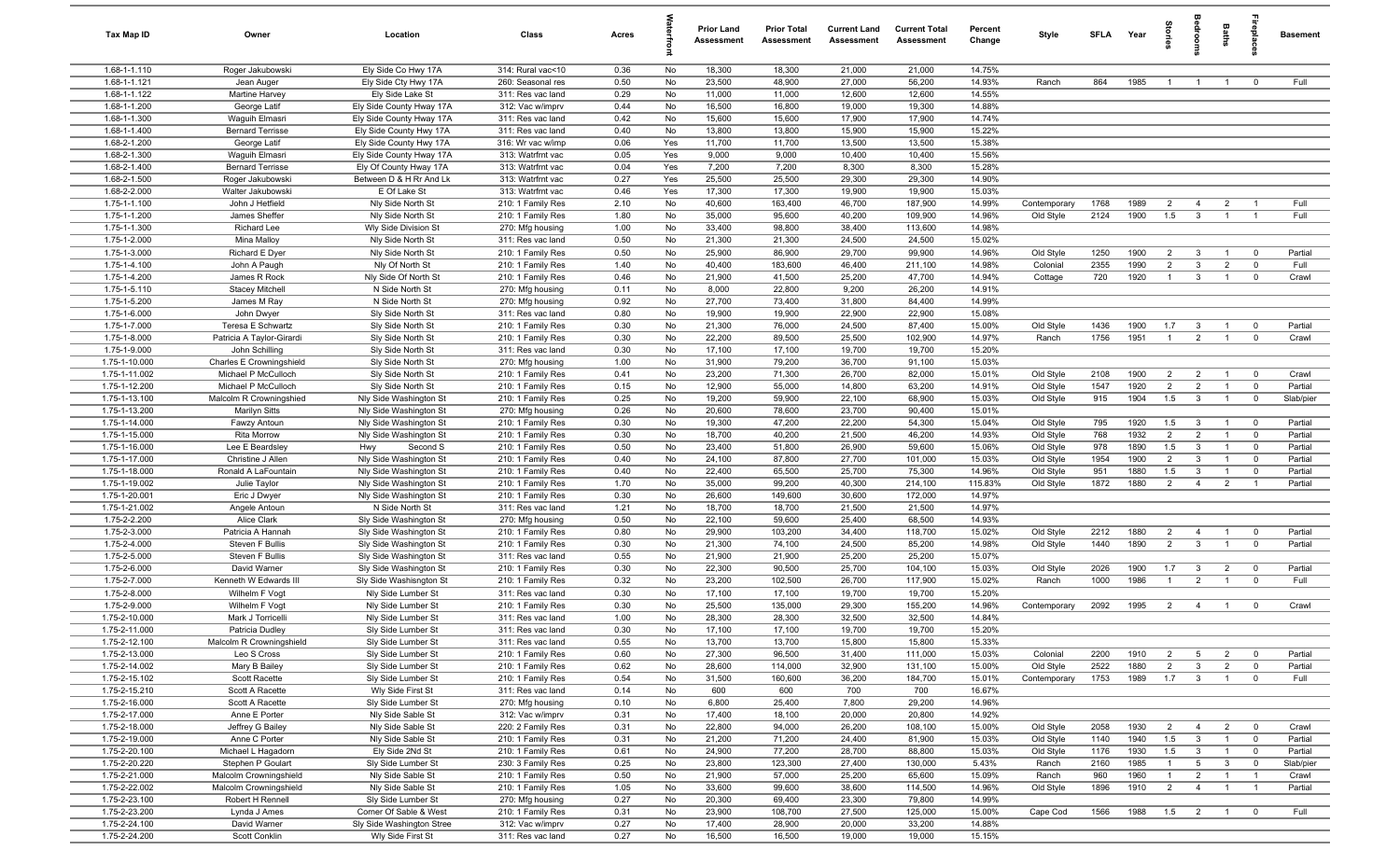| <b>Tax Map ID</b>              | Owner                                     | Location                                            | Class                                  | Acres        |          | <b>Prior Land</b><br>Assessment | <b>Prior Total</b><br>Assessment | <b>Current Land</b><br>Assessment | <b>Current Total</b><br>Assessment | Percent<br>Change | Style                  | SFLA        | Year         | ā              |                                | Baths                            | repla                            | <b>Basement</b>    |
|--------------------------------|-------------------------------------------|-----------------------------------------------------|----------------------------------------|--------------|----------|---------------------------------|----------------------------------|-----------------------------------|------------------------------------|-------------------|------------------------|-------------|--------------|----------------|--------------------------------|----------------------------------|----------------------------------|--------------------|
| 1.68-1-1.110                   | Roger Jakubowski                          | Ely Side Co Hwy 17A                                 | 314: Rural vac<10                      | 0.36         | No       | 18,300                          | 18,300                           | 21,000                            | 21,000                             | 14.75%            |                        |             |              |                |                                |                                  |                                  |                    |
| 1.68-1-1.121                   | Jean Auger                                | Ely Side Cty Hwy 17A                                | 260: Seasonal res                      | 0.50         | No       | 23,500                          | 48,900                           | 27,000                            | 56,200                             | 14.93%            | Ranch                  | 864         | 1985         | $\mathbf{1}$   | $\overline{1}$                 | $\overline{1}$                   | $\Omega$                         | Full               |
| 1.68-1-1.122                   | Martine Harvey                            | Ely Side Lake St                                    | 311: Res vac land                      | 0.29         | No       | 11,000                          | 11,000                           | 12,600                            | 12,600                             | 14.55%            |                        |             |              |                |                                |                                  |                                  |                    |
| 1.68-1-1.200                   | George Latif                              | Ely Side County Hway 17A                            | 312: Vac w/imprv                       | 0.44         | No       | 16,500                          | 16,800                           | 19,000                            | 19,300                             | 14.88%            |                        |             |              |                |                                |                                  |                                  |                    |
| 1.68-1-1.300<br>1.68-1-1.400   | Waguih Elmasri<br><b>Bernard Terrisse</b> | Ely Side County Hway 17A<br>Ely Side County Hwy 17A | 311: Res vac land<br>311: Res vac land | 0.42<br>0.40 | No<br>No | 15,600<br>13,800                | 15,600<br>13,800                 | 17,900<br>15,900                  | 17,900<br>15,900                   | 14.74%<br>15.22%  |                        |             |              |                |                                |                                  |                                  |                    |
| 1.68-2-1.200                   | George Latif                              | Ely Side County Hwy 17A                             | 316: Wr vac w/imp                      | 0.06         | Yes      | 11,700                          | 11,700                           | 13,500                            | 13,500                             | 15.38%            |                        |             |              |                |                                |                                  |                                  |                    |
| 1.68-2-1.300                   | Waguih Elmasri                            | Ely Side County Hway 17A                            | 313: Watrfrnt vac                      | 0.05         | Yes      | 9,000                           | 9,000                            | 10,400                            | 10,400                             | 15.56%            |                        |             |              |                |                                |                                  |                                  |                    |
| 1.68-2-1.400                   | <b>Bernard Terrisse</b>                   | Ely Of County Hway 17A                              | 313: Watrfrnt vac                      | 0.04         | Yes      | 7,200                           | 7,200                            | 8,300                             | 8,300                              | 15.28%            |                        |             |              |                |                                |                                  |                                  |                    |
| 1.68-2-1.500                   | Roger Jakubowski                          | Between D & H Rr And Lk                             | 313: Watrfrnt vac                      | 0.27         | Yes      | 25,500                          | 25,500                           | 29,300                            | 29,300                             | 14.90%            |                        |             |              |                |                                |                                  |                                  |                    |
| 1.68-2-2.000                   | Walter Jakubowski                         | E Of Lake St                                        | 313: Watrfrnt vac                      | 0.46         | Yes      | 17,300                          | 17,300                           | 19,900                            | 19,900                             | 15.03%            |                        |             |              |                |                                |                                  |                                  |                    |
| 1.75-1-1.100                   | John J Hetfield                           | Nly Side North St                                   | 210: 1 Family Res                      | 2.10         | No       | 40,600                          | 163,400                          | 46,700                            | 187,900                            | 14.99%            | Contemporary           | 1768        | 1989         | $\overline{2}$ | $\overline{4}$                 | $\overline{2}$                   | $\overline{1}$                   | Full               |
| 1.75-1-1.200                   | James Sheffer                             | Nly Side North St                                   | 210: 1 Family Res                      | 1.80         | No       | 35,000                          | 95,600                           | 40,200                            | 109,900                            | 14.96%            | Old Style              | 2124        | 1900         | 1.5            | $\mathbf{3}$                   | $\overline{1}$                   |                                  | Full               |
| 1.75-1-1.300                   | <b>Richard Lee</b>                        | Wly Side Division St                                | 270: Mfg housing                       | 1.00         | No       | 33,400                          | 98,800                           | 38,400                            | 113,600                            | 14.98%            |                        |             |              |                |                                |                                  |                                  |                    |
| 1.75-1-2.000                   | Mina Malloy                               | Nly Side North St                                   | 311: Res vac land                      | 0.50         | No       | 21,300                          | 21,300                           | 24,500                            | 24,500                             | 15.02%            |                        |             |              |                |                                |                                  |                                  |                    |
| 1.75-1-3.000                   | Richard E Dyer                            | Nly Side North St                                   | 210: 1 Family Res                      | 0.50         | No       | 25,900                          | 86,900                           | 29,700                            | 99,900                             | 14.96%            | Old Style              | 1250        | 1900         | $\overline{2}$ | $\mathbf{3}$                   |                                  | $^{\circ}$                       | Partial            |
| 1.75-1-4.100                   | John A Paugh                              | Nly Of North St                                     | 210: 1 Family Res                      | 1.40         | No       | 40,400                          | 183,600                          | 46,400                            | 211,100                            | 14.98%            | Colonial               | 2355        | 1990         | $\overline{2}$ | $\mathbf{3}$                   | $\overline{2}$                   | $\mathbf 0$                      | Full               |
| 1.75-1-4.200                   | James R Rock                              | Nly Side Of North St                                | 210: 1 Family Res                      | 0.46         | No       | 21,900                          | 41,500                           | 25,200                            | 47,700                             | 14.94%            | Cottage                | 720         | 1920         | $\mathbf{1}$   | $\mathbf{3}$                   | $\overline{1}$                   | $\mathbf 0$                      | Crawl              |
| 1.75-1-5.110<br>1.75-1-5.200   | <b>Stacey Mitchell</b><br>James M Ray     | N Side North St<br>N Side North St                  | 270: Mfg housing                       | 0.11<br>0.92 | No<br>No | 8,000<br>27,700                 | 22,800<br>73,400                 | 9,200<br>31,800                   | 26,200<br>84,400                   | 14.91%<br>14.99%  |                        |             |              |                |                                |                                  |                                  |                    |
| 1.75-1-6.000                   | John Dwyer                                | Sly Side North St                                   | 270: Mfg housing<br>311: Res vac land  | 0.80         | No       | 19,900                          | 19,900                           | 22,900                            | 22,900                             | 15.08%            |                        |             |              |                |                                |                                  |                                  |                    |
| 1.75-1-7.000                   | Teresa E Schwartz                         | Sly Side North St                                   | 210: 1 Family Res                      | 0.30         | No       | 21,300                          | 76,000                           | 24,500                            | 87,400                             | 15.00%            | Old Style              | 1436        | 1900         | 1.7            | -3                             | $\overline{1}$                   | $\mathbf 0$                      | Partial            |
| 1.75-1-8.000                   | Patricia A Taylor-Girardi                 | Sly Side North St                                   | 210: 1 Family Res                      | 0.30         | No       | 22,200                          | 89,500                           | 25,500                            | 102,900                            | 14.97%            | Ranch                  | 1756        | 1951         | $\overline{1}$ | 2                              | $\overline{1}$                   | $^{\circ}$                       | Crawl              |
| 1.75-1-9.000                   | John Schilling                            | Sly Side North St                                   | 311: Res vac land                      | 0.30         | No       | 17,100                          | 17,100                           | 19,700                            | 19,700                             | 15.20%            |                        |             |              |                |                                |                                  |                                  |                    |
| 1.75-1-10.000                  | Charles E Crowningshield                  | Sly Side North St                                   | 270: Mfg housing                       | 1.00         | No       | 31,900                          | 79,200                           | 36,700                            | 91,100                             | 15.03%            |                        |             |              |                |                                |                                  |                                  |                    |
| 1.75-1-11.002                  | Michael P McCulloch                       | Sly Side North St                                   | 210: 1 Family Res                      | 0.41         | No       | 23,200                          | 71,300                           | 26,700                            | 82,000                             | 15.01%            | Old Style              | 2108        | 1900         | $\overline{2}$ | $\overline{2}$                 | $\overline{1}$                   | $\overline{0}$                   | Crawl              |
| 1.75-1-12.200                  | Michael P McCulloch                       | Sly Side North St                                   | 210: 1 Family Res                      | 0.15         | No       | 12,900                          | 55,000                           | 14,800                            | 63,200                             | 14.91%            | Old Style              | 1547        | 1920         | $\overline{2}$ | $\overline{2}$                 | $\overline{1}$                   | $\overline{0}$                   | Partial            |
| 1.75-1-13.100                  | Malcolm R Crowningshied                   | Nly Side Washington St                              | 210: 1 Family Res                      | 0.25         | No       | 19,200                          | 59,900                           | 22,100                            | 68,900                             | 15.03%            | Old Style              | 915         | 1904         | 1.5            | $\mathbf{3}$                   |                                  | $\mathbf 0$                      | Slab/pier          |
| 1.75-1-13.200                  | <b>Marilyn Sitts</b>                      | Nly Side Washington St                              | 270: Mfg housing                       | 0.26         | No       | 20,600                          | 78,600                           | 23,700                            | 90,400                             | 15.01%            |                        |             |              |                |                                |                                  |                                  |                    |
| 1.75-1-14.000                  | Fawzy Antoun                              | Nly Side Washington St                              | 210: 1 Family Res                      | 0.30         | No       | 19,300                          | 47,200                           | 22,200                            | 54,300                             | 15.04%            | Old Style              | 795         | 1920         | 1.5            | -3                             | $\overline{1}$                   | $^{\circ}$                       | Partial            |
| 1.75-1-15.000                  | <b>Rita Morrow</b>                        | Nly Side Washington St                              | 210: 1 Family Res                      | 0.30         | No       | 18,700                          | 40,200                           | 21,500                            | 46,200                             | 14.93%            | Old Style              | 768         | 1932         | $\overline{2}$ | $\overline{2}$                 | $\overline{1}$                   | $\mathbf 0$                      | Partial            |
| 1.75-1-16.000                  | Lee E Beardsley                           | Hwy<br>Second S                                     | 210: 1 Family Res                      | 0.50         | No       | 23,400                          | 51,800                           | 26,900                            | 59,600                             | 15.06%            | Old Style              | 978         | 1890         | 1.5            | $\mathbf{3}$                   | $\overline{1}$                   | $\mathbf 0$                      | Partial            |
| 1.75-1-17.000                  | Christine J Allen                         | Nly Side Washington St                              | 210: 1 Family Res                      | 0.40         | No       | 24,100                          | 87,800                           | 27,700                            | 101,000                            | 15.03%            | Old Style              | 1954        | 1900         | $\overline{2}$ | 3                              | $\overline{1}$                   | $\overline{0}$                   | Partial            |
| 1.75-1-18.000<br>1.75-1-19.002 | Ronald A LaFountain<br>Julie Taylor       | Nly Side Washington St<br>Nly Side Washington St    | 210: 1 Family Res<br>210: 1 Family Res | 0.40<br>1.70 | No<br>No | 22,400<br>35,000                | 65,500<br>99,200                 | 25,700<br>40,300                  | 75,300<br>214,100                  | 14.96%<br>115.83% | Old Style<br>Old Style | 951<br>1872 | 1880<br>1880 | 1.5<br>2       | $\mathbf{3}$<br>$\overline{4}$ | $\overline{1}$<br>$\overline{2}$ | $\overline{0}$<br>$\overline{1}$ | Partial<br>Partial |
| 1.75-1-20.001                  | Eric J Dwyer                              | Nly Side Washington St                              | 210: 1 Family Res                      | 0.30         | No       | 26,600                          | 149,600                          | 30,600                            | 172,000                            | 14.97%            |                        |             |              |                |                                |                                  |                                  |                    |
| 1.75-1-21.002                  | Angele Antoun                             | N Side North St                                     | 311: Res vac land                      | 1.21         | No       | 18,700                          | 18,700                           | 21,500                            | 21,500                             | 14.97%            |                        |             |              |                |                                |                                  |                                  |                    |
| 1.75-2-2.200                   | Alice Clark                               | Sly Side Washington St                              | 270: Mfg housing                       | 0.50         | No       | 22,100                          | 59,600                           | 25,400                            | 68,500                             | 14.93%            |                        |             |              |                |                                |                                  |                                  |                    |
| 1.75-2-3.000                   | Patricia A Hannah                         | Sly Side Washington St                              | 210: 1 Family Res                      | 0.80         | No       | 29,900                          | 103,200                          | 34,400                            | 118,700                            | 15.02%            | Old Style              | 2212        | 1880         | $\overline{2}$ | $\overline{4}$                 | $\overline{1}$                   | $\mathbf 0$                      | Partial            |
| 1.75-2-4.000                   | Steven F Bullis                           | Sly Side Washington St                              | 210: 1 Family Res                      | 0.30         | No       | 21,300                          | 74,100                           | 24,500                            | 85,200                             | 14.98%            | Old Style              | 1440        | 1890         | $\overline{2}$ | $\mathbf{3}$                   | $\overline{1}$                   | $\mathbf 0$                      | Partial            |
| 1.75-2-5.000                   | Steven F Bullis                           | Sly Side Washington St                              | 311: Res vac land                      | 0.55         | No       | 21,900                          | 21,900                           | 25,200                            | 25,200                             | 15.07%            |                        |             |              |                |                                |                                  |                                  |                    |
| 1.75-2-6.000                   | David Warner                              | Sly Side Washington St                              | 210: 1 Family Res                      | 0.30         | No       | 22,300                          | 90,500                           | 25,700                            | 104,100                            | 15.03%            | Old Style              | 2026        | 1900         | 1.7            | 3                              | $\overline{2}$                   | $\mathbf 0$                      | Partial            |
| 1.75-2-7.000                   | Kenneth W Edwards III                     | Sly Side Washisngton St                             | 210: 1 Family Res                      | 0.32         | No       | 23,200                          | 102,500                          | 26,700                            | 117,900                            | 15.02%            | Ranch                  | 1000        | 1986         | $\mathbf{1}$   | $\overline{2}$                 | $\overline{1}$                   | $\overline{0}$                   | Full               |
| 1.75-2-8.000                   | Wilhelm F Vogt                            | Nly Side Lumber St                                  | 311: Res vac land                      | 0.30         | No       | 17,100                          | 17,100                           | 19,700                            | 19,700                             | 15.20%            |                        |             |              |                |                                |                                  |                                  |                    |
| 1.75-2-9.000                   | Wilhelm F Vogt                            | Nly Side Lumber St                                  | 210: 1 Family Res                      | 0.30         | No       | 25,500                          | 135,000                          | 29,300                            | 155,200                            | 14.96%            | Contemporary           | 2092        | 1995         | $\overline{2}$ | $\overline{4}$                 | $\overline{1}$                   | $\mathbf 0$                      | Crawl              |
| 1.75-2-10.000                  | Mark J Torricell                          | Nly Side Lumber St                                  | 311: Res vac land                      | 1.00         | No       | 28,300                          | 28,300                           | 32,500                            | 32,500                             | 14.84%            |                        |             |              |                |                                |                                  |                                  |                    |
| 1.75-2-11.000                  | Patricia Dudley                           | Sly Side Lumber St                                  | 311: Res vac land                      | 0.30         | No       | 17,100                          | 17,100                           | 19,700                            | 19,700                             | 15.20%            |                        |             |              |                |                                |                                  |                                  |                    |
| 1.75-2-12.100<br>1.75-2-13.000 | Malcolm R Crowningshield<br>Leo S Cross   | Sly Side Lumber St<br>Sly Side Lumber St            | 311: Res vac land<br>210: 1 Family Res | 0.55<br>0.60 | No<br>No | 13,700<br>27,300                | 13,700<br>96,500                 | 15,800<br>31,400                  | 15,800<br>111,000                  | 15.33%<br>15.03%  | Colonial               | 2200        | 1910         | $\overline{2}$ | $5\overline{)}$                | $\overline{2}$                   | $\mathbf 0$                      | Partial            |
| 1.75-2-14.002                  | Mary B Bailey                             | Sly Side Lumber St                                  | 210: 1 Family Res                      | 0.62         | No       | 28,600                          | 114,000                          | 32,900                            | 131,100                            | 15.00%            | Old Style              | 2522        | 1880         | $\overline{2}$ | $\mathbf{3}$                   | $\overline{2}$                   | $\mathbf 0$                      | Partial            |
| 1.75-2-15.102                  | Scott Racette                             | Sly Side Lumber St                                  | 210: 1 Family Res                      | 0.54         | No       | 31,500                          | 160,600                          | 36,200                            | 184,700                            | 15.01%            | Contemporary           | 1753        | 1989         | 1.7            | $\overline{\mathbf{3}}$        | $\overline{1}$                   | $\mathbf 0$                      | Full               |
| 1.75-2-15.210                  | Scott A Racette                           | Wly Side First St                                   | 311: Res vac land                      | 0.14         | No       | 600                             | 600                              | 700                               | 700                                | 16.67%            |                        |             |              |                |                                |                                  |                                  |                    |
| 1.75-2-16.000                  | Scott A Racette                           | Sly Side Lumber St                                  | 270: Mfg housing                       | 0.10         | No       | 6,800                           | 25,400                           | 7,800                             | 29,200                             | 14.96%            |                        |             |              |                |                                |                                  |                                  |                    |
| 1.75-2-17.000                  | Anne E Porter                             | Nly Side Sable St                                   | 312: Vac w/imprv                       | 0.31         | No       | 17,400                          | 18,100                           | 20,000                            | 20,800                             | 14.92%            |                        |             |              |                |                                |                                  |                                  |                    |
| 1.75-2-18.000                  | Jeffrey G Bailey                          | Nly Side Sable St                                   | 220: 2 Family Res                      | 0.31         | No       | 22,800                          | 94,000                           | 26,200                            | 108,100                            | 15.00%            | Old Style              | 2058        | 1930         | $\overline{2}$ | $\overline{4}$                 | $\overline{2}$                   | $\overline{0}$                   | Crawl              |
| 1.75-2-19.000                  | Anne C Porter                             | Nly Side Sable St                                   | 210: 1 Family Res                      | 0.31         | No       | 21,200                          | 71,200                           | 24,400                            | 81,900                             | 15.03%            | Old Style              | 1140        | 1940         | 1.5            | $\mathbf{3}$                   | $\overline{1}$                   | $\overline{0}$                   | Partial            |
| 1.75-2-20.100                  | Michael L Hagadorn                        | Ely Side 2Nd St                                     | 210: 1 Family Res                      | 0.61         | No       | 24,900                          | 77,200                           | 28,700                            | 88,800                             | 15.03%            | Old Style              | 1176        | 1930         | 1.5            | $\mathbf{3}$                   | $\overline{1}$                   | $\overline{\mathbf{0}}$          | Partial            |
| 1.75-2-20.220                  | Stephen P Goulart                         | Sly Side Lumber St                                  | 230: 3 Family Res                      | 0.25         | No       | 23,800                          | 123,300                          | 27,400                            | 130,000                            | 5.43%             | Ranch                  | 2160        | 1985         | $\mathbf{1}$   | $5\overline{5}$                | $\mathbf{3}$                     | $\overline{\mathbf{0}}$          | Slab/pier          |
| 1.75-2-21.000                  | Malcolm Crowningshield                    | Nly Side Sable St                                   | 210: 1 Family Res                      | 0.50         | No       | 21,900                          | 57,000                           | 25,200                            | 65,600                             | 15.09%            | Ranch                  | 960         | 1960         | $\overline{1}$ | $\overline{2}$                 | $\overline{1}$                   |                                  | Crawl              |
| 1.75-2-22.002                  | Malcolm Crowningshield                    | Nly Side Sable St                                   | 210: 1 Family Res                      | 1.05         | No       | 33,600                          | 99,600                           | 38,600                            | 114,500                            | 14.96%            | Old Style              | 1896        | 1910         | $\overline{2}$ | $\overline{4}$                 | $\overline{1}$                   | $\overline{1}$                   | Partial            |
| 1.75-2-23.100                  | Robert H Rennell                          | Sly Side Lumber St                                  | 270: Mfg housing                       | 0.27         | No       | 20,300                          | 69,400                           | 23,300                            | 79,800                             | 14.99%            |                        |             |              |                |                                |                                  |                                  |                    |
| 1.75-2-23.200                  | Lynda J Ames                              | Corner Of Sable & West                              | 210: 1 Family Res                      | 0.31         | No       | 23,900                          | 108,700                          | 27,500                            | 125,000                            | 15.00%            | Cape Cod               | 1566        | 1988         | 1.5            | $\overline{\mathbf{2}}$        | $\overline{1}$                   | $\overline{0}$                   | Full               |
| 1.75-2-24.100<br>1.75-2-24.200 | David Warner<br>Scott Conklin             | Sly Side Washington Stree<br>Wly Side First St      | 312: Vac w/imprv<br>311: Res vac land  | 0.27<br>0.27 | No<br>No | 17,400<br>16,500                | 28,900<br>16,500                 | 20,000<br>19,000                  | 33,200<br>19,000                   | 14.88%<br>15.15%  |                        |             |              |                |                                |                                  |                                  |                    |
|                                |                                           |                                                     |                                        |              |          |                                 |                                  |                                   |                                    |                   |                        |             |              |                |                                |                                  |                                  |                    |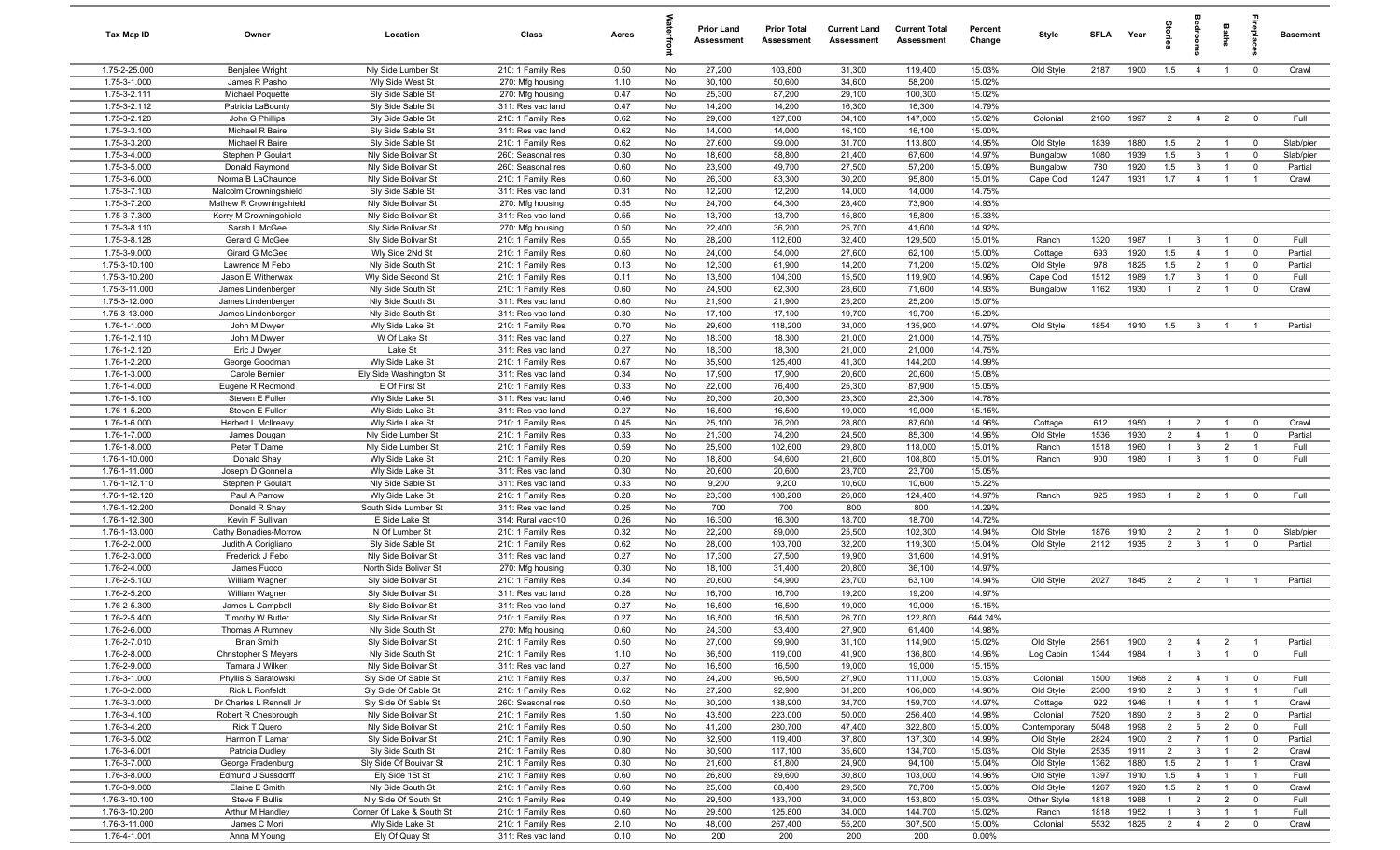| Tax Map ID                     | Owner                                   | Location                                   | Class                                  | Acres        |          | <b>Prior Land</b><br>Assessment | <b>Prior Total</b><br><b>Assessment</b> | <b>Current Land</b><br><b>Assessment</b> | <b>Current Total</b><br><b>Assessment</b> | Percent<br>Change | Style                  | <b>SFLA</b>  | Year         | ğ                                |                                   | Baths                            | epla                          | <b>Basement</b>  |
|--------------------------------|-----------------------------------------|--------------------------------------------|----------------------------------------|--------------|----------|---------------------------------|-----------------------------------------|------------------------------------------|-------------------------------------------|-------------------|------------------------|--------------|--------------|----------------------------------|-----------------------------------|----------------------------------|-------------------------------|------------------|
| 1.75-2-25.000                  | Benjalee Wright                         | Nly Side Lumber St                         | 210: 1 Family Res                      | 0.50         | No       | 27,200                          | 103,800                                 | 31,300                                   | 119,400                                   | 15.03%            | Old Style              | 2187         | 1900         | 1.5                              | $\overline{4}$                    | $\overline{1}$                   | $\mathbf 0$                   | Crawl            |
| 1.75-3-1.000                   | James R Pasho                           | Wly Side West St                           | 270: Mfg housing                       | 1.10         | No       | 30,100                          | 50,600                                  | 34,600                                   | 58,200                                    | 15.02%            |                        |              |              |                                  |                                   |                                  |                               |                  |
| 1.75-3-2.111                   | Michael Poquette                        | Sly Side Sable St                          | 270: Mfg housing                       | 0.47         | No       | 25,300                          | 87,200                                  | 29,100                                   | 100,300                                   | 15.02%            |                        |              |              |                                  |                                   |                                  |                               |                  |
| 1.75-3-2.112                   | Patricia LaBounty                       | Sly Side Sable St                          | 311: Res vac land                      | 0.47         | No       | 14,200                          | 14,200                                  | 16,300                                   | 16,300                                    | 14.79%            |                        |              |              |                                  |                                   |                                  |                               |                  |
| 1.75-3-2.120<br>1.75-3-3.100   | John G Phillips<br>Michael R Baire      | Sly Side Sable St<br>Sly Side Sable St     | 210: 1 Family Res<br>311: Res vac land | 0.62<br>0.62 | No<br>No | 29,600<br>14,000                | 127,800<br>14,000                       | 34,100<br>16,100                         | 147,000<br>16,100                         | 15.02%<br>15.00%  | Colonial               | 2160         | 1997         | $\overline{2}$                   | $\overline{4}$                    | $\overline{2}$                   | $^{\circ}$                    | Full             |
| 1.75-3-3.200                   | Michael R Baire                         | Sly Side Sable St                          | 210: 1 Family Res                      | 0.62         | No       | 27,600                          | 99,000                                  | 31,700                                   | 113,800                                   | 14.95%            | Old Style              | 1839         | 1880         | 1.5                              | $\overline{2}$                    | $\overline{1}$                   | $\overline{0}$                | Slab/pier        |
| 1.75-3-4.000                   | Stephen P Goulart                       | Nly Side Bolivar St                        | 260: Seasonal res                      | 0.30         | No       | 18,600                          | 58,800                                  | 21,400                                   | 67,600                                    | 14.97%            | Bungalow               | 1080         | 1939         | 1.5                              | $\mathbf{3}$                      | $\overline{1}$                   | $\mathbf 0$                   | Slab/pier        |
| 1.75-3-5.000                   | Donald Raymond                          | Nly Side Bolivar St                        | 260: Seasonal res                      | 0.60         | No       | 23,900                          | 49,700                                  | 27,500                                   | 57,200                                    | 15.09%            | Bungalow               | 780          | 1920         | 1.5                              | $\mathbf{3}$                      | $\overline{1}$                   | $\mathbf 0$                   | Partial          |
| 1.75-3-6.000                   | Norma B LaChaunce                       | Nly Side Bolivar St                        | 210: 1 Family Res                      | 0.60         | No       | 26,300                          | 83,300                                  | 30,200                                   | 95,800                                    | 15.01%            | Cape Cod               | 1247         | 1931         | 1.7                              | $\overline{4}$                    | $\overline{1}$                   | $\overline{1}$                | Crawl            |
| 1.75-3-7.100                   | Malcolm Crowningshield                  | Sly Side Sable St                          | 311: Res vac land                      | 0.31         | No       | 12,200                          | 12,200                                  | 14,000                                   | 14,000                                    | 14.75%            |                        |              |              |                                  |                                   |                                  |                               |                  |
| 1.75-3-7.200                   | Mathew R Crowningshield                 | Nly Side Bolivar St                        | 270: Mfg housing                       | 0.55         | No       | 24,700                          | 64,300                                  | 28,400                                   | 73,900                                    | 14.93%            |                        |              |              |                                  |                                   |                                  |                               |                  |
| 1.75-3-7.300                   | Kerry M Crowningshield                  | Nly Side Bolivar St                        | 311: Res vac land                      | 0.55         | No       | 13,700                          | 13,700                                  | 15,800                                   | 15,800                                    | 15.33%            |                        |              |              |                                  |                                   |                                  |                               |                  |
| 1.75-3-8.110                   | Sarah L McGee                           | Sly Side Bolivar St                        | 270: Mfg housing                       | 0.50         | No       | 22,400                          | 36,200                                  | 25,700                                   | 41,600                                    | 14.92%            |                        |              |              |                                  |                                   |                                  |                               |                  |
| 1.75-3-8.128                   | Gerard G McGee                          | Sly Side Bolivar St                        | 210: 1 Family Res                      | 0.55         | No       | 28,200                          | 112,600                                 | 32,400                                   | 129,500                                   | 15.01%            | Ranch                  | 1320         | 1987         | $\mathbf{1}$                     | $\mathbf{3}$                      | $\overline{1}$                   | $^{\circ}$                    | Full             |
| 1.75-3-9.000                   | Girard G McGee                          | Wly Side 2Nd St                            | 210: 1 Family Res                      | 0.60         | No       | 24,000                          | 54,000                                  | 27,600                                   | 62,100                                    | 15.00%            | Cottage                | 693          | 1920         | 1.5                              | $\overline{4}$                    | $\overline{1}$                   | $\overline{0}$                | Partial          |
| 1.75-3-10.100                  | Lawrence M Febo                         | Nly Side South St                          | 210: 1 Family Res                      | 0.13         | No       | 12,300                          | 61,900                                  | 14,200                                   | 71,200                                    | 15.02%            | Old Style              | 978          | 1825<br>1989 | 1.5<br>1.7                       | $\overline{2}$                    |                                  | $^{\circ}$                    | Partial<br>Full  |
| 1.75-3-10.200<br>1.75-3-11.000 | Jason E Witherwax<br>James Lindenberger | Wly Side Second St<br>Nly Side South St    | 210: 1 Family Res<br>210: 1 Family Res | 0.11<br>0.60 | No<br>No | 13,500<br>24,900                | 104,300<br>62,300                       | 15,500<br>28,600                         | 119,900<br>71,600                         | 14.96%<br>14.93%  | Cape Cod<br>Bungalow   | 1512<br>1162 | 1930         | $\overline{1}$                   | $\mathbf{3}$<br>$\overline{2}$    | $\overline{1}$<br>$\overline{1}$ | $\mathbf 0$<br>$\overline{0}$ | Crawl            |
| 1.75-3-12.000                  | James Lindenberger                      | Nly Side South St                          | 311: Res vac land                      | 0.60         | No       | 21,900                          | 21,900                                  | 25,200                                   | 25,200                                    | 15.07%            |                        |              |              |                                  |                                   |                                  |                               |                  |
| 1.75-3-13.000                  | James Lindenberger                      | Nly Side South St                          | 311: Res vac land                      | 0.30         | No       | 17,100                          | 17,100                                  | 19,700                                   | 19,700                                    | 15.20%            |                        |              |              |                                  |                                   |                                  |                               |                  |
| 1.76-1-1.000                   | John M Dwyer                            | Wly Side Lake St                           | 210: 1 Family Res                      | 0.70         | No       | 29,600                          | 118,200                                 | 34,000                                   | 135,900                                   | 14.97%            | Old Style              | 1854         | 1910         | 1.5                              | $\mathbf{3}$                      | $\overline{1}$                   |                               | Partial          |
| 1.76-1-2.110                   | John M Dwyer                            | W Of Lake St                               | 311: Res vac land                      | 0.27         | No       | 18,300                          | 18,300                                  | 21,000                                   | 21,000                                    | 14.75%            |                        |              |              |                                  |                                   |                                  |                               |                  |
| 1.76-1-2.120                   | Eric J Dwyer                            | Lake St                                    | 311: Res vac land                      | 0.27         | No       | 18,300                          | 18,300                                  | 21,000                                   | 21,000                                    | 14.75%            |                        |              |              |                                  |                                   |                                  |                               |                  |
| 1.76-1-2.200                   | George Goodman                          | Wly Side Lake St                           | 210: 1 Family Res                      | 0.67         | No       | 35,900                          | 125,400                                 | 41,300                                   | 144,200                                   | 14.99%            |                        |              |              |                                  |                                   |                                  |                               |                  |
| 1.76-1-3.000                   | Carole Bernier                          | Ely Side Washington St                     | 311: Res vac land                      | 0.34         | No       | 17,900                          | 17,900                                  | 20,600                                   | 20,600                                    | 15.08%            |                        |              |              |                                  |                                   |                                  |                               |                  |
| 1.76-1-4.000                   | Eugene R Redmond                        | E Of First St                              | 210: 1 Family Res                      | 0.33         | No       | 22,000                          | 76,400                                  | 25,300                                   | 87,900                                    | 15.05%            |                        |              |              |                                  |                                   |                                  |                               |                  |
| 1.76-1-5.100                   | Steven E Fuller                         | Wly Side Lake St                           | 311: Res vac land                      | 0.46         | No       | 20,300                          | 20,300                                  | 23,300                                   | 23,300                                    | 14.78%            |                        |              |              |                                  |                                   |                                  |                               |                  |
| 1.76-1-5.200                   | Steven E Fuller                         | Wly Side Lake St                           | 311: Res vac land                      | 0.27         | No       | 16,500                          | 16,500                                  | 19,000                                   | 19,000                                    | 15.15%            |                        |              |              |                                  |                                   |                                  |                               |                  |
| 1.76-1-6.000<br>1.76-1-7.000   | Herbert L McIlreavy                     | Wly Side Lake St                           | 210: 1 Family Res                      | 0.45<br>0.33 | No       | 25,100                          | 76,200                                  | 28,800                                   | 87,600<br>85,300                          | 14.96%<br>14.96%  | Cottage                | 612<br>1536  | 1950<br>1930 | $\mathbf{1}$<br>$\overline{2}$   | $\overline{2}$                    | $\overline{1}$<br>$\overline{1}$ | $^{\circ}$                    | Crawl<br>Partial |
| 1.76-1-8.000                   | James Dougan<br>Peter T Dame            | Nly Side Lumber St<br>Nly Side Lumber St   | 210: 1 Family Res<br>210: 1 Family Res | 0.59         | No<br>No | 21,300<br>25,900                | 74,200<br>102,600                       | 24,500<br>29,800                         | 118,000                                   | 15.01%            | Old Style<br>Ranch     | 1518         | 1960         | $\overline{1}$                   | $\overline{4}$<br>$\mathbf{3}$    | $\overline{2}$                   | $\mathbf 0$                   | Full             |
| 1.76-1-10.000                  | Donald Shay                             | Wly Side Lake St                           | 210: 1 Family Res                      | 0.20         | No       | 18,800                          | 94,600                                  | 21,600                                   | 108,800                                   | 15.01%            | Ranch                  | 900          | 1980         | $\overline{1}$                   | $\mathbf{3}$                      | $\overline{1}$                   | $\mathbf 0$                   | Full             |
| 1.76-1-11.000                  | Joseph D Gonnella                       | Wly Side Lake St                           | 311: Res vac land                      | 0.30         | No       | 20,600                          | 20,600                                  | 23,700                                   | 23,700                                    | 15.05%            |                        |              |              |                                  |                                   |                                  |                               |                  |
| 1.76-1-12.110                  | Stephen P Goulart                       | Nly Side Sable St                          | 311: Res vac land                      | 0.33         | No       | 9,200                           | 9,200                                   | 10,600                                   | 10,600                                    | 15.22%            |                        |              |              |                                  |                                   |                                  |                               |                  |
| 1.76-1-12.120                  | Paul A Parrow                           | Wly Side Lake St                           | 210: 1 Family Res                      | 0.28         | No       | 23,300                          | 108,200                                 | 26,800                                   | 124,400                                   | 14.97%            | Ranch                  | 925          | 1993         | $\overline{1}$                   | $\overline{2}$                    | $\overline{1}$                   | $^{\circ}$                    | Full             |
| 1.76-1-12.200                  | Donald R Shay                           | South Side Lumber St                       | 311: Res vac land                      | 0.25         | No       | 700                             | 700                                     | 800                                      | 800                                       | 14.29%            |                        |              |              |                                  |                                   |                                  |                               |                  |
| 1.76-1-12.300                  | Kevin F Sullivan                        | E Side Lake St                             | 314: Rural vac<10                      | 0.26         | No       | 16,300                          | 16,300                                  | 18,700                                   | 18,700                                    | 14.72%            |                        |              |              |                                  |                                   |                                  |                               |                  |
| 1.76-1-13.000                  | Cathy Bonadies-Morrow                   | N Of Lumber St                             | 210: 1 Family Res                      | 0.32         | No       | 22,200                          | 89,000                                  | 25,500                                   | 102,300                                   | 14.94%            | Old Style              | 1876         | 1910         | $\overline{2}$                   | $\overline{2}$                    | $\overline{1}$                   | $\mathbf 0$                   | Slab/pier        |
| 1.76-2-2.000                   | Judith A Corigliano                     | Sly Side Sable St                          | 210: 1 Family Res                      | 0.62         | No       | 28,000                          | 103,700                                 | 32,200                                   | 119,300                                   | 15.04%            | Old Style              | 2112         | 1935         | $\overline{2}$                   | $\mathbf{3}$                      | $\overline{1}$                   | $\Omega$                      | Partial          |
| 1.76-2-3.000                   | Frederick J Febo                        | Nly Side Bolivar St                        | 311: Res vac land                      | 0.27         | No       | 17,300                          | 27,500                                  | 19,900                                   | 31,600                                    | 14.91%            |                        |              |              |                                  |                                   |                                  |                               |                  |
| 1.76-2-4.000                   | James Fuoco                             | North Side Bolivar St                      | 270: Mfg housing                       | 0.30         | No       | 18,100                          | 31,400                                  | 20,800                                   | 36,100                                    | 14.97%            |                        |              |              |                                  |                                   |                                  |                               |                  |
| 1.76-2-5.100<br>1.76-2-5.200   | William Wagner<br>William Wagner        | Sly Side Bolivar St<br>Sly Side Bolivar St | 210: 1 Family Res<br>311: Res vac land | 0.34<br>0.28 | No<br>No | 20,600<br>16,700                | 54,900<br>16,700                        | 23,700<br>19,200                         | 63,100<br>19,200                          | 14.94%<br>14.97%  | Old Style              | 2027         | 1845         | $\overline{2}$                   | $\overline{2}$                    |                                  |                               | Partial          |
| 1.76-2-5.300                   | James L Campbell                        | Sly Side Bolivar St                        | 311: Res vac land                      | 0.27         | No       | 16,500                          | 16,500                                  | 19,000                                   | 19,000                                    | 15.15%            |                        |              |              |                                  |                                   |                                  |                               |                  |
| 1.76-2-5.400                   | Timothy W Butler                        | Sly Side Bolivar St                        | 210: 1 Family Res                      | 0.27         | No       | 16,500                          | 16,500                                  | 26,700                                   | 122,800                                   | 644.24%           |                        |              |              |                                  |                                   |                                  |                               |                  |
| 1.76-2-6.000                   | Thomas A Rumney                         | Nly Side South St                          | 270: Mfg housing                       | 0.60         | No       | 24,300                          | 53,400                                  | 27,900                                   | 61,400                                    | 14.98%            |                        |              |              |                                  |                                   |                                  |                               |                  |
| 1.76-2-7.010                   | <b>Brian Smith</b>                      | Sly Side Bolivar St                        | 210: 1 Family Res                      | 0.50         | No       | 27,000                          | 99,900                                  | 31,100                                   | 114,900                                   | 15.02%            | Old Style              | 2561         | 1900         | $\overline{2}$                   | $\overline{4}$                    | $\overline{2}$                   | $\overline{1}$                | Partial          |
| 1.76-2-8.000                   | Christopher S Meyers                    | Nly Side South St                          | 210: 1 Family Res                      | 1.10         | No       | 36,500                          | 119,000                                 | 41,900                                   | 136,800                                   | 14.96%            | Log Cabin              | 1344         | 1984         | $\overline{1}$                   | $\mathbf{3}$                      | $\overline{1}$                   | $\mathbf 0$                   | Full             |
| 1.76-2-9.000                   | Tamara J Wilken                         | Nly Side Bolivar St                        | 311: Res vac land                      | 0.27         | No       | 16,500                          | 16,500                                  | 19,000                                   | 19,000                                    | 15.15%            |                        |              |              |                                  |                                   |                                  |                               |                  |
| 1.76-3-1.000                   | Phyllis S Saratowski                    | Sly Side Of Sable St                       | 210: 1 Family Res                      | 0.37         | No       | 24,200                          | 96,500                                  | 27,900                                   | 111,000                                   | 15.03%            | Colonial               | 1500         | 1968         | $\overline{2}$                   | $\overline{4}$                    | $\overline{1}$                   | $\overline{0}$                | Full             |
| 1.76-3-2.000                   | Rick L Ronfeldt                         | Sly Side Of Sable St                       | 210: 1 Family Res                      | 0.62         | No       | 27,200                          | 92,900                                  | 31,200                                   | 106,800                                   | 14.96%            | Old Style              | 2300         | 1910         | $\overline{2}$                   | $\mathbf{3}$                      | $\overline{1}$                   | $\overline{1}$                | Full             |
| 1.76-3-3.000                   | Dr Charles L Rennell Jr                 | Sly Side Of Sable St                       | 260: Seasonal res                      | 0.50         | No       | 30,200                          | 138,900                                 | 34,700                                   | 159,700                                   | 14.97%            | Cottage                | 922          | 1946         |                                  | $\overline{4}$                    | $\overline{1}$                   | $\overline{1}$                | Crawl            |
| 1.76-3-4.100                   | Robert R Chesbrough                     | Nly Side Bolivar St                        | 210: 1 Family Res                      | 1.50         | No       | 43,500                          | 223,000                                 | 50,000                                   | 256,400                                   | 14.98%            | Colonial               | 7520         | 1890         | $\overline{2}$                   | 8                                 | $\overline{2}$                   | $\mathbf 0$                   | Partial          |
| 1.76-3-4.200<br>1.76-3-5.002   | Rick T Quero<br>Harmon T Lamar          | Nly Side Bolivar St<br>Sly Side Bolivar St | 210: 1 Family Res                      | 0.50<br>0.90 | No<br>No | 41,200<br>32,900                | 280,700<br>119,400                      | 47,400<br>37,800                         | 322,800<br>137,300                        | 15.00%<br>14.99%  | Contemporary           | 5048<br>2824 | 1998<br>1900 | $\overline{2}$<br>$\overline{2}$ | $5\overline{)}$<br>$\overline{7}$ | $\overline{2}$<br>$\overline{1}$ | $\mathbf 0$                   | Full<br>Partial  |
| 1.76-3-6.001                   | Patricia Dudley                         | Sly Side South St                          | 210: 1 Family Res<br>210: 1 Family Res | 0.80         | No       | 30,900                          | 117,100                                 | 35,600                                   | 134,700                                   | 15.03%            | Old Style<br>Old Style | 2535         | 1911         | $\overline{2}$                   | $\mathbf{3}$                      | $\overline{1}$                   | $\mathbf 0$<br>$\overline{2}$ | Crawl            |
| 1.76-3-7.000                   | George Fradenburg                       | Sly Side Of Bouivar St                     | 210: 1 Family Res                      | 0.30         | No       | 21,600                          | 81,800                                  | 24,900                                   | 94,100                                    | 15.04%            | Old Style              | 1362         | 1880         | 1.5                              | $\overline{2}$                    | $\overline{1}$                   | $\overline{1}$                | Crawl            |
| 1.76-3-8.000                   | Edmund J Sussdorff                      | Ely Side 1St St                            | 210: 1 Family Res                      | 0.60         | No       | 26,800                          | 89,600                                  | 30,800                                   | 103,000                                   | 14.96%            | Old Style              | 1397         | 1910         | 1.5                              | $\overline{4}$                    | $\overline{1}$                   |                               | Full             |
| 1.76-3-9.000                   | Elaine E Smith                          | Nly Side South St                          | 210: 1 Family Res                      | 0.60         | No       | 25,600                          | 68,400                                  | 29,500                                   | 78,700                                    | 15.06%            | Old Style              | 1267         | 1920         | 1.5                              | $\overline{2}$                    | $\overline{1}$                   | $\overline{0}$                | Crawl            |
| 1.76-3-10.100                  | Steve F Bullis                          | Nly Side Of South St                       | 210: 1 Family Res                      | 0.49         | No       | 29,500                          | 133,700                                 | 34,000                                   | 153,800                                   | 15.03%            | Other Style            | 1818         | 1988         | $\mathbf{1}$                     | $\overline{2}$                    | $\overline{2}$                   | $\mathbf 0$                   | Full             |
| 1.76-3-10.200                  | Arthur M Handley                        | Corner Of Lake & South St                  | 210: 1 Family Res                      | 0.60         | No       | 29,500                          | 125,800                                 | 34,000                                   | 144,700                                   | 15.02%            | Ranch                  | 1818         | 1952         | $\overline{1}$                   | $\overline{3}$                    | $\overline{1}$                   | $\overline{1}$                | Full             |
| 1.76-3-11.000                  | James C Mori                            | Wly Side Lake St                           | 210: 1 Family Res                      | 2.10         | No       | 48,000                          | 267,400                                 | 55,200                                   | 307,500                                   | 15.00%            | Colonial               | 5532         | 1825         | $\overline{2}$                   | $\overline{4}$                    | $\overline{2}$                   | $\mathbf 0$                   | Crawl            |
| 1.76-4-1.001                   | Anna M Young                            | Ely Of Quay St                             | 311: Res vac land                      | 0.10         | No       | 200                             | 200                                     | 200                                      | 200                                       | $0.00\%$          |                        |              |              |                                  |                                   |                                  |                               |                  |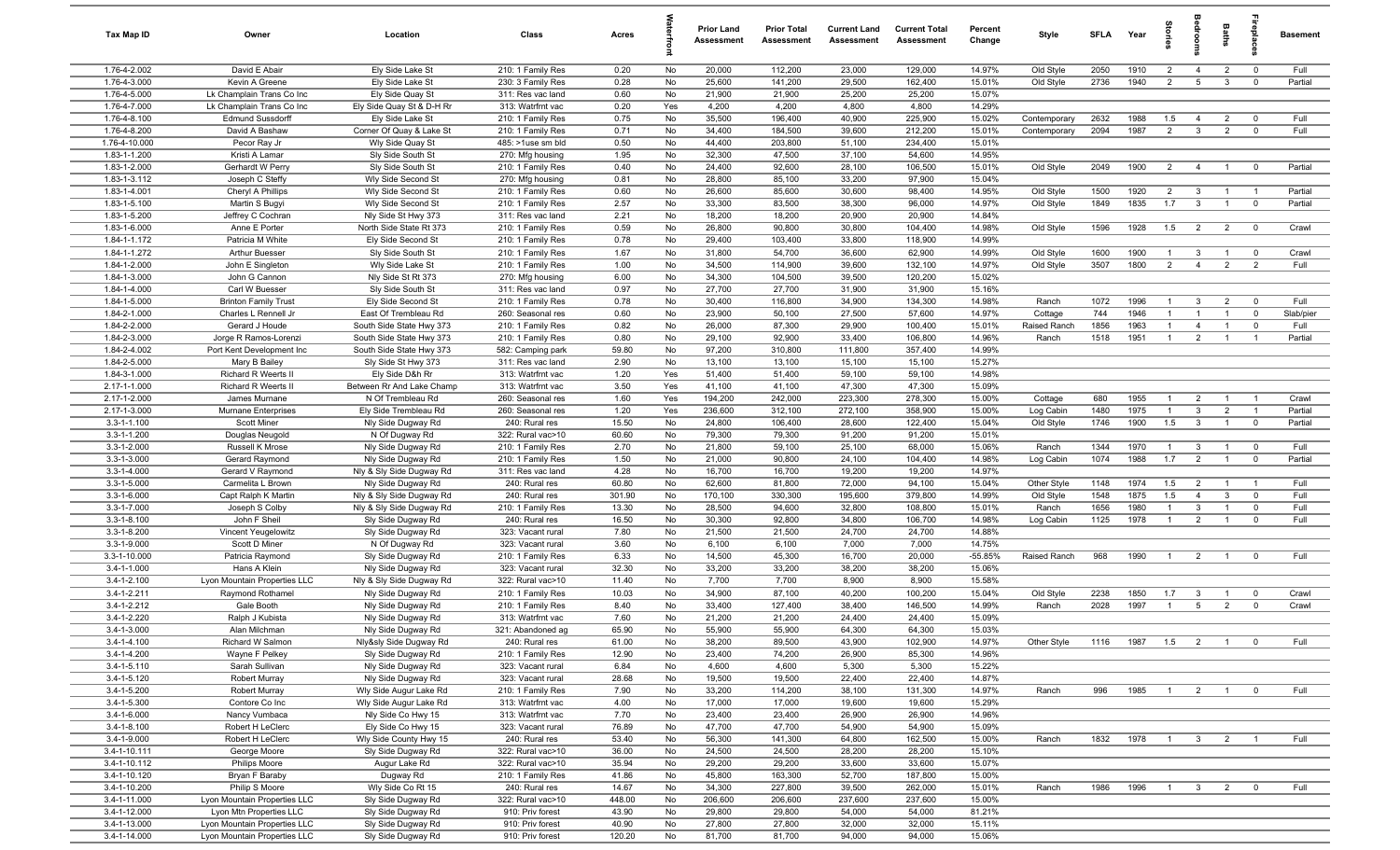| Tax Map ID                             | Owner                                     | Location                                             | Class                                  | Acres           |          | <b>Prior Land</b><br>Assessment | <b>Prior Total</b><br>Assessment | <b>Current Land</b><br>Assessment | <b>Current Total</b><br><b>Assessment</b> | Percent<br>Change | Style                   | SFLA         | Year         | 효<br>등                       |                                  | Baths                            | replac                       | <b>Basement</b>   |
|----------------------------------------|-------------------------------------------|------------------------------------------------------|----------------------------------------|-----------------|----------|---------------------------------|----------------------------------|-----------------------------------|-------------------------------------------|-------------------|-------------------------|--------------|--------------|------------------------------|----------------------------------|----------------------------------|------------------------------|-------------------|
| 1.76-4-2.002                           | David E Abair                             | Ely Side Lake St                                     | 210: 1 Family Res                      | 0.20            | No       | 20,000                          | 112,200                          | 23,000                            | 129,000                                   | 14.97%            | Old Style               | 2050         | 1910         | $\overline{2}$               | $\overline{4}$                   | $\overline{2}$                   | $^{\circ}$                   | Full              |
| 1.76-4-3.000                           | Kevin A Greene                            | Ely Side Lake St                                     | 230: 3 Family Res                      | 0.28            | No       | 25,600                          | 141,200                          | 29,500                            | 162,400                                   | 15.01%            | Old Style               | 2736         | 1940         | $\overline{2}$               | 5                                | $\mathbf{3}$                     | $^{\circ}$                   | Partial           |
| 1.76-4-5.000                           | Lk Champlain Trans Co Inc                 | Ely Side Quay St                                     | 311: Res vac land                      | 0.60            | No       | 21,900                          | 21,900                           | 25,200                            | 25,200                                    | 15.07%            |                         |              |              |                              |                                  |                                  |                              |                   |
| 1.76-4-7.000                           | Lk Champlain Trans Co Inc                 | Ely Side Quay St & D-H Rr                            | 313: Watrfrnt vac                      | 0.20            | Yes      | 4,200                           | 4,200                            | 4,800                             | 4,800                                     | 14.29%            |                         |              |              |                              |                                  |                                  |                              |                   |
| 1.76-4-8.100<br>1.76-4-8.200           | <b>Edmund Sussdorff</b><br>David A Bashaw | Ely Side Lake St                                     | 210: 1 Family Res                      | 0.75<br>0.71    | No<br>No | 35,500<br>34,400                | 196,400<br>184,500               | 40,900<br>39,600                  | 225,900<br>212,200                        | 15.02%<br>15.01%  | Contemporary            | 2632<br>2094 | 1988<br>1987 | 1.5<br>$\overline{2}$        | -4<br>$\mathbf{3}$               | $\overline{2}$<br>$\overline{2}$ | $^{\circ}$<br>$\overline{0}$ | Full<br>Full      |
| 1.76-4-10.000                          | Pecor Ray Jr                              | Corner Of Quay & Lake St<br>Wly Side Quay St         | 210: 1 Family Res<br>485: >1use sm bld | 0.50            | No       | 44,400                          | 203,800                          | 51,100                            | 234,400                                   | 15.01%            | Contemporary            |              |              |                              |                                  |                                  |                              |                   |
| 1.83-1-1.200                           | Kristi A Lamar                            | Sly Side South St                                    | 270: Mfg housing                       | 1.95            | No       | 32,300                          | 47,500                           | 37,100                            | 54,600                                    | 14.95%            |                         |              |              |                              |                                  |                                  |                              |                   |
| 1.83-1-2.000                           | Gerhardt W Perry                          | Sly Side South St                                    | 210: 1 Family Res                      | 0.40            | No       | 24,400                          | 92,600                           | 28,100                            | 106,500                                   | 15.01%            | Old Style               | 2049         | 1900         | 2                            | $\overline{4}$                   | $\overline{1}$                   | $^{\circ}$                   | Partial           |
| 1.83-1-3.112                           | Joseph C Steffy                           | Wly Side Second St                                   | 270: Mfg housing                       | 0.81            | No       | 28,800                          | 85,100                           | 33,200                            | 97,900                                    | 15.04%            |                         |              |              |                              |                                  |                                  |                              |                   |
| 1.83-1-4.001                           | Cheryl A Phillips                         | Wly Side Second St                                   | 210: 1 Family Res                      | 0.60            | No       | 26,600                          | 85,600                           | 30,600                            | 98,400                                    | 14.95%            | Old Style               | 1500         | 1920         | $\overline{2}$               | $\mathbf{3}$                     | $\overline{1}$                   | - 1                          | Partial           |
| 1.83-1-5.100                           | Martin S Bugyi                            | Wly Side Second St                                   | 210: 1 Family Res                      | 2.57            | No       | 33,300                          | 83,500                           | 38,300                            | 96,000                                    | 14.97%            | Old Style               | 1849         | 1835         | 1.7                          | $\mathbf{3}$                     | $\overline{1}$                   | $\mathbf 0$                  | Partial           |
| 1.83-1-5.200                           | Jeffrey C Cochran                         | Nly Side St Hwy 373                                  | 311: Res vac land                      | 2.21            | No       | 18,200                          | 18,200                           | 20,900                            | 20,900                                    | 14.84%            |                         |              |              |                              |                                  |                                  |                              |                   |
| 1.83-1-6.000                           | Anne E Porter                             | North Side State Rt 373                              | 210: 1 Family Res                      | 0.59            | No       | 26,800                          | 90,800                           | 30,800                            | 104,400                                   | 14.98%            | Old Style               | 1596         | 1928         | 1.5                          | $\overline{2}$                   | $\overline{2}$                   | $\overline{0}$               | Crawl             |
| 1.84-1-1.172                           | Patricia M White                          | Ely Side Second St                                   | 210: 1 Family Res                      | 0.78            | No       | 29,400                          | 103,400                          | 33,800                            | 118,900                                   | 14.99%            |                         |              |              |                              |                                  |                                  |                              |                   |
| 1.84-1-1.272                           | Arthur Buesser                            | Sly Side South St                                    | 210: 1 Family Res                      | 1.67            | No       | 31,800                          | 54,700                           | 36,600                            | 62,900                                    | 14.99%            | Old Style               | 1600         | 1900         | $\mathbf{1}$                 | $\mathbf{3}$                     | $\overline{1}$                   | $^{\circ}$                   | Crawl             |
| 1.84-1-2.000                           | John E Singleton                          | Wly Side Lake St                                     | 210: 1 Family Res                      | 1.00            | No       | 34,500                          | 114,900                          | 39,600                            | 132,100                                   | 14.97%            | Old Style               | 3507         | 1800         | $\overline{2}$               | $\overline{4}$                   | $\overline{2}$                   | 2                            | Full              |
| 1.84-1-3.000                           | John G Cannon                             | Nly Side St Rt 373                                   | 270: Mfg housing                       | 6.00            | No       | 34,300                          | 104,500                          | 39,500                            | 120,200                                   | 15.02%            |                         |              |              |                              |                                  |                                  |                              |                   |
| 1.84-1-4.000                           | Carl W Buesser                            | Sly Side South St                                    | 311: Res vac land                      | 0.97            | No       | 27,700                          | 27,700                           | 31,900                            | 31,900                                    | 15.16%            |                         |              |              |                              |                                  |                                  |                              |                   |
| 1.84-1-5.000                           | <b>Brinton Family Trust</b>               | Ely Side Second St                                   | 210: 1 Family Res                      | 0.78            | No       | 30,400                          | 116,800                          | 34,900                            | 134,300                                   | 14.98%            | Ranch                   | 1072         | 1996         | $\mathbf{1}$                 | 3                                | $\overline{2}$<br>$\overline{1}$ | $^{\circ}$                   | Full              |
| 1.84-2-1.000<br>1.84-2-2.000           | Charles L Rennell Jr<br>Gerard J Houde    | East Of Trembleau Rd<br>South Side State Hwy 373     | 260: Seasonal res<br>210: 1 Family Res | 0.60<br>0.82    | No<br>No | 23,900<br>26,000                | 50,100<br>87,300                 | 27,500<br>29,900                  | 57,600<br>100,400                         | 14.97%<br>15.01%  | Cottage<br>Raised Ranch | 744<br>1856  | 1946<br>1963 | $\mathbf{1}$<br>$\mathbf{1}$ | $\overline{1}$<br>$\overline{4}$ | $\overline{1}$                   | $^{\circ}$<br>$\overline{0}$ | Slab/pier<br>Full |
| 1.84-2-3.000                           | Jorge R Ramos-Lorenzi                     | South Side State Hwy 373                             | 210: 1 Family Res                      | 0.80            | No       | 29,100                          | 92,900                           | 33,400                            | 106,800                                   | 14.96%            | Ranch                   | 1518         | 1951         | $\overline{1}$               | $\overline{2}$                   | $\overline{1}$                   | $\overline{1}$               | Partial           |
| 1.84-2-4.002                           | Port Kent Development Inc                 | South Side State Hwy 373                             | 582: Camping park                      | 59.80           | No       | 97,200                          | 310,800                          | 111,800                           | 357,400                                   | 14.99%            |                         |              |              |                              |                                  |                                  |                              |                   |
| 1.84-2-5.000                           | Mary B Bailey                             | Sly Side St Hwy 373                                  | 311: Res vac land                      | 2.90            | No       | 13,100                          | 13,100                           | 15,100                            | 15,100                                    | 15.27%            |                         |              |              |                              |                                  |                                  |                              |                   |
| 1.84-3-1.000                           | Richard R Weerts II                       | Ely Side D&h Rr                                      | 313: Watrfrnt vac                      | 1.20            | Yes      | 51,400                          | 51,400                           | 59,100                            | 59,100                                    | 14.98%            |                         |              |              |                              |                                  |                                  |                              |                   |
| 2.17-1-1.000                           | <b>Richard R Weerts II</b>                | Between Rr And Lake Champ                            | 313: Watrfrnt vac                      | 3.50            | Yes      | 41,100                          | 41,100                           | 47,300                            | 47,300                                    | 15.09%            |                         |              |              |                              |                                  |                                  |                              |                   |
| 2.17-1-2.000                           | James Murnane                             | N Of Trembleau Rd                                    | 260: Seasonal res                      | 1.60            | Yes      | 194,200                         | 242,000                          | 223,300                           | 278,300                                   | 15.00%            | Cottage                 | 680          | 1955         | $\mathbf{1}$                 | $\overline{2}$                   | $\overline{1}$                   |                              | Crawl             |
| 2.17-1-3.000                           | Murnane Enterprises                       | Ely Side Trembleau Rd                                | 260: Seasonal res                      | 1.20            | Yes      | 236,600                         | 312,100                          | 272,100                           | 358,900                                   | 15.00%            | Log Cabin               | 1480         | 1975         | $\mathbf{1}$                 | $\mathbf{3}$                     | $\overline{2}$                   | $\overline{1}$               | Partial           |
| $3.3 - 1 - 1.100$                      | Scott Miner                               | Nly Side Dugway Rd                                   | 240: Rural res                         | 15.50           | No       | 24,800                          | 106,400                          | 28,600                            | 122,400                                   | 15.04%            | Old Style               | 1746         | 1900         | 1.5                          | $\mathbf{3}$                     | $\overline{1}$                   | $\mathbf 0$                  | Partial           |
| 3.3-1-1.200                            | Douglas Neugold                           | N Of Dugway Rd                                       | 322: Rural vac>10                      | 60.60           | No       | 79,300                          | 79,300                           | 91,200                            | 91,200                                    | 15.01%            |                         |              |              |                              |                                  |                                  |                              |                   |
| $3.3 - 1 - 2.000$                      | Russell K Mrose                           | Nly Side Dugway Rd                                   | 210: 1 Family Res                      | 2.70            | No       | 21,800                          | 59,100                           | 25,100                            | 68,000                                    | 15.06%            | Ranch                   | 1344         | 1970         | $\overline{1}$               | -3                               | $\overline{1}$                   | $\overline{0}$               | Full              |
| 3.3-1-3.000                            | Gerard Raymond                            | Nly Side Dugway Rd                                   | 210: 1 Family Res                      | 1.50            | No       | 21,000                          | 90,800                           | 24,100                            | 104,400                                   | 14.98%            | Log Cabin               | 1074         | 1988         | 1.7                          | $\overline{2}$                   | $\overline{1}$                   | $^{\circ}$                   | Partial           |
| $3.3 - 1 - 4.000$                      | Gerard V Raymond                          | Nly & Sly Side Dugway Rd                             | 311: Res vac land                      | 4.28            | No       | 16,700                          | 16,700                           | 19,200                            | 19,200                                    | 14.97%            |                         |              |              |                              |                                  |                                  |                              |                   |
| $3.3 - 1 - 5.000$                      | Carmelita L Brown                         | Nly Side Dugway Rd                                   | 240: Rural res                         | 60.80           | No       | 62,600                          | 81,800                           | 72,000                            | 94,100                                    | 15.04%            | Other Style             | 1148         | 1974<br>1875 | 1.5                          | $\overline{2}$<br>$\overline{4}$ | $\overline{1}$<br>$\mathbf{3}$   | - 1<br>$\mathbf 0$           | Full<br>Full      |
| $3.3 - 1 - 6.000$<br>$3.3 - 1 - 7.000$ | Capt Ralph K Martin<br>Joseph S Colby     | Nly & Sly Side Dugway Rd<br>Nly & Sly Side Dugway Rd | 240: Rural res<br>210: 1 Family Res    | 301.90<br>13.30 | No<br>No | 170,100<br>28,500               | 330,300<br>94,600                | 195,600<br>32,800                 | 379,800<br>108,800                        | 14.99%<br>15.01%  | Old Style<br>Ranch      | 1548<br>1656 | 1980         | 1.5<br>$\mathbf{1}$          | $\mathbf{3}$                     | $\overline{1}$                   | $^{\circ}$                   | Full              |
| $3.3 - 1 - 8.100$                      | John F Sheil                              | Sly Side Dugway Rd                                   | 240: Rural res                         | 16.50           | No       | 30,300                          | 92,800                           | 34,800                            | 106,700                                   | 14.98%            | Log Cabin               | 1125         | 1978         | $\mathbf{1}$                 | $\overline{2}$                   | $\overline{1}$                   | $\Omega$                     | Full              |
| $3.3 - 1 - 8.200$                      | Vincent Yeugelowitz                       | Sly Side Dugway Rd                                   | 323: Vacant rural                      | 7.80            | No       | 21,500                          | 21,500                           | 24,700                            | 24,700                                    | 14.88%            |                         |              |              |                              |                                  |                                  |                              |                   |
| 3.3-1-9.000                            | Scott D Miner                             | N Of Dugway Rd                                       | 323: Vacant rural                      | 3.60            | No       | 6,100                           | 6,100                            | 7,000                             | 7,000                                     | 14.75%            |                         |              |              |                              |                                  |                                  |                              |                   |
| 3.3-1-10.000                           | Patricia Raymond                          | Sly Side Dugway Rd                                   | 210: 1 Family Res                      | 6.33            | No       | 14,500                          | 45,300                           | 16,700                            | 20,000                                    | $-55.85%$         | Raised Ranch            | 968          | 1990         | $\mathbf{1}$                 | $\overline{2}$                   | $\overline{1}$                   | $^{\circ}$                   | Full              |
| $3.4 - 1 - 1.000$                      | Hans A Klein                              | Nly Side Dugway Rd                                   | 323: Vacant rural                      | 32.30           | No       | 33,200                          | 33,200                           | 38,200                            | 38,200                                    | 15.06%            |                         |              |              |                              |                                  |                                  |                              |                   |
| $3.4 - 1 - 2.100$                      | Lyon Mountain Properties LLC              | Nly & Sly Side Dugway Rd                             | 322: Rural vac>10                      | 11.40           | No       | 7,700                           | 7,700                            | 8,900                             | 8,900                                     | 15.58%            |                         |              |              |                              |                                  |                                  |                              |                   |
| 3.4-1-2.211                            | Raymond Rothamel                          | Nly Side Dugway Rd                                   | 210: 1 Family Res                      | 10.03           | No       | 34,900                          | 87,100                           | 40,200                            | 100,200                                   | 15.04%            | Old Style               | 2238         | 1850         | 1.7                          | -3                               | $\overline{1}$                   | $^{\circ}$                   | Crawl             |
| 3.4-1-2.212                            | Gale Booth                                | Nly Side Dugway Rd                                   | 210: 1 Family Res                      | 8.40            | No       | 33,400                          | 127,400                          | 38,400                            | 146,500                                   | 14.99%            | Ranch                   | 2028         | 1997         | $\overline{1}$               | $5\overline{)}$                  | $\overline{2}$                   | $\Omega$                     | Crawl             |
| 3.4-1-2.220                            | Ralph J Kubista                           | Nly Side Dugway Rd                                   | 313: Watrfrnt vac                      | 7.60            | No       | 21,200                          | 21,200                           | 24,400                            | 24,400                                    | 15.09%            |                         |              |              |                              |                                  |                                  |                              |                   |
| $3.4 - 1 - 3.000$                      | Alan Milchman                             | Nly Side Dugway Rd                                   | 321: Abandoned ag                      | 65.90           | No       | 55,900                          | 55,900                           | 64.300                            | 64.300                                    | 15.03%            |                         |              |              |                              |                                  |                                  |                              |                   |
| $3.4 - 1 - 4.100$                      | Richard W Salmon                          | Nly&sly Side Dugway Rd                               | 240: Rural res                         | 61.00           | No       | 38,200                          | 89,500                           | 43,900                            | 102,900                                   | 14.97%            | Other Style             | 1116         | 1987         | 1.5                          | $\overline{2}$                   | $\overline{1}$                   | $\mathbf 0$                  | Full              |
| $3.4 - 1 - 4.200$                      | Wayne F Pelkey                            | Sly Side Duqway Rd                                   | 210: 1 Family Res                      | 12.90           | No       | 23,400                          | 74,200                           | 26,900                            | 85,300                                    | 14.96%            |                         |              |              |                              |                                  |                                  |                              |                   |
| $3.4 - 1 - 5.110$                      | Sarah Sullivan                            | Nly Side Dugway Rd                                   | 323: Vacant rural                      | 6.84            | No       | 4,600                           | 4,600                            | 5,300                             | 5,300                                     | 15.22%            |                         |              |              |                              |                                  |                                  |                              |                   |
| $3.4 - 1 - 5.120$<br>3.4-1-5.200       | Robert Murray                             | Nly Side Dugway Rd                                   | 323: Vacant rural<br>210: 1 Family Res | 28.68           | No       | 19,500                          | 19,500                           | 22,400<br>38,100                  | 22,400                                    | 14.87%<br>14.97%  | Ranch                   | 996          | 1985         | $\overline{1}$               | $\overline{2}$                   | $\overline{1}$                   | $\overline{0}$               | Full              |
| 3.4-1-5.300                            | <b>Robert Murray</b><br>Contore Co Inc    | Wly Side Augur Lake Rd<br>Wly Side Augur Lake Rd     | 313: Watrfrnt vac                      | 7.90<br>4.00    | No<br>No | 33,200<br>17,000                | 114,200<br>17,000                | 19,600                            | 131,300<br>19,600                         | 15.29%            |                         |              |              |                              |                                  |                                  |                              |                   |
| $3.4 - 1 - 6.000$                      | Nancy Vumbaca                             | Nly Side Co Hwy 15                                   | 313: Watrfrnt vac                      | 7.70            | No       | 23,400                          | 23,400                           | 26,900                            | 26,900                                    | 14.96%            |                         |              |              |                              |                                  |                                  |                              |                   |
| $3.4 - 1 - 8.100$                      | Robert H LeClerc                          | Ely Side Co Hwy 15                                   | 323: Vacant rural                      | 76.89           | No       | 47,700                          | 47,700                           | 54,900                            | 54,900                                    | 15.09%            |                         |              |              |                              |                                  |                                  |                              |                   |
| $3.4 - 1 - 9.000$                      | Robert H LeClerc                          | Wly Side County Hwy 15                               | 240: Rural res                         | 53.40           | No       | 56,300                          | 141,300                          | 64,800                            | 162,500                                   | 15.00%            | Ranch                   | 1832         | 1978         | $\overline{1}$               | $\mathbf{3}$                     | 2                                | $\overline{1}$               | Full              |
| $3.4 - 1 - 10.111$                     | George Moore                              | Sly Side Duqway Rd                                   | 322: Rural vac>10                      | 36.00           | No       | 24,500                          | 24,500                           | 28,200                            | 28,200                                    | 15.10%            |                         |              |              |                              |                                  |                                  |                              |                   |
| 3.4-1-10.112                           | Philips Moore                             | Augur Lake Rd                                        | 322: Rural vac>10                      | 35.94           | No       | 29,200                          | 29,200                           | 33,600                            | 33,600                                    | 15.07%            |                         |              |              |                              |                                  |                                  |                              |                   |
| 3.4-1-10.120                           | Bryan F Baraby                            | Dugway Rd                                            | 210: 1 Family Res                      | 41.86           | No       | 45,800                          | 163,300                          | 52,700                            | 187,800                                   | 15.00%            |                         |              |              |                              |                                  |                                  |                              |                   |
| 3.4-1-10.200                           | Philip S Moore                            | Wly Side Co Rt 15                                    | 240: Rural res                         | 14.67           | No       | 34,300                          | 227,800                          | 39,500                            | 262,000                                   | 15.01%            | Ranch                   | 1986         | 1996         |                              |                                  | $1 \quad 3 \quad 2$              | $\overline{0}$               | Full              |
| 3.4-1-11.000                           | Lyon Mountain Properties LLC              | Sly Side Dugway Rd                                   | 322: Rural vac>10                      | 448.00          | No       | 206,600                         | 206,600                          | 237,600                           | 237,600                                   | 15.00%            |                         |              |              |                              |                                  |                                  |                              |                   |
| 3.4-1-12.000                           | Lyon Mtn Properties LLC                   | Sly Side Dugway Rd                                   | 910: Priv forest                       | 43.90           | No       | 29,800                          | 29,800                           | 54,000                            | 54,000                                    | 81.21%            |                         |              |              |                              |                                  |                                  |                              |                   |
| 3.4-1-13.000                           | Lyon Mountain Properties LLC              | Sly Side Dugway Rd                                   | 910: Priv forest                       | 40.90           | No       | 27,800                          | 27,800                           | 32,000                            | 32,000                                    | 15.11%            |                         |              |              |                              |                                  |                                  |                              |                   |
| 3.4-1-14.000                           | Lyon Mountain Properties LLC              | Sly Side Dugway Rd                                   | 910: Priv forest                       | 120.20          | No       | 81,700                          | 81,700                           | 94,000                            | 94,000                                    | 15.06%            |                         |              |              |                              |                                  |                                  |                              |                   |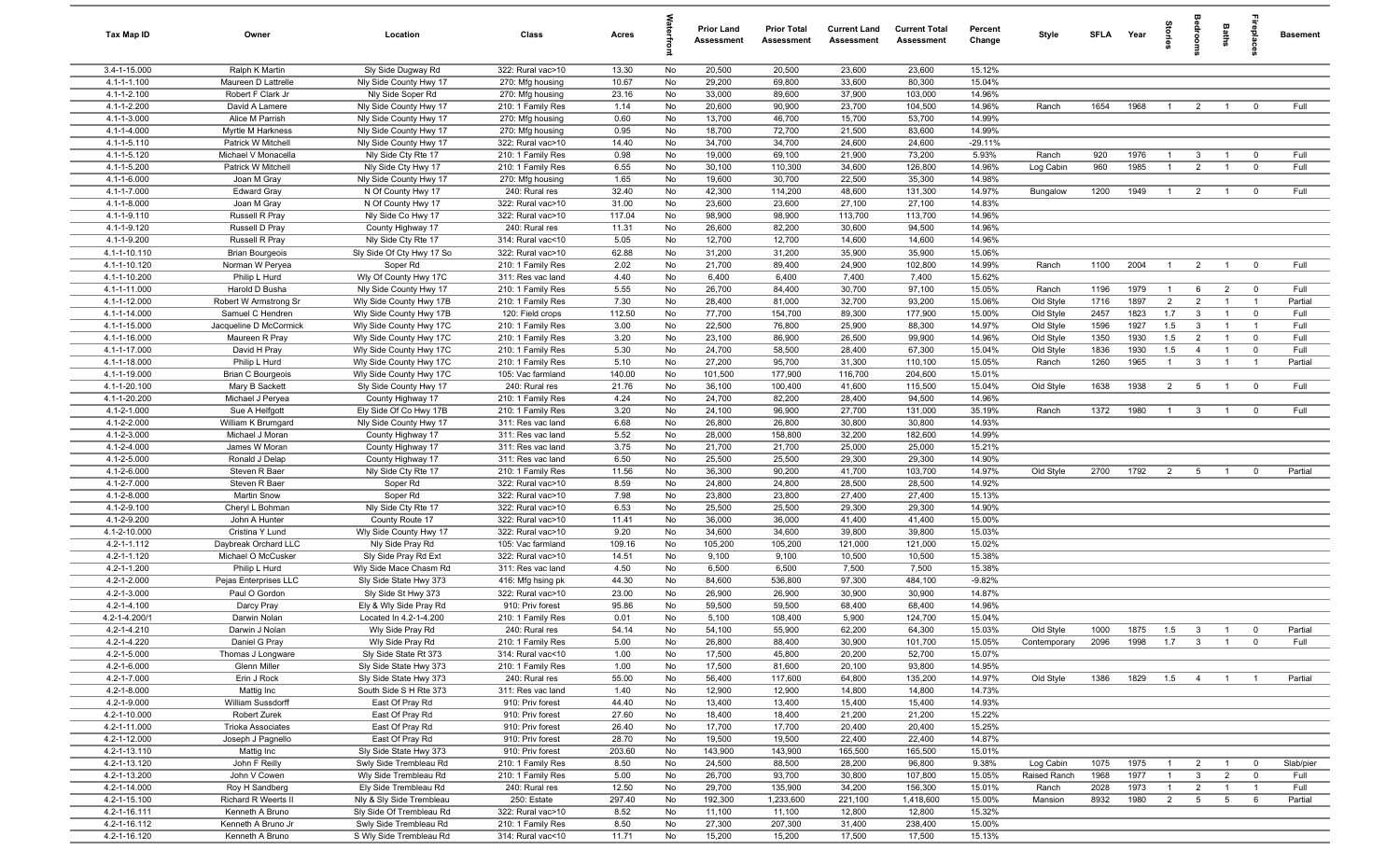| Tax Map ID                   | Owner                                      | Location                                          | Class                                  | Acres           |          | <b>Prior Land</b><br>Assessment | <b>Prior Total</b><br><b>Assessment</b> | <b>Current Land</b><br><b>Assessment</b> | <b>Current Total</b><br><b>Assessment</b> | Percent<br>Change | Style        | <b>SFLA</b> | Year | tories         |                         | Baths           | epla           | <b>Basement</b> |
|------------------------------|--------------------------------------------|---------------------------------------------------|----------------------------------------|-----------------|----------|---------------------------------|-----------------------------------------|------------------------------------------|-------------------------------------------|-------------------|--------------|-------------|------|----------------|-------------------------|-----------------|----------------|-----------------|
| 3.4-1-15.000                 | Ralph K Martin                             | Sly Side Dugway Rd                                | 322: Rural vac>10                      | 13.30           | No       | 20,500                          | 20,500                                  | 23,600                                   | 23,600                                    | 15.12%            |              |             |      |                |                         |                 |                |                 |
| 4.1-1-1.100                  | Maureen D Lattrelle                        | Nly Side County Hwy 17                            | 270: Mfg housing                       | 10.67           | No       | 29,200                          | 69,800                                  | 33,600                                   | 80,300                                    | 15.04%            |              |             |      |                |                         |                 |                |                 |
| 4.1-1-2.100                  | Robert F Clark Jr                          | Nly Side Soper Rd                                 | 270: Mfg housing                       | 23.16           | No       | 33,000                          | 89,600                                  | 37,900                                   | 103,000                                   | 14.96%            |              |             |      |                |                         |                 |                |                 |
| 4.1-1-2.200<br>4.1-1-3.000   | David A Lamere                             | Nly Side County Hwy 17                            | 210: 1 Family Res                      | 1.14<br>0.60    | No<br>No | 20,600<br>13,700                | 90,900<br>46,700                        | 23,700<br>15,700                         | 104,500<br>53,700                         | 14.96%<br>14.99%  | Ranch        | 1654        | 1968 | $\overline{1}$ | $\overline{2}$          | $\overline{1}$  | $^{\circ}$     | Full            |
| 4.1-1-4.000                  | Alice M Parrish<br>Myrtle M Harkness       | Nly Side County Hwy 17<br>Nly Side County Hwy 17  | 270: Mfg housing<br>270: Mfg housing   | 0.95            | No       | 18,700                          | 72,700                                  | 21,500                                   | 83,600                                    | 14.99%            |              |             |      |                |                         |                 |                |                 |
| 4.1-1-5.110                  | Patrick W Mitchell                         | Nly Side County Hwy 17                            | 322: Rural vac>10                      | 14.40           | No       | 34,700                          | 34,700                                  | 24,600                                   | 24,600                                    | $-29.11%$         |              |             |      |                |                         |                 |                |                 |
| 4.1-1-5.120                  | Michael V Monacella                        | Nly Side Cty Rte 17                               | 210: 1 Family Res                      | 0.98            | No       | 19,000                          | 69,100                                  | 21,900                                   | 73,200                                    | 5.93%             | Ranch        | 920         | 1976 | $\overline{1}$ | $\mathbf{3}$            | $\overline{1}$  | $\overline{0}$ | Full            |
| 4.1-1-5.200                  | Patrick W Mitchell                         | Nly Side Cty Hwy 17                               | 210: 1 Family Res                      | 6.55            | No       | 30,100                          | 110,300                                 | 34,600                                   | 126,800                                   | 14.96%            | Log Cabin    | 960         | 1985 | $\overline{1}$ | $\overline{2}$          | $\overline{1}$  | $\overline{0}$ | Full            |
| 4.1-1-6.000                  | Joan M Gray                                | Nly Side County Hwy 17                            | 270: Mfg housing                       | 1.65            | No       | 19,600                          | 30,700                                  | 22,500                                   | 35,300                                    | 14.98%            |              |             |      |                |                         |                 |                |                 |
| 4.1-1-7.000                  | <b>Edward Gray</b>                         | N Of County Hwy 17                                | 240: Rural res                         | 32.40           | No       | 42,300                          | 114,200                                 | 48,600                                   | 131,300                                   | 14.97%            | Bungalow     | 1200        | 1949 | $\overline{1}$ | $\overline{2}$          | $\overline{1}$  | $^{\circ}$     | Full            |
| 4.1-1-8.000                  | Joan M Gray                                | N Of County Hwy 17                                | 322: Rural vac>10                      | 31.00           | No       | 23,600                          | 23,600                                  | 27,100                                   | 27,100                                    | 14.83%            |              |             |      |                |                         |                 |                |                 |
| 4.1-1-9.110                  | Russell R Pray                             | Nly Side Co Hwy 17                                | 322: Rural vac>10                      | 117.04          | No       | 98,900                          | 98,900                                  | 113,700                                  | 113,700                                   | 14.96%            |              |             |      |                |                         |                 |                |                 |
| 4.1-1-9.120                  | Russell D Pray                             | County Highway 17                                 | 240: Rural res                         | 11.31           | No       | 26,600                          | 82,200                                  | 30,600                                   | 94,500                                    | 14.96%            |              |             |      |                |                         |                 |                |                 |
| 4.1-1-9.200<br>4.1-1-10.110  | Russell R Pray<br><b>Brian Bourgeois</b>   | Nly Side Cty Rte 17<br>Sly Side Of Cty Hwy 17 So  | 314: Rural vac<10<br>322: Rural vac>10 | 5.05<br>62.88   | No<br>No | 12,700<br>31,200                | 12,700<br>31,200                        | 14,600<br>35,900                         | 14,600<br>35,900                          | 14.96%<br>15.06%  |              |             |      |                |                         |                 |                |                 |
| 4.1-1-10.120                 | Norman W Peryea                            | Soper Rd                                          | 210: 1 Family Res                      | 2.02            | No       | 21,700                          | 89,400                                  | 24,900                                   | 102,800                                   | 14.99%            | Ranch        | 1100        | 2004 | $\mathbf{1}$   | $\overline{2}$          | $\overline{1}$  | $\overline{0}$ | Full            |
| 4.1-1-10.200                 | Philip L Hurd                              | Wly Of County Hwy 17C                             | 311: Res vac land                      | 4.40            | No       | 6,400                           | 6,400                                   | 7,400                                    | 7,400                                     | 15.62%            |              |             |      |                |                         |                 |                |                 |
| 4.1-1-11.000                 | Harold D Busha                             | Nly Side County Hwy 17                            | 210: 1 Family Res                      | 5.55            | No       | 26,700                          | 84,400                                  | 30,700                                   | 97,100                                    | 15.05%            | Ranch        | 1196        | 1979 | $\mathbf{1}$   | 6                       | $\overline{2}$  | $\overline{0}$ | Full            |
| 4.1-1-12.000                 | Robert W Armstrong Sr                      | Wly Side County Hwy 17B                           | 210: 1 Family Res                      | 7.30            | No       | 28,400                          | 81,000                                  | 32,700                                   | 93,200                                    | 15.06%            | Old Style    | 1716        | 1897 | $\overline{2}$ | $\overline{2}$          | $\overline{1}$  | $\overline{1}$ | Partial         |
| 4.1-1-14.000                 | Samuel C Hendren                           | Wly Side County Hwy 17B                           | 120: Field crops                       | 112.50          | No       | 77,700                          | 154,700                                 | 89,300                                   | 177,900                                   | 15.00%            | Old Style    | 2457        | 1823 | 1.7            | $\mathbf{3}$            | $\overline{1}$  | $\mathbf 0$    | Full            |
| 4.1-1-15.000                 | Jacqueline D McCormick                     | Wly Side County Hwy 17C                           | 210: 1 Family Res                      | 3.00            | No       | 22,500                          | 76,800                                  | 25,900                                   | 88,300                                    | 14.97%            | Old Style    | 1596        | 1927 | 1.5            | $\mathbf{3}$            | $\overline{1}$  | $\overline{1}$ | Full            |
| 4.1-1-16.000                 | Maureen R Pray                             | Wly Side County Hwy 17C                           | 210: 1 Family Res                      | 3.20            | No       | 23,100                          | 86,900                                  | 26,500                                   | 99,900                                    | 14.96%            | Old Style    | 1350        | 1930 | 1.5            | $\overline{2}$          | $\overline{1}$  | $\overline{0}$ | Full            |
| 4.1-1-17.000                 | David H Pray                               | Wly Side County Hwy 17C                           | 210: 1 Family Res                      | 5.30            | No       | 24,700                          | 58,500                                  | 28,400                                   | 67,300                                    | 15.04%            | Old Style    | 1836        | 1930 | 1.5            | $\overline{4}$          | $\overline{1}$  | $^{\circ}$     | Full            |
| 4.1-1-18.000                 | Philip L Hurd                              | Wly Side County Hwy 17C                           | 210: 1 Family Res                      | 5.10            | No       | 27,200                          | 95,700                                  | 31,300                                   | 110,100                                   | 15.05%            | Ranch        | 1260        | 1965 | $\mathbf{1}$   | $\mathbf{3}$            | $\overline{1}$  | $\overline{1}$ | Partial         |
| 4.1-1-19.000<br>4.1-1-20.100 | <b>Brian C Bourgeois</b><br>Mary B Sackett | Wly Side County Hwy 17C<br>Sly Side County Hwy 17 | 105: Vac farmland<br>240: Rural res    | 140.00<br>21.76 | No<br>No | 101,500<br>36,100               | 177,900<br>100,400                      | 116,700<br>41,600                        | 204,600<br>115,500                        | 15.01%<br>15.04%  | Old Style    | 1638        | 1938 | $\overline{2}$ | $5\overline{)}$         | $\overline{1}$  | $\overline{0}$ | Full            |
| 4.1-1-20.200                 | Michael J Peryea                           | County Highway 17                                 | 210: 1 Family Res                      | 4.24            | No       | 24,700                          | 82,200                                  | 28,400                                   | 94,500                                    | 14.96%            |              |             |      |                |                         |                 |                |                 |
| 4.1-2-1.000                  | Sue A Helfgott                             | Ely Side Of Co Hwy 17B                            | 210: 1 Family Res                      | 3.20            | No       | 24,100                          | 96,900                                  | 27,700                                   | 131,000                                   | 35.19%            | Ranch        | 1372        | 1980 | $\overline{1}$ | $\overline{3}$          | $\overline{1}$  | $\overline{0}$ | Full            |
| 4.1-2-2.000                  | William K Brumgard                         | Nly Side County Hwy 17                            | 311: Res vac land                      | 6.68            | No       | 26,800                          | 26,800                                  | 30,800                                   | 30,800                                    | 14.93%            |              |             |      |                |                         |                 |                |                 |
| 4.1-2-3.000                  | Michael J Moran                            | County Highway 17                                 | 311: Res vac land                      | 5.52            | No       | 28,000                          | 158,800                                 | 32,200                                   | 182,600                                   | 14.99%            |              |             |      |                |                         |                 |                |                 |
| 4.1-2-4.000                  | James W Moran                              | County Highway 17                                 | 311: Res vac land                      | 3.75            | No       | 21,700                          | 21,700                                  | 25,000                                   | 25,000                                    | 15.21%            |              |             |      |                |                         |                 |                |                 |
| 4.1-2-5.000                  | Ronald J Delap                             | County Highway 17                                 | 311: Res vac land                      | 6.50            | No       | 25,500                          | 25,500                                  | 29,300                                   | 29,300                                    | 14.90%            |              |             |      |                |                         |                 |                |                 |
| 4.1-2-6.000                  | Steven R Baer                              | Nly Side Cty Rte 17                               | 210: 1 Family Res                      | 11.56           | No       | 36,300                          | 90,200                                  | 41,700                                   | 103,700                                   | 14.97%            | Old Style    | 2700        | 1792 | $\overline{2}$ | $5\overline{5}$         | $\overline{1}$  | $^{\circ}$     | Partial         |
| 4.1-2-7.000                  | Steven R Baer                              | Soper Rd                                          | 322: Rural vac>10                      | 8.59            | No       | 24,800                          | 24,800                                  | 28,500                                   | 28,500                                    | 14.92%            |              |             |      |                |                         |                 |                |                 |
| 4.1-2-8.000<br>4.1-2-9.100   | <b>Martin Snow</b>                         | Soper Rd<br>Nly Side Cty Rte 17                   | 322: Rural vac>10<br>322: Rural vac>10 | 7.98<br>6.53    | No<br>No | 23,800<br>25,500                | 23,800<br>25,500                        | 27,400<br>29,300                         | 27,400<br>29,300                          | 15.13%<br>14.90%  |              |             |      |                |                         |                 |                |                 |
| 4.1-2-9.200                  | Cheryl L Bohman<br>John A Hunter           | County Route 17                                   | 322: Rural vac>10                      | 11.41           | No       | 36,000                          | 36,000                                  | 41,400                                   | 41,400                                    | 15.00%            |              |             |      |                |                         |                 |                |                 |
| 4.1-2-10.000                 | Cristina Y Lund                            | Wly Side County Hwy 17                            | 322: Rural vac>10                      | 9.20            | No       | 34,600                          | 34,600                                  | 39,800                                   | 39,800                                    | 15.03%            |              |             |      |                |                         |                 |                |                 |
| $4.2 - 1 - 1.112$            | Daybreak Orchard LLC                       | Nly Side Pray Rd                                  | 105: Vac farmland                      | 109.16          | No       | 105,200                         | 105,200                                 | 121,000                                  | 121,000                                   | 15.02%            |              |             |      |                |                         |                 |                |                 |
| 4.2-1-1.120                  | Michael O McCusker                         | Sly Side Pray Rd Ext                              | 322: Rural vac>10                      | 14.51           | No       | 9,100                           | 9,100                                   | 10,500                                   | 10,500                                    | 15.38%            |              |             |      |                |                         |                 |                |                 |
| 4.2-1-1.200                  | Philip L Hurd                              | Wly Side Mace Chasm Rd                            | 311: Res vac land                      | 4.50            | No       | 6,500                           | 6,500                                   | 7,500                                    | 7,500                                     | 15.38%            |              |             |      |                |                         |                 |                |                 |
| 4.2-1-2.000                  | Pejas Enterprises LLC                      | Sly Side State Hwy 373                            | 416: Mfg hsing pk                      | 44.30           | No       | 84,600                          | 536,800                                 | 97,300                                   | 484,100                                   | $-9.82%$          |              |             |      |                |                         |                 |                |                 |
| 4.2-1-3.000                  | Paul O Gordon                              | Sly Side St Hwy 373                               | 322: Rural vac>10                      | 23.00           | No       | 26,900                          | 26,900                                  | 30,900                                   | 30,900                                    | 14.87%            |              |             |      |                |                         |                 |                |                 |
| 4.2-1-4.100                  | Darcy Pray                                 | Ely & Wly Side Pray Rd                            | 910: Priv forest                       | 95.86           | No       | 59,500                          | 59,500                                  | 68,400                                   | 68,400                                    | 14.96%            |              |             |      |                |                         |                 |                |                 |
| 4.2-1-4.200/1<br>4.2-1-4.210 | Darwin Nolan<br>Darwin J Nolan             | Located In 4.2-1-4.200<br>Wly Side Pray Rd        | 210: 1 Family Res<br>240: Rural res    | 0.01<br>54.14   | No<br>No | 5,100<br>54,100                 | 108,400<br>55,900                       | 5,900<br>62,200                          | 124,700<br>64,300                         | 15.04%<br>15.03%  | Old Style    | 1000        | 1875 | 1.5            | $\overline{\mathbf{3}}$ |                 |                | Partial         |
| 4.2-1-4.220                  | Daniel G Pray                              | Wly Side Pray Rd                                  | 210: 1 Family Res                      | 5.00            | No       | 26,800                          | 88,400                                  | 30,900                                   | 101,700                                   | 15.05%            | Contemporary | 2096        | 1998 | 1.7            | $\overline{\mathbf{3}}$ | $\overline{1}$  | $\overline{0}$ | Full            |
| 4.2-1-5.000                  | Thomas J Longware                          | Sly Side State Rt 373                             | 314: Rural vac<10                      | 1.00            | No       | 17,500                          | 45,800                                  | 20,200                                   | 52,700                                    | 15.07%            |              |             |      |                |                         |                 |                |                 |
| 4.2-1-6.000                  | Glenn Miller                               | Sly Side State Hwy 373                            | 210: 1 Family Res                      | 1.00            | No       | 17,500                          | 81,600                                  | 20,100                                   | 93,800                                    | 14.95%            |              |             |      |                |                         |                 |                |                 |
| 4.2-1-7.000                  | Erin J Rock                                | Sly Side State Hwy 373                            | 240: Rural res                         | 55.00           | No       | 56,400                          | 117,600                                 | 64,800                                   | 135,200                                   | 14.97%            | Old Style    | 1386        | 1829 | $1.5 \t 4$     |                         | $\overline{1}$  | $\overline{1}$ | Partial         |
| $4.2 - 1 - 8.000$            | Mattig Inc                                 | South Side S H Rte 373                            | 311: Res vac land                      | 1.40            | No       | 12,900                          | 12,900                                  | 14,800                                   | 14,800                                    | 14.73%            |              |             |      |                |                         |                 |                |                 |
| 4.2-1-9.000                  | William Sussdorff                          | East Of Pray Rd                                   | 910: Priv forest                       | 44.40           | No       | 13,400                          | 13,400                                  | 15,400                                   | 15,400                                    | 14.93%            |              |             |      |                |                         |                 |                |                 |
| 4.2-1-10.000                 | Robert Zurek                               | East Of Pray Rd                                   | 910: Priv forest                       | 27.60           | No       | 18,400                          | 18,400                                  | 21,200                                   | 21,200                                    | 15.22%            |              |             |      |                |                         |                 |                |                 |
| 4.2-1-11.000                 | <b>Trioka Associates</b>                   | East Of Pray Rd                                   | 910: Priv forest                       | 26.40           | No       | 17,700<br>19,500                | 17,700                                  | 20,400<br>22,400                         | 20,400<br>22,400                          | 15.25%<br>14.87%  |              |             |      |                |                         |                 |                |                 |
| 4.2-1-12.000<br>4.2-1-13.110 | Joseph J Pagnello<br>Mattig Inc            | East Of Pray Rd<br>Sly Side State Hwy 373         | 910: Priv forest<br>910: Priv forest   | 28.70<br>203.60 | No<br>No | 143,900                         | 19,500<br>143,900                       | 165,500                                  | 165,500                                   | 15.01%            |              |             |      |                |                         |                 |                |                 |
| 4.2-1-13.120                 | John F Reilly                              | Swly Side Trembleau Rd                            | 210: 1 Family Res                      | 8.50            | No       | 24,500                          | 88,500                                  | 28,200                                   | 96,800                                    | 9.38%             | Log Cabin    | 1075        | 1975 | $\mathbf{1}$   | $\overline{2}$          | $\overline{1}$  | $\overline{0}$ | Slab/pier       |
| 4.2-1-13.200                 | John V Cowen                               | Wly Side Trembleau Rd                             | 210: 1 Family Res                      | 5.00            | No       | 26,700                          | 93,700                                  | 30,800                                   | 107,800                                   | 15.05%            | Raised Ranch | 1968        | 1977 | $\mathbf{1}$   | $\mathbf{3}$            | $\overline{2}$  | $\mathbf 0$    | Full            |
| 4.2-1-14.000                 | Roy H Sandberg                             | Ely Side Trembleau Rd                             | 240: Rural res                         | 12.50           | No       | 29,700                          | 135,900                                 | 34,200                                   | 156,300                                   | 15.01%            | Ranch        | 2028        | 1973 | $\overline{1}$ | $\overline{2}$          | $\overline{1}$  | $\overline{1}$ | Full            |
| 4.2-1-15.100                 | <b>Richard R Weerts II</b>                 | Nly & Sly Side Trembleau                          | 250: Estate                            | 297.40          | No       | 192,300                         | 1,233,600                               | 221,100                                  | 1,418,600                                 | 15.00%            | Mansion      | 8932        | 1980 | $\overline{2}$ | $5\overline{)}$         | $5\overline{)}$ | 6              | Partial         |
| 4.2-1-16.111                 | Kenneth A Bruno                            | Sly Side Of Trembleau Rd                          | 322: Rural vac>10                      | 8.52            | No       | 11,100                          | 11,100                                  | 12,800                                   | 12,800                                    | 15.32%            |              |             |      |                |                         |                 |                |                 |
| 4.2-1-16.112                 | Kenneth A Bruno Jr                         | Swly Side Trembleau Rd                            | 210: 1 Family Res                      | 8.50            | No       | 27,300                          | 207,300                                 | 31,400                                   | 238,400                                   | 15.00%            |              |             |      |                |                         |                 |                |                 |
| 4.2-1-16.120                 | Kenneth A Bruno                            | S Wly Side Trembleau Rd                           | 314: Rural vac<10                      | 11.71           | No       | 15,200                          | 15,200                                  | 17,500                                   | 17,500                                    | 15.13%            |              |             |      |                |                         |                 |                |                 |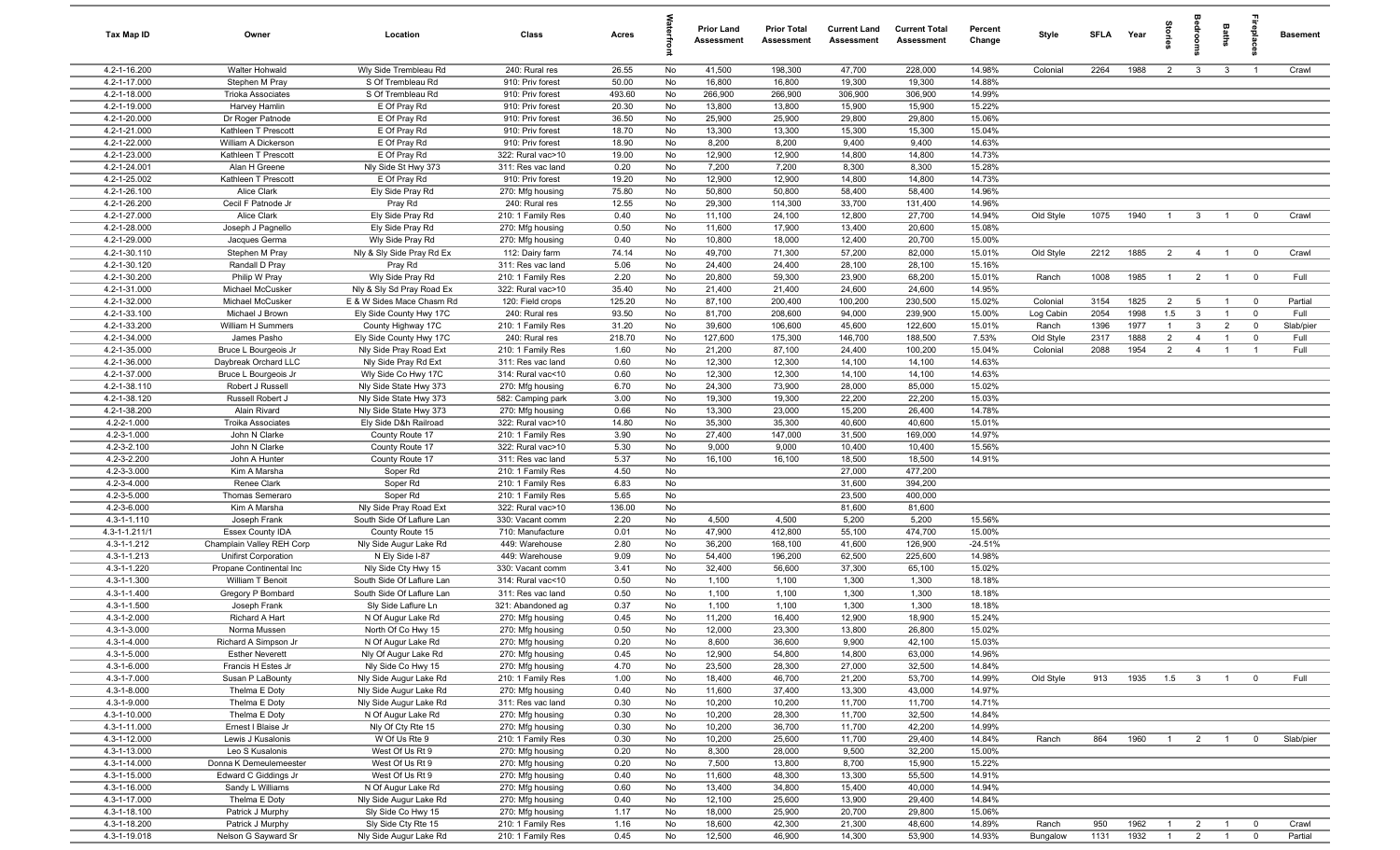| <b>Tax Map ID</b>            | Owner                                    | Location                                      | Class                                  | Acres          |                 | <b>Prior Land</b><br>Assessment | <b>Prior Total</b><br>Assessment | <b>Current Land</b><br>Assessment | <b>Current Total</b><br><b>Assessment</b> | Percent<br>Change | Style     | SFLA | Year | ã              | g              | Baths          |                         | <b>Basement</b> |
|------------------------------|------------------------------------------|-----------------------------------------------|----------------------------------------|----------------|-----------------|---------------------------------|----------------------------------|-----------------------------------|-------------------------------------------|-------------------|-----------|------|------|----------------|----------------|----------------|-------------------------|-----------------|
| 4.2-1-16.200                 | Walter Hohwald                           | Wly Side Trembleau Rd                         | 240: Rural res                         | 26.55          | No              | 41,500                          | 198,300                          | 47,700                            | 228,000                                   | 14.98%            | Colonial  | 2264 | 1988 | $\overline{2}$ | $\mathbf{3}$   | $\mathbf{3}$   | $\overline{1}$          | Crawl           |
| 4.2-1-17.000                 | Stephen M Pray                           | S Of Trembleau Rd                             | 910: Priv forest                       | 50.00          | No              | 16,800                          | 16,800                           | 19,300                            | 19,300                                    | 14.88%            |           |      |      |                |                |                |                         |                 |
| 4.2-1-18.000                 | <b>Trioka Associates</b>                 | S Of Trembleau Rd                             | 910: Priv forest                       | 493.60         | No              | 266,900                         | 266,900                          | 306,900                           | 306,900                                   | 14.99%            |           |      |      |                |                |                |                         |                 |
| 4.2-1-19.000<br>4.2-1-20.000 | Harvey Hamlin<br>Dr Roger Patnode        | E Of Pray Rd<br>E Of Pray Rd                  | 910: Priv forest<br>910: Priv forest   | 20.30<br>36.50 | No<br>No        | 13,800<br>25,900                | 13,800<br>25,900                 | 15,900<br>29,800                  | 15,900<br>29,800                          | 15.22%<br>15.06%  |           |      |      |                |                |                |                         |                 |
| 4.2-1-21.000                 | Kathleen T Prescott                      | E Of Pray Rd                                  | 910: Priv forest                       | 18.70          | No              | 13,300                          | 13,300                           | 15,300                            | 15,300                                    | 15.04%            |           |      |      |                |                |                |                         |                 |
| 4.2-1-22.000                 | William A Dickerson                      | E Of Pray Rd                                  | 910: Priv forest                       | 18.90          | No              | 8,200                           | 8,200                            | 9,400                             | 9,400                                     | 14.63%            |           |      |      |                |                |                |                         |                 |
| 4.2-1-23.000                 | Kathleen T Prescott                      | E Of Pray Rd                                  | 322: Rural vac>10                      | 19.00          | No              | 12,900                          | 12,900                           | 14,800                            | 14,800                                    | 14.73%            |           |      |      |                |                |                |                         |                 |
| 4.2-1-24.001                 | Alan H Greene                            | Nly Side St Hwy 373                           | 311: Res vac land                      | 0.20           | No              | 7,200                           | 7,200                            | 8,300                             | 8,300                                     | 15.28%            |           |      |      |                |                |                |                         |                 |
| 4.2-1-25.002                 | Kathleen T Prescott                      | E Of Pray Rd                                  | 910: Priv forest                       | 19.20          | No              | 12,900                          | 12,900                           | 14,800                            | 14,800                                    | 14.73%            |           |      |      |                |                |                |                         |                 |
| 4.2-1-26.100                 | Alice Clark                              | Ely Side Pray Rd                              | 270: Mfg housing                       | 75.80          | No              | 50,800                          | 50,800                           | 58,400                            | 58,400                                    | 14.96%            |           |      |      |                |                |                |                         |                 |
| 4.2-1-26.200                 | Cecil F Patnode Jr                       | Pray Rd                                       | 240: Rural res                         | 12.55          | No              | 29,300                          | 114,300                          | 33,700                            | 131,400                                   | 14.96%            |           |      |      |                |                |                |                         |                 |
| 4.2-1-27.000                 | Alice Clark                              | Ely Side Pray Rd                              | 210: 1 Family Res                      | 0.40           | No              | 11,100                          | 24,100                           | 12,800                            | 27,700                                    | 14.94%            | Old Style | 1075 | 1940 | $\overline{1}$ | $\overline{3}$ | $\overline{1}$ | $\overline{0}$          | Crawl           |
| 4.2-1-28.000                 | Joseph J Pagnello                        | Ely Side Pray Rd                              | 270: Mfg housing                       | 0.50<br>0.40   | No              | 11,600                          | 17,900                           | 13,400                            | 20,600                                    | 15.08%            |           |      |      |                |                |                |                         |                 |
| 4.2-1-29.000<br>4.2-1-30.110 | Jacques Germa<br>Stephen M Pray          | Wly Side Pray Rd<br>Nly & Sly Side Pray Rd Ex | 270: Mfg housing<br>112: Dairy farm    | 74.14          | No<br>No        | 10,800<br>49,700                | 18,000<br>71,300                 | 12,400<br>57,200                  | 20,700<br>82,000                          | 15.00%<br>15.01%  | Old Style | 2212 | 1885 | $\overline{2}$ | $\overline{4}$ | $\overline{1}$ | $\overline{\mathbf{0}}$ | Crawl           |
| 4.2-1-30.120                 | Randall D Pray                           | Pray Rd                                       | 311: Res vac land                      | 5.06           | No              | 24,400                          | 24,400                           | 28,100                            | 28,100                                    | 15.16%            |           |      |      |                |                |                |                         |                 |
| 4.2-1-30.200                 | Philip W Pray                            | Wly Side Pray Rd                              | 210: 1 Family Res                      | 2.20           | No              | 20,800                          | 59,300                           | 23,900                            | 68,200                                    | 15.01%            | Ranch     | 1008 | 1985 | $\overline{1}$ | $\overline{2}$ | $\overline{1}$ | $\overline{0}$          | Full            |
| 4.2-1-31.000                 | Michael McCusker                         | Nly & Sly Sd Pray Road Ex                     | 322: Rural vac>10                      | 35.40          | No              | 21,400                          | 21,400                           | 24,600                            | 24,600                                    | 14.95%            |           |      |      |                |                |                |                         |                 |
| 4.2-1-32.000                 | Michael McCusker                         | E & W Sides Mace Chasm Rd                     | 120: Field crops                       | 125.20         | No              | 87,100                          | 200,400                          | 100,200                           | 230,500                                   | 15.02%            | Colonial  | 3154 | 1825 | $\overline{2}$ | $5^{\circ}$    | $\overline{1}$ | $\overline{0}$          | Partial         |
| 4.2-1-33.100                 | Michael J Brown                          | Ely Side County Hwy 17C                       | 240: Rural res                         | 93.50          | No              | 81,700                          | 208,600                          | 94,000                            | 239,900                                   | 15.00%            | Log Cabin | 2054 | 1998 | 1.5            | $\mathbf{3}$   | $\overline{1}$ | $\overline{0}$          | Full            |
| 4.2-1-33.200                 | William H Summers                        | County Highway 17C                            | 210: 1 Family Res                      | 31.20          | No              | 39,600                          | 106,600                          | 45,600                            | 122,600                                   | 15.01%            | Ranch     | 1396 | 1977 | $\overline{1}$ | $\mathbf{3}$   | $\overline{2}$ | $\mathbf 0$             | Slab/pier       |
| 4.2-1-34.000                 | James Pasho                              | Ely Side County Hwy 17C                       | 240: Rural res                         | 218.70         | No              | 127,600                         | 175,300                          | 146,700                           | 188,500                                   | 7.53%             | Old Style | 2317 | 1888 | $\overline{2}$ | $\overline{4}$ | $\overline{1}$ | $\mathbf 0$             | Full            |
| 4.2-1-35.000                 | Bruce L Bourgeois Jr                     | Nly Side Pray Road Ext                        | 210: 1 Family Res                      | 1.60           | No              | 21,200                          | 87,100                           | 24,400                            | 100,200                                   | 15.04%            | Colonial  | 2088 | 1954 | $\overline{2}$ | $\overline{4}$ | $\mathbf{1}$   | $\overline{1}$          | Full            |
| 4.2-1-36.000                 | Daybreak Orchard LLC                     | Nly Side Pray Rd Ext                          | 311: Res vac land                      | 0.60           | No              | 12,300                          | 12,300                           | 14,100                            | 14,100                                    | 14.63%            |           |      |      |                |                |                |                         |                 |
| 4.2-1-37.000<br>4.2-1-38.110 | Bruce L Bourgeois Jr<br>Robert J Russell | Wly Side Co Hwy 17C<br>Nly Side State Hwy 373 | 314: Rural vac<10<br>270: Mfg housing  | 0.60<br>6.70   | No<br>No        | 12,300<br>24,300                | 12,300<br>73,900                 | 14,100<br>28,000                  | 14,100<br>85,000                          | 14.63%<br>15.02%  |           |      |      |                |                |                |                         |                 |
| 4.2-1-38.120                 | Russell Robert J                         | Nly Side State Hwy 373                        | 582: Camping park                      | 3.00           | No              | 19,300                          | 19,300                           | 22,200                            | 22,200                                    | 15.03%            |           |      |      |                |                |                |                         |                 |
| 4.2-1-38.200                 | Alain Rivard                             | Nly Side State Hwy 373                        | 270: Mfg housing                       | 0.66           | No              | 13,300                          | 23,000                           | 15,200                            | 26,400                                    | 14.78%            |           |      |      |                |                |                |                         |                 |
| 4.2-2-1.000                  | <b>Troika Associates</b>                 | Ely Side D&h Railroad                         | 322: Rural vac>10                      | 14.80          | No              | 35,300                          | 35,300                           | 40,600                            | 40,600                                    | 15.01%            |           |      |      |                |                |                |                         |                 |
| 4.2-3-1.000                  | John N Clarke                            | County Route 17                               | 210: 1 Family Res                      | 3.90           | No              | 27,400                          | 147,000                          | 31,500                            | 169,000                                   | 14.97%            |           |      |      |                |                |                |                         |                 |
| 4.2-3-2.100                  | John N Clarke                            | County Route 17                               | 322: Rural vac>10                      | 5.30           | No              | 9,000                           | 9,000                            | 10,400                            | 10,400                                    | 15.56%            |           |      |      |                |                |                |                         |                 |
| 4.2-3-2.200                  | John A Hunter                            | County Route 17                               | 311: Res vac land                      | 5.37           | No              | 16,100                          | 16,100                           | 18,500                            | 18,500                                    | 14.91%            |           |      |      |                |                |                |                         |                 |
| 4.2-3-3.000                  | Kim A Marsha                             | Soper Rd                                      | 210: 1 Family Res                      | 4.50           | No              |                                 |                                  | 27,000                            | 477,200                                   |                   |           |      |      |                |                |                |                         |                 |
| 4.2-3-4.000                  | Renee Clark                              | Soper Rd                                      | 210: 1 Family Res                      | 6.83           | No              |                                 |                                  | 31,600                            | 394,200                                   |                   |           |      |      |                |                |                |                         |                 |
| 4.2-3-5.000<br>4.2-3-6.000   | Thomas Semeraro<br>Kim A Marsha          | Soper Rd<br>Nly Side Pray Road Ext            | 210: 1 Family Res<br>322: Rural vac>10 | 5.65<br>136.00 | No<br>No        |                                 |                                  | 23,500<br>81,600                  | 400,000<br>81,600                         |                   |           |      |      |                |                |                |                         |                 |
| 4.3-1-1.110                  | Joseph Frank                             | South Side Of Laflure Lan                     | 330: Vacant comm                       | 2.20           | No              | 4,500                           | 4,500                            | 5,200                             | 5,200                                     | 15.56%            |           |      |      |                |                |                |                         |                 |
| 4.3-1-1.211/1                | <b>Essex County IDA</b>                  | County Route 15                               | 710: Manufacture                       | 0.01           | No              | 47,900                          | 412,800                          | 55,100                            | 474,700                                   | 15.00%            |           |      |      |                |                |                |                         |                 |
| 4.3-1-1.212                  | Champlain Valley REH Corp                | Nly Side Augur Lake Rd                        | 449: Warehouse                         | 2.80           | No              | 36,200                          | 168,100                          | 41,600                            | 126,900                                   | $-24.51%$         |           |      |      |                |                |                |                         |                 |
| $4.3 - 1 - 1.213$            | <b>Unifirst Corporation</b>              | N Ely Side I-87                               | 449: Warehouse                         | 9.09           | No              | 54,400                          | 196,200                          | 62,500                            | 225,600                                   | 14.98%            |           |      |      |                |                |                |                         |                 |
| 4.3-1-1.220                  | Propane Continental Inc                  | Nly Side Cty Hwy 15                           | 330: Vacant comm                       | 3.41           | No              | 32,400                          | 56,600                           | 37,300                            | 65,100                                    | 15.02%            |           |      |      |                |                |                |                         |                 |
| $4.3 - 1 - 1.300$            | William T Benoit                         | South Side Of Laflure Lan                     | 314: Rural vac<10                      | 0.50           | No              | 1,100                           | 1,100                            | 1,300                             | 1,300                                     | 18.18%            |           |      |      |                |                |                |                         |                 |
| 4.3-1-1.400                  | Gregory P Bombard                        | South Side Of Laflure Lan                     | 311: Res vac land                      | 0.50           | No              | 1,100                           | 1,100                            | 1,300                             | 1,300                                     | 18.18%            |           |      |      |                |                |                |                         |                 |
| $4.3 - 1 - 1.500$            | Joseph Frank                             | Sly Side Laflure Ln                           | 321: Abandoned ag                      | 0.37           | No              | 1,100                           | 1,100                            | 1,300                             | 1,300                                     | 18.18%            |           |      |      |                |                |                |                         |                 |
| 4.3-1-2.000<br>4.3-1-3.000   | Richard A Hart<br>Norma Mussen           | N Of Augur Lake Rd<br>North Of Co Hwy 15      | 270: Mfg housing<br>270: Mfg housing   | 0.45<br>0.50   | No<br><b>No</b> | 11,200<br>12,000                | 16,400<br>23,300                 | 12,900<br>13,800                  | 18,900<br>26,800                          | 15.24%<br>15.02%  |           |      |      |                |                |                |                         |                 |
| 4.3-1-4.000                  | Richard A Simpson Jr                     | N Of Augur Lake Rd                            | 270: Mfg housing                       | 0.20           | No              | 8,600                           | 36,600                           | 9,900                             | 42,100                                    | 15.03%            |           |      |      |                |                |                |                         |                 |
| 4.3-1-5.000                  | <b>Esther Neverett</b>                   | Nly Of Augur Lake Rd                          | 270: Mfg housing                       | 0.45           | No              | 12,900                          | 54,800                           | 14,800                            | 63,000                                    | 14.96%            |           |      |      |                |                |                |                         |                 |
| 4.3-1-6.000                  | Francis H Estes Jr                       | Nly Side Co Hwy 15                            | 270: Mfg housing                       | 4.70           | No              | 23,500                          | 28,300                           | 27,000                            | 32,500                                    | 14.84%            |           |      |      |                |                |                |                         |                 |
| 4.3-1-7.000                  | Susan P LaBounty                         | Nly Side Augur Lake Rd                        | 210: 1 Family Res                      | 1.00           | No              | 18,400                          | 46,700                           | 21,200                            | 53,700                                    | 14.99%            | Old Style | 913  | 1935 | $1.5\qquad 3$  |                | $-1$           | $\overline{0}$          | Full            |
| 4.3-1-8.000                  | Thelma E Doty                            | Nly Side Augur Lake Rd                        | 270: Mfg housing                       | 0.40           | No              | 11,600                          | 37,400                           | 13,300                            | 43,000                                    | 14.97%            |           |      |      |                |                |                |                         |                 |
| 4.3-1-9.000                  | Thelma E Doty                            | Nly Side Augur Lake Rd                        | 311: Res vac land                      | 0.30           | No              | 10,200                          | 10,200                           | 11,700                            | 11,700                                    | 14.71%            |           |      |      |                |                |                |                         |                 |
| 4.3-1-10.000                 | Thelma E Doty                            | N Of Augur Lake Rd                            | 270: Mfg housing                       | 0.30           | No              | 10,200                          | 28,300                           | 11,700                            | 32,500                                    | 14.84%            |           |      |      |                |                |                |                         |                 |
| 4.3-1-11.000                 | Ernest I Blaise Jr                       | Nly Of Cty Rte 15                             | 270: Mfg housing                       | 0.30           | No              | 10,200                          | 36,700                           | 11,700                            | 42,200                                    | 14.99%            |           |      |      |                |                |                |                         |                 |
| 4.3-1-12.000<br>4.3-1-13.000 | Lewis J Kusalonis<br>Leo S Kusalonis     | W Of Us Rte 9<br>West Of Us Rt 9              | 210: 1 Family Res<br>270: Mfg housing  | 0.30<br>0.20   | No<br>No        | 10,200<br>8,300                 | 25,600<br>28,000                 | 11,700<br>9,500                   | 29,400<br>32,200                          | 14.84%<br>15.00%  | Ranch     | 864  | 1960 | $\overline{1}$ | $\overline{2}$ | $\overline{1}$ | $\overline{0}$          | Slab/pier       |
| 4.3-1-14.000                 | Donna K Demeulemeester                   | West Of Us Rt 9                               | 270: Mfg housing                       | 0.20           | No              | 7,500                           | 13,800                           | 8,700                             | 15,900                                    | 15.22%            |           |      |      |                |                |                |                         |                 |
| 4.3-1-15.000                 | Edward C Giddings Jr                     | West Of Us Rt 9                               | 270: Mfg housing                       | 0.40           | No              | 11,600                          | 48,300                           | 13,300                            | 55,500                                    | 14.91%            |           |      |      |                |                |                |                         |                 |
| 4.3-1-16.000                 | Sandy L Williams                         | N Of Augur Lake Rd                            | 270: Mfg housing                       | 0.60           | No              | 13,400                          | 34,800                           | 15,400                            | 40,000                                    | 14.94%            |           |      |      |                |                |                |                         |                 |
| 4.3-1-17.000                 | Thelma E Doty                            | Nly Side Augur Lake Rd                        | 270: Mfg housing                       | 0.40           | No              | 12,100                          | 25,600                           | 13,900                            | 29,400                                    | 14.84%            |           |      |      |                |                |                |                         |                 |
| 4.3-1-18.100                 | Patrick J Murphy                         | Sly Side Co Hwy 15                            | 270: Mfg housing                       | 1.17           | No              | 18,000                          | 25,900                           | 20,700                            | 29,800                                    | 15.06%            |           |      |      |                |                |                |                         |                 |
| 4.3-1-18.200                 | Patrick J Murphy                         | Sly Side Cty Rte 15                           | 210: 1 Family Res                      | 1.16           | No              | 18,600                          | 42,300                           | 21,300                            | 48,600                                    | 14.89%            | Ranch     | 950  | 1962 | $\overline{1}$ | $\overline{2}$ | $\overline{1}$ | $\overline{0}$          | Crawl           |
| 4.3-1-19.018                 | Nelson G Sayward Sr                      | Nly Side Augur Lake Rd                        | 210: 1 Family Res                      | 0.45           | No              | 12,500                          | 46,900                           | 14,300                            | 53,900                                    | 14.93%            | Bungalow  | 1131 | 1932 | $\overline{1}$ | $2 \t 1$       |                | $\overline{0}$          | Partial         |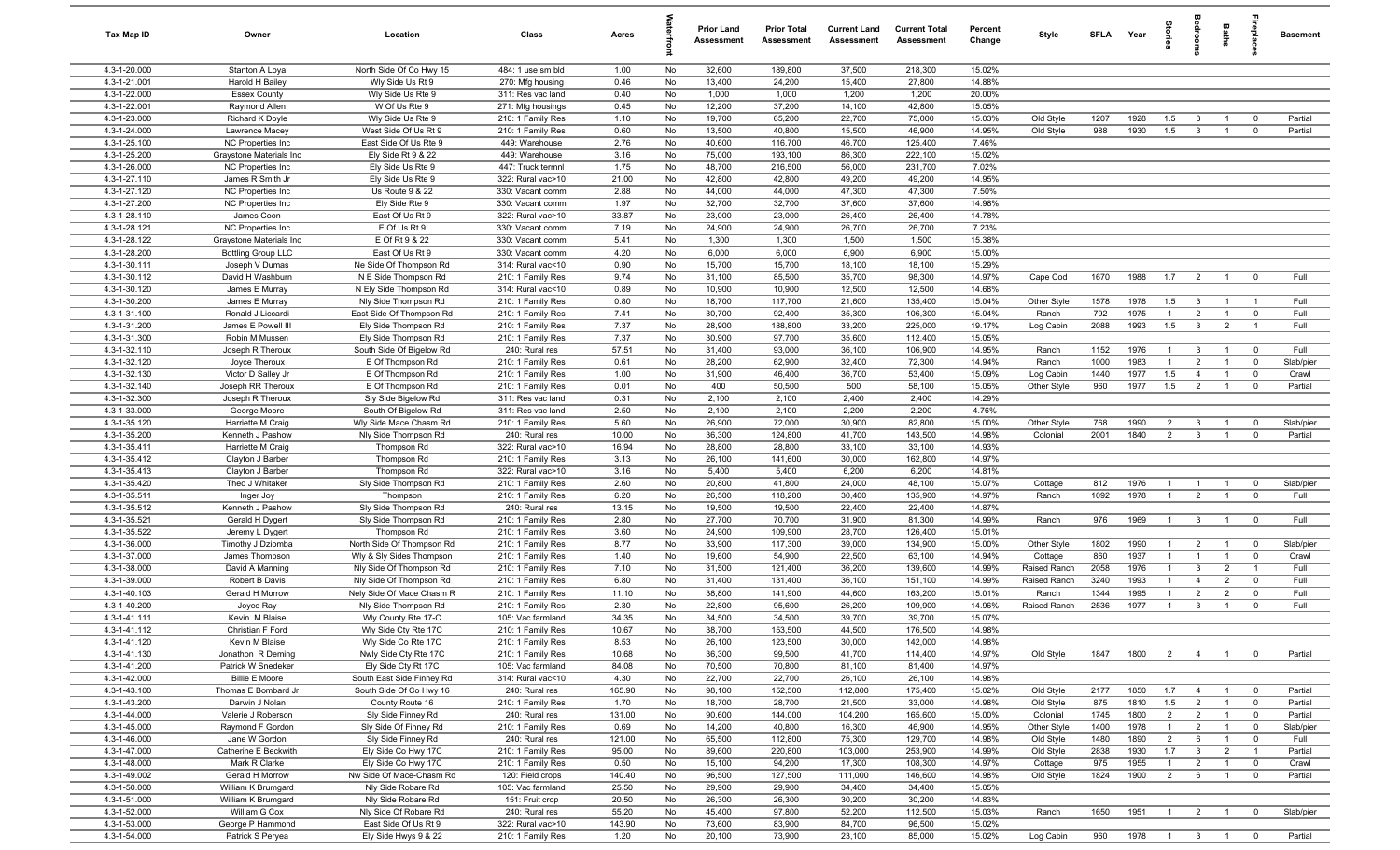| Tax Map ID                   | Owner                                        | Location                                         | Class                               | Acres          |          | <b>Prior Land</b><br>Assessment | <b>Prior Total</b><br>Assessment | <b>Current Land</b><br>Assessment | <b>Current Total</b><br><b>Assessment</b> | Percent<br>Change | Style                  | <b>SFLA</b> | Year         | $\overline{a}$ | å                                | Baths                          | -8                                     | <b>Basement</b>    |
|------------------------------|----------------------------------------------|--------------------------------------------------|-------------------------------------|----------------|----------|---------------------------------|----------------------------------|-----------------------------------|-------------------------------------------|-------------------|------------------------|-------------|--------------|----------------|----------------------------------|--------------------------------|----------------------------------------|--------------------|
| 4.3-1-20.000                 | Stanton A Loya                               | North Side Of Co Hwy 15                          | 484: 1 use sm bld                   | 1.00           | No       | 32,600                          | 189,800                          | 37,500                            | 218,300                                   | 15.02%            |                        |             |              |                |                                  |                                |                                        |                    |
| 4.3-1-21.001                 | Harold H Bailey                              | Wly Side Us Rt 9                                 | 270: Mfg housing                    | 0.46           | No       | 13,400                          | 24,200                           | 15,400                            | 27,800                                    | 14.88%            |                        |             |              |                |                                  |                                |                                        |                    |
| 4.3-1-22.000                 | <b>Essex County</b>                          | Wly Side Us Rte 9                                | 311: Res vac land                   | 0.40           | No       | 1,000                           | 1,000                            | 1,200                             | 1,200                                     | 20.00%            |                        |             |              |                |                                  |                                |                                        |                    |
| 4.3-1-22.001                 | Raymond Allen                                | W Of Us Rte 9                                    | 271: Mfg housings                   | 0.45           | No       | 12,200                          | 37,200                           | 14,100                            | 42,800                                    | 15.05%            |                        |             |              |                |                                  |                                |                                        |                    |
| 4.3-1-23.000                 | Richard K Doyle                              | Wly Side Us Rte 9                                | 210: 1 Family Res                   | 1.10           | No       | 19,700                          | 65,200                           | 22,700                            | 75,000                                    | 15.03%            | Old Style              | 1207        | 1928         | 1.5            | 3                                |                                | $\mathbf 0$                            | Partial            |
| 4.3-1-24.000                 | Lawrence Macey                               | West Side Of Us Rt 9                             | 210: 1 Family Res                   | 0.60           | No       | 13,500                          | 40,800                           | 15,500                            | 46,900                                    | 14.95%            | Old Style              | 988         | 1930         | 1.5            | $\mathbf{3}$                     | -1                             | $\mathbf 0$                            | Partial            |
| 4.3-1-25.100<br>4.3-1-25.200 | NC Properties Inc                            | East Side Of Us Rte 9                            | 449: Warehouse                      | 2.76<br>3.16   | No<br>No | 40,600                          | 116,700                          | 46,700                            | 125,400<br>222,100                        | 7.46%<br>15.02%   |                        |             |              |                |                                  |                                |                                        |                    |
| 4.3-1-26.000                 | Graystone Materials Inc<br>NC Properties Inc | Ely Side Rt 9 & 22<br>Ely Side Us Rte 9          | 449: Warehouse<br>447: Truck termnl | 1.75           | No       | 75,000<br>48,700                | 193,100<br>216,500               | 86,300<br>56,000                  | 231,700                                   | 7.02%             |                        |             |              |                |                                  |                                |                                        |                    |
| 4.3-1-27.110                 | James R Smith Jr                             | Ely Side Us Rte 9                                | 322: Rural vac>10                   | 21.00          | No       | 42,800                          | 42,800                           | 49,200                            | 49,200                                    | 14.95%            |                        |             |              |                |                                  |                                |                                        |                    |
| 4.3-1-27.120                 | NC Properties Inc                            | Us Route 9 & 22                                  | 330: Vacant comm                    | 2.88           | No       | 44,000                          | 44,000                           | 47,300                            | 47,300                                    | 7.50%             |                        |             |              |                |                                  |                                |                                        |                    |
| 4.3-1-27.200                 | NC Properties Inc                            | Ely Side Rte 9                                   | 330: Vacant comm                    | 1.97           | No       | 32,700                          | 32,700                           | 37,600                            | 37,600                                    | 14.98%            |                        |             |              |                |                                  |                                |                                        |                    |
| 4.3-1-28.110                 | James Coon                                   | East Of Us Rt 9                                  | 322: Rural vac>10                   | 33.87          | No       | 23,000                          | 23,000                           | 26,400                            | 26,400                                    | 14.78%            |                        |             |              |                |                                  |                                |                                        |                    |
| 4.3-1-28.121                 | NC Properties Inc                            | E Of Us Rt 9                                     | 330: Vacant comm                    | 7.19           | No       | 24,900                          | 24,900                           | 26,700                            | 26,700                                    | 7.23%             |                        |             |              |                |                                  |                                |                                        |                    |
| 4.3-1-28.122                 | Graystone Materials Inc                      | E Of Rt 9 & 22                                   | 330: Vacant comm                    | 5.41           | No       | 1,300                           | 1,300                            | 1,500                             | 1,500                                     | 15.38%            |                        |             |              |                |                                  |                                |                                        |                    |
| 4.3-1-28.200                 | <b>Bottling Group LLC</b>                    | East Of Us Rt 9                                  | 330: Vacant comm                    | 4.20           | No       | 6,000                           | 6,000                            | 6,900                             | 6,900                                     | 15.00%            |                        |             |              |                |                                  |                                |                                        |                    |
| 4.3-1-30.111                 | Joseph V Dumas                               | Ne Side Of Thompson Rd                           | 314: Rural vac<10                   | 0.90           | No       | 15,700                          | 15,700                           | 18,100                            | 18,100                                    | 15.29%            |                        |             |              |                |                                  |                                |                                        |                    |
| 4.3-1-30.112                 | David H Washburn                             | N E Side Thompson Rd                             | 210: 1 Family Res                   | 9.74           | No       | 31,100                          | 85,500                           | 35,700                            | 98,300                                    | 14.97%            | Cape Cod               | 1670        | 1988         | 1.7            | $\overline{2}$                   | $\overline{1}$                 | $\mathbf 0$                            | Full               |
| 4.3-1-30.120                 | James E Murray                               | N Ely Side Thompson Rd                           | 314: Rural vac<10                   | 0.89           | No       | 10,900                          | 10,900                           | 12,500                            | 12,500                                    | 14.68%            |                        |             |              |                |                                  |                                |                                        |                    |
| 4.3-1-30.200                 | James E Murray                               | Nly Side Thompson Rd                             | 210: 1 Family Res                   | 0.80           | No       | 18,700                          | 117,700                          | 21,600                            | 135,400                                   | 15.04%            | Other Style            | 1578        | 1978         | 1.5            | $\mathbf{3}$                     | $\overline{1}$                 | $\overline{1}$                         | Full               |
| 4.3-1-31.100                 | Ronald J Liccardi                            | East Side Of Thompson Rd                         | 210: 1 Family Res                   | 7.41           | No       | 30,700                          | 92,400                           | 35,300                            | 106,300                                   | 15.04%            | Ranch                  | 792         | 1975         | $\overline{1}$ | $\overline{2}$                   | $\overline{1}$                 | $\mathbf 0$                            | Full               |
| 4.3-1-31.200                 | James E Powell III                           | Ely Side Thompson Rd                             | 210: 1 Family Res                   | 7.37           | No       | 28,900                          | 188,800                          | 33,200                            | 225,000                                   | 19.17%            | Log Cabin              | 2088        | 1993         | 1.5            | $\mathbf{3}$                     | $\overline{2}$                 | $\overline{1}$                         | Full               |
| 4.3-1-31.300<br>4.3-1-32.110 | Robin M Mussen<br>Joseph R Theroux           | Ely Side Thompson Rd<br>South Side Of Bigelow Rd | 210: 1 Family Res<br>240: Rural res | 7.37<br>57.51  | No<br>No | 30,900<br>31,400                | 97,700<br>93,000                 | 35,600<br>36,100                  | 112,400<br>106,900                        | 15.05%<br>14.95%  | Ranch                  | 1152        | 1976         | $\overline{1}$ | 3                                | $\overline{1}$                 | $\overline{0}$                         | Full               |
| 4.3-1-32.120                 | Joyce Theroux                                | E Of Thompson Rd                                 | 210: 1 Family Res                   | 0.61           | No       | 28,200                          | 62,900                           | 32,400                            | 72,300                                    | 14.94%            | Ranch                  | 1000        | 1983         | $\mathbf{1}$   | $\overline{2}$                   | $\overline{1}$                 | $\mathbf 0$                            | Slab/pier          |
| 4.3-1-32.130                 | Victor D Salley Jr                           | E Of Thompson Rd                                 | 210: 1 Family Res                   | 1.00           | No       | 31,900                          | 46,400                           | 36,700                            | 53,400                                    | 15.09%            | Log Cabin              | 1440        | 1977         | 1.5            | $\overline{4}$                   | $\overline{1}$                 | $\mathbf 0$                            | Crawl              |
| 4.3-1-32.140                 | Joseph RR Theroux                            | E Of Thompson Rd                                 | 210: 1 Family Res                   | 0.01           | No       | 400                             | 50,500                           | 500                               | 58,100                                    | 15.05%            | Other Style            | 960         | 1977         | 1.5            | $\overline{2}$                   | $\overline{1}$                 | $\mathbf 0$                            | Partial            |
| 4.3-1-32.300                 | Joseph R Theroux                             | Sly Side Bigelow Rd                              | 311: Res vac land                   | 0.31           | No       | 2,100                           | 2,100                            | 2,400                             | 2,400                                     | 14.29%            |                        |             |              |                |                                  |                                |                                        |                    |
| 4.3-1-33.000                 | George Moore                                 | South Of Bigelow Rd                              | 311: Res vac land                   | 2.50           | No       | 2,100                           | 2,100                            | 2,200                             | 2,200                                     | 4.76%             |                        |             |              |                |                                  |                                |                                        |                    |
| 4.3-1-35.120                 | Harriette M Craig                            | Wly Side Mace Chasm Rd                           | 210: 1 Family Res                   | 5.60           | No       | 26,900                          | 72,000                           | 30,900                            | 82,800                                    | 15.00%            | Other Style            | 768         | 1990         | $\overline{2}$ | 3                                |                                | $\mathbf 0$                            | Slab/pier          |
| 4.3-1-35.200                 | Kenneth J Pashow                             | Nly Side Thompson Rd                             | 240: Rural res                      | 10.00          | No       | 36,300                          | 124,800                          | 41,700                            | 143,500                                   | 14.98%            | Colonial               | 2001        | 1840         | $\overline{2}$ | $\mathbf{3}$                     |                                | $\mathbf{0}$                           | Partial            |
| 4.3-1-35.411                 | Harriette M Craig                            | Thompson Rd                                      | 322: Rural vac>10                   | 16.94          | No       | 28,800                          | 28,800                           | 33,100                            | 33,100                                    | 14.93%            |                        |             |              |                |                                  |                                |                                        |                    |
| 4.3-1-35.412                 | Clayton J Barber                             | Thompson Rd                                      | 210: 1 Family Res                   | 3.13           | No       | 26,100                          | 141,600                          | 30,000                            | 162,800                                   | 14.97%            |                        |             |              |                |                                  |                                |                                        |                    |
| 4.3-1-35.413                 | Clayton J Barber                             | Thompson Rd                                      | 322: Rural vac>10                   | 3.16           | No       | 5,400                           | 5,400                            | 6,200                             | 6,200                                     | 14.81%            |                        |             |              |                |                                  |                                |                                        |                    |
| 4.3-1-35.420                 | Theo J Whitaker                              | Sly Side Thompson Rd                             | 210: 1 Family Res                   | 2.60           | No       | 20,800                          | 41,800                           | 24,000                            | 48,100                                    | 15.07%            | Cottage                | 812         | 1976         | $\overline{1}$ | $\overline{1}$                   | $\overline{1}$                 | $\mathbf{0}$                           | Slab/pier          |
| 4.3-1-35.511                 | Inger Joy                                    | Thompson                                         | 210: 1 Family Res                   | 6.20           | No       | 26,500                          | 118,200                          | 30,400                            | 135,900                                   | 14.97%            | Ranch                  | 1092        | 1978         | $\overline{1}$ | $\overline{2}$                   | $\overline{1}$                 | $\mathbf 0$                            | Full               |
| 4.3-1-35.512<br>4.3-1-35.521 | Kenneth J Pashow<br>Gerald H Dygert          | Sly Side Thompson Rd<br>Sly Side Thompson Rd     | 240: Rural res<br>210: 1 Family Res | 13.15<br>2.80  | No<br>No | 19,500<br>27,700                | 19,500<br>70,700                 | 22,400<br>31,900                  | 22,400<br>81,300                          | 14.87%<br>14.99%  | Ranch                  | 976         | 1969         | $\overline{1}$ | 3 <sup>3</sup>                   | $\overline{1}$                 | $\overline{0}$                         | Full               |
| 4.3-1-35.522                 | Jeremy L Dygert                              | Thompson Rd                                      | 210: 1 Family Res                   | 3.60           | No       | 24,900                          | 109,900                          | 28,700                            | 126,400                                   | 15.01%            |                        |             |              |                |                                  |                                |                                        |                    |
| 4.3-1-36.000                 | Timothy J Dziomba                            | North Side Of Thompson Rd                        | 210: 1 Family Res                   | 8.77           | No       | 33,900                          | 117,300                          | 39,000                            | 134,900                                   | 15.00%            | Other Style            | 1802        | 1990         | $\overline{1}$ | $\overline{2}$                   | $\mathbf{1}$                   | $\mathbf 0$                            | Slab/pier          |
| 4.3-1-37.000                 | James Thompson                               | Wly & Sly Sides Thompson                         | 210: 1 Family Res                   | 1.40           | No       | 19,600                          | 54,900                           | 22,500                            | 63,100                                    | 14.94%            | Cottage                | 860         | 1937         | $\overline{1}$ | $\overline{1}$                   | $\mathbf{1}$                   | $\overline{0}$                         | Crawl              |
| 4.3-1-38.000                 | David A Manning                              | Nly Side Of Thompson Rd                          | 210: 1 Family Res                   | 7.10           | No       | 31,500                          | 121,400                          | 36,200                            | 139,600                                   | 14.99%            | Raised Ranch           | 2058        | 1976         | $\overline{1}$ | $\mathbf{3}$                     | $\overline{2}$                 | $\overline{1}$                         | Full               |
| 4.3-1-39.000                 | Robert B Davis                               | Nly Side Of Thompson Rd                          | 210: 1 Family Res                   | 6.80           | No       | 31,400                          | 131,400                          | 36,100                            | 151,100                                   | 14.99%            | Raised Ranch           | 3240        | 1993         | $\overline{1}$ | $\overline{4}$                   | $\overline{2}$                 | $\Omega$                               | Full               |
| 4.3-1-40.103                 | Gerald H Morrow                              | Nely Side Of Mace Chasm R                        | 210: 1 Family Res                   | 11.10          | No       | 38,800                          | 141,900                          | 44,600                            | 163,200                                   | 15.01%            | Ranch                  | 1344        | 1995         | $\mathbf{1}$   | $\overline{2}$                   | $\overline{2}$                 | $\mathbf{0}$                           | Full               |
| 4.3-1-40.200                 | Joyce Ray                                    | Nly Side Thompson Rd                             | 210: 1 Family Res                   | 2.30           | No       | 22,800                          | 95,600                           | 26,200                            | 109,900                                   | 14.96%            | Raised Ranch           | 2536        | 1977         | $\overline{1}$ | $\mathbf{3}$                     | $\overline{1}$                 | $\mathbf{0}$                           | Full               |
| 4.3-1-41.111                 | Kevin M Blaise                               | Wly County Rte 17-C                              | 105: Vac farmland                   | 34.35          | No       | 34,500                          | 34,500                           | 39,700                            | 39,700                                    | 15.07%            |                        |             |              |                |                                  |                                |                                        |                    |
| 4.3-1-41.112                 | Christian F Ford                             | Wly Side Cty Rte 17C                             | 210: 1 Family Res                   | 10.67          | No       | 38,700                          | 153,500                          | 44,500                            | 176,500                                   | 14.98%            |                        |             |              |                |                                  |                                |                                        |                    |
| 4.3-1-41.120                 | Kevin M Blaise                               | Wly Side Co Rte 17C                              | 210: 1 Family Res                   | 8.53           | No       | 26,100                          | 123,500                          | 30,000                            | 142,000                                   | 14.98%            |                        |             |              |                |                                  |                                |                                        |                    |
| 4.3-1-41.130                 | Jonathon R Deming                            | Nwly Side Cty Rte 17C                            | 210: 1 Family Res                   | 10.68          | No       | 36,300                          | 99,500                           | 41,700                            | 114,400                                   | 14.97%            | Old Style              | 1847        | 1800         | 2              | $\overline{4}$                   | $\overline{1}$                 | $\mathbf{0}$                           | Partial            |
| 4.3-1-41.200                 | Patrick W Snedeker                           | Ely Side Cty Rt 17C                              | 105: Vac farmland                   | 84.08          | No       | 70,500                          | 70,800                           | 81,100                            | 81,400                                    | 14.97%            |                        |             |              |                |                                  |                                |                                        |                    |
| 4.3-1-42.000                 | <b>Billie E Moore</b>                        | South East Side Finney Rd                        | 314: Rural vac<10                   | 4.30           | No       | 22,700                          | 22,700                           | 26,100                            | 26,100                                    | 14.98%            |                        |             |              |                |                                  |                                |                                        |                    |
| 4.3-1-43.100<br>4.3-1-43.200 | Thomas E Bombard Jr<br>Darwin J Nolan        | South Side Of Co Hwy 16                          | 240: Rural res                      | 165.90<br>1.70 | No<br>No | 98,100<br>18,700                | 152,500<br>28,700                | 112,800<br>21,500                 | 175,400<br>33,000                         | 15.02%<br>14.98%  | Old Style<br>Old Style | 2177<br>875 | 1850<br>1810 | 1.7<br>1.5     | $\overline{4}$<br>$\overline{2}$ | $\overline{1}$<br>$\mathbf{1}$ | $\overline{\mathbf{0}}$<br>$\mathbf 0$ | Partial<br>Partial |
| 4.3-1-44.000                 | Valerie J Roberson                           | County Route 16<br>Sly Side Finney Rd            | 210: 1 Family Res<br>240: Rural res | 131.00         | No       | 90,600                          | 144,000                          | 104,200                           | 165,600                                   | 15.00%            | Colonial               | 1745        | 1800         | $\overline{2}$ | $\overline{2}$                   | - 1                            | $\mathbf 0$                            | Partial            |
| 4.3-1-45.000                 | Raymond F Gordon                             | Sly Side Of Finney Rd                            | 210: 1 Family Res                   | 0.69           | No       | 14,200                          | 40,800                           | 16,300                            | 46,900                                    | 14.95%            | Other Style            | 1400        | 1978         | $\overline{1}$ | $\overline{2}$                   | $\overline{1}$                 | $\overline{0}$                         | Slab/pier          |
| 4.3-1-46.000                 | Jane W Gordon                                | Sly Side Finney Rd                               | 240: Rural res                      | 121.00         | No       | 65,500                          | 112,800                          | 75,300                            | 129,700                                   | 14.98%            | Old Style              | 1480        | 1890         | $\overline{2}$ | 6                                |                                | $\mathbf 0$                            | Full               |
| 4.3-1-47.000                 | Catherine E Beckwith                         | Ely Side Co Hwy 17C                              | 210: 1 Family Res                   | 95.00          | No       | 89,600                          | 220,800                          | 103,000                           | 253,900                                   | 14.99%            | Old Style              | 2838        | 1930         | 1.7            | $\mathbf{3}$                     | $\overline{2}$                 | $\overline{1}$                         | Partial            |
| 4.3-1-48.000                 | Mark R Clarke                                | Ely Side Co Hwy 17C                              | 210: 1 Family Res                   | 0.50           | No       | 15,100                          | 94,200                           | 17,300                            | 108,300                                   | 14.97%            | Cottage                | 975         | 1955         | $\overline{1}$ | $\overline{2}$                   | $\overline{1}$                 | $\overline{0}$                         | Crawl              |
| 4.3-1-49.002                 | Gerald H Morrow                              | Nw Side Of Mace-Chasm Rd                         | 120: Field crops                    | 140.40         | No       | 96,500                          | 127,500                          | 111,000                           | 146,600                                   | 14.98%            | Old Style              | 1824        | 1900         | $\overline{2}$ | 6                                | $\overline{1}$                 | $\overline{\mathbf{0}}$                | Partial            |
| 4.3-1-50.000                 | William K Brumgard                           | Nly Side Robare Rd                               | 105: Vac farmland                   | 25.50          | No       | 29,900                          | 29,900                           | 34,400                            | 34,400                                    | 15.05%            |                        |             |              |                |                                  |                                |                                        |                    |
| 4.3-1-51.000                 | William K Brumgard                           | Nly Side Robare Rd                               | 151: Fruit crop                     | 20.50          | No       | 26,300                          | 26,300                           | 30,200                            | 30,200                                    | 14.83%            |                        |             |              |                |                                  |                                |                                        |                    |
| 4.3-1-52.000                 | William G Cox                                | Nly Side Of Robare Rd                            | 240: Rural res                      | 55.20          | No       | 45,400                          | 97,800                           | 52,200                            | 112,500                                   | 15.03%            | Ranch                  | 1650        | 1951         | $\overline{1}$ | $\overline{2}$                   | $\overline{1}$                 | $^{\circ}$                             | Slab/pier          |
| 4.3-1-53.000                 | George P Hammond                             | East Side Of Us Rt 9                             | 322: Rural vac>10                   | 143.90         | No       | 73,600                          | 83,900                           | 84,700                            | 96,500                                    | 15.02%            |                        |             |              |                |                                  |                                |                                        |                    |
| 4.3-1-54.000                 | Patrick S Peryea                             | Ely Side Hwys 9 & 22                             | 210: 1 Family Res                   | 1.20           | No       | 20,100                          | 73,900                           | 23,100                            | 85,000                                    | 15.02%            | Log Cabin              | 960         | 1978 1 3 1   |                |                                  |                                | $\overline{\mathbf{0}}$                | Partial            |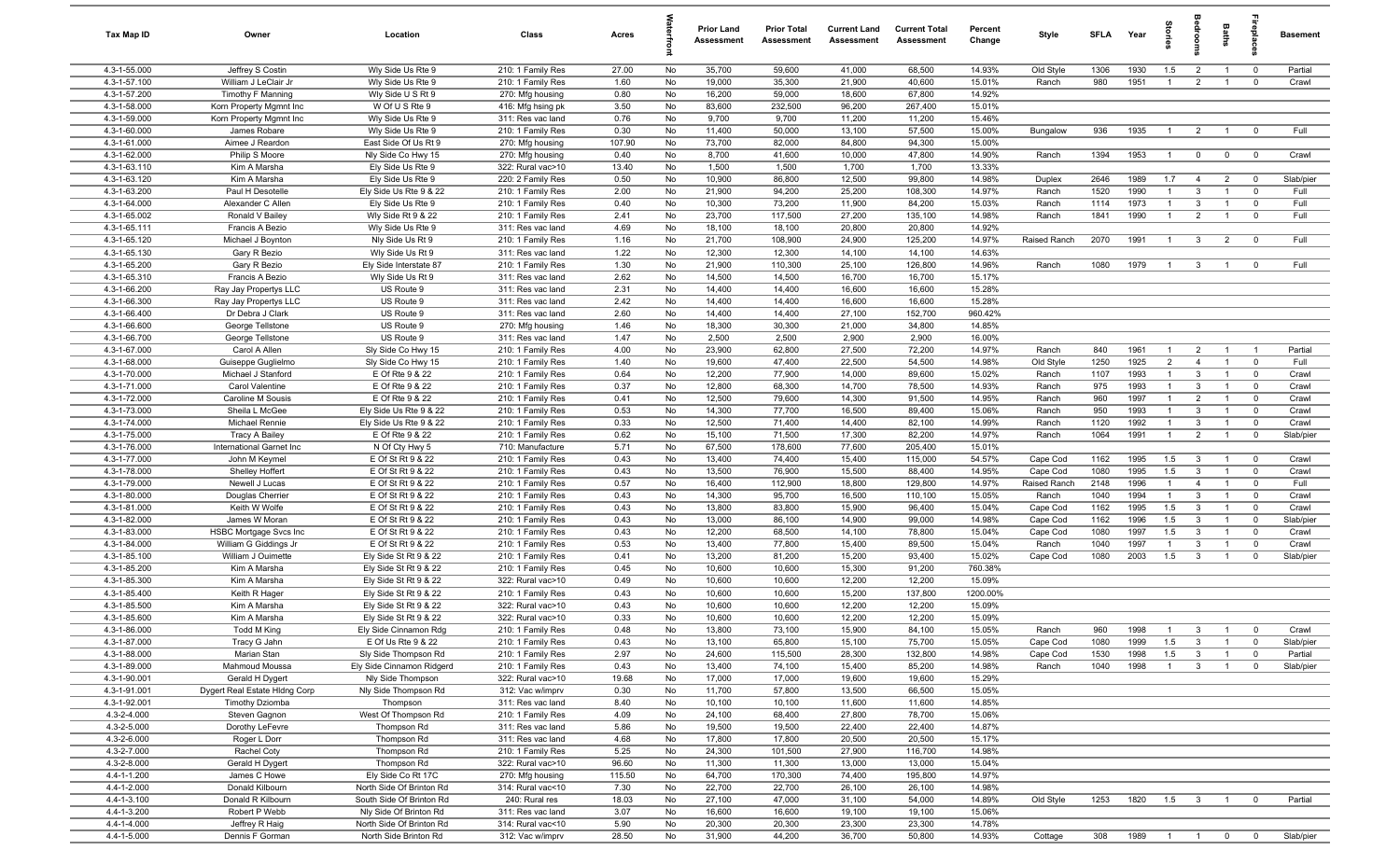| Tax Map ID                   | Owner                                            | Location                                   | Class                                  | Acres          |          | <b>Prior Land</b><br>Assessment | <b>Prior Total</b><br>Assessment | <b>Current Land</b><br>Assessment | <b>Current Total</b><br><b>Assessment</b> | Percent<br>Change | Style                | SFLA         | Year         | g                     | groo                    | Baths                            | -8                        | <b>Basement</b>    |
|------------------------------|--------------------------------------------------|--------------------------------------------|----------------------------------------|----------------|----------|---------------------------------|----------------------------------|-----------------------------------|-------------------------------------------|-------------------|----------------------|--------------|--------------|-----------------------|-------------------------|----------------------------------|---------------------------|--------------------|
| 4.3-1-55.000                 | Jeffrey S Costin                                 | Wly Side Us Rte 9                          | 210: 1 Family Res                      | 27.00          | No       | 35,700                          | 59,600                           | 41,000                            | 68,500                                    | 14.93%            | Old Style            | 1306         | 1930         | 1.5                   | $\overline{2}$          | $\overline{1}$                   | $\overline{0}$            | Partial            |
| 4.3-1-57.100                 | William J LeClair Jr                             | Wly Side Us Rte 9                          | 210: 1 Family Res                      | 1.60           | No       | 19,000                          | 35,300                           | 21,900                            | 40,600                                    | 15.01%            | Ranch                | 980          | 1951         | $\overline{1}$        | $\overline{2}$          | $\overline{1}$                   | $\mathbf 0$               | Crawl              |
| 4.3-1-57.200                 | Timothy F Manning                                | Wly Side U S Rt 9                          | 270: Mfg housing                       | 0.80           | No       | 16,200                          | 59,000                           | 18,600                            | 67,800                                    | 14.92%            |                      |              |              |                       |                         |                                  |                           |                    |
| 4.3-1-58.000                 | Korn Property Mgmnt Inc                          | W Of U S Rte 9                             | 416: Mfg hsing pk                      | 3.50           | No       | 83,600                          | 232,500                          | 96,200                            | 267,400                                   | 15.01%            |                      |              |              |                       |                         |                                  |                           |                    |
| 4.3-1-59.000                 | Korn Property Mgmnt Inc                          | Wly Side Us Rte 9                          | 311: Res vac land                      | 0.76           | No       | 9,700                           | 9,700                            | 11,200                            | 11,200                                    | 15.46%            |                      |              |              |                       |                         |                                  |                           |                    |
| 4.3-1-60.000<br>4.3-1-61.000 | James Robare                                     | Wly Side Us Rte 9                          | 210: 1 Family Res                      | 0.30           | No       | 11,400<br>73,700                | 50,000                           | 13,100<br>84,800                  | 57,500<br>94,300                          | 15.00%<br>15.00%  | Bungalow             | 936          | 1935         | $\overline{1}$        | $\overline{2}$          | $\overline{1}$                   | $^{\circ}$                | Full               |
| 4.3-1-62.000                 | Aimee J Reardon<br>Philip S Moore                | East Side Of Us Rt 9<br>Nly Side Co Hwy 15 | 270: Mfg housing<br>270: Mfg housing   | 107.90<br>0.40 | No<br>No | 8,700                           | 82,000<br>41,600                 | 10,000                            | 47,800                                    | 14.90%            | Ranch                | 1394         | 1953         | $\overline{1}$        | $\mathbf 0$             | $\mathbf 0$                      | $\overline{\mathbf{0}}$   | Crawl              |
| 4.3-1-63.110                 | Kim A Marsha                                     | Ely Side Us Rte 9                          | 322: Rural vac>10                      | 13.40          | No       | 1,500                           | 1,500                            | 1,700                             | 1,700                                     | 13.33%            |                      |              |              |                       |                         |                                  |                           |                    |
| 4.3-1-63.120                 | Kim A Marsha                                     | Ely Side Us Rte 9                          | 220: 2 Family Res                      | 0.50           | No       | 10,900                          | 86,800                           | 12,500                            | 99,800                                    | 14.98%            | Duplex               | 2646         | 1989         | 1.7                   | $\overline{4}$          | $\overline{2}$                   | $\mathbf 0$               | Slab/pier          |
| 4.3-1-63.200                 | Paul H Desotelle                                 | Ely Side Us Rte 9 & 22                     | 210: 1 Family Res                      | 2.00           | No       | 21,900                          | 94,200                           | 25,200                            | 108,300                                   | 14.97%            | Ranch                | 1520         | 1990         | $\mathbf{1}$          | 3                       | $\overline{1}$                   | $^{\circ}$                | Full               |
| 4.3-1-64.000                 | Alexander C Allen                                | Ely Side Us Rte 9                          | 210: 1 Family Res                      | 0.40           | No       | 10,300                          | 73,200                           | 11,900                            | 84,200                                    | 15.03%            | Ranch                | 1114         | 1973         | $\overline{1}$        | 3                       | $\overline{1}$                   | $\mathbf 0$               | Full               |
| 4.3-1-65.002                 | Ronald V Bailey                                  | Wly Side Rt 9 & 22                         | 210: 1 Family Res                      | 2.41           | No       | 23,700                          | 117,500                          | 27,200                            | 135,100                                   | 14.98%            | Ranch                | 1841         | 1990         | $\overline{1}$        | $\overline{2}$          | $\overline{1}$                   | $^{\circ}$                | Full               |
| 4.3-1-65.111                 | Francis A Bezio                                  | Wly Side Us Rte 9                          | 311: Res vac land                      | 4.69           | No       | 18,100                          | 18,100                           | 20,800                            | 20,800                                    | 14.92%            |                      |              |              |                       |                         |                                  |                           |                    |
| 4.3-1-65.120                 | Michael J Boynton                                | Nly Side Us Rt 9                           | 210: 1 Family Res                      | 1.16           | No       | 21,700                          | 108,900                          | 24,900                            | 125,200                                   | 14.97%            | Raised Ranch         | 2070         | 1991         | $\overline{1}$        | $\mathbf{3}$            | $\overline{2}$                   | $\overline{0}$            | Full               |
| 4.3-1-65.130                 | Gary R Bezio                                     | Wly Side Us Rt 9                           | 311: Res vac land                      | 1.22           | No       | 12,300                          | 12,300                           | 14,100                            | 14,100                                    | 14.63%            |                      |              |              |                       |                         |                                  |                           |                    |
| 4.3-1-65.200                 | Gary R Bezio                                     | Ely Side Interstate 87                     | 210: 1 Family Res                      | 1.30           | No       | 21,900                          | 110,300                          | 25,100                            | 126,800                                   | 14.96%            | Ranch                | 1080         | 1979         | $\overline{1}$        | 3                       | $\overline{1}$                   | $^{\circ}$                | Full               |
| 4.3-1-65.310                 | Francis A Bezio                                  | Wly Side Us Rt 9                           | 311: Res vac land                      | 2.62           | No       | 14,500                          | 14,500                           | 16,700                            | 16,700                                    | 15.17%            |                      |              |              |                       |                         |                                  |                           |                    |
| 4.3-1-66.200                 | Ray Jay Propertys LLC                            | US Route 9                                 | 311: Res vac land                      | 2.31           | No       | 14,400                          | 14,400                           | 16,600                            | 16,600                                    | 15.28%            |                      |              |              |                       |                         |                                  |                           |                    |
| 4.3-1-66.300                 | Ray Jay Propertys LLC                            | US Route 9                                 | 311: Res vac land                      | 2.42           | No       | 14,400                          | 14,400                           | 16,600                            | 16,600                                    | 15.28%            |                      |              |              |                       |                         |                                  |                           |                    |
| 4.3-1-66.400<br>4.3-1-66.600 | Dr Debra J Clark<br>George Tellstone             | US Route 9                                 | 311: Res vac land                      | 2.60           | No       | 14,400                          | 14,400                           | 27,100                            | 152,700                                   | 960.42%<br>14.85% |                      |              |              |                       |                         |                                  |                           |                    |
| 4.3-1-66.700                 | George Tellstone                                 | US Route 9<br>US Route 9                   | 270: Mfg housing<br>311: Res vac land  | 1.46<br>1.47   | No<br>No | 18,300<br>2,500                 | 30,300<br>2,500                  | 21,000<br>2,900                   | 34,800<br>2,900                           | 16.00%            |                      |              |              |                       |                         |                                  |                           |                    |
| 4.3-1-67.000                 | Carol A Allen                                    | Sly Side Co Hwy 15                         | 210: 1 Family Res                      | 4.00           | No       | 23,900                          | 62,800                           | 27,500                            | 72,200                                    | 14.97%            | Ranch                | 840          | 1961         | $\overline{1}$        | $\overline{2}$          | $\overline{1}$                   |                           | Partial            |
| 4.3-1-68.000                 | Guiseppe Guglielmo                               | Sly Side Co Hwy 15                         | 210: 1 Family Res                      | 1.40           | No       | 19,600                          | 47,400                           | 22,500                            | 54,500                                    | 14.98%            | Old Style            | 1250         | 1925         | $\overline{2}$        | $\overline{4}$          | $\overline{1}$                   | $\overline{0}$            | Full               |
| 4.3-1-70.000                 | Michael J Stanford                               | E Of Rte 9 & 22                            | 210: 1 Family Res                      | 0.64           | No       | 12,200                          | 77,900                           | 14,000                            | 89,600                                    | 15.02%            | Ranch                | 1107         | 1993         | $\overline{1}$        | 3                       | $\overline{1}$                   | $^{\circ}$                | Crawl              |
| 4.3-1-71.000                 | Carol Valentine                                  | E Of Rte 9 & 22                            | 210: 1 Family Res                      | 0.37           | No       | 12,800                          | 68,300                           | 14,700                            | 78,500                                    | 14.93%            | Ranch                | 975          | 1993         | $\overline{1}$        | $\mathbf{3}$            | $\overline{1}$                   | $\mathbf 0$               | Crawl              |
| 4.3-1-72.000                 | Caroline M Sousis                                | E Of Rte 9 & 22                            | 210: 1 Family Res                      | 0.41           | No       | 12,500                          | 79,600                           | 14,300                            | 91,500                                    | 14.95%            | Ranch                | 960          | 1997         | $\overline{1}$        | $\overline{2}$          | $\overline{\mathbf{1}}$          | $\mathbf 0$               | Crawl              |
| 4.3-1-73.000                 | Sheila L McGee                                   | Ely Side Us Rte 9 & 22                     | 210: 1 Family Res                      | 0.53           | No       | 14,300                          | 77,700                           | 16,500                            | 89,400                                    | 15.06%            | Ranch                | 950          | 1993         | $\overline{1}$        | 3                       | $\overline{1}$                   | $\mathbf 0$               | Crawl              |
| 4.3-1-74.000                 | Michael Rennie                                   | Ely Side Us Rte 9 & 22                     | 210: 1 Family Res                      | 0.33           | No       | 12,500                          | 71,400                           | 14,400                            | 82,100                                    | 14.99%            | Ranch                | 1120         | 1992         | $\mathbf{1}$          | 3                       | - 1                              | $\mathbf 0$               | Crawl              |
| 4.3-1-75.000                 | <b>Tracy A Bailey</b>                            | E Of Rte 9 & 22                            | 210: 1 Family Res                      | 0.62           | No       | 15,100                          | 71,500                           | 17,300                            | 82,200                                    | 14.97%            | Ranch                | 1064         | 1991         | $\overline{1}$        | $\overline{2}$          | $\overline{1}$                   | $\mathbf 0$               | Slab/pier          |
| 4.3-1-76.000                 | International Garnet Inc                         | N Of Cty Hwy 5                             | 710: Manufacture                       | 5.71           | No       | 67,500                          | 178,600                          | 77,600                            | 205,400                                   | 15.01%            |                      |              |              |                       |                         |                                  |                           |                    |
| 4.3-1-77.000                 | John M Keymel                                    | E Of St Rt 9 & 22                          | 210: 1 Family Res                      | 0.43           | No       | 13,400                          | 74,400                           | 15,400                            | 115,000                                   | 54.57%            | Cape Cod             | 1162         | 1995         | 1.5                   | 3                       | $\overline{1}$                   | $\mathbf 0$               | Crawl              |
| 4.3-1-78.000                 | Shelley Hoffert                                  | E Of St Rt 9 & 22                          | 210: 1 Family Res                      | 0.43           | No       | 13,500                          | 76,900                           | 15,500                            | 88,400                                    | 14.95%            | Cape Cod             | 1080         | 1995         | 1.5                   | $\mathbf{3}$            | $\overline{1}$                   | $\mathbf 0$               | Crawl              |
| 4.3-1-79.000                 | Newell J Lucas                                   | E Of St Rt 9 & 22                          | 210: 1 Family Res                      | 0.57           | No       | 16,400                          | 112,900                          | 18,800                            | 129,800                                   | 14.97%            | Raised Ranch         | 2148         | 1996         | $\overline{1}$        | $\overline{4}$          | $\overline{1}$                   | $\mathbf 0$               | Full               |
| 4.3-1-80.000<br>4.3-1-81.000 | Douglas Cherrier<br>Keith W Wolfe                | E Of St Rt 9 & 22<br>E Of St Rt 9 & 22     | 210: 1 Family Res                      | 0.43           | No       | 14,300<br>13,800                | 95,700<br>83,800                 | 16,500                            | 110,100<br>96,400                         | 15.05%<br>15.04%  | Ranch                | 1040<br>1162 | 1994<br>1995 | $\overline{1}$<br>1.5 | 3<br>3                  | $\overline{1}$<br>$\overline{1}$ | $\mathbf 0$<br>$^{\circ}$ | Crawl              |
| 4.3-1-82.000                 | James W Moran                                    | E Of St Rt 9 & 22                          | 210: 1 Family Res<br>210: 1 Family Res | 0.43<br>0.43   | No<br>No | 13,000                          | 86,100                           | 15,900<br>14,900                  | 99,000                                    | 14.98%            | Cape Cod<br>Cape Cod | 1162         | 1996         | 1.5                   | $\mathbf{3}$            | $\overline{1}$                   | $\mathbf 0$               | Crawl<br>Slab/pier |
| 4.3-1-83.000                 | <b>HSBC Mortgage Svcs Inc.</b>                   | E Of St Rt 9 & 22                          | 210: 1 Family Res                      | 0.43           | No       | 12,200                          | 68,500                           | 14,100                            | 78,800                                    | 15.04%            | Cape Cod             | 1080         | 1997         | 1.5                   | 3                       | $\overline{1}$                   | $\mathbf 0$               | Crawl              |
| 4.3-1-84.000                 | William G Giddings Jr                            | E Of St Rt 9 & 22                          | 210: 1 Family Res                      | 0.53           | No       | 13,400                          | 77,800                           | 15,400                            | 89,500                                    | 15.04%            | Ranch                | 1040         | 1997         | $\overline{1}$        | 3                       | $\overline{1}$                   | $\mathbf 0$               | Crawl              |
| 4.3-1-85.100                 | William J Ouimette                               | Ely Side St Rt 9 & 22                      | 210: 1 Family Res                      | 0.41           | No       | 13,200                          | 81,200                           | 15,200                            | 93,400                                    | 15.02%            | Cape Cod             | 1080         | 2003         | 1.5                   | 3                       |                                  | $\mathbf 0$               | Slab/pier          |
| 4.3-1-85.200                 | Kim A Marsha                                     | Ely Side St Rt 9 & 22                      | 210: 1 Family Res                      | 0.45           | No       | 10,600                          | 10,600                           | 15,300                            | 91,200                                    | 760.38%           |                      |              |              |                       |                         |                                  |                           |                    |
| 4.3-1-85.300                 | Kim A Marsha                                     | Ely Side St Rt 9 & 22                      | 322: Rural vac>10                      | 0.49           | No       | 10,600                          | 10,600                           | 12,200                            | 12,200                                    | 15.09%            |                      |              |              |                       |                         |                                  |                           |                    |
| 4.3-1-85.400                 | Keith R Hager                                    | Ely Side St Rt 9 & 22                      | 210: 1 Family Res                      | 0.43           | No       | 10,600                          | 10,600                           | 15,200                            | 137,800                                   | 1200.00%          |                      |              |              |                       |                         |                                  |                           |                    |
| 4.3-1-85.500                 | Kim A Marsha                                     | Ely Side St Rt 9 & 22                      | 322: Rural vac>10                      | 0.43           | No       | 10,600                          | 10,600                           | 12,200                            | 12,200                                    | 15.09%            |                      |              |              |                       |                         |                                  |                           |                    |
| 4.3-1-85.600                 | Kim A Marsha                                     | Ely Side St Rt 9 & 22                      | 322: Rural vac>10                      | 0.33           | No       | 10,600                          | 10,600                           | 12,200                            | 12,200                                    | 15.09%            |                      |              |              |                       |                         |                                  |                           |                    |
| 4.3-1-86.000                 | Todd M King                                      | Ely Side Cinnamon Rdg                      | 210: 1 Family Res                      | 0.48           | No       | 13,800                          | 73,100                           | 15,900                            | 84,100                                    | 15.05%            | Ranch                | 960          | 1998         |                       |                         |                                  |                           | Crawl              |
| 4.3-1-87.000                 | Tracy G Jahn                                     | E Of Us Rte 9 & 22                         | 210: 1 Family Res                      | 0.43           | No       | 13,100                          | 65,800                           | 15,100                            | 75,700                                    | 15.05%            | Cape Cod             | 1080         | 1999         | 1.5                   | $\mathbf{3}$            | $\overline{1}$                   | $\mathbf 0$               | Slab/pier          |
| 4.3-1-88.000                 | Marian Stan                                      | Sly Side Thompson Rd                       | 210: 1 Family Res                      | 2.97           | No       | 24,600                          | 115,500                          | 28,300                            | 132,800                                   | 14.98%            | Cape Cod             | 1530         | 1998         | 1.5                   | $\mathbf{3}$            | $\overline{1}$                   | $\mathbf 0$               | Partial            |
| 4.3-1-89.000                 | Mahmoud Moussa                                   | Ely Side Cinnamon Ridgerd                  | 210: 1 Family Res                      | 0.43           | No       | 13,400                          | 74,100                           | 15,400                            | 85,200                                    | 14.98%            | Ranch                | 1040         | 1998         | $\overline{1}$        | $\mathbf{3}$            | $\overline{1}$                   | $\mathbf 0$               | Slab/pier          |
| 4.3-1-90.001<br>4.3-1-91.001 | Gerald H Dygert<br>Dygert Real Estate Hidng Corp | Nly Side Thompson<br>Nly Side Thompson Rd  | 322: Rural vac>10<br>312: Vac w/imprv  | 19.68<br>0.30  | No<br>No | 17,000<br>11,700                | 17,000<br>57,800                 | 19,600<br>13,500                  | 19,600<br>66,500                          | 15.29%<br>15.05%  |                      |              |              |                       |                         |                                  |                           |                    |
| 4.3-1-92.001                 | <b>Timothy Dziomba</b>                           | Thompson                                   | 311: Res vac land                      | 8.40           | No       | 10,100                          | 10,100                           | 11,600                            | 11,600                                    | 14.85%            |                      |              |              |                       |                         |                                  |                           |                    |
| 4.3-2-4.000                  | Steven Gagnon                                    | West Of Thompson Rd                        | 210: 1 Family Res                      | 4.09           | No       | 24,100                          | 68,400                           | 27,800                            | 78,700                                    | 15.06%            |                      |              |              |                       |                         |                                  |                           |                    |
| 4.3-2-5.000                  | Dorothy LeFevre                                  | Thompson Rd                                | 311: Res vac land                      | 5.86           | No       | 19,500                          | 19,500                           | 22,400                            | 22,400                                    | 14.87%            |                      |              |              |                       |                         |                                  |                           |                    |
| 4.3-2-6.000                  | Roger L Dorr                                     | Thompson Rd                                | 311: Res vac land                      | 4.68           | No       | 17,800                          | 17,800                           | 20,500                            | 20,500                                    | 15.17%            |                      |              |              |                       |                         |                                  |                           |                    |
| 4.3-2-7.000                  | Rachel Coty                                      | Thompson Rd                                | 210: 1 Family Res                      | 5.25           | No       | 24,300                          | 101,500                          | 27,900                            | 116,700                                   | 14.98%            |                      |              |              |                       |                         |                                  |                           |                    |
| 4.3-2-8.000                  | Gerald H Dygert                                  | Thompson Rd                                | 322: Rural vac>10                      | 96.60          | No       | 11,300                          | 11,300                           | 13,000                            | 13,000                                    | 15.04%            |                      |              |              |                       |                         |                                  |                           |                    |
| 4.4-1-1.200                  | James C Howe                                     | Ely Side Co Rt 17C                         | 270: Mfg housing                       | 115.50         | No       | 64,700                          | 170,300                          | 74,400                            | 195,800                                   | 14.97%            |                      |              |              |                       |                         |                                  |                           |                    |
| 4.4-1-2.000                  | Donald Kilbourn                                  | North Side Of Brinton Rd                   | 314: Rural vac<10                      | 7.30           | No       | 22,700                          | 22,700                           | 26,100                            | 26,100                                    | 14.98%            |                      |              |              |                       |                         |                                  |                           |                    |
| 4.4-1-3.100                  | Donald R Kilbourn                                | South Side Of Brinton Rd                   | 240: Rural res                         | 18.03          | No       | 27,100                          | 47,000                           | 31,100                            | 54,000                                    | 14.89%            | Old Style            | 1253         | 1820         | 1.5                   | $\overline{\mathbf{3}}$ | $\overline{1}$                   | $\mathbf 0$               | Partial            |
| 4.4-1-3.200                  | Robert P Webb                                    | Nly Side Of Brinton Rd                     | 311: Res vac land                      | 3.07           | No       | 16,600                          | 16,600                           | 19,100                            | 19,100                                    | 15.06%            |                      |              |              |                       |                         |                                  |                           |                    |
| 4.4-1-4.000                  | Jeffrey R Haig                                   | North Side Of Brinton Rd                   | 314: Rural vac<10                      | 5.90           | No       | 20,300                          | 20,300                           | 23,300                            | 23,300                                    | 14.78%            |                      |              |              |                       |                         |                                  |                           |                    |
| 4.4-1-5.000                  | Dennis F Gorman                                  | North Side Brinton Rd                      | 312: Vac w/imprv                       | 28.50          | No       | 31,900                          | 44,200                           | 36,700                            | 50,800                                    | 14.93%            | Cottage              | 308          | 1989 1 1 0 0 |                       |                         |                                  |                           | Slab/pier          |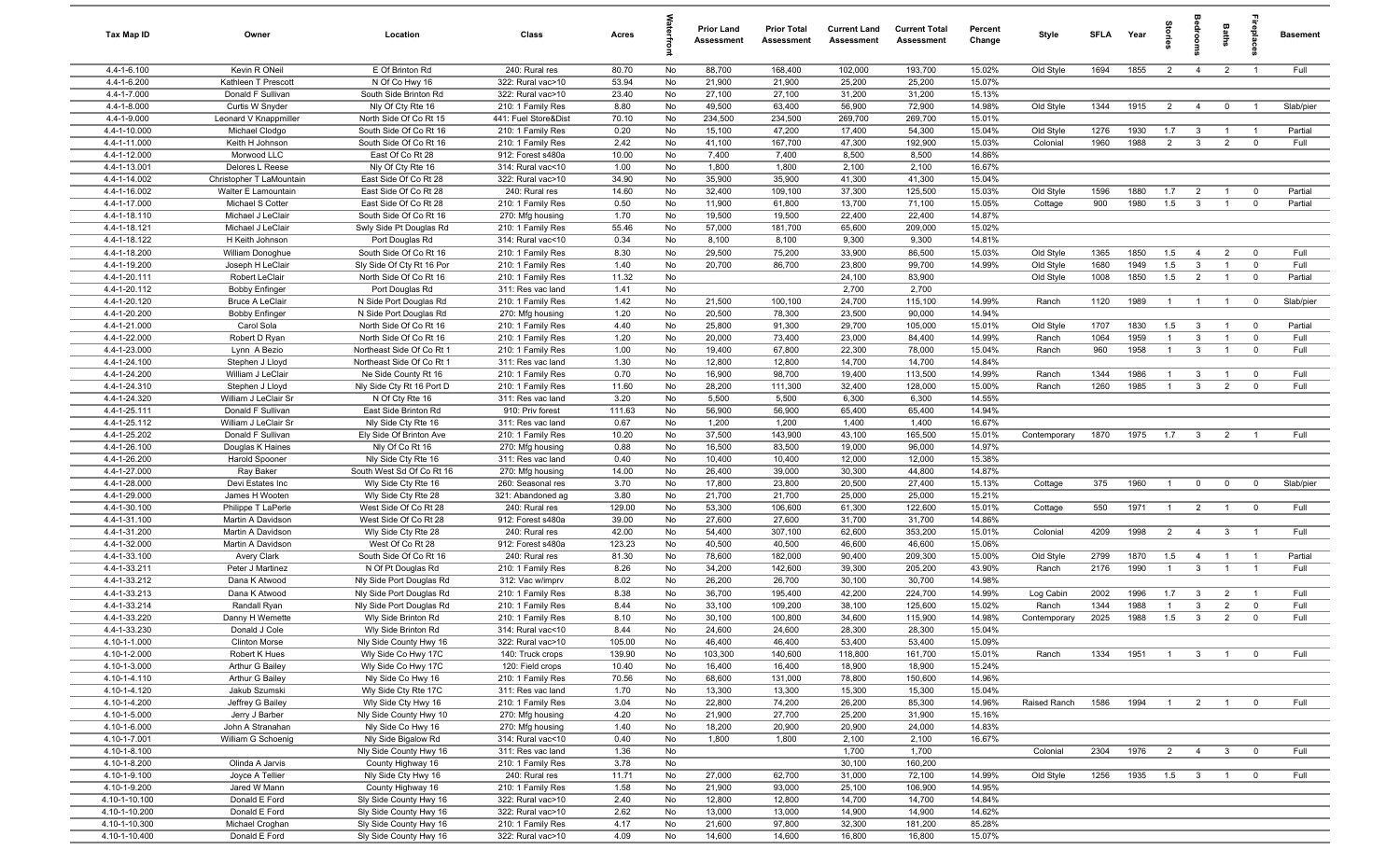| Tax Map ID                   | Owner                                          | Location                                            | Class                                     | Acres         |          | <b>Prior Land</b><br>Assessment | <b>Prior Total</b><br>Assessment | <b>Current Land</b><br>Assessment | <b>Current Total</b><br>Assessment | Percent<br>Change | Style        | <b>SFLA</b>  | Year         | ā                     |                         | Baths                            | repla                                              | <b>Basement</b> |
|------------------------------|------------------------------------------------|-----------------------------------------------------|-------------------------------------------|---------------|----------|---------------------------------|----------------------------------|-----------------------------------|------------------------------------|-------------------|--------------|--------------|--------------|-----------------------|-------------------------|----------------------------------|----------------------------------------------------|-----------------|
| 4.4-1-6.100                  | Kevin R ONeil                                  | E Of Brinton Rd                                     | 240: Rural res                            | 80.70         | No       | 88,700                          | 168,400                          | 102,000                           | 193,700                            | 15.02%            | Old Style    | 1694         | 1855         | $\overline{2}$        | $\overline{4}$          | $\overline{2}$                   |                                                    | Full            |
| 4.4-1-6.200                  | Kathleen T Prescott                            | N Of Co Hwy 16                                      | 322: Rural vac>10                         | 53.94         | No       | 21,900                          | 21,900                           | 25,200                            | 25,200                             | 15.07%            |              |              |              |                       |                         |                                  |                                                    |                 |
| 4.4-1-7.000                  | Donald F Sullivan                              | South Side Brinton Rd                               | 322: Rural vac>10                         | 23.40         | No       | 27,100                          | 27,100                           | 31,200                            | 31,200                             | 15.13%            |              |              |              |                       |                         |                                  |                                                    |                 |
| 4.4-1-8.000<br>4.4-1-9.000   | Curtis W Snyder                                | Nly Of Cty Rte 16                                   | 210: 1 Family Res                         | 8.80          | No       | 49,500                          | 63,400                           | 56,900                            | 72,900                             | 14.98%<br>15.01%  | Old Style    | 1344         | 1915         | $\overline{2}$        | $\overline{4}$          | $\mathbf{0}$                     |                                                    | Slab/pier       |
| 4.4-1-10.000                 | Leonard V Knappmiller<br>Michael Clodgo        | North Side Of Co Rt 15<br>South Side Of Co Rt 16    | 441: Fuel Store&Dist<br>210: 1 Family Res | 70.10<br>0.20 | No<br>No | 234,500<br>15,100               | 234,500<br>47,200                | 269,700<br>17,400                 | 269,700<br>54,300                  | 15.04%            | Old Style    | 1276         | 1930         | 1.7                   | $\mathbf{3}$            | $\overline{1}$                   |                                                    | Partial         |
| 4.4-1-11.000                 | Keith H Johnson                                | South Side Of Co Rt 16                              | 210: 1 Family Res                         | 2.42          | No       | 41,100                          | 167,700                          | 47,300                            | 192,900                            | 15.03%            | Colonial     | 1960         | 1988         | $\overline{2}$        | $\mathbf{3}$            | $\overline{2}$                   | $\mathbf 0$                                        | Full            |
| 4.4-1-12.000                 | Morwood LLC                                    | East Of Co Rt 28                                    | 912: Forest s480a                         | 10.00         | No       | 7,400                           | 7,400                            | 8,500                             | 8,500                              | 14.86%            |              |              |              |                       |                         |                                  |                                                    |                 |
| 4.4-1-13.001                 | Delores L Reese                                | Nly Of Cty Rte 16                                   | 314: Rural vac<10                         | 1.00          | No       | 1,800                           | 1,800                            | 2,100                             | 2,100                              | 16.67%            |              |              |              |                       |                         |                                  |                                                    |                 |
| 4.4-1-14.002                 | Christopher T LaMountain                       | East Side Of Co Rt 28                               | 322: Rural vac>10                         | 34.90         | No       | 35,900                          | 35,900                           | 41,300                            | 41,300                             | 15.04%            |              |              |              |                       |                         |                                  |                                                    |                 |
| 4.4-1-16.002                 | Walter E Lamountain                            | East Side Of Co Rt 28                               | 240: Rural res                            | 14.60         | No       | 32,400                          | 109,100                          | 37,300                            | 125,500                            | 15.03%            | Old Style    | 1596         | 1880         | 1.7                   | $\overline{2}$          | $\overline{1}$                   | $\mathbf{0}$                                       | Partial         |
| 4.4-1-17.000                 | Michael S Cotter                               | East Side Of Co Rt 28                               | 210: 1 Family Res                         | 0.50          | No       | 11,900                          | 61,800                           | 13,700                            | 71,100                             | 15.05%            | Cottage      | 900          | 1980         | 1.5                   | $\mathbf{3}$            | $\overline{1}$                   | $\mathbf{0}$                                       | Partial         |
| 4.4-1-18.110                 | Michael J LeClair                              | South Side Of Co Rt 16                              | 270: Mfg housing                          | 1.70          | No       | 19,500                          | 19,500                           | 22,400                            | 22,400                             | 14.87%            |              |              |              |                       |                         |                                  |                                                    |                 |
| 4.4-1-18.121                 | Michael J LeClair                              | Swly Side Pt Douglas Rd                             | 210: 1 Family Res                         | 55.46         | No       | 57,000                          | 181,700                          | 65,600                            | 209,000                            | 15.02%            |              |              |              |                       |                         |                                  |                                                    |                 |
| 4.4-1-18.122                 | H Keith Johnson                                | Port Douglas Rd                                     | 314: Rural vac<10                         | 0.34          | No       | 8,100                           | 8,100                            | 9,300                             | 9,300                              | 14.81%            |              |              |              |                       |                         |                                  |                                                    |                 |
| 4.4-1-18.200                 | William Donoghue                               | South Side Of Co Rt 16                              | 210: 1 Family Res                         | 8.30          | No       | 29,500                          | 75,200                           | 33,900                            | 86,500                             | 15.03%            | Old Style    | 1365         | 1850         | 1.5                   | $\overline{4}$          | $\overline{2}$                   | $\mathbf{0}$                                       | Full            |
| 4.4-1-19.200<br>4.4-1-20.111 | Joseph H LeClair                               | Sly Side Of Cty Rt 16 Por<br>North Side Of Co Rt 16 | 210: 1 Family Res                         | 1.40<br>11.32 | No       | 20,700                          | 86,700                           | 23,800                            | 99,700                             | 14.99%            | Old Style    | 1680         | 1949<br>1850 | 1.5                   | $\mathbf{3}$            | $\overline{1}$<br>$\overline{1}$ | $\mathbf 0$                                        | Full<br>Partial |
| 4.4-1-20.112                 | <b>Robert LeClair</b><br><b>Bobby Enfinger</b> | Port Douglas Rd                                     | 210: 1 Family Res<br>311: Res vac land    | 1.41          | No<br>No |                                 |                                  | 24,100<br>2,700                   | 83,900<br>2,700                    |                   | Old Style    | 1008         |              | 1.5                   | $\overline{2}$          |                                  | $\overline{\mathbf{0}}$                            |                 |
| 4.4-1-20.120                 | <b>Bruce A LeClair</b>                         | N Side Port Douglas Rd                              | 210: 1 Family Res                         | 1.42          | No       | 21,500                          | 100,100                          | 24,700                            | 115,100                            | 14.99%            | Ranch        | 1120         | 1989         | $\overline{1}$        | $\overline{1}$          | $\overline{1}$                   | $\overline{\mathbf{0}}$                            | Slab/pier       |
| 4.4-1-20.200                 | <b>Bobby Enfinger</b>                          | N Side Port Douglas Rd                              | 270: Mfg housing                          | 1.20          | No       | 20,500                          | 78,300                           | 23,500                            | 90,000                             | 14.94%            |              |              |              |                       |                         |                                  |                                                    |                 |
| 4.4-1-21.000                 | Carol Sola                                     | North Side Of Co Rt 16                              | 210: 1 Family Res                         | 4.40          | No       | 25,800                          | 91,300                           | 29,700                            | 105,000                            | 15.01%            | Old Style    | 1707         | 1830         | 1.5                   | $\mathbf{3}$            | $\overline{1}$                   | $\mathbf{0}$                                       | Partial         |
| 4.4-1-22.000                 | Robert D Ryan                                  | North Side Of Co Rt 16                              | 210: 1 Family Res                         | 1.20          | No       | 20,000                          | 73,400                           | 23,000                            | 84,400                             | 14.99%            | Ranch        | 1064         | 1959         | $\overline{1}$        | $\overline{\mathbf{3}}$ | $\overline{1}$                   | $\overline{\mathbf{0}}$                            | Full            |
| 4.4-1-23.000                 | Lynn A Bezio                                   | Northeast Side Of Co Rt 1                           | 210: 1 Family Res                         | 1.00          | No       | 19,400                          | 67,800                           | 22,300                            | 78,000                             | 15.04%            | Ranch        | 960          | 1958         | $\overline{1}$        | $\mathbf{3}$            | $\overline{1}$                   | $\overline{\mathbf{0}}$                            | Full            |
| 4.4-1-24.100                 | Stephen J Lloyd                                | Northeast Side Of Co Rt 1                           | 311: Res vac land                         | 1.30          | No       | 12,800                          | 12,800                           | 14,700                            | 14,700                             | 14.84%            |              |              |              |                       |                         |                                  |                                                    |                 |
| 4.4-1-24.200                 | William J LeClair                              | Ne Side County Rt 16                                | 210: 1 Family Res                         | 0.70          | No       | 16,900                          | 98,700                           | 19,400                            | 113,500                            | 14.99%            | Ranch        | 1344         | 1986         | $\overline{1}$        | -3                      | $\overline{1}$                   | $\overline{\mathbf{0}}$                            | Full            |
| 4.4-1-24.310                 | Stephen J Lloyd                                | Nly Side Cty Rt 16 Port D                           | 210: 1 Family Res                         | 11.60         | No       | 28,200                          | 111,300                          | 32,400                            | 128,000                            | 15.00%            | Ranch        | 1260         | 1985         | $\overline{1}$        | $\overline{3}$          | 2                                | $\Omega$                                           | Full            |
| 4.4-1-24.320                 | William J LeClair Sr                           | N Of Cty Rte 16                                     | 311: Res vac land                         | 3.20          | No       | 5,500                           | 5,500                            | 6,300                             | 6,300                              | 14.55%            |              |              |              |                       |                         |                                  |                                                    |                 |
| 4.4-1-25.111                 | Donald F Sullivan                              | East Side Brinton Rd                                | 910: Priv forest                          | 111.63        | No       | 56,900                          | 56,900                           | 65,400                            | 65,400                             | 14.94%            |              |              |              |                       |                         |                                  |                                                    |                 |
| 4.4-1-25.112                 | William J LeClair Sr                           | Nly Side Cty Rte 16                                 | 311: Res vac land                         | 0.67          | No       | 1,200                           | 1,200                            | 1,400                             | 1,400                              | 16.67%            |              |              |              |                       |                         |                                  |                                                    |                 |
| 4.4-1-25.202                 | Donald F Sullivan                              | Ely Side Of Brinton Ave                             | 210: 1 Family Res                         | 10.20         | No       | 37,500                          | 143,900                          | 43,100                            | 165,500                            | 15.01%            | Contemporary | 1870         | 1975         | 1.7                   | $\overline{\mathbf{3}}$ | $\overline{2}$                   |                                                    | Full            |
| 4.4-1-26.100<br>4.4-1-26.200 | Douglas K Haines<br>Harold Spooner             | Nly Of Co Rt 16<br>Nly Side Cty Rte 16              | 270: Mfg housing<br>311: Res vac land     | 0.88<br>0.40  | No<br>No | 16,500<br>10,400                | 83,500<br>10,400                 | 19,000<br>12,000                  | 96,000<br>12,000                   | 14.97%<br>15.38%  |              |              |              |                       |                         |                                  |                                                    |                 |
| 4.4-1-27.000                 | Ray Baker                                      | South West Sd Of Co Rt 16                           | 270: Mfg housing                          | 14.00         | No       | 26,400                          | 39,000                           | 30,300                            | 44,800                             | 14.87%            |              |              |              |                       |                         |                                  |                                                    |                 |
| 4.4-1-28.000                 | Devi Estates Inc                               | Wly Side Cty Rte 16                                 | 260: Seasonal res                         | 3.70          | No       | 17,800                          | 23,800                           | 20,500                            | 27,400                             | 15.13%            | Cottage      | 375          | 1960         | $\overline{1}$        | $^{\circ}$              | $\mathbf 0$                      | $\overline{\mathbf{0}}$                            | Slab/pier       |
| 4.4-1-29.000                 | James H Wooten                                 | Wly Side Cty Rte 28                                 | 321: Abandoned ag                         | 3.80          | No       | 21,700                          | 21,700                           | 25,000                            | 25,000                             | 15.21%            |              |              |              |                       |                         |                                  |                                                    |                 |
| 4.4-1-30.100                 | Philippe T LaPerle                             | West Side Of Co Rt 28                               | 240: Rural res                            | 129.00        | No       | 53,300                          | 106,600                          | 61,300                            | 122,600                            | 15.01%            | Cottage      | 550          | 1971         | $\overline{1}$        | $\overline{2}$          | $\overline{1}$                   | $\overline{\mathbf{0}}$                            | Full            |
| 4.4-1-31.100                 | Martin A Davidson                              | West Side Of Co Rt 28                               | 912: Forest s480a                         | 39.00         | No       | 27,600                          | 27,600                           | 31,700                            | 31,700                             | 14.86%            |              |              |              |                       |                         |                                  |                                                    |                 |
| 4.4-1-31.200                 | Martin A Davidson                              | Wly Side Cty Rte 28                                 | 240: Rural res                            | 42.00         | No       | 54,400                          | 307,100                          | 62,600                            | 353,200                            | 15.01%            | Colonial     | 4209         | 1998         | $\overline{2}$        | $\overline{4}$          | $\mathbf{3}$                     |                                                    | Full            |
| 4.4-1-32.000                 | Martin A Davidson                              | West Of Co Rt 28                                    | 912: Forest s480a                         | 123.23        | No       | 40,500                          | 40,500                           | 46,600                            | 46,600                             | 15.06%            |              |              |              |                       |                         |                                  |                                                    |                 |
| 4.4-1-33.100                 | <b>Avery Clark</b>                             | South Side Of Co Rt 16                              | 240: Rural res                            | 81.30         | No       | 78,600                          | 182,000                          | 90,400                            | 209,300                            | 15.00%            | Old Style    | 2799         | 1870         | 1.5                   | $\overline{4}$          | $\overline{1}$                   |                                                    | Partial         |
| 4.4-1-33.211                 | Peter J Martinez                               | N Of Pt Douglas Rd                                  | 210: 1 Family Res                         | 8.26          | No       | 34,200                          | 142,600                          | 39,300                            | 205,200                            | 43.90%            | Ranch        | 2176         | 1990         | $\overline{1}$        | $\mathbf{3}$            | $\overline{1}$                   |                                                    | Full            |
| 4.4-1-33.212                 | Dana K Atwood                                  | Nly Side Port Douglas Rd                            | 312: Vac w/imprv                          | 8.02          | No       | 26,200                          | 26,700                           | 30,100                            | 30,700                             | 14.98%            |              |              |              |                       |                         |                                  |                                                    |                 |
| 4.4-1-33.213<br>4.4-1-33.214 | Dana K Atwood                                  | Nly Side Port Douglas Rd                            | 210: 1 Family Res                         | 8.38          | No       | 36,700                          | 195,400                          | 42,200                            | 224,700                            | 14.99%            | Log Cabin    | 2002         | 1996<br>1988 | 1.7<br>$\overline{1}$ | $\overline{3}$          | $\overline{2}$                   | - 1                                                | Full<br>Full    |
| 4.4-1-33.220                 | Randall Ryan<br>Danny H Wemette                | Nly Side Port Douglas Rd                            | 210: 1 Family Res                         | 8.44<br>8.10  | No<br>No | 33,100<br>30,100                | 109,200<br>100,800               | 38,100<br>34,600                  | 125,600<br>115,900                 | 15.02%<br>14.98%  | Ranch        | 1344<br>2025 | 1988         | 1.5                   | 3<br>$\mathbf{3}$       | $\overline{2}$<br>$\overline{2}$ | $\overline{\mathbf{0}}$<br>$\overline{\mathbf{0}}$ | Full            |
| 4.4-1-33.230                 | Donald J Cole                                  | Wly Side Brinton Rd<br>Wly Side Brinton Rd          | 210: 1 Family Res<br>314: Rural vac<10    | 8.44          | No.      | 24,600                          | 24,600                           | 28,300                            | 28,300                             | 15.04%            | Contemporary |              |              |                       |                         |                                  |                                                    |                 |
| 4.10-1-1.000                 | <b>Clinton Morse</b>                           | Nly Side County Hwy 16                              | 322: Rural vac>10                         | 105.00        | No       | 46,400                          | 46,400                           | 53,400                            | 53,400                             | 15.09%            |              |              |              |                       |                         |                                  |                                                    |                 |
| 4.10-1-2.000                 | Robert K Hues                                  | Wly Side Co Hwy 17C                                 | 140: Truck crops                          | 139.90        | No       | 103,300                         | 140,600                          | 118,800                           | 161,700                            | 15.01%            | Ranch        | 1334         | 1951         |                       |                         | $1 \quad 3 \quad 1$              | $\mathbf 0$                                        | Full            |
| 4.10-1-3.000                 | Arthur G Bailey                                | Wly Side Co Hwy 17C                                 | 120: Field crops                          | 10.40         | No       | 16,400                          | 16,400                           | 18,900                            | 18,900                             | 15.24%            |              |              |              |                       |                         |                                  |                                                    |                 |
| 4.10-1-4.110                 | Arthur G Bailey                                | Nly Side Co Hwy 16                                  | 210: 1 Family Res                         | 70.56         | No       | 68,600                          | 131,000                          | 78,800                            | 150,600                            | 14.96%            |              |              |              |                       |                         |                                  |                                                    |                 |
| 4.10-1-4.120                 | Jakub Szumski                                  | Wly Side Cty Rte 17C                                | 311: Res vac land                         | 1.70          | No       | 13,300                          | 13,300                           | 15,300                            | 15,300                             | 15.04%            |              |              |              |                       |                         |                                  |                                                    |                 |
| 4.10-1-4.200                 | Jeffrey G Bailey                               | Wly Side Cty Hwy 16                                 | 210: 1 Family Res                         | 3.04          | No       | 22,800                          | 74,200                           | 26,200                            | 85,300                             | 14.96%            | Raised Ranch | 1586         | 1994         | $\overline{1}$        | $\overline{2}$          | $\overline{1}$                   | $\overline{0}$                                     | Full            |
| 4.10-1-5.000                 | Jerry J Barber                                 | Nly Side County Hwy 10                              | 270: Mfg housing                          | 4.20          | No       | 21,900                          | 27,700                           | 25,200                            | 31,900                             | 15.16%            |              |              |              |                       |                         |                                  |                                                    |                 |
| 4.10-1-6.000                 | John A Stranahan                               | Nly Side Co Hwy 16                                  | 270: Mfg housing                          | 1.40          | No       | 18,200                          | 20,900                           | 20,900                            | 24,000                             | 14.83%            |              |              |              |                       |                         |                                  |                                                    |                 |
| 4.10-1-7.001                 | William G Schoenig                             | Nly Side Bigalow Rd                                 | 314: Rural vac<10                         | 0.40          | No       | 1,800                           | 1,800                            | 2,100                             | 2,100                              | 16.67%            |              |              |              |                       |                         |                                  |                                                    |                 |
| 4.10-1-8.100                 |                                                | Nly Side County Hwy 16                              | 311: Res vac land                         | 1.36          | No       |                                 |                                  | 1,700                             | 1,700                              |                   | Colonial     | 2304         | 1976         | $\overline{2}$        | $\overline{4}$          | 3 <sup>3</sup>                   | $\overline{0}$                                     | Full            |
| 4.10-1-8.200                 | Olinda A Jarvis                                | County Highway 16                                   | 210: 1 Family Res                         | 3.78          | No       |                                 |                                  | 30,100                            | 160,200                            |                   |              |              |              |                       |                         |                                  |                                                    |                 |
| 4.10-1-9.100<br>4.10-1-9.200 | Joyce A Tellier<br>Jared W Mann                | Nly Side Cty Hwy 16                                 | 240: Rural res<br>210: 1 Family Res       | 11.71<br>1.58 | No<br>No | 27,000<br>21,900                | 62,700<br>93,000                 | 31,000<br>25,100                  | 72,100<br>106,900                  | 14.99%<br>14.95%  | Old Style    | 1256         | 1935         | 1.5                   | $\overline{\mathbf{3}}$ | $\overline{1}$                   | $\overline{\mathbf{0}}$                            | Full            |
| 4.10-1-10.100                | Donald E Ford                                  | County Highway 16<br>Sly Side County Hwy 16         | 322: Rural vac>10                         | 2.40          | No       | 12,800                          | 12,800                           | 14,700                            | 14,700                             | 14.84%            |              |              |              |                       |                         |                                  |                                                    |                 |
| 4.10-1-10.200                | Donald E Ford                                  | Sly Side County Hwy 16                              | 322: Rural vac>10                         | 2.62          | No       | 13,000                          | 13,000                           | 14,900                            | 14,900                             | 14.62%            |              |              |              |                       |                         |                                  |                                                    |                 |
| 4.10-1-10.300                | Michael Croghan                                | Sly Side County Hwy 16                              | 210: 1 Family Res                         | 4.17          | No       | 21,600                          | 97,800                           | 32,300                            | 181,200                            | 85.28%            |              |              |              |                       |                         |                                  |                                                    |                 |
| 4.10-1-10.400                | Donald E Ford                                  | Sly Side County Hwy 16                              | 322: Rural vac>10                         | 4.09          | No       | 14,600                          | 14,600                           | 16,800                            | 16,800                             | 15.07%            |              |              |              |                       |                         |                                  |                                                    |                 |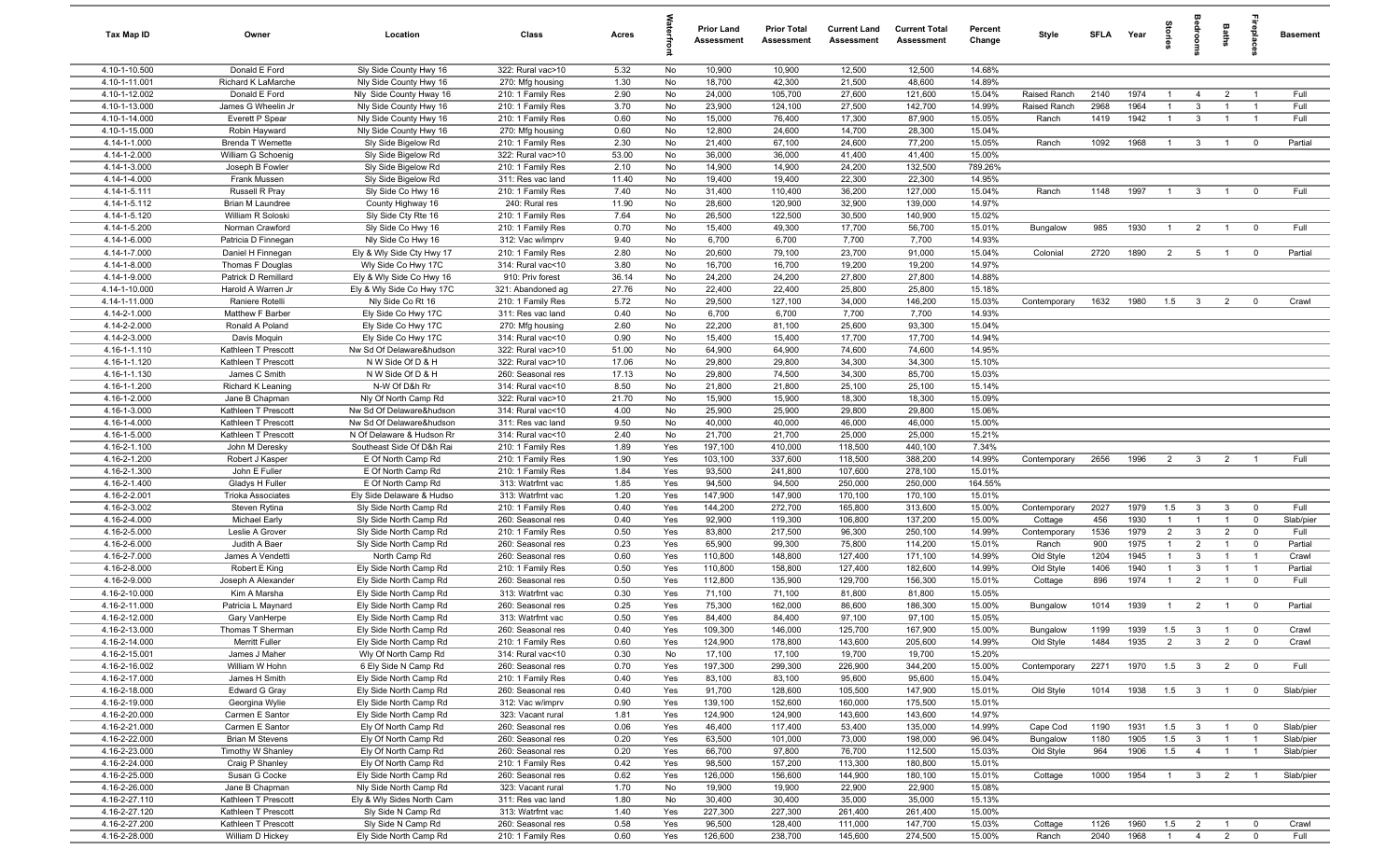| Tax Map ID                     | Owner                                     | Location                                         | Class                                  | Acres         |            | <b>Prior Land</b><br>Assessment | <b>Prior Total</b><br><b>Assessment</b> | <b>Current Land</b><br>Assessment | <b>Current Total</b><br><b>Assessment</b> | Percent<br>Change | Style            | <b>SFLA</b>  | Year         | g                     | ă                                         | Baths               | ebla                             | <b>Basement</b> |
|--------------------------------|-------------------------------------------|--------------------------------------------------|----------------------------------------|---------------|------------|---------------------------------|-----------------------------------------|-----------------------------------|-------------------------------------------|-------------------|------------------|--------------|--------------|-----------------------|-------------------------------------------|---------------------|----------------------------------|-----------------|
| 4.10-1-10.500                  | Donald E Ford                             | Sly Side County Hwy 16                           | 322: Rural vac>10                      | 5.32          | No         | 10,900                          | 10,900                                  | 12,500                            | 12,500                                    | 14.68%            |                  |              |              |                       |                                           |                     |                                  |                 |
| 4.10-1-11.001                  | Richard K LaMarche                        | Nly Side County Hwy 16                           | 270: Mfg housing                       | 1.30          | No         | 18,700                          | 42,300                                  | 21,500                            | 48,600                                    | 14.89%            |                  |              |              |                       |                                           |                     |                                  |                 |
| 4.10-1-12.002                  | Donald E Ford                             | Nly Side County Hway 16                          | 210: 1 Family Res                      | 2.90          | No         | 24,000                          | 105,700                                 | 27,600                            | 121,600                                   | 15.04%            | Raised Ranch     | 2140         | 1974         | -1                    | $\overline{4}$                            | $\overline{2}$      | -1                               | Full            |
| 4.10-1-13.000<br>4.10-1-14.000 | James G Wheelin Jr                        | Nly Side County Hwy 16                           | 210: 1 Family Res                      | 3.70          | No         | 23,900<br>15,000                | 124,100                                 | 27,500                            | 142,700                                   | 14.99%            | Raised Ranch     | 2968         | 1964         | $\mathbf{1}$          | $\mathbf{3}$                              | $\overline{1}$      | $\overline{1}$<br>$\overline{1}$ | Full<br>Full    |
| 4.10-1-15.000                  | Everett P Spear<br>Robin Hayward          | Nly Side County Hwy 16<br>Nly Side County Hwy 16 | 210: 1 Family Res<br>270: Mfg housing  | 0.60<br>0.60  | No<br>No   | 12,800                          | 76,400<br>24,600                        | 17,300<br>14,700                  | 87,900<br>28,300                          | 15.05%<br>15.04%  | Ranch            | 1419         | 1942         | $\overline{1}$        | $\mathbf{3}$                              |                     |                                  |                 |
| 4.14-1-1.000                   | <b>Brenda T Wemette</b>                   | Sly Side Bigelow Rd                              | 210: 1 Family Res                      | 2.30          | No         | 21,400                          | 67,100                                  | 24,600                            | 77,200                                    | 15.05%            | Ranch            | 1092         | 1968         | $\overline{1}$        | $3^{\circ}$                               | $\overline{1}$      | $\overline{\mathbf{0}}$          | Partial         |
| 4.14-1-2.000                   | William G Schoenig                        | Sly Side Bigelow Rd                              | 322: Rural vac>10                      | 53.00         | No         | 36,000                          | 36,000                                  | 41,400                            | 41,400                                    | 15.00%            |                  |              |              |                       |                                           |                     |                                  |                 |
| 4.14-1-3.000                   | Joseph B Fowler                           | Sly Side Bigelow Rd                              | 210: 1 Family Res                      | 2.10          | No         | 14,900                          | 14,900                                  | 24,200                            | 132,500                                   | 789.26%           |                  |              |              |                       |                                           |                     |                                  |                 |
| 4.14-1-4.000                   | Frank Mussen                              | Sly Side Bigelow Rd                              | 311: Res vac land                      | 11.40         | No         | 19,400                          | 19,400                                  | 22,300                            | 22,300                                    | 14.95%            |                  |              |              |                       |                                           |                     |                                  |                 |
| 4.14-1-5.111                   | Russell R Pray                            | Sly Side Co Hwy 16                               | 210: 1 Family Res                      | 7.40          | No         | 31,400                          | 110,400                                 | 36,200                            | 127,000                                   | 15.04%            | Ranch            | 1148         | 1997         | $\overline{1}$        | 3                                         | $\overline{1}$      | $^{\circ}$                       | Full            |
| 4.14-1-5.112                   | Brian M Laundree                          | County Highway 16                                | 240: Rural res                         | 11.90         | No         | 28,600                          | 120,900                                 | 32,900                            | 139,000                                   | 14.97%            |                  |              |              |                       |                                           |                     |                                  |                 |
| 4.14-1-5.120                   | William R Soloski                         | Sly Side Cty Rte 16                              | 210: 1 Family Res                      | 7.64          | No         | 26,500                          | 122,500                                 | 30,500                            | 140,900                                   | 15.02%            |                  |              |              |                       |                                           |                     |                                  |                 |
| 4.14-1-5.200                   | Norman Crawford                           | Sly Side Co Hwy 16                               | 210: 1 Family Res                      | 0.70          | No         | 15,400                          | 49,300                                  | 17,700                            | 56,700                                    | 15.01%            | Bungalow         | 985          | 1930         | $\overline{1}$        | $\overline{2}$                            | $\overline{1}$      | $\overline{0}$                   | Full            |
| 4.14-1-6.000                   | Patricia D Finnegan                       | Nly Side Co Hwy 16                               | 312: Vac w/imprv                       | 9.40          | No         | 6,700                           | 6,700                                   | 7,700                             | 7,700                                     | 14.93%            |                  |              |              |                       |                                           |                     |                                  |                 |
| 4.14-1-7.000                   | Daniel H Finnegan                         | Ely & Wly Side Cty Hwy 17                        | 210: 1 Family Res                      | 2.80          | No         | 20,600                          | 79,100                                  | 23,700                            | 91,000                                    | 15.04%            | Colonial         | 2720         | 1890         | $\overline{2}$        | $5\overline{)}$                           | $\overline{1}$      | $\overline{0}$                   | Partial         |
| 4.14-1-8.000                   | Thomas F Douglas                          | Wly Side Co Hwy 17C                              | 314: Rural vac<10                      | 3.80          | No         | 16,700                          | 16,700                                  | 19,200                            | 19,200                                    | 14.97%            |                  |              |              |                       |                                           |                     |                                  |                 |
| 4.14-1-9.000<br>4.14-1-10.000  | Patrick D Remillard<br>Harold A Warren Jr | Ely & Wly Side Co Hwy 16                         | 910: Priv forest                       | 36.14         | No<br>No   | 24,200<br>22,400                | 24,200<br>22,400                        | 27,800<br>25,800                  | 27,800<br>25,800                          | 14.88%<br>15.18%  |                  |              |              |                       |                                           |                     |                                  |                 |
| 4.14-1-11.000                  | Raniere Rotelli                           | Ely & Wly Side Co Hwy 17C<br>Nly Side Co Rt 16   | 321: Abandoned ag<br>210: 1 Family Res | 27.76<br>5.72 | No         | 29,500                          | 127,100                                 | 34,000                            | 146,200                                   | 15.03%            | Contemporary     | 1632         | 1980         | 1.5                   | $\overline{\mathbf{3}}$                   | $\overline{2}$      | $\overline{0}$                   | Crawl           |
| 4.14-2-1.000                   | Matthew F Barber                          | Ely Side Co Hwy 17C                              | 311: Res vac land                      | 0.40          | No         | 6,700                           | 6,700                                   | 7,700                             | 7,700                                     | 14.93%            |                  |              |              |                       |                                           |                     |                                  |                 |
| 4.14-2-2.000                   | Ronald A Poland                           | Ely Side Co Hwy 17C                              | 270: Mfg housing                       | 2.60          | No         | 22,200                          | 81,100                                  | 25,600                            | 93,300                                    | 15.04%            |                  |              |              |                       |                                           |                     |                                  |                 |
| 4.14-2-3.000                   | Davis Moquin                              | Ely Side Co Hwy 17C                              | 314: Rural vac<10                      | 0.90          | No         | 15,400                          | 15,400                                  | 17,700                            | 17,700                                    | 14.94%            |                  |              |              |                       |                                           |                     |                                  |                 |
| 4.16-1-1.110                   | Kathleen T Prescott                       | Nw Sd Of Delaware&hudson                         | 322: Rural vac>10                      | 51.00         | No         | 64,900                          | 64,900                                  | 74,600                            | 74,600                                    | 14.95%            |                  |              |              |                       |                                           |                     |                                  |                 |
| 4.16-1-1.120                   | Kathleen T Prescott                       | N W Side Of D & H                                | 322: Rural vac>10                      | 17.06         | No         | 29,800                          | 29,800                                  | 34,300                            | 34,300                                    | 15.10%            |                  |              |              |                       |                                           |                     |                                  |                 |
| 4.16-1-1.130                   | James C Smith                             | N W Side Of D & H                                | 260: Seasonal res                      | 17.13         | No         | 29,800                          | 74,500                                  | 34,300                            | 85,700                                    | 15.03%            |                  |              |              |                       |                                           |                     |                                  |                 |
| 4.16-1-1.200                   | Richard K Leaning                         | N-W Of D&h Rr                                    | 314: Rural vac<10                      | 8.50          | No         | 21,800                          | 21,800                                  | 25,100                            | 25,100                                    | 15.14%            |                  |              |              |                       |                                           |                     |                                  |                 |
| 4.16-1-2.000                   | Jane B Chapman                            | Nly Of North Camp Rd                             | 322: Rural vac>10                      | 21.70         | No         | 15,900                          | 15,900                                  | 18,300                            | 18,300                                    | 15.09%            |                  |              |              |                       |                                           |                     |                                  |                 |
| 4.16-1-3.000                   | Kathleen T Prescott                       | Nw Sd Of Delaware&hudson                         | 314: Rural vac<10                      | 4.00          | No         | 25,900                          | 25,900                                  | 29,800                            | 29,800                                    | 15.06%            |                  |              |              |                       |                                           |                     |                                  |                 |
| 4.16-1-4.000                   | Kathleen T Prescott                       | Nw Sd Of Delaware&hudson                         | 311: Res vac land                      | 9.50          | No         | 40,000                          | 40,000                                  | 46,000                            | 46,000                                    | 15.00%            |                  |              |              |                       |                                           |                     |                                  |                 |
| 4.16-1-5.000                   | Kathleen T Prescott                       | N Of Delaware & Hudson Rr                        | 314: Rural vac<10                      | 2.40          | No         | 21,700                          | 21,700                                  | 25,000                            | 25,000                                    | 15.21%            |                  |              |              |                       |                                           |                     |                                  |                 |
| 4.16-2-1.100                   | John M Deresky                            | Southeast Side Of D&h Rai                        | 210: 1 Family Res                      | 1.89          | Yes        | 197,100                         | 410,000                                 | 118,500                           | 440,100                                   | 7.34%             |                  |              |              |                       |                                           |                     | $\overline{\phantom{0}}$         |                 |
| 4.16-2-1.200<br>4.16-2-1.300   | Robert J Kasper<br>John E Fuller          | E Of North Camp Rd                               | 210: 1 Family Res                      | 1.90<br>1.84  | Yes<br>Yes | 103,100<br>93,500               | 337,600<br>241,800                      | 118,500                           | 388,200                                   | 14.99%<br>15.01%  | Contemporary     | 2656         | 1996         | $\overline{2}$        | $\mathbf{3}$                              | $\overline{2}$      |                                  | Full            |
| 4.16-2-1.400                   | Gladys H Fuller                           | E Of North Camp Rd<br>E Of North Camp Rd         | 210: 1 Family Res<br>313: Watrfrnt vac | 1.85          | Yes        | 94,500                          | 94,500                                  | 107,600<br>250,000                | 278,100<br>250,000                        | 164.55%           |                  |              |              |                       |                                           |                     |                                  |                 |
| 4.16-2-2.001                   | <b>Trioka Associates</b>                  | Ely Side Delaware & Hudso                        | 313: Watrfrnt vac                      | 1.20          | Yes        | 147,900                         | 147,900                                 | 170,100                           | 170,100                                   | 15.01%            |                  |              |              |                       |                                           |                     |                                  |                 |
| 4.16-2-3.002                   | Steven Rytina                             | Sly Side North Camp Rd                           | 210: 1 Family Res                      | 0.40          | Yes        | 144,200                         | 272,700                                 | 165,800                           | 313,600                                   | 15.00%            | Contemporary     | 2027         | 1979         | 1.5                   | $\mathbf{3}$                              | $\mathbf{3}$        | $\overline{0}$                   | Full            |
| 4.16-2-4.000                   | Michael Early                             | Sly Side North Camp Rd                           | 260: Seasonal res                      | 0.40          | Yes        | 92,900                          | 119,300                                 | 106,800                           | 137,200                                   | 15.00%            | Cottage          | 456          | 1930         | $\overline{1}$        | $\overline{1}$                            | $\overline{1}$      | $\mathbf 0$                      | Slab/pier       |
| 4.16-2-5.000                   | Leslie A Grover                           | Sly Side North Camp Rd                           | 210: 1 Family Res                      | 0.50          | Yes        | 83,800                          | 217,500                                 | 96,300                            | 250,100                                   | 14.99%            | Contemporary     | 1536         | 1979         | $\overline{2}$        | $\mathbf{3}$                              | $\overline{2}$      | $\mathbf 0$                      | Full            |
| 4.16-2-6.000                   | Judith A Baer                             | Sly Side North Camp Rd                           | 260: Seasonal res                      | 0.23          | Yes        | 65,900                          | 99,300                                  | 75,800                            | 114,200                                   | 15.01%            | Ranch            | 900          | 1975         | $\mathbf{1}$          | $\overline{2}$                            | $\overline{1}$      | $\overline{0}$                   | Partial         |
| 4.16-2-7.000                   | James A Vendetti                          | North Camp Rd                                    | 260: Seasonal res                      | 0.60          | Yes        | 110,800                         | 148,800                                 | 127,400                           | 171,100                                   | 14.99%            | Old Style        | 1204         | 1945         | $\mathbf{1}$          | $\mathbf{3}$                              |                     | $\overline{1}$                   | Crawl           |
| 4.16-2-8.000                   | Robert E King                             | Ely Side North Camp Rd                           | 210: 1 Family Res                      | 0.50          | Yes        | 110,800                         | 158,800                                 | 127,400                           | 182,600                                   | 14.99%            | Old Style        | 1406         | 1940         | $\mathbf{1}$          | $\mathbf{3}$                              | -1                  | $\overline{1}$                   | Partial         |
| $4.16 - 2 - 9.000$             | Joseph A Alexander                        | Ely Side North Camp Rd                           | 260: Seasonal res                      | 0.50          | Yes        | 112,800                         | 135,900                                 | 129,700                           | 156,300                                   | 15.01%            | Cottage          | 896          | 1974         | $\overline{1}$        | $\overline{2}$                            |                     | $^{\circ}$                       | Full            |
| 4.16-2-10.000                  | Kim A Marsha                              | Ely Side North Camp Rd                           | 313: Watrfrnt vac                      | 0.30          | Yes        | 71,100                          | 71,100                                  | 81,800                            | 81,800                                    | 15.05%            |                  |              |              |                       |                                           |                     |                                  |                 |
| 4.16-2-11.000                  | Patricia L Maynard                        | Ely Side North Camp Rd                           | 260: Seasonal res                      | 0.25          | Yes        | 75,300                          | 162,000                                 | 86,600                            | 186,300                                   | 15.00%            | Bungalow         | 1014         | 1939         | $\overline{1}$        | $\overline{2}$                            | $\overline{1}$      | $\mathbf 0$                      | Partial         |
| 4.16-2-12.000                  | Gary VanHerpe                             | Ely Side North Camp Rd                           | 313: Watrfrnt vac                      | 0.50          | Yes        | 84,400                          | 84,400                                  | 97,100                            | 97,100                                    | 15.05%            |                  |              |              |                       |                                           |                     |                                  |                 |
| 4.16-2-13.000                  | Thomas T Sherman                          | Ely Side North Camp Rd                           | 260: Seasonal res                      | 0.40          | Yes        | 109,300                         | 146,000                                 | 125,700                           | 167,900                                   | 15.00%            | Bungalow         | 1199         |              | 1939  1.5  3          |                                           |                     |                                  | Crawl           |
| 4.16-2-14.000<br>4.16-2-15.001 | Merritt Fuller<br>James J Maher           | Ely Side North Camp Rd<br>Wly Of North Camp Rd   | 210: 1 Family Res<br>314: Rural vac<10 | 0.60<br>0.30  | Yes<br>No  | 124,900<br>17,100               | 178,800<br>17,100                       | 143,600<br>19,700                 | 205,600<br>19,700                         | 14.99%<br>15.20%  | Old Style        | 1484         | 1935         | $\overline{2}$        | $\mathbf{3}$                              | $\overline{2}$      | $\overline{0}$                   | Crawl           |
| 4.16-2-16.002                  | William W Hohn                            | 6 Ely Side N Camp Rd                             | 260: Seasonal res                      | 0.70          | Yes        | 197,300                         | 299,300                                 | 226,900                           | 344,200                                   | 15.00%            | Contemporary     | 2271         | 1970         | 1.5                   | $\mathbf{3}$                              | $\overline{2}$      | $\overline{0}$                   | Full            |
| 4.16-2-17.000                  | James H Smith                             | Ely Side North Camp Rd                           | 210: 1 Family Res                      | 0.40          | Yes        | 83,100                          | 83,100                                  | 95,600                            | 95,600                                    | 15.04%            |                  |              |              |                       |                                           |                     |                                  |                 |
| 4.16-2-18.000                  | Edward G Gray                             | Ely Side North Camp Rd                           | 260: Seasonal res                      | 0.40          | Yes        | 91,700                          | 128,600                                 | 105,500                           | 147,900                                   | 15.01%            | Old Style        | 1014         | 1938         | 1.5                   | $\overline{\mathbf{3}}$                   | $\overline{1}$      | $\overline{0}$                   | Slab/pier       |
| 4.16-2-19.000                  | Georgina Wylie                            | Ely Side North Camp Rd                           | 312: Vac w/imprv                       | 0.90          | Yes        | 139,100                         | 152,600                                 | 160,000                           | 175,500                                   | 15.01%            |                  |              |              |                       |                                           |                     |                                  |                 |
| 4.16-2-20.000                  | Carmen E Santor                           | Ely Side North Camp Rd                           | 323: Vacant rural                      | 1.81          | Yes        | 124,900                         | 124,900                                 | 143,600                           | 143,600                                   | 14.97%            |                  |              |              |                       |                                           |                     |                                  |                 |
| 4.16-2-21.000                  | Carmen E Santor                           | Ely Of North Camp Rd                             | 260: Seasonal res                      | 0.06          | Yes        | 46,400                          | 117,400                                 | 53,400                            | 135,000                                   | 14.99%            | Cape Cod         | 1190         | 1931         | 1.5                   | $\mathbf{3}$                              |                     | $\overline{\mathbf{0}}$          | Slab/pier       |
| 4.16-2-22.000                  | <b>Brian M Stevens</b>                    | Ely Of North Camp Rd                             | 260: Seasonal res                      | 0.20          | Yes        | 63,500                          | 101,000                                 | 73,000                            | 198,000                                   | 96.04%            | Bungalow         | 1180         | 1905         | 1.5                   | $\mathbf{3}$                              | $\overline{1}$      | $\overline{1}$                   | Slab/pier       |
| 4.16-2-23.000                  | Timothy W Shanley                         | Ely Of North Camp Rd                             | 260: Seasonal res                      | 0.20          | Yes        | 66,700                          | 97,800                                  | 76,700                            | 112,500                                   | 15.03%            | Old Style        | 964          | 1906         | 1.5                   | $\overline{4}$                            | $\overline{1}$      | $\overline{1}$                   | Slab/pier       |
| 4.16-2-24.000                  | Craig P Shanley                           | Ely Of North Camp Rd                             | 210: 1 Family Res                      | 0.42          | Yes        | 98,500                          | 157,200                                 | 113,300                           | 180,800                                   | 15.01%            |                  |              |              |                       |                                           |                     |                                  |                 |
| 4.16-2-25.000                  | Susan G Cocke                             | Ely Side North Camp Rd                           | 260: Seasonal res                      | 0.62          | Yes        | 126,000                         | 156,600                                 | 144,900                           | 180,100                                   | 15.01%            | Cottage          | 1000         | 1954         | $\overline{1}$        | $\overline{3}$                            | $\overline{2}$      | $\overline{1}$                   | Slab/pier       |
| 4.16-2-26.000                  | Jane B Chapman                            | Nly Side North Camp Rd                           | 323: Vacant rural                      | 1.70          | No         | 19,900                          | 19,900                                  | 22,900                            | 22,900                                    | 15.08%            |                  |              |              |                       |                                           |                     |                                  |                 |
| 4.16-2-27.110                  | Kathleen T Prescott                       | Ely & Wly Sides North Cam                        | 311: Res vac land                      | 1.80          | No         | 30,400                          | 30,400                                  | 35,000                            | 35,000                                    | 15.13%            |                  |              |              |                       |                                           |                     |                                  |                 |
| 4.16-2-27.120                  | Kathleen T Prescott                       | Sly Side N Camp Rd                               | 313: Watrfrnt vac                      | 1.40          | Yes        | 227,300                         | 227,300                                 | 261,400                           | 261,400                                   | 15.00%            |                  |              |              |                       |                                           |                     |                                  |                 |
| 4.16-2-27.200<br>4.16-2-28.000 | Kathleen T Prescott<br>William D Hickey   | Sly Side N Camp Rd<br>Ely Side North Camp Rd     | 260: Seasonal res<br>210: 1 Family Res | 0.58<br>0.60  | Yes<br>Yes | 96,500<br>126,600               | 128,400<br>238,700                      | 111,000<br>145,600                | 147,700<br>274,500                        | 15.03%<br>15.00%  | Cottage<br>Ranch | 1126<br>2040 | 1960<br>1968 | 1.5<br>$\overline{1}$ | $\overline{\mathbf{2}}$<br>$\overline{4}$ | $\blacksquare$<br>2 | $^{\circ}$<br>$\mathbf 0$        | Crawl<br>Full   |
|                                |                                           |                                                  |                                        |               |            |                                 |                                         |                                   |                                           |                   |                  |              |              |                       |                                           |                     |                                  |                 |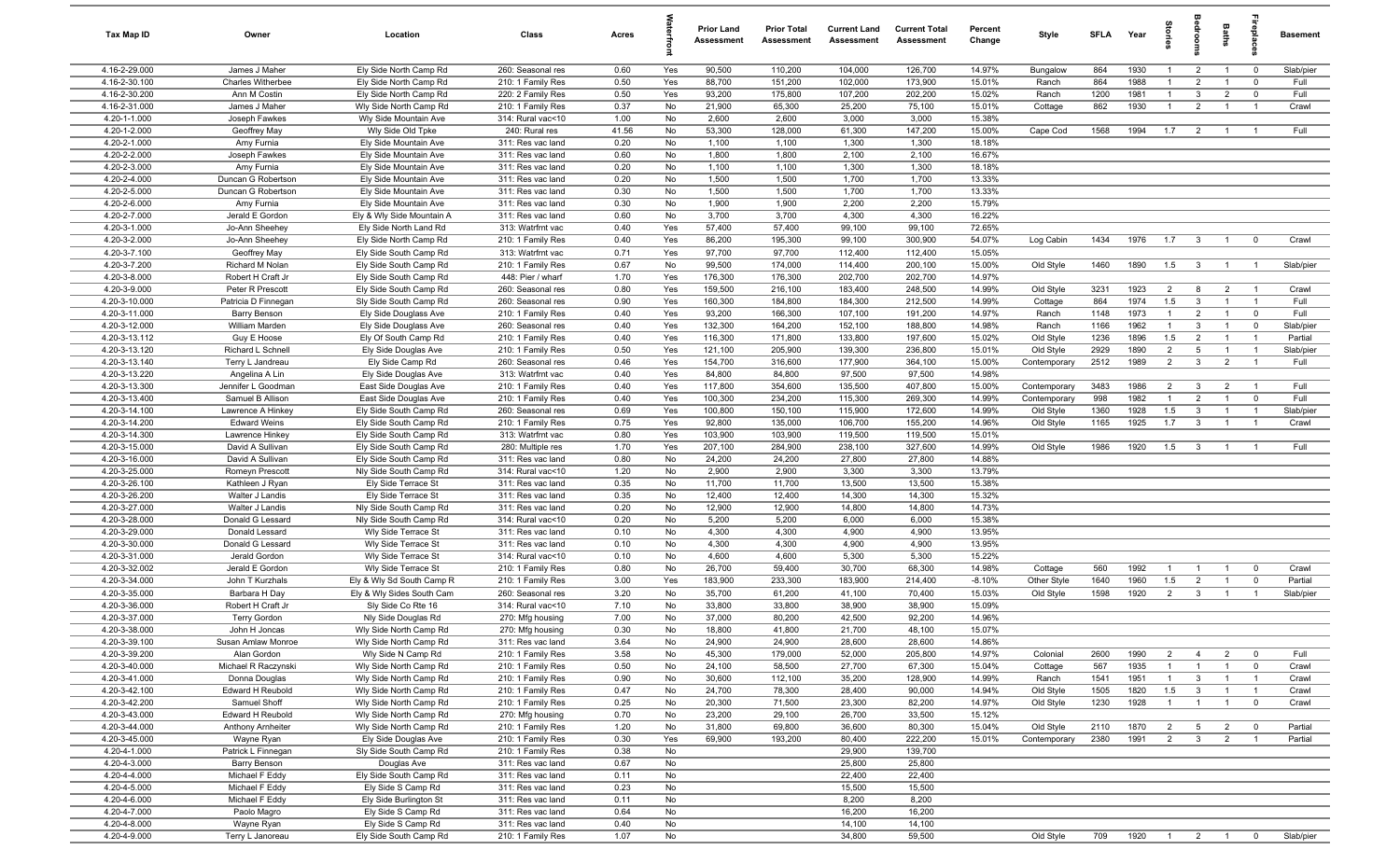| Tax Map ID                     | Owner                                | Location                                         | Class                                  | Acres         |            | <b>Prior Land</b><br>Assessment | <b>Prior Total</b><br>Assessment | <b>Current Land</b><br>Assessment | <b>Current Total</b><br>Assessment | Percent<br>Change | Style               | <b>SFLA</b> | Year         | Storie                |                         | Baths                            | epla                          | <b>Basement</b> |
|--------------------------------|--------------------------------------|--------------------------------------------------|----------------------------------------|---------------|------------|---------------------------------|----------------------------------|-----------------------------------|------------------------------------|-------------------|---------------------|-------------|--------------|-----------------------|-------------------------|----------------------------------|-------------------------------|-----------------|
| 4.16-2-29.000                  | James J Maher                        | Ely Side North Camp Rd                           | 260: Seasonal res                      | 0.60          | Yes        | 90,500                          | 110,200                          | 104,000                           | 126,700                            | 14.97%            | Bungalow            | 864         | 1930         |                       | $\overline{2}$          |                                  | $\overline{0}$                | Slab/pier       |
| 4.16-2-30.100                  | <b>Charles Witherbee</b>             | Ely Side North Camp Rd                           | 210: 1 Family Res                      | 0.50          | Yes        | 88,700                          | 151,200                          | 102,000                           | 173,900                            | 15.01%            | Ranch               | 864         | 1988         |                       | $\overline{2}$          |                                  | $^{\circ}$                    | Full            |
| 4.16-2-30.200                  | Ann M Costin                         | Ely Side North Camp Rd                           | 220: 2 Family Res                      | 0.50          | Yes        | 93,200                          | 175,800                          | 107,200                           | 202,200                            | 15.02%            | Ranch               | 1200        | 1981         | -1                    | $\mathbf{3}$            | $\overline{2}$                   | $\mathbf 0$                   | Full            |
| 4.16-2-31.000                  | James J Maher                        | Wly Side North Camp Rd                           | 210: 1 Family Res                      | 0.37          | No         | 21,900                          | 65,300                           | 25,200                            | 75,100                             | 15.01%            | Cottage             | 862         | 1930         | $\overline{1}$        | $\overline{2}$          | $\overline{1}$                   | $\overline{1}$                | Crawl           |
| 4.20-1-1.000<br>4.20-1-2.000   | Joseph Fawkes<br>Geoffrey May        | Wly Side Mountain Ave<br>Wly Side Old Tpke       | 314: Rural vac<10<br>240: Rural res    | 1.00<br>41.56 | No<br>No   | 2,600<br>53,300                 | 2,600<br>128,000                 | 3,000<br>61,300                   | 3,000<br>147,200                   | 15.38%<br>15.00%  | Cape Cod            | 1568        | 1994         | 1.7                   | $\overline{2}$          | $\overline{1}$                   | $\overline{1}$                | Full            |
| 4.20-2-1.000                   | Amy Furnia                           | Ely Side Mountain Ave                            | 311: Res vac land                      | 0.20          | No         | 1,100                           | 1,100                            | 1,300                             | 1,300                              | 18.18%            |                     |             |              |                       |                         |                                  |                               |                 |
| 4.20-2-2.000                   | Joseph Fawkes                        | Ely Side Mountain Ave                            | 311: Res vac land                      | 0.60          | No         | 1,800                           | 1,800                            | 2,100                             | 2,100                              | 16.67%            |                     |             |              |                       |                         |                                  |                               |                 |
| 4.20-2-3.000                   | Amy Furnia                           | Ely Side Mountain Ave                            | 311: Res vac land                      | 0.20          | No         | 1,100                           | 1,100                            | 1,300                             | 1,300                              | 18.18%            |                     |             |              |                       |                         |                                  |                               |                 |
| 4.20-2-4.000                   | Duncan G Robertson                   | Ely Side Mountain Ave                            | 311: Res vac land                      | 0.20          | No         | 1,500                           | 1,500                            | 1,700                             | 1,700                              | 13.33%            |                     |             |              |                       |                         |                                  |                               |                 |
| 4.20-2-5.000                   | Duncan G Robertson                   | Ely Side Mountain Ave                            | 311: Res vac land                      | 0.30          | No         | 1,500                           | 1,500                            | 1,700                             | 1,700                              | 13.33%            |                     |             |              |                       |                         |                                  |                               |                 |
| 4.20-2-6.000                   | Amy Furnia                           | Ely Side Mountain Ave                            | 311: Res vac land                      | 0.30          | No         | 1,900                           | 1,900                            | 2,200                             | 2,200                              | 15.79%            |                     |             |              |                       |                         |                                  |                               |                 |
| 4.20-2-7.000                   | Jerald E Gordon                      | Ely & Wly Side Mountain A                        | 311: Res vac land                      | 0.60          | No         | 3,700                           | 3,700                            | 4,300                             | 4,300                              | 16.22%            |                     |             |              |                       |                         |                                  |                               |                 |
| 4.20-3-1.000                   | Jo-Ann Sheehey                       | Ely Side North Land Rd                           | 313: Watrfrnt vac                      | 0.40          | Yes        | 57,400                          | 57,400                           | 99,100                            | 99,100                             | 72.65%            |                     |             |              |                       |                         |                                  |                               |                 |
| 4.20-3-2.000                   | Jo-Ann Sheehey                       | Ely Side North Camp Rd                           | 210: 1 Family Res                      | 0.40          | Yes        | 86,200                          | 195,300                          | 99,100                            | 300,900                            | 54.07%            | Log Cabin           | 1434        | 1976         | 1.7                   | $\overline{3}$          | $\overline{1}$                   | $^{\circ}$                    | Crawl           |
| 4.20-3-7.100                   | Geoffrey May                         | Ely Side South Camp Rd                           | 313: Watrfrnt vac                      | 0.71          | Yes        | 97,700                          | 97,700                           | 112,400                           | 112,400                            | 15.05%            |                     |             |              |                       |                         |                                  |                               |                 |
| 4.20-3-7.200                   | Richard M Nolan                      | Ely Side South Camp Rd                           | 210: 1 Family Res                      | 0.67          | No         | 99,500                          | 174,000                          | 114,400                           | 200,100                            | 15.00%            | Old Style           | 1460        | 1890         | 1.5                   | $\mathbf{3}$            | $\overline{1}$                   | $\overline{1}$                | Slab/pier       |
| 4.20-3-8.000                   | Robert H Craft Jr                    | Ely Side South Camp Rd                           | 448: Pier / wharf                      | 1.70          | Yes        | 176,300                         | 176,300                          | 202,700                           | 202,700                            | 14.97%            |                     |             |              |                       |                         |                                  |                               |                 |
| 4.20-3-9.000                   | Peter R Prescott                     | Ely Side South Camp Rd                           | 260: Seasonal res                      | 0.80          | Yes        | 159,500                         | 216,100                          | 183,400                           | 248,500                            | 14.99%            | Old Style           | 3231        | 1923         | $\overline{2}$<br>1.5 | 8                       | $\overline{2}$                   | $\overline{1}$                | Crawl           |
| 4.20-3-10.000<br>4.20-3-11.000 | Patricia D Finnegan                  | Sly Side South Camp Rd                           | 260: Seasonal res<br>210: 1 Family Res | 0.90<br>0.40  | Yes<br>Yes | 160,300<br>93,200               | 184,800<br>166,300               | 184,300<br>107,100                | 212,500<br>191,200                 | 14.99%<br>14.97%  | Cottage<br>Ranch    | 864<br>1148 | 1974<br>1973 | $\mathbf{1}$          | $\mathbf{3}$<br>2       | $\overline{1}$<br>$\overline{1}$ | $\overline{1}$<br>$\mathbf 0$ | Full<br>Full    |
| 4.20-3-12.000                  | Barry Benson<br>William Marden       | Ely Side Douglass Ave<br>Ely Side Douglass Ave   | 260: Seasonal res                      | 0.40          | Yes        | 132,300                         | 164,200                          | 152,100                           | 188,800                            | 14.98%            | Ranch               | 1166        | 1962         | $\overline{1}$        | $\mathbf{3}$            | $\overline{1}$                   | $\mathbf 0$                   | Slab/pier       |
| 4.20-3-13.112                  | Guy E Hoose                          | Ely Of South Camp Rd                             | 210: 1 Family Res                      | 0.40          | Yes        | 116,300                         | 171,800                          | 133,800                           | 197,600                            | 15.02%            | Old Style           | 1236        | 1896         | 1.5                   | $\overline{2}$          | $\overline{1}$                   | $\overline{1}$                | Partial         |
| 4.20-3-13.120                  | Richard L Schnell                    | Ely Side Douglas Ave                             | 210: 1 Family Res                      | 0.50          | Yes        | 121,100                         | 205,900                          | 139,300                           | 236,800                            | 15.01%            | Old Style           | 2929        | 1890         | $\overline{2}$        | $5\overline{5}$         | $\overline{1}$                   | $\overline{1}$                | Slab/pier       |
| 4.20-3-13.140                  | Terry L Jandreau                     | Ely Side Camp Rd                                 | 260: Seasonal res                      | 0.46          | Yes        | 154,700                         | 316,600                          | 177,900                           | 364,100                            | 15.00%            | Contemporary        | 2512        | 1989         | $\overline{2}$        | $\mathbf{3}$            | $\overline{2}$                   | $\overline{1}$                | Full            |
| 4.20-3-13.220                  | Angelina A Lin                       | Ely Side Douglas Ave                             | 313: Watrfrnt vac                      | 0.40          | Yes        | 84,800                          | 84,800                           | 97,500                            | 97,500                             | 14.98%            |                     |             |              |                       |                         |                                  |                               |                 |
| 4.20-3-13.300                  | Jennifer L Goodman                   | East Side Douglas Ave                            | 210: 1 Family Res                      | 0.40          | Yes        | 117,800                         | 354,600                          | 135,500                           | 407,800                            | 15.00%            | Contemporary        | 3483        | 1986         | $\overline{2}$        | $\mathbf{3}$            | $\overline{2}$                   | $\overline{1}$                | Full            |
| 4.20-3-13.400                  | Samuel B Allison                     | East Side Douglas Ave                            | 210: 1 Family Res                      | 0.40          | Yes        | 100,300                         | 234,200                          | 115,300                           | 269,300                            | 14.99%            | Contemporary        | 998         | 1982         | $\overline{1}$        | $\overline{2}$          | $\overline{1}$                   | $\mathbf 0$                   | Full            |
| 4.20-3-14.100                  | Lawrence A Hinkey                    | Ely Side South Camp Rd                           | 260: Seasonal res                      | 0.69          | Yes        | 100,800                         | 150,100                          | 115,900                           | 172,600                            | 14.99%            | Old Style           | 1360        | 1928         | 1.5                   | $\mathbf{3}$            | $\overline{1}$                   | $\overline{1}$                | Slab/pier       |
| 4.20-3-14.200                  | <b>Edward Weins</b>                  | Ely Side South Camp Rd                           | 210: 1 Family Res                      | 0.75          | Yes        | 92,800                          | 135,000                          | 106,700                           | 155,200                            | 14.96%            | Old Style           | 1165        | 1925         | 1.7                   | $\mathbf{3}$            | $\overline{1}$                   | $\overline{1}$                | Crawl           |
| 4.20-3-14.300                  | Lawrence Hinkey                      | Ely Side South Camp Rd                           | 313: Watrfrnt vac                      | 0.80          | Yes        | 103,900                         | 103,900                          | 119,500                           | 119,500                            | 15.01%            |                     |             |              |                       |                         |                                  |                               |                 |
| 4.20-3-15.000                  | David A Sullivan                     | Ely Side South Camp Rd                           | 280: Multiple res                      | 1.70          | Yes        | 207,100                         | 284,900                          | 238,100                           | 327,600                            | 14.99%            | Old Style           | 1986        | 1920         | 1.5                   | $\mathbf{3}$            | $\overline{1}$                   | $\overline{1}$                | Full            |
| $\overline{4.20-3-16.000}$     | David A Sullivan                     | Ely Side South Camp Rd                           | 311: Res vac land                      | 0.80          | No         | 24,200                          | 24,200                           | 27,800                            | 27,800                             | 14.88%            |                     |             |              |                       |                         |                                  |                               |                 |
| 4.20-3-25.000                  | Romeyn Prescott                      | Nly Side South Camp Rd                           | 314: Rural vac<10                      | 1.20          | No         | 2,900                           | 2,900                            | 3,300                             | 3,300                              | 13.79%            |                     |             |              |                       |                         |                                  |                               |                 |
| 4.20-3-26.100<br>4.20-3-26.200 | Kathleen J Ryan<br>Walter J Landis   | Ely Side Terrace St<br>Ely Side Terrace St       | 311: Res vac land<br>311: Res vac land | 0.35<br>0.35  | No<br>No   | 11,700<br>12,400                | 11,700<br>12,400                 | 13,500<br>14,300                  | 13,500<br>14,300                   | 15.38%<br>15.32%  |                     |             |              |                       |                         |                                  |                               |                 |
| 4.20-3-27.000                  | Walter J Landis                      | Nly Side South Camp Rd                           | 311: Res vac land                      | 0.20          | No         | 12,900                          | 12,900                           | 14,800                            | 14,800                             | 14.73%            |                     |             |              |                       |                         |                                  |                               |                 |
| 4.20-3-28.000                  | Donald G Lessard                     | Nly Side South Camp Rd                           | 314: Rural vac<10                      | 0.20          | No         | 5,200                           | 5,200                            | 6,000                             | 6,000                              | 15.38%            |                     |             |              |                       |                         |                                  |                               |                 |
| 4.20-3-29.000                  | Donald Lessard                       | Wly Side Terrace St                              | 311: Res vac land                      | 0.10          | No         | 4,300                           | 4,300                            | 4,900                             | 4,900                              | 13.95%            |                     |             |              |                       |                         |                                  |                               |                 |
| 4.20-3-30.000                  | Donald G Lessard                     | Wly Side Terrace St                              | 311: Res vac land                      | 0.10          | No         | 4,300                           | 4,300                            | 4,900                             | 4,900                              | 13.95%            |                     |             |              |                       |                         |                                  |                               |                 |
| 4.20-3-31.000                  | Jerald Gordon                        | Wly Side Terrace St                              | 314: Rural vac<10                      | 0.10          | No         | 4,600                           | 4,600                            | 5,300                             | 5,300                              | 15.22%            |                     |             |              |                       |                         |                                  |                               |                 |
| 4.20-3-32.002                  | Jerald E Gordon                      | Wly Side Terrace St                              | 210: 1 Family Res                      | 0.80          | No         | 26,700                          | 59,400                           | 30,700                            | 68,300                             | 14.98%            | Cottage             | 560         | 1992         | $\overline{1}$        | $\overline{1}$          | $\overline{1}$                   | $\mathbf{0}$                  | Crawl           |
| 4.20-3-34.000                  | John T Kurzhals                      | Ely & Wly Sd South Camp R                        | 210: 1 Family Res                      | 3.00          | Yes        | 183,900                         | 233,300                          | 183,900                           | 214,400                            | $-8.10%$          | Other Style         | 1640        | 1960         | 1.5                   | $\overline{2}$          | $\overline{1}$                   | $\mathbf 0$                   | Partial         |
| 4.20-3-35.000                  | Barbara H Day                        | Ely & Wly Sides South Cam                        | 260: Seasonal res                      | 3.20          | No         | 35,700                          | 61,200                           | 41,100                            | 70,400                             | 15.03%            | Old Style           | 1598        | 1920         | $\overline{2}$        | $\mathbf{3}$            | $\overline{1}$                   | $\overline{1}$                | Slab/pier       |
| $4.20 - 3 - 36.000$            | Robert H Craft Jr                    | Sly Side Co Rte 16                               | 314: Rural vac<10                      | 7.10          | No         | 33,800                          | 33,800                           | 38,900                            | 38,900                             | 15.09%            |                     |             |              |                       |                         |                                  |                               |                 |
| 4.20-3-37.000                  | Terry Gordon                         | Nly Side Douglas Rd                              | 270: Mfg housing                       | 7.00          | No         | 37,000                          | 80,200                           | 42,500                            | 92,200                             | 14.96%            |                     |             |              |                       |                         |                                  |                               |                 |
| 4.20-3-38.000                  | John H Joncas                        | Wly Side North Camp Rd                           | 270: Mfg housing                       | 0.30          | No         | 18,800                          | 41,800                           | 21,700                            | 48,100                             | 15.07%            |                     |             |              |                       |                         |                                  |                               |                 |
| 4.20-3-39.100                  | Susan Amlaw Monroe                   | Wly Side North Camp Rd                           | 311: Res vac land                      | 3.64          | No         | 24,900                          | 24,900                           | 28,600                            | 28,600                             | 14.86%            |                     |             |              |                       |                         |                                  |                               |                 |
| 4.20-3-39.200<br>4.20-3-40.000 | Alan Gordon                          | Wly Side N Camp Rd                               | 210: 1 Family Res                      | 3.58<br>0.50  | No<br>No   | 45,300<br>24,100                | 179,000<br>58,500                | 52,000<br>27,700                  | 205,800<br>67,300                  | 14.97%<br>15.04%  | Colonial<br>Cottage | 2600<br>567 | 1990<br>1935 | $\overline{2}$        | $\overline{4}$          | $\overline{2}$                   | $\mathbf 0$<br>$\mathbf 0$    | Full            |
| 4.20-3-41.000                  | Michael R Raczynski<br>Donna Douglas | Wly Side North Camp Rd<br>Wly Side North Camp Rd | 210: 1 Family Res<br>210: 1 Family Res | 0.90          | No         | 30,600                          | 112,100                          | 35,200                            | 128,900                            | 14.99%            | Ranch               | 1541        | 1951         |                       | $\mathbf{3}$            |                                  | $\overline{1}$                | Crawl<br>Crawl  |
| 4.20-3-42.100                  | Edward H Reubold                     | Wly Side North Camp Rd                           | 210: 1 Family Res                      | 0.47          | No         | 24,700                          | 78,300                           | 28,400                            | 90,000                             | 14.94%            | Old Style           | 1505        | 1820         | 1.5                   | $\overline{\mathbf{3}}$ |                                  | $\overline{1}$                | Crawl           |
| 4.20-3-42.200                  | Samuel Shoff                         | Wly Side North Camp Rd                           | 210: 1 Family Res                      | 0.25          | No         | 20,300                          | 71,500                           | 23,300                            | 82,200                             | 14.97%            | Old Style           | 1230        | 1928         | $\overline{1}$        | $\overline{1}$          | $\overline{1}$                   | $\mathbf 0$                   | Crawl           |
| 4.20-3-43.000                  | Edward H Reubold                     | Wly Side North Camp Rd                           | 270: Mfg housing                       | 0.70          | No         | 23,200                          | 29,100                           | 26,700                            | 33,500                             | 15.12%            |                     |             |              |                       |                         |                                  |                               |                 |
| 4.20-3-44.000                  | Anthony Arnheiter                    | Wly Side North Camp Rd                           | 210: 1 Family Res                      | 1.20          | No         | 31,800                          | 69,800                           | 36,600                            | 80,300                             | 15.04%            | Old Style           | 2110        | 1870         | $\overline{2}$        | 5                       | $\overline{2}$                   | $\mathbf 0$                   | Partial         |
| 4.20-3-45.000                  | Wayne Ryan                           | Ely Side Douglas Ave                             | 210: 1 Family Res                      | 0.30          | Yes        | 69,900                          | 193,200                          | 80,400                            | 222,200                            | 15.01%            | Contemporary        | 2380        | 1991         | $\overline{2}$        | $\mathbf{3}$            | $\overline{2}$                   | $\overline{1}$                | Partial         |
| 4.20-4-1.000                   | Patrick L Finnegan                   | Sly Side South Camp Rd                           | 210: 1 Family Res                      | 0.38          | No         |                                 |                                  | 29,900                            | 139,700                            |                   |                     |             |              |                       |                         |                                  |                               |                 |
| 4.20-4-3.000                   | Barry Benson                         | Douglas Ave                                      | 311: Res vac land                      | 0.67          | No         |                                 |                                  | 25,800                            | 25,800                             |                   |                     |             |              |                       |                         |                                  |                               |                 |
| 4.20-4-4.000                   | Michael F Eddy                       | Ely Side South Camp Rd                           | 311: Res vac land                      | 0.11          | No         |                                 |                                  | 22,400                            | 22,400                             |                   |                     |             |              |                       |                         |                                  |                               |                 |
| 4.20-4-5.000                   | Michael F Eddy                       | Ely Side S Camp Rd                               | 311: Res vac land                      | 0.23          | No         |                                 |                                  | 15,500                            | 15,500                             |                   |                     |             |              |                       |                         |                                  |                               |                 |
| 4.20-4-6.000                   | Michael F Eddy                       | Ely Side Burlington St                           | 311: Res vac land                      | 0.11          | No         |                                 |                                  | 8,200                             | 8,200                              |                   |                     |             |              |                       |                         |                                  |                               |                 |
| 4.20-4-7.000                   | Paolo Magro                          | Ely Side S Camp Rd                               | 311: Res vac land                      | 0.64          | No         |                                 |                                  | 16,200                            | 16,200                             |                   |                     |             |              |                       |                         |                                  |                               |                 |
| 4.20-4-8.000                   | Wayne Ryan                           | Ely Side S Camp Rd                               | 311: Res vac land                      | 0.40          | No         |                                 |                                  | 14,100                            | 14,100                             |                   |                     |             |              |                       |                         |                                  |                               |                 |
| 4.20-4-9.000                   | Terry L Janoreau                     | Ely Side South Camp Rd                           | 210: 1 Family Res                      | 1.07          | No         |                                 |                                  | 34,800                            | 59,500                             |                   | Old Style           | 709         | 1920         | $\overline{1}$        |                         | $2 \qquad 1$                     | $\overline{\mathbf{0}}$       | Slab/pier       |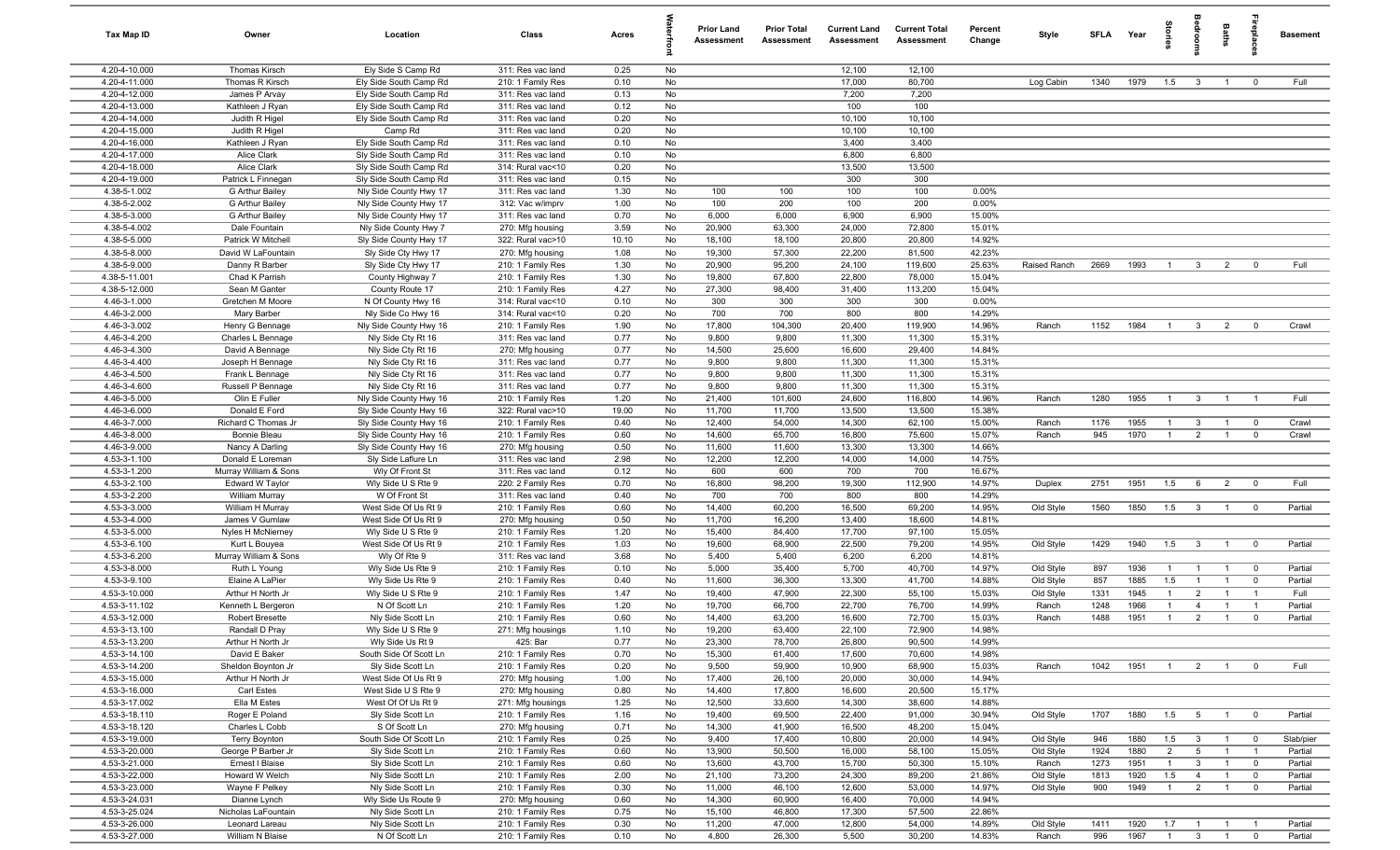| Tax Map ID                     | Owner                                   | Location                                         | Class                                  | Acres         |          | <b>Prior Land</b><br>Assessment | <b>Prior Total</b><br>Assessment | <b>Current Land</b><br><b>Assessment</b> | <b>Current Total</b><br><b>Assessment</b> | Percent<br>Change | Style        | SFLA | Year | tories         |                     | Baths          | epla                    | <b>Basement</b> |
|--------------------------------|-----------------------------------------|--------------------------------------------------|----------------------------------------|---------------|----------|---------------------------------|----------------------------------|------------------------------------------|-------------------------------------------|-------------------|--------------|------|------|----------------|---------------------|----------------|-------------------------|-----------------|
| 4.20-4-10.000                  | <b>Thomas Kirsch</b>                    | Ely Side S Camp Rd                               | 311: Res vac land                      | 0.25          | No       |                                 |                                  | 12,100                                   | 12,100                                    |                   |              |      |      |                |                     |                |                         |                 |
| 4.20-4-11.000                  | Thomas R Kirsch                         | Ely Side South Camp Rd                           | 210: 1 Family Res                      | 0.10          | No       |                                 |                                  | 17,000                                   | 80,700                                    |                   | Log Cabin    | 1340 | 1979 | 1.5            | $\mathbf{3}$        | $\overline{1}$ | $^{\circ}$              | Full            |
| 4.20-4-12.000                  | James P Arvay                           | Ely Side South Camp Rd                           | 311: Res vac land                      | 0.13          | No       |                                 |                                  | 7,200                                    | 7,200                                     |                   |              |      |      |                |                     |                |                         |                 |
| 4.20-4-13.000                  | Kathleen J Ryan                         | Ely Side South Camp Rd                           | 311: Res vac land                      | 0.12          | No       |                                 |                                  | 100                                      | 100                                       |                   |              |      |      |                |                     |                |                         |                 |
| 4.20-4-14.000<br>4.20-4-15.000 | Judith R Higel<br>Judith R Higel        | Ely Side South Camp Rd<br>Camp Rd                | 311: Res vac land<br>311: Res vac land | 0.20<br>0.20  | No<br>No |                                 |                                  | 10,100<br>10,100                         | 10,100<br>10,100                          |                   |              |      |      |                |                     |                |                         |                 |
| 4.20-4-16.000                  | Kathleen J Ryan                         | Ely Side South Camp Rd                           | 311: Res vac land                      | 0.10          | No       |                                 |                                  | 3,400                                    | 3,400                                     |                   |              |      |      |                |                     |                |                         |                 |
| 4.20-4-17.000                  | <b>Alice Clark</b>                      | Sly Side South Camp Rd                           | 311: Res vac land                      | 0.10          | No       |                                 |                                  | 6,800                                    | 6,800                                     |                   |              |      |      |                |                     |                |                         |                 |
| 4.20-4-18.000                  | Alice Clark                             | Sly Side South Camp Rd                           | 314: Rural vac<10                      | 0.20          | No       |                                 |                                  | 13,500                                   | 13,500                                    |                   |              |      |      |                |                     |                |                         |                 |
| $4.20 - 4 - 19.000$            | Patrick L Finnegan                      | Sly Side South Camp Rd                           | 311: Res vac land                      | 0.15          | No       |                                 |                                  | 300                                      | 300                                       |                   |              |      |      |                |                     |                |                         |                 |
| 4.38-5-1.002                   | G Arthur Bailey                         | Nly Side County Hwy 17                           | 311: Res vac land                      | 1.30          | No       | 100                             | 100                              | 100                                      | 100                                       | 0.00%             |              |      |      |                |                     |                |                         |                 |
| 4.38-5-2.002                   | G Arthur Bailey                         | Nly Side County Hwy 17                           | 312: Vac w/imprv                       | 1.00          | No       | 100                             | 200                              | 100                                      | 200                                       | 0.00%             |              |      |      |                |                     |                |                         |                 |
| 4.38-5-3.000                   | G Arthur Bailey                         | Nly Side County Hwy 17                           | 311: Res vac land                      | 0.70          | No       | 6,000                           | 6,000                            | 6,900                                    | 6,900                                     | 15.00%            |              |      |      |                |                     |                |                         |                 |
| 4.38-5-4.002                   | Dale Fountain                           | Nly Side County Hwy 7                            | 270: Mfg housing                       | 3.59          | No       | 20,900                          | 63,300                           | 24,000                                   | 72,800                                    | 15.01%            |              |      |      |                |                     |                |                         |                 |
| 4.38-5-5.000                   | Patrick W Mitchell                      | Sly Side County Hwy 17                           | 322: Rural vac>10                      | 10.10         | No       | 18,100                          | 18,100                           | 20,800                                   | 20,800                                    | 14.92%            |              |      |      |                |                     |                |                         |                 |
| 4.38-5-8.000<br>4.38-5-9.000   | David W LaFountain                      | Sly Side Cty Hwy 17                              | 270: Mfg housing                       | 1.08          | No<br>No | 19,300                          | 57,300                           | 22,200                                   | 81,500                                    | 42.23%            |              |      | 1993 | $\overline{1}$ |                     |                | $^{\circ}$              | Full            |
| 4.38-5-11.001                  | Danny R Barber<br>Chad K Parrish        | Sly Side Cty Hwy 17<br>County Highway 7          | 210: 1 Family Res<br>210: 1 Family Res | 1.30<br>1.30  | No       | 20,900<br>19,800                | 95,200<br>67,800                 | 24,100<br>22,800                         | 119,600<br>78,000                         | 25.63%<br>15.04%  | Raised Ranch | 2669 |      |                | $\mathbf{3}$        | $\overline{2}$ |                         |                 |
| 4.38-5-12.000                  | Sean M Ganter                           | County Route 17                                  | 210: 1 Family Res                      | 4.27          | No       | 27,300                          | 98,400                           | 31,400                                   | 113,200                                   | 15.04%            |              |      |      |                |                     |                |                         |                 |
| 4.46-3-1.000                   | Gretchen M Moore                        | N Of County Hwy 16                               | 314: Rural vac<10                      | 0.10          | No       | 300                             | 300                              | 300                                      | 300                                       | 0.00%             |              |      |      |                |                     |                |                         |                 |
| 4.46-3-2.000                   | Mary Barber                             | Nly Side Co Hwy 16                               | 314: Rural vac<10                      | 0.20          | No       | 700                             | 700                              | 800                                      | 800                                       | 14.29%            |              |      |      |                |                     |                |                         |                 |
| 4.46-3-3.002                   | Henry G Bennage                         | Nly Side County Hwy 16                           | 210: 1 Family Res                      | 1.90          | No       | 17,800                          | 104,300                          | 20,400                                   | 119,900                                   | 14.96%            | Ranch        | 1152 | 1984 | $\overline{1}$ | $\mathbf{3}$        | $\overline{2}$ | $^{\circ}$              | Crawl           |
| 4.46-3-4.200                   | Charles L Bennage                       | Nly Side Cty Rt 16                               | 311: Res vac land                      | 0.77          | No       | 9,800                           | 9,800                            | 11,300                                   | 11,300                                    | 15.31%            |              |      |      |                |                     |                |                         |                 |
| 4.46-3-4.300                   | David A Bennage                         | Nly Side Cty Rt 16                               | 270: Mfg housing                       | 0.77          | No       | 14,500                          | 25,600                           | 16,600                                   | 29,400                                    | 14.84%            |              |      |      |                |                     |                |                         |                 |
| 4.46-3-4.400                   | Joseph H Bennage                        | Nly Side Cty Rt 16                               | 311: Res vac land                      | 0.77          | No       | 9,800                           | 9,800                            | 11,300                                   | 11,300                                    | 15.31%            |              |      |      |                |                     |                |                         |                 |
| 4.46-3-4.500                   | Frank L Bennage                         | Nly Side Cty Rt 16                               | 311: Res vac land                      | 0.77          | No       | 9,800                           | 9,800                            | 11,300                                   | 11,300                                    | 15.31%            |              |      |      |                |                     |                |                         |                 |
| 4.46-3-4.600                   | Russell P Bennage                       | Nly Side Cty Rt 16                               | 311: Res vac land                      | 0.77          | No       | 9,800                           | 9,800                            | 11,300                                   | 11,300                                    | 15.31%            |              |      |      |                |                     |                |                         |                 |
| 4.46-3-5.000                   | Olin E Fuller                           | Nly Side County Hwy 16                           | 210: 1 Family Res                      | 1.20          | No       | 21,400                          | 101,600                          | 24,600                                   | 116,800                                   | 14.96%            | Ranch        | 1280 | 1955 | $\mathbf{1}$   | $\mathbf{3}$        | $\overline{1}$ | $\overline{1}$          | Full            |
| 4.46-3-6.000<br>4.46-3-7.000   | Donald E Ford<br>Richard C Thomas Jr    | Sly Side County Hwy 16<br>Sly Side County Hwy 16 | 322: Rural vac>10<br>210: 1 Family Res | 19.00<br>0.40 | No<br>No | 11,700<br>12,400                | 11,700<br>54,000                 | 13,500<br>14,300                         | 13,500<br>62,100                          | 15.38%<br>15.00%  | Ranch        | 1176 | 1955 | $\mathbf{1}$   | $\mathbf{3}$        | $\overline{1}$ | $\overline{\mathbf{0}}$ | Crawl           |
| 4.46-3-8.000                   | Bonnie Bleau                            | Sly Side County Hwy 16                           | 210: 1 Family Res                      | 0.60          | No       | 14,600                          | 65,700                           | 16,800                                   | 75,600                                    | 15.07%            | Ranch        | 945  | 1970 | $\overline{1}$ | 2                   | $\overline{1}$ | $\mathbf 0$             | Crawl           |
| 4.46-3-9.000                   | Nancy A Darling                         | Sly Side County Hwy 16                           | 270: Mfg housing                       | 0.50          | No       | 11,600                          | 11,600                           | 13,300                                   | 13,300                                    | 14.66%            |              |      |      |                |                     |                |                         |                 |
| 4.53-3-1.100                   | Donald E Loreman                        | Sly Side Laflure Ln                              | 311: Res vac land                      | 2.98          | No       | 12,200                          | 12,200                           | 14,000                                   | 14,000                                    | 14.75%            |              |      |      |                |                     |                |                         |                 |
| 4.53-3-1.200                   | Murray William & Sons                   | Wly Of Front St                                  | 311: Res vac land                      | 0.12          | No       | 600                             | 600                              | 700                                      | 700                                       | 16.67%            |              |      |      |                |                     |                |                         |                 |
| 4.53-3-2.100                   | Edward W Taylor                         | Wly Side U S Rte 9                               | 220: 2 Family Res                      | 0.70          | No       | 16,800                          | 98,200                           | 19,300                                   | 112,900                                   | 14.97%            | Duplex       | 2751 | 1951 | 1.5            | 6                   | $\overline{2}$ | $\mathbf{0}$            | Full            |
| 4.53-3-2.200                   | <b>William Murray</b>                   | W Of Front St                                    | 311: Res vac land                      | 0.40          | No       | 700                             | 700                              | 800                                      | 800                                       | 14.29%            |              |      |      |                |                     |                |                         |                 |
| 4.53-3-3.000                   | William H Murray                        | West Side Of Us Rt 9                             | 210: 1 Family Res                      | 0.60          | No       | 14,400                          | 60,200                           | 16,500                                   | 69,200                                    | 14.95%            | Old Style    | 1560 | 1850 | 1.5            | $\mathbf{3}$        | $\overline{1}$ | $\mathbf 0$             | Partial         |
| 4.53-3-4.000                   | James V Gumlaw                          | West Side Of Us Rt 9                             | 270: Mfg housing                       | 0.50          | No       | 11,700                          | 16,200                           | 13,400                                   | 18,600                                    | 14.81%            |              |      |      |                |                     |                |                         |                 |
| 4.53-3-5.000<br>4.53-3-6.100   | Nyles H McNierney                       | Wly Side U S Rte 9<br>West Side Of Us Rt 9       | 210: 1 Family Res                      | 1.20<br>1.03  | No<br>No | 15,400<br>19,600                | 84,400<br>68,900                 | 17,700<br>22,500                         | 97,100<br>79,200                          | 15.05%<br>14.95%  | Old Style    | 1429 | 1940 | 1.5            | $\mathbf{3}$        | $\overline{1}$ | $\overline{0}$          | Partial         |
| 4.53-3-6.200                   | Kurt L Bouyea<br>Murray William & Sons  | Wly Of Rte 9                                     | 210: 1 Family Res<br>311: Res vac land | 3.68          | No       | 5,400                           | 5,400                            | 6,200                                    | 6,200                                     | 14.81%            |              |      |      |                |                     |                |                         |                 |
| 4.53-3-8.000                   | Ruth L Young                            | Wly Side Us Rte 9                                | 210: 1 Family Res                      | 0.10          | No       | 5,000                           | 35,400                           | 5,700                                    | 40,700                                    | 14.97%            | Old Style    | 897  | 1936 | $\overline{1}$ | $\overline{1}$      | $\overline{1}$ | $\overline{0}$          | Partial         |
| 4.53-3-9.100                   | Elaine A LaPier                         | Wly Side Us Rte 9                                | 210: 1 Family Res                      | 0.40          | No       | 11,600                          | 36,300                           | 13,300                                   | 41,700                                    | 14.88%            | Old Style    | 857  | 1885 | 1.5            | $\overline{1}$      | $\overline{1}$ | $\mathbf 0$             | Partial         |
| 4.53-3-10.000                  | Arthur H North Jr                       | Wly Side U S Rte 9                               | 210: 1 Family Res                      | 1.47          | No       | 19,400                          | 47,900                           | 22,300                                   | 55,100                                    | 15.03%            | Old Style    | 1331 | 1945 | $\overline{1}$ | $\overline{2}$      | $\overline{1}$ | $\overline{1}$          | Full            |
| 4.53-3-11.102                  | Kenneth L Bergeron                      | N Of Scott Ln                                    | 210: 1 Family Res                      | 1.20          | No       | 19,700                          | 66,700                           | 22,700                                   | 76,700                                    | 14.99%            | Ranch        | 1248 | 1966 | $\overline{1}$ | $\overline{4}$      | $\overline{1}$ | $\overline{1}$          | Partial         |
| 4.53-3-12.000                  | <b>Robert Bresette</b>                  | Nly Side Scott Ln                                | 210: 1 Family Res                      | 0.60          | No       | 14,400                          | 63,200                           | 16,600                                   | 72,700                                    | 15.03%            | Ranch        | 1488 | 1951 | $\overline{1}$ | 2                   | $\overline{1}$ | $^{\circ}$              | Partial         |
| 4.53-3-13.100                  | Randall D Prav                          | Wly Side U S Rte 9                               | 271: Mfg housings                      | 1.10          | No       | 19.200                          | 63,400                           | 22.100                                   | 72,900                                    | 14.98%            |              |      |      |                |                     |                |                         |                 |
| 4.53-3-13.200                  | Arthur H North Jr                       | Wly Side Us Rt 9                                 | 425: Bar                               | 0.77          | No       | 23,300                          | 78,700                           | 26,800                                   | 90,500                                    | 14.99%            |              |      |      |                |                     |                |                         |                 |
| 4.53-3-14.100                  | David E Baker                           | South Side Of Scott Ln                           | 210: 1 Family Res                      | 0.70          | No       | 15,300                          | 61,400                           | 17,600                                   | 70,600                                    | 14.98%            |              |      |      |                |                     |                |                         |                 |
| 4.53-3-14.200<br>4.53-3-15.000 | Sheldon Boynton Jr<br>Arthur H North Jr | Sly Side Scott Ln<br>West Side Of Us Rt 9        | 210: 1 Family Res<br>270: Mfg housing  | 0.20<br>1.00  | No<br>No | 9,500<br>17,400                 | 59,900<br>26,100                 | 10,900<br>20,000                         | 68,900<br>30,000                          | 15.03%<br>14.94%  | Ranch        | 1042 | 1951 | $\overline{1}$ | $\overline{2}$      | $\overline{1}$ | $\overline{0}$          | Full            |
| 4.53-3-16.000                  | Carl Estes                              | West Side U S Rte 9                              | 270: Mfg housing                       | 0.80          | No       | 14,400                          | 17,800                           | 16,600                                   | 20,500                                    | 15.17%            |              |      |      |                |                     |                |                         |                 |
| 4.53-3-17.002                  | Ella M Estes                            | West Of Of Us Rt 9                               | 271: Mfg housings                      | 1.25          | No       | 12,500                          | 33,600                           | 14,300                                   | 38,600                                    | 14.88%            |              |      |      |                |                     |                |                         |                 |
| 4.53-3-18.110                  | Roger E Poland                          | Sly Side Scott Ln                                | 210: 1 Family Res                      | 1.16          | No       | 19,400                          | 69,500                           | 22,400                                   | 91,000                                    | 30.94%            | Old Style    | 1707 | 1880 | 1.5            | $5\overline{5}$     | $\overline{1}$ | $\overline{0}$          | Partial         |
| 4.53-3-18.120                  | Charles L Cobb                          | S Of Scott Ln                                    | 270: Mfg housing                       | 0.71          | No       | 14,300                          | 41,900                           | 16,500                                   | 48,200                                    | 15.04%            |              |      |      |                |                     |                |                         |                 |
| 4.53-3-19.000                  | Terry Boynton                           | South Side Of Scott Ln                           | 210: 1 Family Res                      | 0.25          | No       | 9,400                           | 17,400                           | 10,800                                   | 20,000                                    | 14.94%            | Old Style    | 946  | 1880 | 1.5            | $\mathbf{3}$        | $\overline{1}$ | $\overline{0}$          | Slab/pier       |
| 4.53-3-20.000                  | George P Barber Jr                      | Sly Side Scott Ln                                | 210: 1 Family Res                      | 0.60          | No       | 13,900                          | 50,500                           | 16,000                                   | 58,100                                    | 15.05%            | Old Style    | 1924 | 1880 | $\overline{2}$ | $5\overline{5}$     | $\overline{1}$ | $\overline{1}$          | Partial         |
| 4.53-3-21.000                  | Ernest I Blaise                         | Sly Side Scott Ln                                | 210: 1 Family Res                      | 0.60          | No       | 13,600                          | 43,700                           | 15,700                                   | 50,300                                    | 15.10%            | Ranch        | 1273 | 1951 | $\overline{1}$ | $\mathbf{3}$        | $\overline{1}$ | $\overline{0}$          | Partial         |
| 4.53-3-22.000                  | Howard W Welch                          | Nly Side Scott Ln                                | 210: 1 Family Res                      | 2.00          | No       | 21,100                          | 73,200                           | 24,300                                   | 89,200                                    | 21.86%            | Old Style    | 1813 | 1920 | 1.5            | $\overline{4}$      | $\overline{1}$ | $\overline{0}$          | Partial         |
| 4.53-3-23.000                  | Wayne F Pelkey                          | Nly Side Scott Ln                                | 210: 1 Family Res                      | 0.30          | No       | 11,000                          | 46,100                           | 12,600                                   | 53,000                                    | 14.97%            | Old Style    | 900  | 1949 | $\overline{1}$ | $\overline{2}$      | $\overline{1}$ | $\mathbf 0$             | Partial         |
| 4.53-3-24.031                  | Dianne Lynch                            | Wly Side Us Route 9                              | 270: Mfg housing                       | 0.60          | No       | 14,300                          | 60,900                           | 16,400                                   | 70,000                                    | 14.94%            |              |      |      |                |                     |                |                         |                 |
| 4.53-3-25.024<br>4.53-3-26.000 | Nicholas LaFountain<br>Leonard Lareau   | Nly Side Scott Ln<br>Nly Side Scott Ln           | 210: 1 Family Res<br>210: 1 Family Res | 0.75<br>0.30  | No<br>No | 15,100<br>11,200                | 46,800<br>47,000                 | 17,300<br>12,800                         | 57,500<br>54,000                          | 22.86%<br>14.89%  | Old Style    | 1411 | 1920 | $1.7 \t1$      |                     | $\overline{1}$ |                         | Partial         |
| 4.53-3-27.000                  | William N Blaise                        | N Of Scott Ln                                    | 210: 1 Family Res                      | 0.10          | No       | 4,800                           | 26,300                           | 5,500                                    | 30,200                                    | 14.83%            | Ranch        | 996  | 1967 |                | $1 \quad 3 \quad 1$ |                | $\overline{0}$          | Partial         |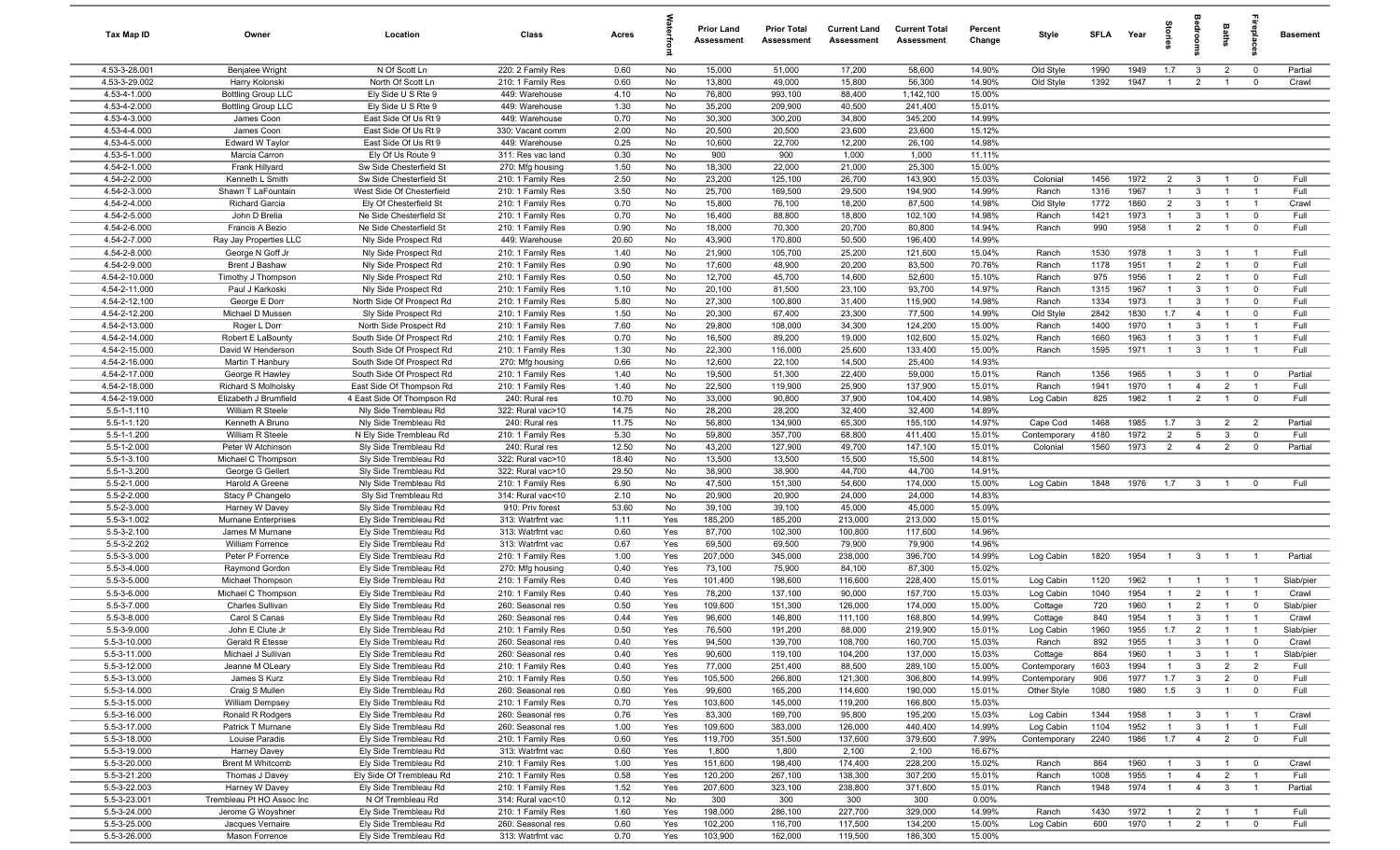| Tax Map ID                     | Owner                               | Location                                          | Class                                  | Acres         |            | <b>Prior Land</b><br>Assessment | <b>Prior Total</b><br>Assessment | <b>Current Land</b><br>Assessment | <b>Current Total</b><br>Assessment | Percent<br>Change | Style                        | <b>SFLA</b>  | Year         | par<br>Le                        | edrool            | Baths                            | 윤                                | <b>Basement</b> |
|--------------------------------|-------------------------------------|---------------------------------------------------|----------------------------------------|---------------|------------|---------------------------------|----------------------------------|-----------------------------------|------------------------------------|-------------------|------------------------------|--------------|--------------|----------------------------------|-------------------|----------------------------------|----------------------------------|-----------------|
| 4.53-3-28.001                  | Benjalee Wright                     | N Of Scott Ln                                     | 220: 2 Family Res                      | 0.60          | No         | 15,000                          | 51,000                           | 17,200                            | 58,600                             | 14.90%            | Old Style                    | 1990         | 1949         | 1.7                              | $\overline{3}$    | $\overline{2}$                   | $^{\circ}$                       | Partial         |
| 4.53-3-29.002                  | Harry Kolonski                      | North Of Scott Ln                                 | 210: 1 Family Res                      | 0.60          | No         | 13,800                          | 49,000                           | 15,800                            | 56,300                             | 14.90%            | Old Style                    | 1392         | 1947         | -1                               | $\overline{2}$    | -1                               | $\mathbf 0$                      | Crawl           |
| 4.53-4-1.000                   | <b>Bottling Group LLC</b>           | Ely Side U S Rte 9                                | 449: Warehouse                         | 4.10          | No         | 76,800                          | 993,100                          | 88,400                            | 1,142,100                          | 15.00%            |                              |              |              |                                  |                   |                                  |                                  |                 |
| 4.53-4-2.000<br>4.53-4-3.000   | <b>Bottling Group LLC</b>           | Ely Side U S Rte 9<br>East Side Of Us Rt 9        | 449: Warehouse<br>449: Warehouse       | 1.30<br>0.70  | No<br>No   | 35,200<br>30,300                | 209,900<br>300,200               | 40,500<br>34,800                  | 241,400<br>345,200                 | 15.01%<br>14.99%  |                              |              |              |                                  |                   |                                  |                                  |                 |
| 4.53-4-4.000                   | James Coon<br>James Coon            | East Side Of Us Rt 9                              | 330: Vacant comm                       | 2.00          | No         | 20,500                          | 20,500                           | 23,600                            | 23,600                             | 15.12%            |                              |              |              |                                  |                   |                                  |                                  |                 |
| 4.53-4-5.000                   | Edward W Taylor                     | East Side Of Us Rt 9                              | 449: Warehouse                         | 0.25          | No         | 10,600                          | 22,700                           | 12,200                            | 26,100                             | 14.98%            |                              |              |              |                                  |                   |                                  |                                  |                 |
| 4.53-5-1.000                   | Marcia Carron                       | Ely Of Us Route 9                                 | 311: Res vac land                      | 0.30          | No         | 900                             | 900                              | 1,000                             | 1,000                              | 11.11%            |                              |              |              |                                  |                   |                                  |                                  |                 |
| 4.54-2-1.000                   | Frank Hillyard                      | Sw Side Chesterfield St                           | 270: Mfg housing                       | 1.50          | No         | 18,300                          | 22,000                           | 21,000                            | 25,300                             | 15.00%            |                              |              |              |                                  |                   |                                  |                                  |                 |
| 4.54-2-2.000                   | Kenneth L Smith                     | Sw Side Chesterfield St                           | 210: 1 Family Res                      | 2.50          | No         | 23,200                          | 125,100                          | 26,700                            | 143,900                            | 15.03%            | Colonial                     | 1456         | 1972         | $\overline{2}$                   | 3                 | $\overline{1}$                   | $^{\circ}$                       | Full            |
| 4.54-2-3.000                   | Shawn T LaFountain                  | West Side Of Chesterfield                         | 210: 1 Family Res                      | 3.50          | No         | 25,700                          | 169,500                          | 29,500                            | 194,900                            | 14.99%            | Ranch                        | 1316         | 1967         | $\mathbf{1}$                     | 3                 | $\overline{1}$                   | $\overline{1}$                   | Full            |
| 4.54-2-4.000                   | <b>Richard Garcia</b>               | Ely Of Chesterfield St                            | 210: 1 Family Res                      | 0.70          | No         | 15,800                          | 76,100                           | 18,200                            | 87,500                             | 14.98%            | Old Style                    | 1772         | 1860         | $\overline{2}$                   | $\mathbf{3}$      | $\overline{1}$                   | $\overline{1}$                   | Crawl           |
| 4.54-2-5.000                   | John D Brelia                       | Ne Side Chesterfield St                           | 210: 1 Family Res                      | 0.70          | No         | 16,400                          | 88,800                           | 18,800                            | 102,100                            | 14.98%            | Ranch                        | 1421         | 1973         | $\overline{1}$                   | 3                 | $\overline{1}$                   | $\mathbf 0$                      | Full            |
| 4.54-2-6.000                   | Francis A Bezio                     | Ne Side Chesterfield St                           | 210: 1 Family Res                      | 0.90          | No         | 18,000                          | 70,300                           | 20,700                            | 80,800                             | 14.94%            | Ranch                        | 990          | 1958         | $\overline{1}$                   | $\overline{2}$    | $\overline{1}$                   | $\mathbf 0$                      | Full            |
| 4.54-2-7.000                   | Ray Jay Properties LLC              | Nly Side Prospect Rd                              | 449: Warehouse                         | 20.60         | No         | 43,900                          | 170,800                          | 50,500                            | 196,400                            | 14.99%            |                              |              |              |                                  |                   |                                  |                                  |                 |
| 4.54-2-8.000                   | George N Goff Jr                    | Nly Side Prospect Rd                              | 210: 1 Family Res                      | 1.40          | No         | 21,900                          | 105,700                          | 25,200                            | 121,600                            | 15.04%            | Ranch                        | 1530         | 1978         | $\overline{1}$                   | 3                 | $\overline{1}$                   | $\overline{1}$                   | Full            |
| 4.54-2-9.000                   | Brent J Bashaw                      | Nly Side Prospect Rd                              | 210: 1 Family Res                      | 0.90          | No         | 17,600                          | 48,900                           | 20,200                            | 83,500                             | 70.76%            | Ranch                        | 1178         | 1951         | $\mathbf{1}$                     | $\overline{2}$    | - 1                              | $\mathbf 0$                      | Full            |
| 4.54-2-10.000                  | Timothy J Thompson                  | Nly Side Prospect Rd                              | 210: 1 Family Res                      | 0.50          | No         | 12,700                          | 45,700                           | 14,600                            | 52,600                             | 15.10%            | Ranch                        | 975          | 1956         | $\mathbf{1}$                     | $\overline{2}$    | $\overline{1}$                   | $\mathbf 0$                      | Full            |
| 4.54-2-11.000<br>4.54-2-12.100 | Paul J Karkoski<br>George E Dorr    | Nly Side Prospect Rd<br>North Side Of Prospect Rd | 210: 1 Family Res<br>210: 1 Family Res | 1.10<br>5.80  | No<br>No   | 20,100<br>27,300                | 81,500<br>100,800                | 23,100<br>31,400                  | 93,700<br>115,900                  | 14.97%<br>14.98%  | Ranch<br>Ranch               | 1315<br>1334 | 1967<br>1973 | $\overline{1}$<br>$\overline{1}$ | 3<br>3            | $\overline{1}$<br>$\overline{1}$ | $\mathbf 0$<br>$\mathbf 0$       | Full<br>Full    |
| 4.54-2-12.200                  | Michael D Mussen                    | Sly Side Prospect Rd                              | 210: 1 Family Res                      | 1.50          | No         | 20,300                          | 67,400                           | 23,300                            | 77,500                             | 14.99%            | Old Style                    | 2842         | 1830         | 1.7                              | $\overline{4}$    | $\overline{1}$                   | $\mathbf 0$                      | Full            |
| 4.54-2-13.000                  | Roger L Dorr                        | North Side Prospect Rd                            | 210: 1 Family Res                      | 7.60          | No         | 29,800                          | 108,000                          | 34,300                            | 124,200                            | 15.00%            | Ranch                        | 1400         | 1970         | $\overline{1}$                   | 3                 | $\overline{1}$                   | $\overline{1}$                   | Full            |
| 4.54-2-14.000                  | Robert E LaBounty                   | South Side Of Prospect Rd                         | 210: 1 Family Res                      | 0.70          | No         | 16,500                          | 89,200                           | 19,000                            | 102,600                            | 15.02%            | Ranch                        | 1660         | 1963         | $\overline{1}$                   | 3                 | $\overline{1}$                   | $\overline{1}$                   | Full            |
| 4.54-2-15.000                  | David W Henderson                   | South Side Of Prospect Rd                         | 210: 1 Family Res                      | 1.30          | No         | 22,300                          | 116,000                          | 25,600                            | 133,400                            | 15.00%            | Ranch                        | 1595         | 1971         | $\overline{1}$                   | $\mathbf{3}$      | $\overline{1}$                   | $\overline{1}$                   | Full            |
| 4.54-2-16.000                  | Martin T Hanbury                    | South Side Of Prospect Rd                         | 270: Mfg housing                       | 0.66          | No         | 12,600                          | 22,100                           | 14,500                            | 25,400                             | 14.93%            |                              |              |              |                                  |                   |                                  |                                  |                 |
| 4.54-2-17.000                  | George R Hawley                     | South Side Of Prospect Rd                         | 210: 1 Family Res                      | 1.40          | No         | 19,500                          | 51,300                           | 22,400                            | 59,000                             | 15.01%            | Ranch                        | 1356         | 1965         | $\overline{1}$                   | 3                 | $\mathbf{1}$                     | $^{\circ}$                       | Partial         |
| 4.54-2-18.000                  | Richard S Molholsky                 | East Side Of Thompson Rd                          | 210: 1 Family Res                      | 1.40          | No         | 22,500                          | 119,900                          | 25,900                            | 137,900                            | 15.01%            | Ranch                        | 1941         | 1970         | $\overline{1}$                   | $\overline{4}$    | $\overline{2}$                   | $\overline{1}$                   | Full            |
| 4.54-2-19.000                  | Elizabeth J Brumfield               | 4 East Side Of Thompson Rd                        | 240: Rural res                         | 10.70         | No         | 33,000                          | 90,800                           | 37,900                            | 104,400                            | 14.98%            | Log Cabin                    | 825          | 1982         | $\mathbf{1}$                     | $\overline{2}$    | $\mathbf{1}$                     | $\mathbf 0$                      | Full            |
| $5.5 - 1 - 1.110$              | William R Steele                    | Nly Side Trembleau Rd                             | 322: Rural vac>10                      | 14.75         | No         | 28,200                          | 28,200                           | 32,400                            | 32,400                             | 14.89%            |                              |              |              |                                  |                   |                                  |                                  |                 |
| $5.5 - 1 - 1.120$              | Kenneth A Bruno                     | Nly Side Trembleau Rd                             | 240: Rural res                         | 11.75         | No         | 56,800                          | 134,900                          | 65,300                            | 155,100                            | 14.97%            | Cape Cod                     | 1468         | 1985         | 1.7                              | $\mathbf{3}$      | $\overline{2}$                   | $\overline{2}$                   | Partial         |
| 5.5-1-1.200                    | William R Steele                    | N Ely Side Trembleau Rd                           | 210: 1 Family Res                      | 5.30          | No         | 59,800                          | 357,700                          | 68,800                            | 411,400                            | 15.01%            | Contemporary                 | 4180         | 1972         | $\overline{2}$                   | $5\overline{)}$   | 3                                | $\mathbf 0$                      | Full            |
| 5.5-1-2.000                    | Peter W Atchinson                   | Sly Side Trembleau Rd                             | 240: Rural res                         | 12.50         | No         | 43,200                          | 127,900                          | 49,700                            | 147,100                            | 15.01%            | Colonial                     | 1560         | 1973         | $\overline{2}$                   | $\overline{4}$    | $\overline{2}$                   | $\mathbf 0$                      | Partial         |
| 5.5-1-3.100                    | Michael C Thompson                  | Sly Side Trembleau Rd                             | 322: Rural vac>10                      | 18.40         | No         | 13,500                          | 13,500                           | 15,500                            | 15,500                             | 14.81%            |                              |              |              |                                  |                   |                                  |                                  |                 |
| 5.5-1-3.200<br>5.5-2-1.000     | George G Gellert<br>Harold A Greene | Sly Side Trembleau Rd<br>Nly Side Trembleau Rd    | 322: Rural vac>10<br>210: 1 Family Res | 29.50<br>6.90 | No<br>No   | 38,900<br>47,500                | 38,900<br>151,300                | 44,700<br>54,600                  | 44,700<br>174,000                  | 14.91%<br>15.00%  | Log Cabin                    | 1848         | 1976         | 1.7                              | $\mathbf{3}$      | $\overline{1}$                   | $\Omega$                         | Full            |
| 5.5-2-2.000                    | Stacy P Changelo                    | Sly Sid Trembleau Rd                              | 314: Rural vac<10                      | 2.10          | No         | 20,900                          | 20,900                           | 24,000                            | 24,000                             | 14.83%            |                              |              |              |                                  |                   |                                  |                                  |                 |
| 5.5-2-3.000                    | Harney W Davey                      | Sly Side Trembleau Rd                             | 910: Priv forest                       | 53.60         | No         | 39,100                          | 39,100                           | 45,000                            | 45,000                             | 15.09%            |                              |              |              |                                  |                   |                                  |                                  |                 |
| 5.5-3-1.002                    | Murnane Enterprises                 | Ely Side Trembleau Rd                             | 313: Watrfrnt vac                      | 1.11          | Yes        | 185,200                         | 185,200                          | 213,000                           | 213,000                            | 15.01%            |                              |              |              |                                  |                   |                                  |                                  |                 |
| 5.5-3-2.100                    | James M Murnane                     | Ely Side Trembleau Rd                             | 313: Watrfrnt vac                      | 0.60          | Yes        | 87,700                          | 102,300                          | 100,800                           | 117,600                            | 14.96%            |                              |              |              |                                  |                   |                                  |                                  |                 |
| 5.5-3-2.202                    | <b>William Forrence</b>             | Ely Side Trembleau Rd                             | 313: Watrfrnt vac                      | 0.67          | Yes        | 69,500                          | 69,500                           | 79,900                            | 79,900                             | 14.96%            |                              |              |              |                                  |                   |                                  |                                  |                 |
| 5.5-3-3.000                    | Peter P Forrence                    | Ely Side Trembleau Rd                             | 210: 1 Family Res                      | 1.00          | Yes        | 207,000                         | 345,000                          | 238,000                           | 396,700                            | 14.99%            | Log Cabin                    | 1820         | 1954         | $\overline{1}$                   | 3                 | $\overline{1}$                   |                                  | Partial         |
| 5.5-3-4.000                    | Raymond Gordon                      | Ely Side Trembleau Rd                             | 270: Mfg housing                       | 0.40          | Yes        | 73,100                          | 75,900                           | 84,100                            | 87,300                             | 15.02%            |                              |              |              |                                  |                   |                                  |                                  |                 |
| 5.5-3-5.000                    | Michael Thompson                    | Ely Side Trembleau Rd                             | 210: 1 Family Res                      | 0.40          | Yes        | 101,400                         | 198,600                          | 116,600                           | 228,400                            | 15.01%            | Log Cabin                    | 1120         | 1962         | $\overline{1}$                   | $\overline{1}$    | $\overline{1}$                   |                                  | Slab/pier       |
| 5.5-3-6.000                    | Michael C Thompson                  | Ely Side Trembleau Rd                             | 210: 1 Family Res                      | 0.40          | Yes        | 78,200                          | 137,100                          | 90,000                            | 157,700                            | 15.03%            | Log Cabin                    | 1040         | 1954         | $\overline{1}$                   | $\overline{2}$    | $\overline{1}$                   | $\overline{1}$                   | Crawl           |
| 5.5-3-7.000                    | Charles Sullivan                    | Ely Side Trembleau Rd                             | 260: Seasonal res                      | 0.50          | Yes        | 109,600                         | 151,300                          | 126,000                           | 174,000                            | 15.00%            | Cottage                      | 720          | 1960         | $\overline{1}$                   | $\overline{2}$    | - 1                              | $\mathbf 0$                      | Slab/pier       |
| 5.5-3-8.000                    | Carol S Canas                       | Ely Side Trembleau Rd                             | 260: Seasonal res                      | 0.44          | Yes        | 96,600                          | 146,800                          | 111,100                           | 168,800                            | 14.99%            | Cottage                      | 840          | 1954         | $\overline{1}$                   | 3                 | $\overline{1}$                   | $\overline{1}$                   | Crawl           |
| 5.5-3-9.000                    | John E Clute Jr                     | Ely Side Trembleau Rd                             | 210: 1 Family Res                      | 0.50          | Yes        | 76,500                          | 191,200                          | 88,000                            | 219,900                            | 15.01%            | Log Cabin                    | 1960         | 1955         | 1.7                              | 2                 | $\overline{1}$                   |                                  | Slab/pier       |
| 5.5-3-10.000                   | Gerald R Etesse                     | Ely Side Trembleau Rd                             | 260: Seasonal res                      | 0.40          | Yes        | 94,500                          | 139,700                          | 108,700                           | 160,700                            | 15.03%            | Ranch                        | 892          | 1955         | $\overline{1}$                   | $\mathbf{3}$      | $\overline{1}$                   | $\mathbf 0$                      | Crawl           |
| 5.5-3-11.000<br>5.5-3-12.000   | Michael J Sullivan                  | Ely Side Trembleau Rd                             | 260: Seasonal res<br>210: 1 Family Res | 0.40          | Yes        | 90,600<br>77,000                | 119,100                          | 104,200<br>88,500                 | 137,000<br>289,100                 | 15.03%<br>15.00%  | Cottage                      | 864<br>1603  | 1960<br>1994 | $\overline{1}$                   | 3<br>$\mathbf{3}$ | $\overline{1}$                   | $\overline{1}$<br>$\overline{2}$ | Slab/pier       |
| 5.5-3-13.000                   | Jeanne M OLeary<br>James S Kurz     | Ely Side Trembleau Rd<br>Ely Side Trembleau Rd    | 210: 1 Family Res                      | 0.40<br>0.50  | Yes<br>Yes | 105,500                         | 251,400<br>266,800               | 121,300                           | 306,800                            | 14.99%            | Contemporary<br>Contemporary | 906          | 1977         | 1.7                              | $\mathbf{3}$      | $\overline{2}$<br>$\overline{2}$ | $\mathbf 0$                      | Full<br>Full    |
| 5.5-3-14.000                   | Craig S Mullen                      | Ely Side Trembleau Rd                             | 260: Seasonal res                      | 0.60          | Yes        | 99,600                          | 165,200                          | 114,600                           | 190,000                            | 15.01%            | Other Style                  | 1080         | 1980         | 1.5                              | $\mathbf{3}$      | $\overline{1}$                   | $\mathbf 0$                      | Full            |
| 5.5-3-15.000                   | <b>William Dempsey</b>              | Ely Side Trembleau Rd                             | 210: 1 Family Res                      | 0.70          | Yes        | 103,600                         | 145,000                          | 119,200                           | 166,800                            | 15.03%            |                              |              |              |                                  |                   |                                  |                                  |                 |
| 5.5-3-16.000                   | Ronald R Rodgers                    | Ely Side Trembleau Rd                             | 260: Seasonal res                      | 0.76          | Yes        | 83,300                          | 169,700                          | 95,800                            | 195,200                            | 15.03%            | Log Cabin                    | 1344         | 1958         | $\mathbf{1}$                     | 3                 |                                  |                                  | Crawl           |
| 5.5-3-17.000                   | Patrick T Murnane                   | Ely Side Trembleau Rd                             | 260: Seasonal res                      | 1.00          | Yes        | 109,600                         | 383,000                          | 126,000                           | 440,400                            | 14.99%            | Log Cabin                    | 1104         | 1952         | $\mathbf{1}$                     | $\mathbf{3}$      |                                  |                                  | Full            |
| 5.5-3-18.000                   | Louise Paradis                      | Ely Side Trembleau Rd                             | 210: 1 Family Res                      | 0.60          | Yes        | 119,700                         | 351,500                          | 137,600                           | 379,600                            | 7.99%             | Contemporary                 | 2240         | 1986         | 1.7                              | $\overline{4}$    | $\overline{2}$                   | $\mathbf 0$                      | Full            |
| 5.5-3-19.000                   | Harney Davey                        | Ely Side Trembleau Rd                             | 313: Watrfrnt vac                      | 0.60          | Yes        | 1,800                           | 1,800                            | 2,100                             | 2,100                              | 16.67%            |                              |              |              |                                  |                   |                                  |                                  |                 |
| 5.5-3-20.000                   | <b>Brent M Whitcomb</b>             | Ely Side Trembleau Rd                             | 210: 1 Family Res                      | 1.00          | Yes        | 151,600                         | 198,400                          | 174,400                           | 228,200                            | 15.02%            | Ranch                        | 864          | 1960         | $\overline{1}$                   | $\mathbf{3}$      | $\overline{1}$                   | $\overline{\mathbf{0}}$          | Crawl           |
| 5.5-3-21.200                   | Thomas J Davey                      | Ely Side Of Trembleau Rd                          | 210: 1 Family Res                      | 0.58          | Yes        | 120,200                         | 267,100                          | 138,300                           | 307,200                            | 15.01%            | Ranch                        | 1008         | 1955         | $\overline{1}$                   | $\overline{4}$    | $\overline{2}$                   | $\overline{1}$                   | Full            |
| 5.5-3-22.003                   | Harney W Davey                      | Ely Side Trembleau Rd                             | 210: 1 Family Res                      | 1.52          | Yes        | 207,600                         | 323,100                          | 238,800                           | 371,600                            | 15.01%            | Ranch                        | 1948         | 1974         | $\overline{1}$                   | $\overline{4}$    | $\mathbf{3}$                     | $\overline{1}$                   | Partial         |
| 5.5-3-23.001                   | Trembleau Pt HO Assoc Inc           | N Of Trembleau Rd                                 | 314: Rural vac<10                      | 0.12          | No         | 300                             | 300                              | 300                               | 300                                | 0.00%             |                              |              |              |                                  |                   |                                  |                                  |                 |
| 5.5-3-24.000                   | Jerome G Woyshner                   | Ely Side Trembleau Rd                             | 210: 1 Family Res                      | 1.60          | Yes        | 198,000                         | 286,100                          | 227,700                           | 329,000                            | 14.99%            | Ranch                        | 1430         | 1972         | $\overline{1}$                   | $\overline{2}$    | $\overline{1}$                   | $\overline{1}$                   | Full            |
| 5.5-3-25.000                   | Jacques Vernaire                    | Ely Side Trembleau Rd                             | 260: Seasonal res                      | 0.60          | Yes        | 102,200                         | 116,700                          | 117,500                           | 134,200                            | 15.00%            | Log Cabin                    | 600          | 1970         | $\overline{1}$                   | $\overline{2}$    | $\overline{1}$                   | $\mathbf 0$                      | Full            |
| 5.5-3-26.000                   | Mason Forrence                      | Ely Side Trembleau Rd                             | 313: Watrfrnt vac                      | 0.70          | Yes        | 103,900                         | 162,000                          | 119,500                           | 186,300                            | 15.00%            |                              |              |              |                                  |                   |                                  |                                  |                 |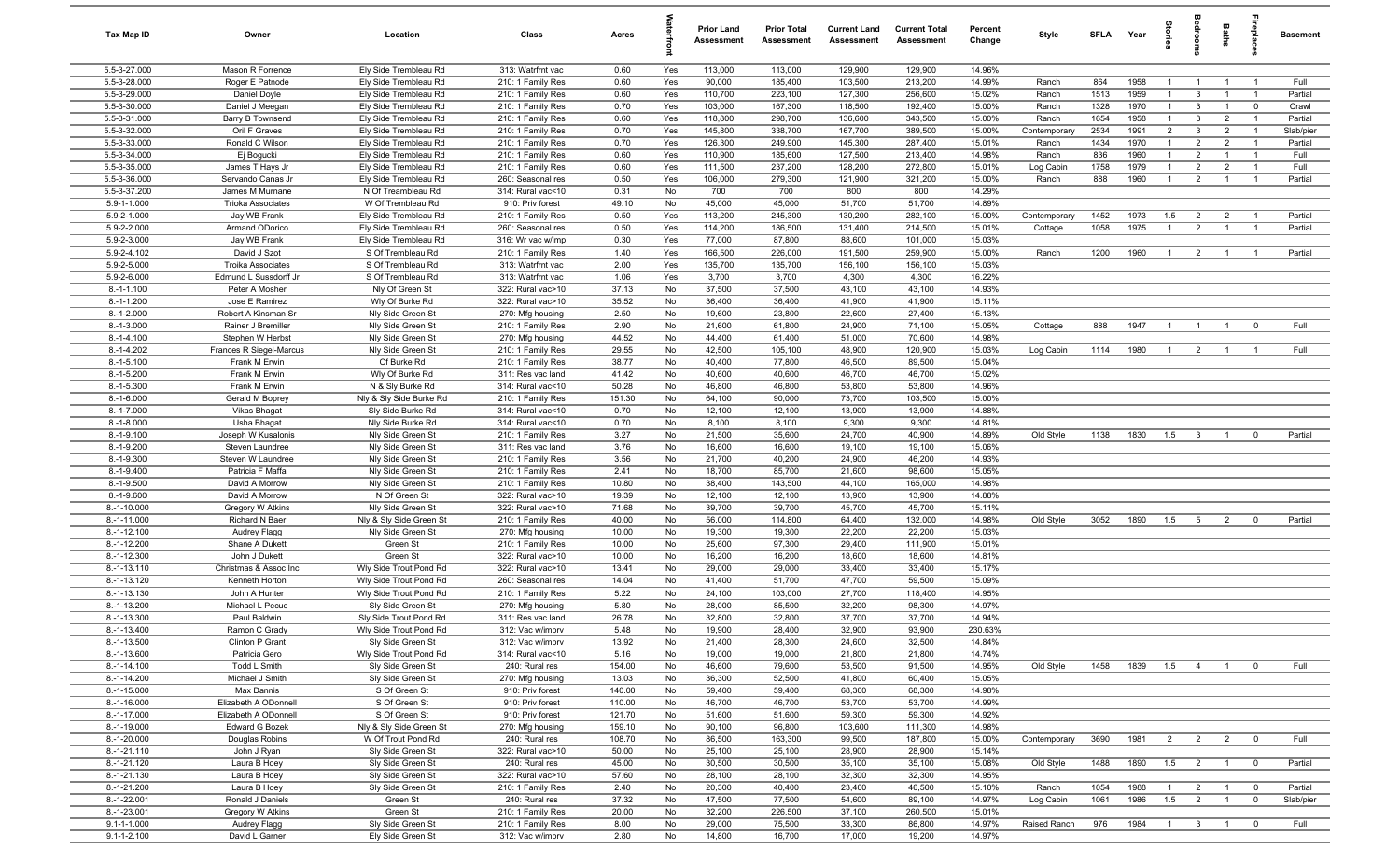| Tax Map ID                   | Owner                                | Location                                       | Class                                  | Acres          |            | <b>Prior Land</b><br>Assessment | <b>Prior Total</b><br>Assessment | <b>Current Land</b><br>Assessment | <b>Current Total</b><br><b>Assessment</b> | Percent<br>Change | Style                 | SFLA         | Year         | gie                              |                         | Baths                            | repla                            | <b>Basement</b>      |
|------------------------------|--------------------------------------|------------------------------------------------|----------------------------------------|----------------|------------|---------------------------------|----------------------------------|-----------------------------------|-------------------------------------------|-------------------|-----------------------|--------------|--------------|----------------------------------|-------------------------|----------------------------------|----------------------------------|----------------------|
| 5.5-3-27.000                 | Mason R Forrence                     | Ely Side Trembleau Rd                          | 313: Watrfrnt vac                      | 0.60           | Yes        | 113,000                         | 113,000                          | 129,900                           | 129,900                                   | 14.96%            |                       |              |              |                                  |                         |                                  |                                  |                      |
| 5.5-3-28.000                 | Roger E Patnode                      | Ely Side Trembleau Rd                          | 210: 1 Family Res                      | 0.60           | Yes        | 90,000                          | 185,400                          | 103,500                           | 213,200                                   | 14.99%            | Ranch                 | 864          | 1958         | $\mathbf{1}$                     | $\overline{1}$          | $\overline{1}$                   |                                  | Full                 |
| 5.5-3-29.000                 | Daniel Doyle                         | Ely Side Trembleau Rd                          | 210: 1 Family Res                      | 0.60           | Yes        | 110,700                         | 223,100                          | 127,300                           | 256,600                                   | 15.02%            | Ranch                 | 1513         | 1959         |                                  | 3                       |                                  |                                  | Partial              |
| 5.5-3-30.000                 | Daniel J Meegan                      | Ely Side Trembleau Rd                          | 210: 1 Family Res                      | 0.70           | Yes        | 103,000                         | 167,300                          | 118,500                           | 192,400                                   | 15.00%            | Ranch                 | 1328         | 1970         | $\mathbf{1}$                     | 3                       |                                  | $^{\circ}$                       | Crawl                |
| 5.5-3-31.000                 | Barry B Townsend                     | Ely Side Trembleau Rd                          | 210: 1 Family Res                      | 0.60           | Yes        | 118,800                         | 298,700                          | 136,600                           | 343,500                                   | 15.00%            | Ranch                 | 1654         | 1958         | $\mathbf{1}$                     | $\mathbf{3}$            | $\overline{2}$                   | $\overline{1}$<br>$\overline{1}$ | Partial              |
| 5.5-3-32.000<br>5.5-3-33.000 | Oril F Graves<br>Ronald C Wilson     | Ely Side Trembleau Rd<br>Ely Side Trembleau Rd | 210: 1 Family Res<br>210: 1 Family Res | 0.70<br>0.70   | Yes<br>Yes | 145,800<br>126,300              | 338,700<br>249,900               | 167,700<br>145,300                | 389,500<br>287,400                        | 15.00%<br>15.01%  | Contemporary<br>Ranch | 2534<br>1434 | 1991<br>1970 | $\overline{2}$<br>$\overline{1}$ | 3<br>$\overline{2}$     | $\overline{2}$<br>$\overline{2}$ | $\overline{1}$                   | Slab/pier<br>Partial |
| 5.5-3-34.000                 | Ej Bogucki                           | Ely Side Trembleau Rd                          | 210: 1 Family Res                      | 0.60           | Yes        | 110,900                         | 185,600                          | 127,500                           | 213,400                                   | 14.98%            | Ranch                 | 836          | 1960         | $\overline{1}$                   | $\overline{2}$          | $\overline{1}$                   | $\overline{1}$                   | Full                 |
| 5.5-3-35.000                 | James T Hays Jr                      | Ely Side Trembleau Rd                          | 210: 1 Family Res                      | 0.60           | Yes        | 111,500                         | 237,200                          | 128,200                           | 272,800                                   | 15.01%            | Log Cabin             | 1758         | 1979         | $\overline{1}$                   | $\overline{2}$          | $\overline{2}$                   | $\overline{1}$                   | Full                 |
| 5.5-3-36.000                 | Servando Canas Jr                    | Ely Side Trembleau Rd                          | 260: Seasonal res                      | 0.50           | Yes        | 106,000                         | 279,300                          | 121,900                           | 321,200                                   | 15.00%            | Ranch                 | 888          | 1960         | $\overline{1}$                   | $\overline{2}$          | $\overline{1}$                   | $\overline{1}$                   | Partial              |
| 5.5-3-37.200                 | James M Murnane                      | N Of Treambleau Rd                             | 314: Rural vac<10                      | 0.31           | No         | 700                             | 700                              | 800                               | 800                                       | 14.29%            |                       |              |              |                                  |                         |                                  |                                  |                      |
| 5.9-1-1.000                  | <b>Trioka Associates</b>             | W Of Trembleau Rd                              | 910: Priv forest                       | 49.10          | No         | 45,000                          | 45,000                           | 51,700                            | 51,700                                    | 14.89%            |                       |              |              |                                  |                         |                                  |                                  |                      |
| 5.9-2-1.000                  | Jay WB Frank                         | Ely Side Trembleau Rd                          | 210: 1 Family Res                      | 0.50           | Yes        | 113,200                         | 245,300                          | 130,200                           | 282,100                                   | 15.00%            | Contemporary          | 1452         | 1973         | 1.5                              | $\overline{2}$          | $\overline{2}$                   |                                  | Partial              |
| 5.9-2-2.000                  | Armand ODorico                       | Ely Side Trembleau Rd                          | 260: Seasonal res                      | 0.50           | Yes        | 114,200                         | 186,500                          | 131,400                           | 214,500                                   | 15.01%            | Cottage               | 1058         | 1975         | $\mathbf{1}$                     | $\overline{2}$          | $\overline{1}$                   |                                  | Partial              |
| 5.9-2-3.000                  | Jay WB Frank                         | Ely Side Trembleau Rd                          | 316: Wr vac w/imp                      | 0.30           | Yes        | 77,000                          | 87,800                           | 88,600                            | 101,000                                   | 15.03%            |                       |              |              |                                  |                         |                                  |                                  |                      |
| 5.9-2-4.102                  | David J Szot                         | S Of Trembleau Rd                              | 210: 1 Family Res                      | 1.40           | Yes        | 166,500                         | 226,000                          | 191,500                           | 259,900                                   | 15.00%            | Ranch                 | 1200         | 1960         | $\overline{1}$                   | $\overline{2}$          | $\overline{1}$                   |                                  | Partial              |
| 5.9-2-5.000                  | <b>Troika Associates</b>             | S Of Trembleau Rd                              | 313: Watrfrnt vac                      | 2.00           | Yes        | 135,700                         | 135,700                          | 156,100                           | 156,100                                   | 15.03%            |                       |              |              |                                  |                         |                                  |                                  |                      |
| 5.9-2-6.000                  | Edmund L Sussdorff Jr                | S Of Trembleau Rd<br>Nly Of Green St           | 313: Watrfrnt vac                      | 1.06           | Yes        | 3,700                           | 3,700                            | 4,300                             | 4,300                                     | 16.22%            |                       |              |              |                                  |                         |                                  |                                  |                      |
| $8.-1-1.100$<br>$8.-1-1.200$ | Peter A Mosher<br>Jose E Ramirez     | Wly Of Burke Rd                                | 322: Rural vac>10<br>322: Rural vac>10 | 37.13<br>35.52 | No<br>No   | 37,500<br>36,400                | 37,500<br>36,400                 | 43,100<br>41,900                  | 43,100<br>41,900                          | 14.93%<br>15.11%  |                       |              |              |                                  |                         |                                  |                                  |                      |
| $8.-1-2.000$                 | Robert A Kinsman Sr                  | Nly Side Green St                              | 270: Mfg housing                       | 2.50           | No         | 19,600                          | 23,800                           | 22,600                            | 27,400                                    | 15.13%            |                       |              |              |                                  |                         |                                  |                                  |                      |
| $8.-1-3.000$                 | Rainer J Bremiller                   | Nly Side Green St                              | 210: 1 Family Res                      | 2.90           | No         | 21,600                          | 61,800                           | 24,900                            | 71,100                                    | 15.05%            | Cottage               | 888          | 1947         | $\overline{1}$                   | $\overline{1}$          | $\overline{1}$                   | $\Omega$                         | Full                 |
| $8 - 1 - 4.100$              | Stephen W Herbst                     | Nly Side Green St                              | 270: Mfg housing                       | 44.52          | No         | 44,400                          | 61,400                           | 51,000                            | 70,600                                    | 14.98%            |                       |              |              |                                  |                         |                                  |                                  |                      |
| $8.-1-4.202$                 | Frances R Siegel-Marcus              | Nly Side Green St                              | 210: 1 Family Res                      | 29.55          | No         | 42,500                          | 105,100                          | 48,900                            | 120,900                                   | 15.03%            | Log Cabin             | 1114         | 1980         | $\overline{1}$                   | $\overline{2}$          | $\overline{1}$                   |                                  | Full                 |
| $8.-1-5.100$                 | Frank M Erwin                        | Of Burke Rd                                    | 210: 1 Family Res                      | 38.77          | No         | 40,400                          | 77,800                           | 46,500                            | 89,500                                    | 15.04%            |                       |              |              |                                  |                         |                                  |                                  |                      |
| $8.-1-5.200$                 | Frank M Erwin                        | Wly Of Burke Rd                                | 311: Res vac land                      | 41.42          | No         | 40,600                          | 40,600                           | 46,700                            | 46,700                                    | 15.02%            |                       |              |              |                                  |                         |                                  |                                  |                      |
| $8.-1-5.300$                 | Frank M Erwin                        | N & Sly Burke Rd                               | 314: Rural vac<10                      | 50.28          | No         | 46,800                          | 46,800                           | 53,800                            | 53,800                                    | 14.96%            |                       |              |              |                                  |                         |                                  |                                  |                      |
| $8.-1-6.000$                 | Gerald M Boprey                      | Nly & Sly Side Burke Rd                        | 210: 1 Family Res                      | 151.30         | No         | 64,100                          | 90,000                           | 73,700                            | 103,500                                   | 15.00%            |                       |              |              |                                  |                         |                                  |                                  |                      |
| $8.-1-7.000$                 | Vikas Bhagat                         | Sly Side Burke Rd                              | 314: Rural vac<10                      | 0.70           | No         | 12,100                          | 12,100                           | 13,900                            | 13,900                                    | 14.88%            |                       |              |              |                                  |                         |                                  |                                  |                      |
| $8.-1-8.000$                 | Usha Bhagat                          | Nly Side Burke Rd                              | 314: Rural vac<10                      | 0.70           | No         | 8,100                           | 8,100                            | 9,300                             | 9,300                                     | 14.81%            |                       |              |              |                                  |                         |                                  |                                  |                      |
| $8.-1-9.100$                 | Joseph W Kusalonis                   | Nly Side Green St                              | 210: 1 Family Res                      | 3.27           | No         | 21,500                          | 35,600                           | 24,700                            | 40,900                                    | 14.89%            | Old Style             | 1138         | 1830         | 1.5                              | $\mathbf{3}$            | $\overline{1}$                   | $^{\circ}$                       | Partial              |
| $8.-1-9.200$<br>8.-1-9.300   | Steven Laundree<br>Steven W Laundree | Nly Side Green St                              | 311: Res vac land<br>210: 1 Family Res | 3.76<br>3.56   | No<br>No   | 16,600<br>21,700                | 16,600<br>40,200                 | 19,100<br>24,900                  | 19,100<br>46,200                          | 15.06%<br>14.93%  |                       |              |              |                                  |                         |                                  |                                  |                      |
| $8.-1-9.400$                 | Patricia F Maffa                     | Nly Side Green St<br>Nly Side Green St         | 210: 1 Family Res                      | 2.41           | No         | 18,700                          | 85,700                           | 21,600                            | 98,600                                    | 15.05%            |                       |              |              |                                  |                         |                                  |                                  |                      |
| $8.-1-9.500$                 | David A Morrow                       | Nly Side Green St                              | 210: 1 Family Res                      | 10.80          | No         | 38,400                          | 143,500                          | 44,100                            | 165,000                                   | 14.98%            |                       |              |              |                                  |                         |                                  |                                  |                      |
| 8.-1-9.600                   | David A Morrow                       | N Of Green St                                  | 322: Rural vac>10                      | 19.39          | No         | 12,100                          | 12,100                           | 13,900                            | 13,900                                    | 14.88%            |                       |              |              |                                  |                         |                                  |                                  |                      |
| $8.-1-10.000$                | Gregory W Atkins                     | Nly Side Green St                              | 322: Rural vac>10                      | 71.68          | No         | 39,700                          | 39,700                           | 45,700                            | 45,700                                    | 15.11%            |                       |              |              |                                  |                         |                                  |                                  |                      |
| 8.-1-11.000                  | Richard N Baer                       | Nly & Sly Side Green St                        | 210: 1 Family Res                      | 40.00          | No         | 56,000                          | 114,800                          | 64,400                            | 132,000                                   | 14.98%            | Old Style             | 3052         | 1890         | 1.5                              | $5^{\circ}$             | $\overline{2}$                   | $\mathbf 0$                      | Partial              |
| $8.-1-12.100$                | Audrey Flagg                         | Nly Side Green St                              | 270: Mfg housing                       | 10.00          | No         | 19,300                          | 19,300                           | 22,200                            | 22,200                                    | 15.03%            |                       |              |              |                                  |                         |                                  |                                  |                      |
| 8.-1-12.200                  | Shane A Dukett                       | Green St                                       | 210: 1 Family Res                      | 10.00          | No         | 25,600                          | 97,300                           | 29,400                            | 111,900                                   | 15.01%            |                       |              |              |                                  |                         |                                  |                                  |                      |
| 8.-1-12.300                  | John J Dukett                        | Green St                                       | 322: Rural vac>10                      | 10.00          | No         | 16,200                          | 16,200                           | 18,600                            | 18,600                                    | 14.81%            |                       |              |              |                                  |                         |                                  |                                  |                      |
| 8.-1-13.110                  | Christmas & Assoc Inc                | Wly Side Trout Pond Rd                         | 322: Rural vac>10                      | 13.41          | No         | 29,000                          | 29,000                           | 33,400                            | 33,400                                    | 15.17%            |                       |              |              |                                  |                         |                                  |                                  |                      |
| 8.-1-13.120                  | Kenneth Horton                       | Wly Side Trout Pond Rd                         | 260: Seasonal res                      | 14.04          | No         | 41,400                          | 51,700                           | 47,700                            | 59,500                                    | 15.09%            |                       |              |              |                                  |                         |                                  |                                  |                      |
| 8.-1-13.130<br>8.-1-13.200   | John A Hunter<br>Michael L Pecue     | Wly Side Trout Pond Rd                         | 210: 1 Family Res                      | 5.22<br>5.80   | No<br>No   | 24,100<br>28,000                | 103,000<br>85,500                | 27,700<br>32,200                  | 118,400<br>98,300                         | 14.95%<br>14.97%  |                       |              |              |                                  |                         |                                  |                                  |                      |
| 8.-1-13.300                  | Paul Baldwin                         | Sly Side Green St<br>Sly Side Trout Pond Rd    | 270: Mfg housing<br>311: Res vac land  | 26.78          | No         | 32,800                          | 32,800                           | 37,700                            | 37,700                                    | 14.94%            |                       |              |              |                                  |                         |                                  |                                  |                      |
| 8.-1-13.400                  | Ramon C Grady                        | Wly Side Trout Pond Rd                         | 312: Vac w/imprv                       | 5.48           | No         | 19,900                          | 28,400                           | 32,900                            | 93,900                                    | 230.63%           |                       |              |              |                                  |                         |                                  |                                  |                      |
| $8.-1-13.500$                | Clinton P Grant                      | Sly Side Green St                              | 312: Vac w/imprv                       | 13.92          | No         | 21,400                          | 28,300                           | 24,600                            | 32,500                                    | 14.84%            |                       |              |              |                                  |                         |                                  |                                  |                      |
| 8.-1-13.600                  | Patricia Gero                        | Wly Side Trout Pond Rd                         | 314: Rural vac<10                      | 5.16           | No         | 19,000                          | 19,000                           | 21,800                            | 21,800                                    | 14.74%            |                       |              |              |                                  |                         |                                  |                                  |                      |
| $8.-1-14.100$                | Todd L Smith                         | Sly Side Green St                              | 240: Rural res                         | 154.00         | No         | 46,600                          | 79,600                           | 53,500                            | 91,500                                    | 14.95%            | Old Style             | 1458         | 1839         | 1.5                              | $\overline{4}$          | $\overline{1}$                   | $\overline{0}$                   | Full                 |
| $8.-1-14.200$                | Michael J Smith                      | Sly Side Green St                              | 270: Mfg housing                       | 13.03          | No         | 36,300                          | 52,500                           | 41,800                            | 60,400                                    | 15.05%            |                       |              |              |                                  |                         |                                  |                                  |                      |
| 8.-1-15.000                  | Max Dannis                           | S Of Green St                                  | 910: Priv forest                       | 140.00         | No         | 59,400                          | 59,400                           | 68,300                            | 68,300                                    | 14.98%            |                       |              |              |                                  |                         |                                  |                                  |                      |
| $8.-1-16.000$                | Elizabeth A ODonnell                 | S Of Green St                                  | 910: Priv forest                       | 110.00         | No         | 46,700                          | 46,700                           | 53,700                            | 53,700                                    | 14.99%            |                       |              |              |                                  |                         |                                  |                                  |                      |
| 8.-1-17.000                  | Elizabeth A ODonnell                 | S Of Green St                                  | 910: Priv forest                       | 121.70         | No         | 51,600                          | 51,600                           | 59,300                            | 59,300                                    | 14.92%            |                       |              |              |                                  |                         |                                  |                                  |                      |
| 8.-1-19.000                  | Edward G Bozek                       | Nly & Sly Side Green St                        | 270: Mfg housing                       | 159.10         | No         | 90,100                          | 96,800                           | 103,600                           | 111,300                                   | 14.98%            |                       |              |              |                                  |                         |                                  |                                  |                      |
| 8.-1-20.000                  | Douglas Robins                       | W Of Trout Pond Rd                             | 240: Rural res                         | 108.70         | No         | 86,500                          | 163,300                          | 99,500                            | 187,800                                   | 15.00%            | Contemporary          | 3690         | 1981         | $\overline{2}$                   | $\overline{2}$          | $\overline{2}$                   | $\overline{0}$                   | Full                 |
| $8.-1-21.110$<br>8.-1-21.120 | John J Ryan                          | Sly Side Green St                              | 322: Rural vac>10<br>240: Rural res    | 50.00<br>45.00 | No<br>No   | 25,100<br>30,500                | 25,100<br>30,500                 | 28,900<br>35,100                  | 28,900<br>35,100                          | 15.14%<br>15.08%  | Old Style             | 1488         | 1890         | 1.5                              | $\overline{2}$          | $\overline{1}$                   | $\overline{\mathbf{0}}$          | Partial              |
| 8.-1-21.130                  | Laura B Hoey<br>Laura B Hoey         | Sly Side Green St<br>Sly Side Green St         | 322: Rural vac>10                      | 57.60          | No         | 28,100                          | 28,100                           | 32,300                            | 32,300                                    | 14.95%            |                       |              |              |                                  |                         |                                  |                                  |                      |
| $8.-1-21.200$                | Laura B Hoey                         | Sly Side Green St                              | 210: 1 Family Res                      | 2.40           | No         | 20,300                          | 40,400                           | 23,400                            | 46,500                                    | 15.10%            | Ranch                 | 1054         | 1988         | $\overline{1}$                   | $\overline{2}$          | $\overline{1}$                   | $\overline{0}$                   | Partial              |
| 8.-1-22.001                  | Ronald J Daniels                     | Green St                                       | 240: Rural res                         | 37.32          | No         | 47,500                          | 77,500                           | 54,600                            | 89,100                                    | 14.97%            | Log Cabin             | 1061         | 1986         | 1.5                              | $\overline{2}$          | $\overline{1}$                   | $\mathbf 0$                      | Slab/pier            |
| 8.-1-23.001                  | Gregory W Atkins                     | Green St                                       | 210: 1 Family Res                      | 20.00          | No         | 32,200                          | 226,500                          | 37,100                            | 260,500                                   | 15.01%            |                       |              |              |                                  |                         |                                  |                                  |                      |
| $9.1 - 1 - 1.000$            | Audrey Flagg                         | Sly Side Green St                              | 210: 1 Family Res                      | 8.00           | No         | 29,000                          | 75,500                           | 33,300                            | 86,800                                    | 14.97%            | Raised Ranch          | 976          | 1984         | $\overline{1}$                   | $\overline{\mathbf{3}}$ | $\overline{1}$                   | $\mathbf 0$                      | Full                 |
| $9.1 - 1 - 2.100$            | David L Garner                       | Ely Side Green St                              | 312: Vac w/imprv                       | 2.80           | No         | 14,800                          | 16,700                           | 17,000                            | 19,200                                    | 14.97%            |                       |              |              |                                  |                         |                                  |                                  |                      |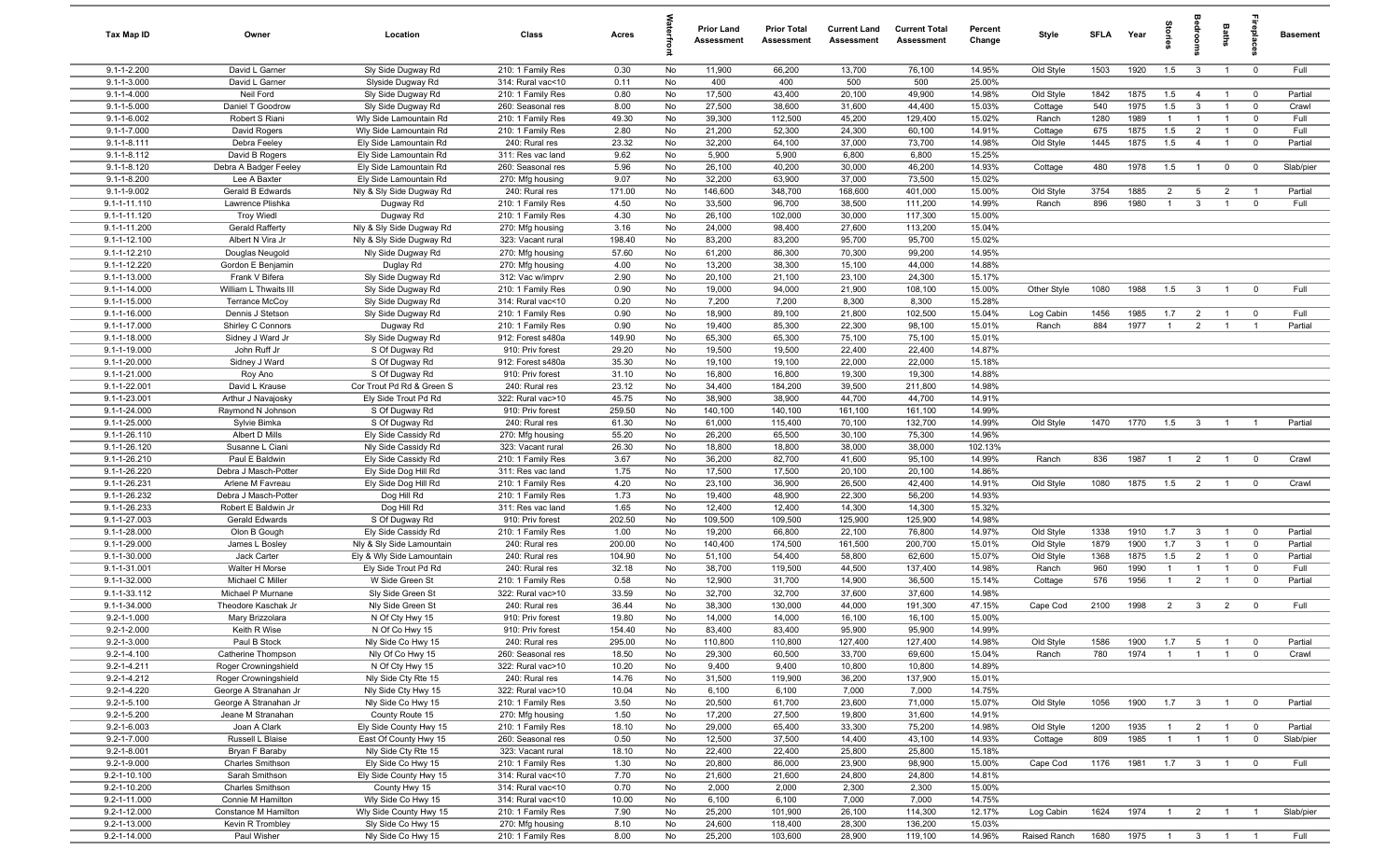| <b>Tax Map ID</b>                      | Owner                                 | Location                                  | Class                                  | Acres           |          | <b>Prior Land</b><br>Assessment | <b>Prior Total</b><br>Assessment | <b>Current Land</b><br>Assessment | <b>Current Total</b><br>Assessment | Percent<br>Change | Style                | SFLA        | Year         | 흥.                    |                                  | Baths                            | 률                             | <b>Basement</b>  |
|----------------------------------------|---------------------------------------|-------------------------------------------|----------------------------------------|-----------------|----------|---------------------------------|----------------------------------|-----------------------------------|------------------------------------|-------------------|----------------------|-------------|--------------|-----------------------|----------------------------------|----------------------------------|-------------------------------|------------------|
| $9.1 - 1 - 2.200$                      | David L Garner                        | Sly Side Dugway Rd                        | 210: 1 Family Res                      | 0.30            | No       | 11,900                          | 66,200                           | 13,700                            | 76,100                             | 14.95%            | Old Style            | 1503        | 1920         | 1.5                   | $\mathbf{3}$                     | $\overline{1}$                   | $\overline{0}$                | Full             |
| $9.1 - 1 - 3.000$                      | David L Garner                        | Slyside Dugway Rd                         | 314: Rural vac<10                      | 0.11            | No       | 400                             | 400                              | 500                               | 500                                | 25.00%            |                      |             |              |                       |                                  |                                  |                               |                  |
| $9.1 - 1 - 4.000$<br>$9.1 - 1 - 5.000$ | Neil Ford<br>Daniel T Goodrow         | Sly Side Dugway Rd<br>Sly Side Dugway Rd  | 210: 1 Family Res<br>260: Seasonal res | 0.80<br>8.00    | No<br>No | 17,500<br>27,500                | 43,400<br>38,600                 | 20,100<br>31,600                  | 49,900<br>44,400                   | 14.98%<br>15.03%  | Old Style<br>Cottage | 1842<br>540 | 1875<br>1975 | 1.5<br>1.5            | $\overline{4}$<br>$\mathbf{3}$   | $\overline{1}$<br>$\overline{1}$ | $\mathbf 0$<br>$\mathbf 0$    | Partial<br>Crawl |
| $9.1 - 1 - 6.002$                      | Robert S Riani                        | Wly Side Lamountain Rd                    | 210: 1 Family Res                      | 49.30           | No       | 39,300                          | 112,500                          | 45,200                            | 129,400                            | 15.02%            | Ranch                | 1280        | 1989         | $\overline{1}$        | $\overline{1}$                   | $\overline{1}$                   | $\mathbf 0$                   | Full             |
| $9.1 - 1 - 7.000$                      | David Rogers                          | Wly Side Lamountain Rd                    | 210: 1 Family Res                      | 2.80            | No       | 21,200                          | 52,300                           | 24,300                            | 60,100                             | 14.91%            | Cottage              | 675         | 1875         | 1.5                   | $\overline{2}$                   | $\overline{1}$                   | $\mathbf 0$                   | Full             |
| $9.1 - 1 - 8.111$                      | Debra Feeley                          | Ely Side Lamountain Rd                    | 240: Rural res                         | 23.32           | No       | 32,200                          | 64,100                           | 37,000                            | 73,700                             | 14.98%            | Old Style            | 1445        | 1875         | 1.5                   | $\overline{4}$                   | $\overline{1}$                   | $\mathbf 0$                   | Partial          |
| $9.1 - 1 - 8.112$                      | David B Rogers                        | Ely Side Lamountain Rd                    | 311: Res vac land                      | 9.62            | No       | 5,900                           | 5,900                            | 6,800                             | 6,800                              | 15.25%            |                      |             |              |                       |                                  |                                  |                               |                  |
| $9.1 - 1 - 8.120$                      | Debra A Badger Feeley                 | Ely Side Lamountain Rd                    | 260: Seasonal res                      | 5.96            | No       | 26,100                          | 40,200                           | 30,000                            | 46,200                             | 14.93%            | Cottage              | 480         | 1978         | 1.5                   | $\overline{1}$                   | $\mathbf 0$                      | $^{\circ}$                    | Slab/pier        |
| $9.1 - 1 - 8.200$                      | Lee A Baxter                          | Ely Side Lamountain Rd                    | 270: Mfg housing                       | 9.07            | No       | 32,200                          | 63,900                           | 37,000                            | 73,500                             | 15.02%            |                      |             |              |                       |                                  |                                  |                               |                  |
| 9.1-1-9.002                            | Gerald B Edwards                      | Nly & Sly Side Dugway Rd                  | 240: Rural res                         | 171.00          | No       | 146,600                         | 348,700                          | 168,600                           | 401,000                            | 15.00%            | Old Style            | 3754        | 1885         | $\overline{2}$        | 5                                | $\overline{2}$                   |                               | Partial          |
| 9.1-1-11.110<br>9.1-1-11.120           | Lawrence Plishka<br><b>Troy Wiedl</b> | Dugway Rd                                 | 210: 1 Family Res<br>210: 1 Family Res | 4.50<br>4.30    | No<br>No | 33,500<br>26,100                | 96,700<br>102,000                | 38,500<br>30,000                  | 111,200<br>117,300                 | 14.99%<br>15.00%  | Ranch                | 896         | 1980         | $\overline{1}$        | $\overline{\mathbf{3}}$          | $\overline{1}$                   | $\mathbf 0$                   | Full             |
| 9.1-1-11.200                           | Gerald Rafferty                       | Dugway Rd<br>Nly & Sly Side Dugway Rd     | 270: Mfg housing                       | 3.16            | No       | 24,000                          | 98,400                           | 27,600                            | 113,200                            | 15.04%            |                      |             |              |                       |                                  |                                  |                               |                  |
| $9.1 - 1 - 12.100$                     | Albert N Vira Jr                      | Nly & Sly Side Dugway Rd                  | 323: Vacant rural                      | 198.40          | No       | 83,200                          | 83,200                           | 95,700                            | 95,700                             | 15.02%            |                      |             |              |                       |                                  |                                  |                               |                  |
| 9.1-1-12.210                           | Douglas Neugold                       | Nly Side Dugway Rd                        | 270: Mfg housing                       | 57.60           | No       | 61,200                          | 86,300                           | 70,300                            | 99,200                             | 14.95%            |                      |             |              |                       |                                  |                                  |                               |                  |
| 9.1-1-12.220                           | Gordon E Benjamin                     | Duglay Rd                                 | 270: Mfg housing                       | 4.00            | No       | 13,200                          | 38,300                           | 15,100                            | 44,000                             | 14.88%            |                      |             |              |                       |                                  |                                  |                               |                  |
| 9.1-1-13.000                           | Frank V Bifera                        | Sly Side Dugway Rd                        | 312: Vac w/imprv                       | 2.90            | No       | 20,100                          | 21,100                           | 23,100                            | 24,300                             | 15.17%            |                      |             |              |                       |                                  |                                  |                               |                  |
| 9.1-1-14.000                           | William L Thwaits III                 | Sly Side Dugway Rd                        | 210: 1 Family Res                      | 0.90            | No       | 19,000                          | 94,000                           | 21,900                            | 108,100                            | 15.00%            | Other Style          | 1080        | 1988         | 1.5                   | $\mathbf{3}$                     | $\overline{1}$                   | $\mathbf 0$                   | Full             |
| 9.1-1-15.000                           | <b>Terrance McCoy</b>                 | Sly Side Dugway Rd                        | 314: Rural vac<10                      | 0.20            | No       | 7,200                           | 7,200                            | 8,300                             | 8,300                              | 15.28%            |                      |             |              |                       |                                  |                                  |                               |                  |
| 9.1-1-16.000<br>9.1-1-17.000           | Dennis J Stetson<br>Shirley C Connors | Sly Side Dugway Rd<br>Dugway Rd           | 210: 1 Family Res<br>210: 1 Family Res | 0.90<br>0.90    | No<br>No | 18,900<br>19,400                | 89,100<br>85,300                 | 21,800<br>22,300                  | 102,500<br>98,100                  | 15.04%<br>15.01%  | Log Cabin<br>Ranch   | 1456<br>884 | 1985<br>1977 | 1.7<br>$\overline{1}$ | $\overline{2}$<br>$\overline{2}$ | $\overline{1}$<br>$\overline{1}$ | $\mathbf 0$<br>$\overline{1}$ | Full<br>Partial  |
| $9.1 - 1 - 18.000$                     | Sidney J Ward Jr                      | Sly Side Dugway Rd                        | 912: Forest s480a                      | 149.90          | No       | 65,300                          | 65,300                           | 75,100                            | 75,100                             | 15.01%            |                      |             |              |                       |                                  |                                  |                               |                  |
| 9.1-1-19.000                           | John Ruff Jr                          | S Of Dugway Rd                            | 910: Priv forest                       | 29.20           | No       | 19,500                          | 19,500                           | 22,400                            | 22,400                             | 14.87%            |                      |             |              |                       |                                  |                                  |                               |                  |
| 9.1-1-20.000                           | Sidney J Ward                         | S Of Dugway Rd                            | 912: Forest s480a                      | 35.30           | No       | 19,100                          | 19,100                           | 22,000                            | 22,000                             | 15.18%            |                      |             |              |                       |                                  |                                  |                               |                  |
| 9.1-1-21.000                           | Roy Ano                               | S Of Dugway Rd                            | 910: Priv forest                       | 31.10           | No       | 16,800                          | 16,800                           | 19,300                            | 19,300                             | 14.88%            |                      |             |              |                       |                                  |                                  |                               |                  |
| 9.1-1-22.001                           | David L Krause                        | Cor Trout Pd Rd & Green S                 | 240: Rural res                         | 23.12           | No       | 34,400                          | 184,200                          | 39,500                            | 211,800                            | 14.98%            |                      |             |              |                       |                                  |                                  |                               |                  |
| 9.1-1-23.001                           | Arthur J Navajosky                    | Ely Side Trout Pd Rd                      | 322: Rural vac>10                      | 45.75           | No       | 38,900                          | 38,900                           | 44,700                            | 44,700                             | 14.91%            |                      |             |              |                       |                                  |                                  |                               |                  |
| 9.1-1-24.000<br>9.1-1-25.000           | Raymond N Johnson<br>Sylvie Bimka     | S Of Dugway Rd                            | 910: Priv forest<br>240: Rural res     | 259.50<br>61.30 | No<br>No | 140,100<br>61,000               | 140,100<br>115,400               | 161,100<br>70,100                 | 161,100<br>132,700                 | 14.99%<br>14.99%  | Old Style            | 1470        | 1770         | 1.5                   |                                  | $\overline{1}$                   |                               | Partial          |
| 9.1-1-26.110                           | Albert D Mills                        | S Of Dugway Rd<br>Ely Side Cassidy Rd     | 270: Mfg housing                       | 55.20           | No       | 26,200                          | 65,500                           | 30,100                            | 75,300                             | 14.96%            |                      |             |              |                       | $\overline{\mathbf{3}}$          |                                  |                               |                  |
| 9.1-1-26.120                           | Susanne L Ciani                       | Nly Side Cassidy Rd                       | 323: Vacant rural                      | 26.30           | No       | 18,800                          | 18,800                           | 38,000                            | 38,000                             | 102.13%           |                      |             |              |                       |                                  |                                  |                               |                  |
| 9.1-1-26.210                           | Paul E Baldwin                        | Ely Side Cassidy Rd                       | 210: 1 Family Res                      | 3.67            | No       | 36,200                          | 82,700                           | 41,600                            | 95,100                             | 14.99%            | Ranch                | 836         | 1987         | $\overline{1}$        | $\overline{2}$                   | $\overline{1}$                   | $^{\circ}$                    | Crawl            |
| 9.1-1-26.220                           | Debra J Masch-Potter                  | Ely Side Dog Hill Rd                      | 311: Res vac land                      | 1.75            | No       | 17,500                          | 17,500                           | 20,100                            | 20,100                             | 14.86%            |                      |             |              |                       |                                  |                                  |                               |                  |
| 9.1-1-26.231                           | Arlene M Favreau                      | Ely Side Dog Hill Rd                      | 210: 1 Family Res                      | 4.20            | No       | 23,100                          | 36,900                           | 26,500                            | 42,400                             | 14.91%            | Old Style            | 1080        | 1875         | 1.5                   | $\overline{2}$                   | $\overline{1}$                   | $^{\circ}$                    | Crawl            |
| 9.1-1-26.232                           | Debra J Masch-Potter                  | Dog Hill Rd                               | 210: 1 Family Res                      | 1.73            | No       | 19,400                          | 48,900                           | 22,300                            | 56,200                             | 14.93%            |                      |             |              |                       |                                  |                                  |                               |                  |
| 9.1-1-26.233<br>9.1-1-27.003           | Robert E Baldwin Jr<br>Gerald Edwards | Dog Hill Rd<br>S Of Dugway Rd             | 311: Res vac land<br>910: Priv forest  | 1.65<br>202.50  | No<br>No | 12,400<br>109,500               | 12,400<br>109,500                | 14,300<br>125,900                 | 14,300<br>125,900                  | 15.32%<br>14.98%  |                      |             |              |                       |                                  |                                  |                               |                  |
| 9.1-1-28.000                           | Olon B Gough                          | Ely Side Cassidy Rd                       | 210: 1 Family Res                      | 1.00            | No       | 19,200                          | 66,800                           | 22,100                            | 76,800                             | 14.97%            | Old Style            | 1338        | 1910         | 1.7                   | 3                                | $\overline{1}$                   | $^{\circ}$                    | Partial          |
| 9.1-1-29.000                           | James L Bosley                        | Nly & Sly Side Lamountain                 | 240: Rural res                         | 200.00          | No       | 140,400                         | 174,500                          | 161,500                           | 200,700                            | 15.01%            | Old Style            | 1879        | 1900         | 1.7                   | 3                                | $\overline{1}$                   | $^{\circ}$                    | Partial          |
| 9.1-1-30.000                           | Jack Carter                           | Ely & Wly Side Lamountain                 | 240: Rural res                         | 104.90          | No       | 51,100                          | 54,400                           | 58,800                            | 62,600                             | 15.07%            | Old Style            | 1368        | 1875         | 1.5                   | $\overline{2}$                   | $\overline{1}$                   | $\mathbf 0$                   | Partial          |
| 9.1-1-31.001                           | Walter H Morse                        | Ely Side Trout Pd Rd                      | 240: Rural res                         | 32.18           | No       | 38,700                          | 119,500                          | 44,500                            | 137,400                            | 14.98%            | Ranch                | 960         | 1990         | $\overline{1}$        | $\mathbf{1}$                     | $\overline{1}$                   | $\mathbf 0$                   | Full             |
| 9.1-1-32.000                           | Michael C Miller                      | W Side Green St                           | 210: 1 Family Res                      | 0.58            | No       | 12,900                          | 31,700                           | 14,900                            | 36,500                             | 15.14%            | Cottage              | 576         | 1956         | $\overline{1}$        | $\overline{2}$                   | $\overline{1}$                   | $\overline{0}$                | Partial          |
| 9.1-1-33.112                           | Michael P Murnane                     | Sly Side Green St                         | 322: Rural vac>10                      | 33.59           | No       | 32,700                          | 32,700                           | 37,600                            | 37,600                             | 14.98%            |                      |             |              |                       |                                  |                                  |                               |                  |
| 9.1-1-34.000                           | Theodore Kaschak Jr                   | Nly Side Green St                         | 240: Rural res                         | 36.44           | No       | 38,300                          | 130,000                          | 44,000                            | 191,300                            | 47.15%            | Cape Cod             | 2100        | 1998         | $\overline{2}$        | $\overline{\mathbf{3}}$          | 2                                | $\mathbf 0$                   | Full             |
| $9.2 - 1 - 1.000$<br>$9.2 - 1 - 2.000$ | Mary Brizzolara<br>Keith R Wise       | N Of Cty Hwy 15<br>N Of Co Hwy 15         | 910: Priv forest<br>910: Priv forest   | 19.80<br>154.40 | No<br>No | 14,000<br>83.400                | 14,000<br>83.400                 | 16,100<br>95.900                  | 16,100<br>95.900                   | 15.00%<br>14.99%  |                      |             |              |                       |                                  |                                  |                               |                  |
| $9.2 - 1 - 3.000$                      | Paul B Stock                          | Nly Side Co Hwy 15                        | 240: Rural res                         | 295.00          | No       | 110,800                         | 110,800                          | 127,400                           | 127,400                            | 14.98%            | Old Style            | 1586        | 1900         | 1.7                   | $5\overline{5}$                  | $\overline{1}$                   | $\overline{0}$                | Partial          |
| $9.2 - 1 - 4.100$                      | Catherine Thompson                    | Nly Of Co Hwy 15                          | 260: Seasonal res                      | 18.50           | No       | 29,300                          | 60,500                           | 33,700                            | 69,600                             | 15.04%            | Ranch                | 780         | 1974         | $\overline{1}$        | $\overline{1}$                   | $\overline{1}$                   | $\mathbf 0$                   | Crawl            |
| $9.2 - 1 - 4.211$                      | Roger Crowningshield                  | N Of Cty Hwy 15                           | 322: Rural vac>10                      | 10.20           | No       | 9,400                           | 9,400                            | 10,800                            | 10,800                             | 14.89%            |                      |             |              |                       |                                  |                                  |                               |                  |
| $9.2 - 1 - 4.212$                      | Roger Crowningshield                  | Nly Side Cty Rte 15                       | 240: Rural res                         | 14.76           | No       | 31,500                          | 119,900                          | 36,200                            | 137,900                            | 15.01%            |                      |             |              |                       |                                  |                                  |                               |                  |
| $9.2 - 1 - 4.220$                      | George A Stranahan Jr                 | Nly Side Cty Hwy 15                       | 322: Rural vac>10                      | 10.04           | No       | 6,100                           | 6,100                            | 7,000                             | 7,000                              | 14.75%            |                      |             |              |                       |                                  |                                  |                               |                  |
| $9.2 - 1 - 5.100$                      | George A Stranahan Jr                 | Nly Side Co Hwy 15                        | 210: 1 Family Res                      | 3.50            | No       | 20,500                          | 61,700                           | 23,600                            | 71,000                             | 15.07%            | Old Style            | 1056        | 1900         | 1.7                   | $\mathbf{3}$                     | $\overline{1}$                   | $\mathbf 0$                   | Partial          |
| $9.2 - 1 - 5.200$<br>$9.2 - 1 - 6.003$ | Jeane M Stranahan<br>Joan A Clark     | County Route 15<br>Ely Side County Hwy 15 | 270: Mfg housing<br>210: 1 Family Res  | 1.50<br>18.10   | No<br>No | 17,200<br>29,000                | 27,500<br>65,400                 | 19,800<br>33,300                  | 31,600<br>75,200                   | 14.91%<br>14.98%  | Old Style            | 1200        | 1935         | $\overline{1}$        |                                  | $\overline{1}$                   | $\overline{0}$                | Partial          |
| $9.2 - 1 - 7.000$                      | Russell L Blaise                      | East Of County Hwy 15                     | 260: Seasonal res                      | 0.50            | No       | 12,500                          | 37,500                           | 14,400                            | 43,100                             | 14.93%            | Cottage              | 809         | 1985         | $\overline{1}$        | $\overline{2}$<br>$\overline{1}$ | $\overline{1}$                   | $\mathbf 0$                   | Slab/pier        |
| $9.2 - 1 - 8.001$                      | Bryan F Baraby                        | Nly Side Cty Rte 15                       | 323: Vacant rural                      | 18.10           | No       | 22,400                          | 22,400                           | 25,800                            | 25,800                             | 15.18%            |                      |             |              |                       |                                  |                                  |                               |                  |
| $9.2 - 1 - 9.000$                      | Charles Smithson                      | Ely Side Co Hwy 15                        | 210: 1 Family Res                      | 1.30            | No       | 20,800                          | 86,000                           | 23,900                            | 98,900                             | 15.00%            | Cape Cod             | 1176        | 1981         | 1.7                   | $\overline{\mathbf{3}}$          | $\overline{1}$                   | $\mathbf{0}$                  | Full             |
| 9.2-1-10.100                           | Sarah Smithson                        | Ely Side County Hwy 15                    | 314: Rural vac<10                      | 7.70            | No       | 21,600                          | 21,600                           | 24,800                            | 24,800                             | 14.81%            |                      |             |              |                       |                                  |                                  |                               |                  |
| 9.2-1-10.200                           | Charles Smithson                      | County Hwy 15                             | 314: Rural vac<10                      | 0.70            | No       | 2,000                           | 2,000                            | 2,300                             | 2,300                              | 15.00%            |                      |             |              |                       |                                  |                                  |                               |                  |
| 9.2-1-11.000                           | Connie M Hamilton                     | Wly Side Co Hwy 15                        | 314: Rural vac<10                      | 10.00           | No       | 6,100                           | 6,100                            | 7,000                             | 7,000                              | 14.75%            |                      |             |              |                       |                                  |                                  |                               |                  |
| 9.2-1-12.000                           | Constance M Hamilton                  | Wly Side County Hwy 15                    | 210: 1 Family Res                      | 7.90            | No       | 25,200                          | 101,900                          | 26,100                            | 114,300                            | 12.17%            | Log Cabin            | 1624        | 1974         | $\overline{1}$        | $\overline{2}$                   | $\overline{1}$                   | $\overline{1}$                | Slab/pier        |
| 9.2-1-13.000<br>9.2-1-14.000           | Kevin R Trombley<br>Paul Wisher       | Sly Side Co Hwy 15<br>Nly Side Co Hwy 15  | 270: Mfg housing<br>210: 1 Family Res  | 8.10<br>8.00    | No<br>No | 24,600<br>25,200                | 118,400<br>103,600               | 28,300<br>28,900                  | 136,200<br>119,100                 | 15.03%<br>14.96%  | Raised Ranch         | 1680        | 1975 1 3 1   |                       |                                  |                                  |                               | Full             |
|                                        |                                       |                                           |                                        |                 |          |                                 |                                  |                                   |                                    |                   |                      |             |              |                       |                                  |                                  |                               |                  |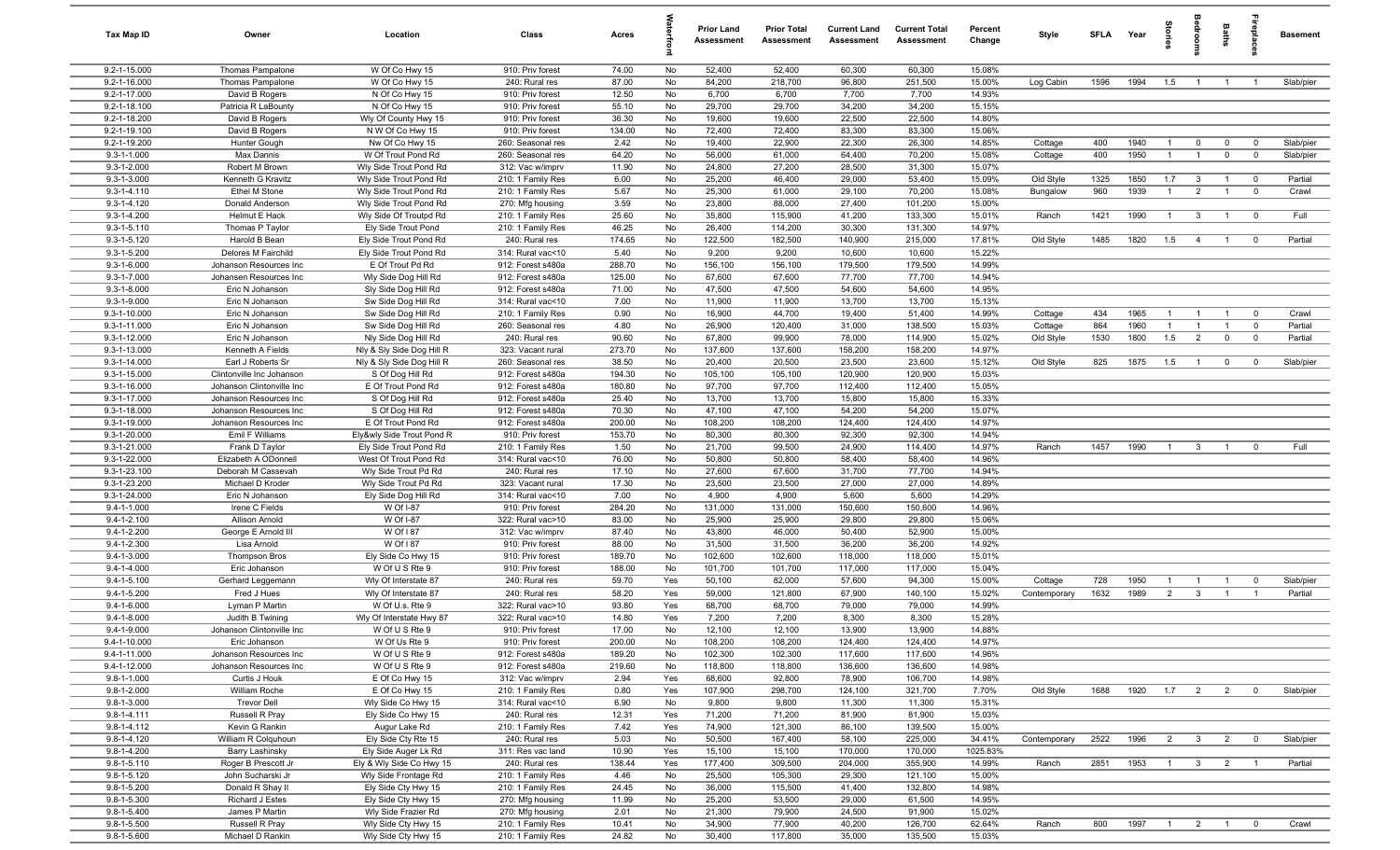| Tax Map ID                       | Owner                                   | Location                                     | Class                                  | Acres            |          | <b>Prior Land</b><br><b>Assessment</b> | <b>Prior Total</b><br>Assessment | <b>Current Land</b><br><b>Assessment</b> | <b>Current Total</b><br><b>Assessment</b> | Percent<br>Change | Style        | <b>SFLA</b> | Year | tories         |                | <b>Baths</b>   | ireplace                | <b>Basement</b> |
|----------------------------------|-----------------------------------------|----------------------------------------------|----------------------------------------|------------------|----------|----------------------------------------|----------------------------------|------------------------------------------|-------------------------------------------|-------------------|--------------|-------------|------|----------------|----------------|----------------|-------------------------|-----------------|
| 9.2-1-15.000                     | Thomas Pampalone                        | W Of Co Hwy 15                               | 910: Priv forest                       | 74.00            | No       | 52,400                                 | 52,400                           | 60,300                                   | 60,300                                    | 15.08%            |              |             |      |                |                |                |                         |                 |
| 9.2-1-16.000                     | Thomas Pampalone                        | W Of Co Hwy 15                               | 240: Rural res                         | 87.00            | No       | 84,200                                 | 218,700                          | 96,800                                   | 251,500                                   | 15.00%            | Log Cabin    | 1596        | 1994 | 1.5            | $\overline{1}$ | $\overline{1}$ |                         | Slab/pier       |
| 9.2-1-17.000                     | David B Rogers                          | N Of Co Hwy 15                               | 910: Priv forest                       | 12.50            | No       | 6,700                                  | 6,700                            | 7,700                                    | 7,700                                     | 14.93%            |              |             |      |                |                |                |                         |                 |
| $9.2 - 1 - 18.100$               | Patricia R LaBounty                     | N Of Co Hwy 15                               | 910: Priv forest                       | 55.10            | No       | 29,700                                 | 29,700                           | 34,200                                   | 34,200                                    | 15.15%            |              |             |      |                |                |                |                         |                 |
| 9.2-1-18.200                     | David B Rogers                          | Wly Of County Hwy 15                         | 910: Priv forest                       | 36.30            | No       | 19,600                                 | 19,600                           | 22,500                                   | 22,500                                    | 14.80%            |              |             |      |                |                |                |                         |                 |
| 9.2-1-19.100<br>9.2-1-19.200     | David B Rogers<br>Hunter Gough          | N W Of Co Hwy 15<br>Nw Of Co Hwy 15          | 910: Priv forest<br>260: Seasonal res  | 134.00<br>2.42   | No<br>No | 72,400<br>19,400                       | 72,400<br>22,900                 | 83,300<br>22,300                         | 83,300<br>26,300                          | 15.06%<br>14.85%  | Cottage      | 400         | 1940 | $\mathbf{1}$   | $\mathbf 0$    | $\mathbf 0$    | $\mathbf{0}$            | Slab/pier       |
| $9.3 - 1 - 1.000$                | Max Dannis                              | W Of Trout Pond Rd                           | 260: Seasonal res                      | 64.20            | No       | 56,000                                 | 61,000                           | 64,400                                   | 70,200                                    | 15.08%            | Cottage      | 400         | 1950 | $\mathbf{1}$   | $\overline{1}$ | $\mathbf 0$    | $\overline{0}$          | Slab/pier       |
| $9.3 - 1 - 2.000$                | Robert M Brown                          | Wly Side Trout Pond Rd                       | 312: Vac w/imprv                       | 11.90            | No       | 24,800                                 | 27,200                           | 28,500                                   | 31,300                                    | 15.07%            |              |             |      |                |                |                |                         |                 |
| $9.3 - 1 - 3.000$                | Kenneth G Kravitz                       | Wly Side Trout Pond Rd                       | 210: 1 Family Res                      | 6.00             | No       | 25,200                                 | 46,400                           | 29,000                                   | 53,400                                    | 15.09%            | Old Style    | 1325        | 1850 | 1.7            | $\mathbf{3}$   | $\overline{1}$ | $\overline{0}$          | Partial         |
| $9.3 - 1 - 4.110$                | Ethel M Stone                           | Wly Side Trout Pond Rd                       | 210: 1 Family Res                      | 5.67             | No       | 25,300                                 | 61,000                           | 29,100                                   | 70,200                                    | 15.08%            | Bungalow     | 960         | 1939 | $\overline{1}$ | $\overline{2}$ | $\overline{1}$ | $\overline{0}$          | Crawl           |
| $9.3 - 1 - 4.120$                | Donald Anderson                         | Wly Side Trout Pond Rd                       | 270: Mfg housing                       | 3.59             | No       | 23,800                                 | 88,000                           | 27,400                                   | 101,200                                   | 15.00%            |              |             |      |                |                |                |                         |                 |
| $9.3 - 1 - 4.200$                | Helmut E Hack                           | Wly Side Of Troutpd Rd                       | 210: 1 Family Res                      | 25.60            | No       | 35,800                                 | 115,900                          | 41,200                                   | 133,300                                   | 15.01%            | Ranch        | 1421        | 1990 | $\overline{1}$ | $\mathbf{3}$   | $\overline{1}$ | $\overline{\mathbf{0}}$ | Full            |
| $9.3 - 1 - 5.110$                | Thomas P Taylor                         | Ely Side Trout Pond                          | 210: 1 Family Res                      | 46.25            | No       | 26,400                                 | 114,200                          | 30,300                                   | 131,300                                   | 14.97%            |              |             |      |                |                |                |                         |                 |
| $9.3 - 1 - 5.120$                | Harold B Bean                           | Ely Side Trout Pond Rd                       | 240: Rural res                         | 174.65           | No       | 122,500                                | 182,500                          | 140,900                                  | 215,000                                   | 17.81%            | Old Style    | 1485        | 1820 | 1.5            | $\overline{4}$ | $\overline{1}$ | $^{\circ}$              | Partial         |
| 9.3-1-5.200                      | Delores M Fairchild                     | Ely Side Trout Pond Rd                       | 314: Rural vac<10                      | 5.40             | No       | 9,200                                  | 9,200                            | 10,600                                   | 10,600                                    | 15.22%            |              |             |      |                |                |                |                         |                 |
| $9.3 - 1 - 6.000$                | Johanson Resources Inc                  | E Of Trout Pd Rd                             | 912: Forest s480a                      | 288.70           | No       | 156,100                                | 156,100                          | 179,500                                  | 179,500                                   | 14.99%            |              |             |      |                |                |                |                         |                 |
| $9.3 - 1 - 7.000$                | Johansen Resources Inc                  | Wly Side Dog Hill Rd                         | 912: Forest s480a                      | 125.00           | No       | 67,600                                 | 67,600                           | 77,700                                   | 77,700                                    | 14.94%            |              |             |      |                |                |                |                         |                 |
| $9.3 - 1 - 8.000$<br>9.3-1-9.000 | Eric N Johanson<br>Eric N Johanson      | Sly Side Dog Hill Rd                         | 912: Forest s480a<br>314: Rural vac<10 | 71.00<br>7.00    | No<br>No | 47,500<br>11,900                       | 47,500<br>11,900                 | 54,600<br>13,700                         | 54,600<br>13,700                          | 14.95%<br>15.13%  |              |             |      |                |                |                |                         |                 |
| 9.3-1-10.000                     | Eric N Johanson                         | Sw Side Dog Hill Rd<br>Sw Side Dog Hill Rd   | 210: 1 Family Res                      | 0.90             | No       | 16,900                                 | 44,700                           | 19,400                                   | 51,400                                    | 14.99%            | Cottage      | 434         | 1965 | $\mathbf{1}$   | $\overline{1}$ | $\overline{1}$ | $^{\circ}$              | Crawl           |
| 9.3-1-11.000                     | Eric N Johanson                         | Sw Side Dog Hill Rd                          | 260: Seasonal res                      | 4.80             | No       | 26,900                                 | 120,400                          | 31,000                                   | 138,500                                   | 15.03%            | Cottage      | 864         | 1960 |                | $\mathbf{1}$   | $\overline{1}$ | $^{\circ}$              | Partial         |
| 9.3-1-12.000                     | Eric N Johanson                         | Nly Side Dog Hill Rd                         | 240: Rural res                         | 90.60            | No       | 67,800                                 | 99,900                           | 78,000                                   | 114,900                                   | 15.02%            | Old Style    | 1530        | 1800 | 1.5            | $\overline{2}$ | $\mathbf 0$    | $\overline{0}$          | Partial         |
| 9.3-1-13.000                     | Kenneth A Fields                        | Nly & Sly Side Dog Hill R                    | 323: Vacant rural                      | 273.70           | No       | 137,600                                | 137,600                          | 158,200                                  | 158,200                                   | 14.97%            |              |             |      |                |                |                |                         |                 |
| 9.3-1-14.000                     | Earl J Roberts Sr                       | Nly & Sly Side Dog Hill R                    | 260: Seasonal res                      | 38.50            | No       | 20,400                                 | 20,500                           | 23,500                                   | 23,600                                    | 15.12%            | Old Style    | 825         | 1875 | 1.5            | $\overline{1}$ | $\mathbf 0$    | $^{\circ}$              | Slab/pier       |
| 9.3-1-15.000                     | Clintonville Inc Johanson               | S Of Dog Hill Rd                             | 912: Forest s480a                      | 194.30           | No       | 105,100                                | 105,100                          | 120,900                                  | 120,900                                   | 15.03%            |              |             |      |                |                |                |                         |                 |
| 9.3-1-16.000                     | Johanson Clintonville Inc               | E Of Trout Pond Rd                           | 912: Forest s480a                      | 180.80           | No       | 97,700                                 | 97,700                           | 112,400                                  | 112,400                                   | 15.05%            |              |             |      |                |                |                |                         |                 |
| 9.3-1-17.000                     | Johanson Resources Inc                  | S Of Dog Hill Rd                             | 912: Forest s480a                      | 25.40            | No       | 13,700                                 | 13,700                           | 15,800                                   | 15,800                                    | 15.33%            |              |             |      |                |                |                |                         |                 |
| 9.3-1-18.000                     | Johanson Resources Inc                  | S Of Dog Hill Rd                             | 912: Forest s480a                      | 70.30            | No       | 47,100                                 | 47,100                           | 54,200                                   | 54,200                                    | 15.07%            |              |             |      |                |                |                |                         |                 |
| 9.3-1-19.000                     | Johanson Resources Inc                  | E Of Trout Pond Rd                           | 912: Forest s480a                      | 200.00           | No       | 108,200                                | 108,200                          | 124,400                                  | 124,400                                   | 14.97%            |              |             |      |                |                |                |                         |                 |
| 9.3-1-20.000                     | Emil F Williams                         | Ely&wly Side Trout Pond R                    | 910: Priv forest                       | 153.70           | No       | 80,300                                 | 80,300                           | 92,300                                   | 92,300                                    | 14.94%            |              |             |      |                |                |                |                         |                 |
| 9.3-1-21.000                     | Frank D Taylor                          | Ely Side Trout Pond Rd                       | 210: 1 Family Res                      | 1.50             | No       | 21,700                                 | 99,500                           | 24,900                                   | 114,400                                   | 14.97%            | Ranch        | 1457        | 1990 | $\overline{1}$ | $\mathbf{3}$   | $\overline{1}$ | $^{\circ}$              | Full            |
| 9.3-1-22.000                     | Elizabeth A ODonnell                    | West Of Trout Pond Rd                        | 314: Rural vac<10                      | 76.00            | No       | 50,800                                 | 50,800                           | 58,400                                   | 58,400                                    | 14.96%            |              |             |      |                |                |                |                         |                 |
| 9.3-1-23.100<br>9.3-1-23.200     | Deborah M Cassevah<br>Michael D Kroder  | Wly Side Trout Pd Rd<br>Wly Side Trout Pd Rd | 240: Rural res<br>323: Vacant rural    | 17.10<br>17.30   | No<br>No | 27,600<br>23,500                       | 67,600<br>23,500                 | 31,700<br>27,000                         | 77,700<br>27,000                          | 14.94%<br>14.89%  |              |             |      |                |                |                |                         |                 |
| 9.3-1-24.000                     | Eric N Johanson                         | Ely Side Dog Hill Rd                         | 314: Rural vac<10                      | 7.00             | No       | 4,900                                  | 4,900                            | 5,600                                    | 5,600                                     | 14.29%            |              |             |      |                |                |                |                         |                 |
| $9.4 - 1 - 1.000$                | Irene C Fields                          | W Of I-87                                    | 910: Priv forest                       | 284.20           | No       | 131,000                                | 131,000                          | 150,600                                  | 150,600                                   | 14.96%            |              |             |      |                |                |                |                         |                 |
| $9.4 - 1 - 2.100$                | Allison Arnold                          | W Of I-87                                    | 322: Rural vac>10                      | 83.00            | No       | 25,900                                 | 25,900                           | 29,800                                   | 29,800                                    | 15.06%            |              |             |      |                |                |                |                         |                 |
| $9.4 - 1 - 2.200$                | George E Arnold III                     | W Of I 87                                    | 312: Vac w/imprv                       | 87.40            | No       | 43,800                                 | 46,000                           | 50,400                                   | 52,900                                    | 15.00%            |              |             |      |                |                |                |                         |                 |
| $9.4 - 1 - 2.300$                | Lisa Arnold                             | W Of I 87                                    | 910: Priv forest                       | 88.00            | No       | 31,500                                 | 31,500                           | 36,200                                   | 36,200                                    | 14.92%            |              |             |      |                |                |                |                         |                 |
| 9.4-1-3.000                      | <b>Thompson Bros</b>                    | Ely Side Co Hwy 15                           | 910: Priv forest                       | 189.70           | No       | 102,600                                | 102,600                          | 118,000                                  | 118,000                                   | 15.01%            |              |             |      |                |                |                |                         |                 |
| $9.4 - 1 - 4.000$                | Eric Johanson                           | W Of U S Rte 9                               | 910: Priv forest                       | 188.00           | No       | 101,700                                | 101,700                          | 117,000                                  | 117,000                                   | 15.04%            |              |             |      |                |                |                |                         |                 |
| $9.4 - 1 - 5.100$                | Gerhard Leggemann                       | Wly Of Interstate 87                         | 240: Rural res                         | 59.70            | Yes      | 50,100                                 | 82,000                           | 57,600                                   | 94,300                                    | 15.00%            | Cottage      | 728         | 1950 | $\mathbf{1}$   | $\overline{1}$ | $\overline{1}$ | $\mathbf 0$             | Slab/pier       |
| $9.4 - 1 - 5.200$                | Fred J Hues                             | Wly Of Interstate 87                         | 240: Rural res                         | 58.20            | Yes      | 59,000                                 | 121,800                          | 67,900                                   | 140,100                                   | 15.02%            | Contemporary | 1632        | 1989 | $\overline{2}$ | $\mathbf{3}$   | $\overline{1}$ |                         | Partial         |
| $9.4 - 1 - 6.000$                | Lyman P Martin                          | W Of U.s. Rte 9                              | 322: Rural vac>10                      | 93.80            | Yes      | 68,700                                 | 68,700                           | 79,000                                   | 79,000                                    | 14.99%            |              |             |      |                |                |                |                         |                 |
| $9.4 - 1 - 8.000$                | Judith B Twining                        | Wly Of Interstate Hwy 87                     | 322: Rural vac>10                      | 14.80            | Yes      | 7,200                                  | 7,200                            | 8,300                                    | 8,300                                     | 15.28%            |              |             |      |                |                |                |                         |                 |
| 9.4-1-9.000                      | Johanson Clintonville Inc               | W Of U S Rte 9                               | 910: Priv forest                       | 17.00            | No       | 12,100                                 | 12,100                           | 13,900                                   | 13,900                                    | 14.88%<br>14.97%  |              |             |      |                |                |                |                         |                 |
| 9.4-1-10.000<br>9.4-1-11.000     | Eric Johanson<br>Johanson Resources Inc | W Of Us Rte 9<br>W Of U S Rte 9              | 910: Priv forest<br>912: Forest s480a  | 200.00<br>189.20 | No<br>No | 108,200<br>102,300                     | 108,200<br>102,300               | 124,400<br>117,600                       | 124,400<br>117,600                        | 14.96%            |              |             |      |                |                |                |                         |                 |
| 9.4-1-12.000                     | Johanson Resources Inc                  | W Of U S Rte 9                               | 912: Forest s480a                      | 219.60           | No       | 118,800                                | 118,800                          | 136,600                                  | 136,600                                   | 14.98%            |              |             |      |                |                |                |                         |                 |
| $9.8 - 1 - 1.000$                | Curtis J Houk                           | E Of Co Hwy 15                               | 312: Vac w/imprv                       | 2.94             | Yes      | 68,600                                 | 92,800                           | 78,900                                   | 106,700                                   | 14.98%            |              |             |      |                |                |                |                         |                 |
| $9.8 - 1 - 2.000$                | William Roche                           | E Of Co Hwy 15                               | 210: 1 Family Res                      | 0.80             | Yes      | 107,900                                | 298,700                          | 124,100                                  | 321,700                                   | 7.70%             | Old Style    | 1688        | 1920 | 1.7            | $\overline{2}$ | $\overline{2}$ | $\overline{0}$          | Slab/pier       |
| $9.8 - 1 - 3.000$                | <b>Trevor Dell</b>                      | Wly Side Co Hwy 15                           | 314: Rural vac<10                      | 6.90             | No       | 9,800                                  | 9,800                            | 11,300                                   | 11,300                                    | 15.31%            |              |             |      |                |                |                |                         |                 |
| $9.8 - 1 - 4.111$                | Russell R Pray                          | Ely Side Co Hwy 15                           | 240: Rural res                         | 12.31            | Yes      | 71,200                                 | 71,200                           | 81,900                                   | 81,900                                    | 15.03%            |              |             |      |                |                |                |                         |                 |
| $9.8 - 1 - 4.112$                | Kevin G Rankin                          | Augur Lake Rd                                | 210: 1 Family Res                      | 7.42             | Yes      | 74,900                                 | 121,300                          | 86,100                                   | 139,500                                   | 15.00%            |              |             |      |                |                |                |                         |                 |
| $9.8 - 1 - 4.120$                | William R Colquhoun                     | Ely Side Cty Rte 15                          | 240: Rural res                         | 5.03             | No       | 50,500                                 | 167,400                          | 58,100                                   | 225,000                                   | 34.41%            | Contemporary | 2522        | 1996 | $\overline{2}$ | $\mathbf{3}$   | $\overline{2}$ | $\overline{0}$          | Slab/pier       |
| $9.8 - 1 - 4.200$                | Barry Lashinsky                         | Ely Side Auger Lk Rd                         | 311: Res vac land                      | 10.90            | Yes      | 15,100                                 | 15,100                           | 170,000                                  | 170,000                                   | 1025.83%          |              |             |      |                |                |                |                         |                 |
| $9.8 - 1 - 5.110$                | Roger B Prescott Jr                     | Ely & Wly Side Co Hwy 15                     | 240: Rural res                         | 138.44           | Yes      | 177,400                                | 309,500                          | 204,000                                  | 355,900                                   | 14.99%            | Ranch        | 2851        | 1953 | $\overline{1}$ | $\mathbf{3}$   | $\overline{2}$ |                         | Partial         |
| $9.8 - 1 - 5.120$                | John Sucharski Jr                       | Wly Side Frontage Rd                         | 210: 1 Family Res                      | 4.46             | No       | 25,500                                 | 105,300                          | 29,300                                   | 121,100                                   | 15.00%            |              |             |      |                |                |                |                         |                 |
| 9.8-1-5.200                      | Donald R Shay II                        | Ely Side Cty Hwy 15                          | 210: 1 Family Res                      | 24.45            | No       | 36,000                                 | 115,500                          | 41,400                                   | 132,800                                   | 14.98%            |              |             |      |                |                |                |                         |                 |
| 9.8-1-5.300                      | Richard J Estes                         | Ely Side Cty Hwy 15                          | 270: Mfg housing                       | 11.99            | No       | 25,200                                 | 53,500                           | 29,000                                   | 61,500                                    | 14.95%            |              |             |      |                |                |                |                         |                 |
| 9.8-1-5.400<br>$9.8 - 1 - 5.500$ | James P Martin<br>Russell R Pray        | Wly Side Frazier Rd<br>Wly Side Cty Hwy 15   | 270: Mfg housing<br>210: 1 Family Res  | 2.01<br>10.41    | No<br>No | 21,300<br>34,900                       | 79,900<br>77,900                 | 24,500<br>40,200                         | 91,900<br>126,700                         | 15.02%<br>62.64%  | Ranch        | 800         | 1997 | $\overline{1}$ | $\overline{2}$ | $\overline{1}$ | $\overline{0}$          | Crawl           |
| 9.8-1-5.600                      | Michael D Rankin                        | Wly Side Cty Hwy 15                          | 210: 1 Family Res                      | 24.82            | No       | 30,400                                 | 117,800                          | 35,000                                   | 135,500                                   | 15.03%            |              |             |      |                |                |                |                         |                 |
|                                  |                                         |                                              |                                        |                  |          |                                        |                                  |                                          |                                           |                   |              |             |      |                |                |                |                         |                 |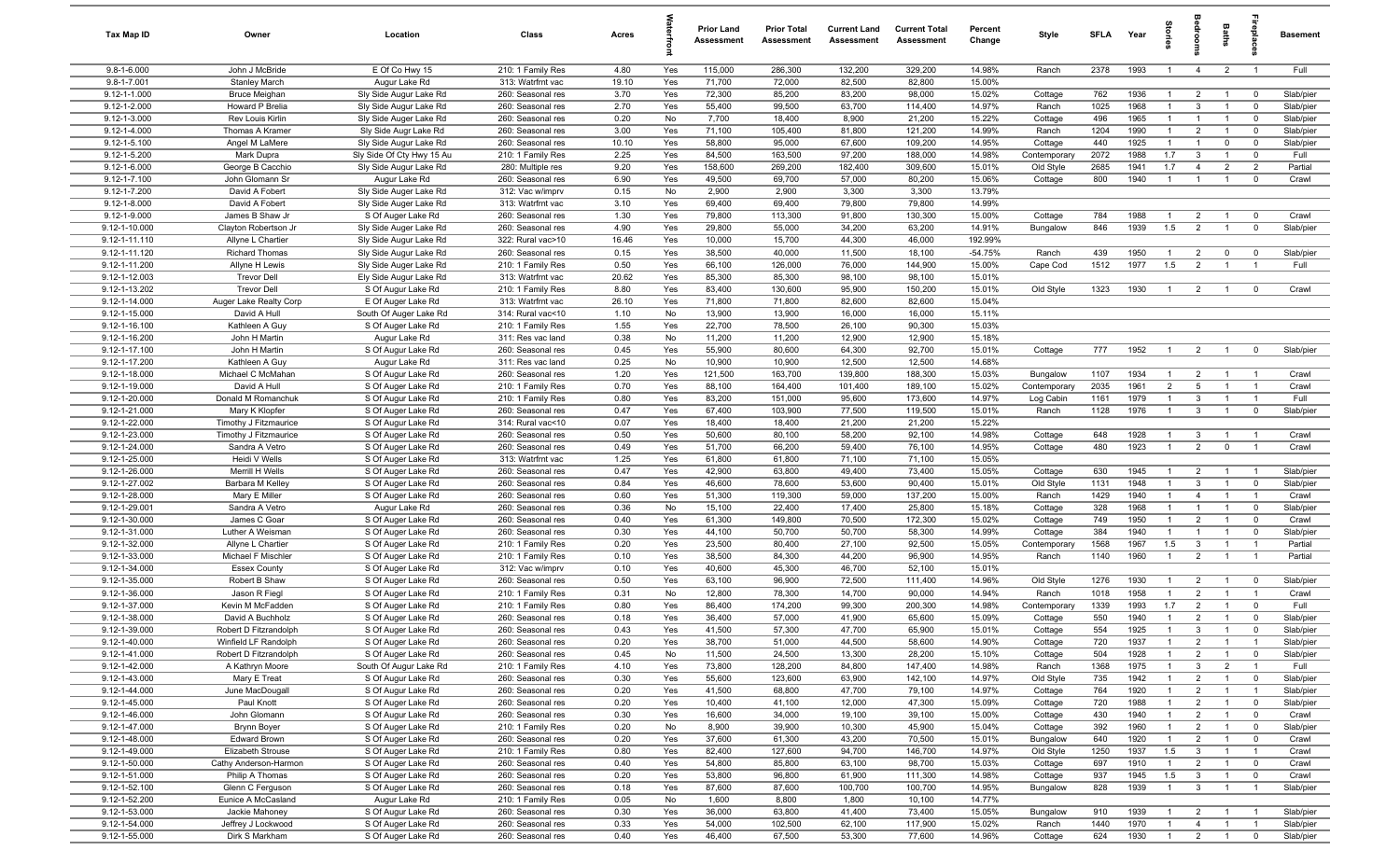| Tax Map ID                               | Owner                                    | Location                                         | Class                                  | Acres         |            | <b>Prior Land</b><br>Assessment | <b>Prior Total</b><br>Assessment | <b>Current Land</b><br>Assessment | <b>Current Total</b><br>Assessment | Percent<br>Change | Style                 | <b>SFLA</b>  | Year         | ã                                |                                  | Baths                            |                                  | <b>Basement</b>        |
|------------------------------------------|------------------------------------------|--------------------------------------------------|----------------------------------------|---------------|------------|---------------------------------|----------------------------------|-----------------------------------|------------------------------------|-------------------|-----------------------|--------------|--------------|----------------------------------|----------------------------------|----------------------------------|----------------------------------|------------------------|
| $9.8 - 1 - 6.000$                        | John J McBride                           | E Of Co Hwy 15                                   | 210: 1 Family Res                      | 4.80          | Yes        | 115,000                         | 286,300                          | 132,200                           | 329,200                            | 14.98%            | Ranch                 | 2378         | 1993         | $\overline{1}$                   | $\overline{4}$                   | $\overline{2}$                   | $\overline{1}$                   | Full                   |
| $9.8 - 1 - 7.001$                        | <b>Stanley March</b>                     | Augur Lake Rd                                    | 313: Watrfrnt vac                      | 19.10         | Yes        | 71,700                          | 72,000                           | 82,500                            | 82,800                             | 15.00%            |                       |              |              |                                  |                                  |                                  |                                  |                        |
| $9.12 - 1 - 1.000$                       | Bruce Meighan                            | Sly Side Augur Lake Rd                           | 260: Seasonal res                      | 3.70          | Yes        | 72,300                          | 85,200                           | 83,200                            | 98,000                             | 15.02%            | Cottage               | 762          | 1936<br>1968 | $\overline{1}$                   | $\overline{2}$                   |                                  | $\overline{0}$                   | Slab/pier              |
| $9.12 - 1 - 2.000$<br>$9.12 - 1 - 3.000$ | Howard P Brelia<br>Rev Louis Kirlin      | Sly Side Augur Lake Rd<br>Sly Side Auger Lake Rd | 260: Seasonal res<br>260: Seasonal res | 2.70<br>0.20  | Yes<br>No  | 55,400<br>7,700                 | 99,500<br>18,400                 | 63,700<br>8,900                   | 114,400<br>21,200                  | 14.97%<br>15.22%  | Ranch<br>Cottage      | 1025<br>496  | 1965         | $\mathbf{1}$                     | $\mathbf{3}$<br>$\overline{1}$   | $\overline{1}$                   | $^{\circ}$<br>$\mathbf 0$        | Slab/pier<br>Slab/pier |
| $9.12 - 1 - 4.000$                       | Thomas A Kramer                          | Sly Side Augr Lake Rd                            | 260: Seasonal res                      | 3.00          | Yes        | 71,100                          | 105,400                          | 81,800                            | 121,200                            | 14.99%            | Ranch                 | 1204         | 1990         | $\overline{1}$                   | $\overline{2}$                   |                                  | $\mathbf 0$                      | Slab/pier              |
| $9.12 - 1 - 5.100$                       | Angel M LaMere                           | Sly Side Augur Lake Rd                           | 260: Seasonal res                      | 10.10         | Yes        | 58,800                          | 95,000                           | 67,600                            | 109,200                            | 14.95%            | Cottage               | 440          | 1925         | $\overline{1}$                   | $\overline{1}$                   | $\mathbf 0$                      | $\mathbf 0$                      | Slab/pier              |
| 9.12-1-5.200                             | Mark Dupra                               | Sly Side Of Cty Hwy 15 Au                        | 210: 1 Family Res                      | 2.25          | Yes        | 84,500                          | 163,500                          | 97,200                            | 188,000                            | 14.98%            | Contemporary          | 2072         | 1988         | 1.7                              | $\mathbf{3}$                     | $\overline{1}$                   | $\mathbf 0$                      | Full                   |
| 9.12-1-6.000                             | George B Cacchio                         | Sly Side Augur Lake Rd                           | 280: Multiple res                      | 9.20          | Yes        | 158,600                         | 269,200                          | 182,400                           | 309,600                            | 15.01%            | Old Style             | 2685         | 1941         | 1.7                              | $\overline{4}$                   | $\overline{2}$                   | $\overline{2}$                   | Partial                |
| $9.12 - 1 - 7.100$                       | John Glomann Sr                          | Augur Lake Rd                                    | 260: Seasonal res                      | 6.90          | Yes        | 49,500                          | 69,700                           | 57,000                            | 80,200                             | 15.06%            | Cottage               | 800          | 1940         | $\overline{1}$                   | $\overline{1}$                   | $\overline{1}$                   | $^{\circ}$                       | Crawl                  |
| 9.12-1-7.200                             | David A Fobert                           | Sly Side Auger Lake Rd                           | 312: Vac w/imprv                       | 0.15          | No         | 2,900                           | 2,900                            | 3,300                             | 3,300                              | 13.79%            |                       |              |              |                                  |                                  |                                  |                                  |                        |
| $9.12 - 1 - 8.000$<br>9.12-1-9.000       | David A Fobert<br>James B Shaw Jr        | Sly Side Auger Lake Rd<br>S Of Auger Lake Rd     | 313: Watrfrnt vac<br>260: Seasonal res | 3.10<br>1.30  | Yes<br>Yes | 69,400<br>79,800                | 69,400<br>113,300                | 79,800<br>91,800                  | 79,800<br>130,300                  | 14.99%<br>15.00%  | Cottage               | 784          | 1988         | $\overline{1}$                   | $\overline{2}$                   |                                  | $\mathbf 0$                      | Crawl                  |
| 9.12-1-10.000                            | Clayton Robertson Jr                     | Sly Side Auger Lake Rd                           | 260: Seasonal res                      | 4.90          | Yes        | 29,800                          | 55,000                           | 34,200                            | 63,200                             | 14.91%            | Bungalow              | 846          | 1939         | 1.5                              | $\overline{2}$                   |                                  | $\mathbf 0$                      | Slab/pier              |
| 9.12-1-11.110                            | Allyne L Chartier                        | Sly Side Augur Lake Rd                           | 322: Rural vac>10                      | 16.46         | Yes        | 10,000                          | 15,700                           | 44,300                            | 46,000                             | 192.99%           |                       |              |              |                                  |                                  |                                  |                                  |                        |
| 9.12-1-11.120                            | <b>Richard Thomas</b>                    | Sly Side Augur Lake Rd                           | 260: Seasonal res                      | 0.15          | Yes        | 38,500                          | 40,000                           | 11,500                            | 18,100                             | $-54.75%$         | Ranch                 | 439          | 1950         | $\overline{1}$                   | $\overline{2}$                   | $\mathbf 0$                      | $^{\circ}$                       | Slab/pier              |
| 9.12-1-11.200                            | Allyne H Lewis                           | Sly Side Auger Lake Rd                           | 210: 1 Family Res                      | 0.50          | Yes        | 66,100                          | 126,000                          | 76,000                            | 144,900                            | 15.00%            | Cape Cod              | 1512         | 1977         | 1.5                              | $\overline{2}$                   |                                  | $\overline{1}$                   | Full                   |
| 9.12-1-12.003                            | <b>Trevor Dell</b>                       | Ely Side Augur Lake Rd                           | 313: Watrfrnt vac                      | 20.62         | Yes        | 85,300                          | 85,300                           | 98,100                            | 98,100                             | 15.01%            |                       |              |              |                                  |                                  |                                  |                                  |                        |
| 9.12-1-13.202<br>9.12-1-14.000           | <b>Trevor Dell</b>                       | S Of Augur Lake Rd                               | 210: 1 Family Res                      | 8.80          | Yes        | 83,400                          | 130,600                          | 95,900                            | 150,200                            | 15.01%<br>15.04%  | Old Style             | 1323         | 1930         | $\overline{1}$                   | $\overline{2}$                   | $\overline{1}$                   | $\mathbf 0$                      | Crawl                  |
| 9.12-1-15.000                            | Auger Lake Realty Corp<br>David A Hull   | E Of Auger Lake Rd<br>South Of Auger Lake Rd     | 313: Watrfrnt vac<br>314: Rural vac<10 | 26.10<br>1.10 | Yes<br>No  | 71,800<br>13,900                | 71,800<br>13,900                 | 82,600<br>16,000                  | 82,600<br>16,000                   | 15.11%            |                       |              |              |                                  |                                  |                                  |                                  |                        |
| 9.12-1-16.100                            | Kathleen A Guy                           | S Of Auger Lake Rd                               | 210: 1 Family Res                      | 1.55          | Yes        | 22,700                          | 78,500                           | 26,100                            | 90,300                             | 15.03%            |                       |              |              |                                  |                                  |                                  |                                  |                        |
| 9.12-1-16.200                            | John H Martin                            | Augur Lake Rd                                    | 311: Res vac land                      | 0.38          | No         | 11,200                          | 11,200                           | 12,900                            | 12,900                             | 15.18%            |                       |              |              |                                  |                                  |                                  |                                  |                        |
| 9.12-1-17.100                            | John H Martin                            | S Of Augur Lake Rd                               | 260: Seasonal res                      | 0.45          | Yes        | 55,900                          | 80,600                           | 64,300                            | 92,700                             | 15.01%            | Cottage               | 777          | 1952         | $\overline{1}$                   | 2                                | $\mathbf{1}$                     | $\mathbf 0$                      | Slab/pier              |
| 9.12-1-17.200                            | Kathleen A Guy                           | Augur Lake Rd                                    | 311: Res vac land                      | 0.25          | No         | 10,900                          | 10,900                           | 12,500                            | 12,500                             | 14.68%            |                       |              |              |                                  |                                  |                                  |                                  |                        |
| 9.12-1-18.000                            | Michael C McMahan                        | S Of Augur Lake Rd                               | 260: Seasonal res                      | 1.20          | Yes        | 121,500                         | 163,700                          | 139,800                           | 188,300                            | 15.03%            | Bungalow              | 1107         | 1934         | $\overline{1}$                   | $\overline{2}$                   |                                  | $\overline{1}$                   | Crawl                  |
| 9.12-1-19.000<br>9.12-1-20.000           | David A Hull<br>Donald M Romanchuk       | S Of Auger Lake Rd<br>S Of Augur Lake Rd         | 210: 1 Family Res<br>210: 1 Family Res | 0.70<br>0.80  | Yes<br>Yes | 88,100<br>83,200                | 164,400<br>151,000               | 101,400<br>95,600                 | 189,100<br>173,600                 | 15.02%<br>14.97%  | Contemporary          | 2035<br>1161 | 1961<br>1979 | $\overline{2}$<br>$\mathbf{1}$   | 5<br>$\mathbf{3}$                |                                  | $\overline{1}$<br>$\overline{1}$ | Crawl<br>Full          |
| 9.12-1-21.000                            | Mary K Klopfer                           | S Of Auger Lake Rd                               | 260: Seasonal res                      | 0.47          | Yes        | 67,400                          | 103,900                          | 77,500                            | 119,500                            | 15.01%            | Log Cabin<br>Ranch    | 1128         | 1976         | $\overline{1}$                   | $\mathbf{3}$                     |                                  | $\overline{0}$                   | Slab/pier              |
| 9.12-1-22.000                            | Timothy J Fitzmaurice                    | S Of Augur Lake Rd                               | 314: Rural vac<10                      | 0.07          | Yes        | 18,400                          | 18,400                           | 21,200                            | 21,200                             | 15.22%            |                       |              |              |                                  |                                  |                                  |                                  |                        |
| 9.12-1-23.000                            | Timothy J Fitzmaurice                    | S Of Auger Lake Rd                               | 260: Seasonal res                      | 0.50          | Yes        | 50,600                          | 80,100                           | 58,200                            | 92,100                             | 14.98%            | Cottage               | 648          | 1928         | $\overline{1}$                   | $\mathbf{3}$                     | $\overline{1}$                   | $\overline{1}$                   | Crawl                  |
| 9.12-1-24.000                            | Sandra A Vetro                           | S Of Auger Lake Rd                               | 260: Seasonal res                      | 0.49          | Yes        | 51,700                          | 66,200                           | 59,400                            | 76,100                             | 14.95%            | Cottage               | 480          | 1923         | $\overline{1}$                   | 2                                | $\mathbf 0$                      | $\overline{1}$                   | Crawl                  |
| 9.12-1-25.000                            | Heidi V Wells                            | S Of Auger Lake Rd                               | 313: Watrfrnt vac                      | 1.25          | Yes        | 61,800                          | 61,800                           | 71,100                            | 71,100                             | 15.05%            |                       |              |              |                                  |                                  |                                  |                                  |                        |
| 9.12-1-26.000                            | Merrill H Wells                          | S Of Auger Lake Rd                               | 260: Seasonal res                      | 0.47          | Yes        | 42,900                          | 63,800                           | 49,400                            | 73,400                             | 15.05%            | Cottage               | 630          | 1945         | $\overline{1}$<br>$\overline{1}$ | $\overline{2}$                   | $\overline{1}$                   | $\overline{1}$                   | Slab/pier              |
| 9.12-1-27.002<br>9.12-1-28.000           | Barbara M Kelley<br>Mary E Miller        | S Of Auger Lake Rd<br>S Of Auger Lake Rd         | 260: Seasonal res<br>260: Seasonal res | 0.84<br>0.60  | Yes<br>Yes | 46,600<br>51,300                | 78,600<br>119,300                | 53,600<br>59,000                  | 90,400<br>137,200                  | 15.01%<br>15.00%  | Old Style<br>Ranch    | 1131<br>1429 | 1948<br>1940 | $\overline{1}$                   | 3<br>$\overline{4}$              | $\overline{1}$<br>$\mathbf{1}$   | $\mathbf 0$<br>$\overline{1}$    | Slab/pier<br>Crawl     |
| 9.12-1-29.001                            | Sandra A Vetro                           | Augur Lake Rd                                    | 260: Seasonal res                      | 0.36          | No         | 15,100                          | 22,400                           | 17,400                            | 25,800                             | 15.18%            | Cottage               | 328          | 1968         | $\overline{1}$                   | $\overline{1}$                   | $\overline{1}$                   | $\mathbf 0$                      | Slab/pier              |
| 9.12-1-30.000                            | James C Goar                             | S Of Auger Lake Rd                               | 260: Seasonal res                      | 0.40          | Yes        | 61,300                          | 149,800                          | 70,500                            | 172,300                            | 15.02%            | Cottage               | 749          | 1950         | $\overline{1}$                   | $\overline{2}$                   | $\mathbf{1}$                     | $\mathbf 0$                      | Crawl                  |
| 9.12-1-31.000                            | Luther A Weisman                         | S Of Auger Lake Rd                               | 260: Seasonal res                      | 0.30          | Yes        | 44,100                          | 50,700                           | 50,700                            | 58,300                             | 14.99%            | Cottage               | 384          | 1940         | $\mathbf{1}$                     |                                  |                                  | $\mathbf 0$                      | Slab/pier              |
| 9.12-1-32.000                            | Allyne L Chartier                        | S Of Auger Lake Rd                               | 210: 1 Family Res                      | 0.20          | Yes        | 23,500                          | 80,400                           | 27,100                            | 92,500                             | 15.05%            | Contemporary          | 1568         | 1967         | 1.5                              | $\mathbf{3}$                     |                                  | $\overline{1}$                   | Partial                |
| 9.12-1-33.000                            | Michael F Mischler                       | S Of Auger Lake Rd                               | 210: 1 Family Res                      | 0.10          | Yes        | 38,500                          | 84,300                           | 44,200                            | 96,900                             | 14.95%            | Ranch                 | 1140         | 1960         | $\overline{1}$                   | $\overline{2}$                   |                                  | $\overline{1}$                   | Partial                |
| 9.12-1-34.000<br>9.12-1-35.000           | <b>Essex County</b><br>Robert B Shaw     | S Of Auger Lake Rd<br>S Of Auger Lake Rd         | 312: Vac w/imprv<br>260: Seasonal res  | 0.10<br>0.50  | Yes<br>Yes | 40,600<br>63,100                | 45,300<br>96,900                 | 46,700<br>72,500                  | 52,100<br>111,400                  | 15.01%<br>14.96%  | Old Style             | 1276         | 1930         | -1                               | $\overline{2}$                   |                                  | $\mathbf 0$                      | Slab/pier              |
| 9.12-1-36.000                            | Jason R Fiegl                            | S Of Auger Lake Rd                               | 210: 1 Family Res                      | 0.31          | No         | 12,800                          | 78,300                           | 14,700                            | 90,000                             | 14.94%            | Ranch                 | 1018         | 1958         | $\overline{1}$                   | $\overline{2}$                   | $\overline{1}$                   | $\overline{1}$                   | Crawl                  |
| 9.12-1-37.000                            | Kevin M McFadden                         | S Of Auger Lake Rd                               | 210: 1 Family Res                      | 0.80          | Yes        | 86,400                          | 174,200                          | 99,300                            | 200,300                            | 14.98%            | Contemporary          | 1339         | 1993         | 1.7                              | $\overline{2}$                   | $\overline{1}$                   | $^{\circ}$                       | Full                   |
| 9.12-1-38.000                            | David A Buchholz                         | S Of Auger Lake Rd                               | 260: Seasonal res                      | 0.18          | Yes        | 36,400                          | 57,000                           | 41,900                            | 65,600                             | 15.09%            | Cottage               | 550          | 1940         | $\overline{1}$                   | $\overline{2}$                   | $\overline{1}$                   | $^{\circ}$                       | Slab/pier              |
| 9.12-1-39.000                            | Robert D Fitzrandolph                    | S Of Auger Lake Rd                               | 260: Seasonal res                      | 0.43          | Yes        | 41,500                          | 57,300                           | 47,700                            | 65,900                             | 15.01%            | Cottage               | 554          | 1925         | $\overline{1}$                   | $\mathcal{R}$                    |                                  | $\Omega$                         | Slab/pier              |
| 9.12-1-40.000                            | Winfield LF Randolph                     | S Of Auger Lake Rd                               | 260: Seasonal res                      | 0.20          | Yes        | 38,700                          | 51,000                           | 44,500                            | 58,600                             | 14.90%            | Cottage               | 720          | 1937         | $\overline{1}$                   | $\overline{2}$                   | $\overline{1}$                   | $\overline{1}$                   | Slab/pier              |
| 9.12-1-41.000<br>9.12-1-42.000           | Robert D Fitzrandolph<br>A Kathryn Moore | S Of Auger Lake Rd<br>South Of Augur Lake Rd     | 260: Seasonal res<br>210: 1 Family Res | 0.45<br>4.10  | No<br>Yes  | 11,500<br>73,800                | 24,500<br>128,200                | 13,300<br>84,800                  | 28,200<br>147,400                  | 15.10%<br>14.98%  | Cottage<br>Ranch      | 504<br>1368  | 1928<br>1975 | $\overline{1}$                   | $\overline{2}$<br>$\mathbf{3}$   | $\overline{1}$<br>$\overline{2}$ | $\mathbf 0$<br>$\overline{1}$    | Slab/pier<br>Full      |
| 9.12-1-43.000                            | Mary E Treat                             | S Of Augur Lake Rd                               | 260: Seasonal res                      | 0.30          | Yes        | 55,600                          | 123,600                          | 63,900                            | 142,100                            | 14.97%            | Old Style             | 735          | 1942         | $\overline{1}$                   | $\overline{2}$                   | $\overline{1}$                   | $\mathbf 0$                      | Slab/pier              |
| 9.12-1-44.000                            | June MacDougall                          | S Of Augur Lake Rd                               | 260: Seasonal res                      | 0.20          | Yes        | 41,500                          | 68,800                           | 47,700                            | 79,100                             | 14.97%            | Cottage               | 764          | 1920         |                                  | $\overline{2}$                   |                                  | $\overline{1}$                   | Slab/pier              |
| 9.12-1-45.000                            | Paul Knott                               | S Of Auger Lake Rd                               | 260: Seasonal res                      | 0.20          | Yes        | 10,400                          | 41,100                           | 12,000                            | 47,300                             | 15.09%            | Cottage               | 720          | 1988         | $\mathbf{1}$                     | $\overline{2}$                   | $\mathbf{1}$                     | $\overline{0}$                   | Slab/pier              |
| 9.12-1-46.000                            | John Glomann                             | S Of Augur Lake Rd                               | 260: Seasonal res                      | 0.30          | Yes        | 16,600                          | 34,000                           | 19,100                            | 39,100                             | 15.00%            | Cottage               | 430          | 1940         |                                  | $\overline{2}$                   |                                  | $\mathbf 0$                      | Crawl                  |
| 9.12-1-47.000                            | Brynn Boyer                              | S Of Auger Lake Rd                               | 210: 1 Family Res                      | 0.20          | No         | 8,900                           | 39,900                           | 10,300                            | 45,900                             | 15.04%            | Cottage               | 392          | 1960         |                                  | $\overline{2}$                   | $\mathbf{1}$                     | $\mathbf 0$                      | Slab/pier              |
| 9.12-1-48.000<br>9.12-1-49.000           | <b>Edward Brown</b><br>Elizabeth Strouse | S Of Auger Lake Rd<br>S Of Auger Lake Rd         | 260: Seasonal res<br>210: 1 Family Res | 0.20<br>0.80  | Yes<br>Yes | 37,600<br>82,400                | 61,300<br>127,600                | 43,200<br>94,700                  | 70,500<br>146,700                  | 15.01%<br>14.97%  | Bungalow<br>Old Style | 640<br>1250  | 1920<br>1937 | $\overline{1}$<br>1.5            | $\overline{2}$<br>$\mathbf{3}$   | $\mathbf{1}$                     | $\mathbf 0$<br>$\overline{1}$    | Crawl<br>Crawl         |
| 9.12-1-50.000                            | Cathy Anderson-Harmon                    | S Of Auger Lake Rd                               | 260: Seasonal res                      | 0.40          | Yes        | 54,800                          | 85,800                           | 63,100                            | 98,700                             | 15.03%            | Cottage               | 697          | 1910         | $\overline{1}$                   | $\overline{2}$                   | $\mathbf{1}$                     | $\overline{0}$                   | Crawl                  |
| 9.12-1-51.000                            | Philip A Thomas                          | S Of Auger Lake Rd                               | 260: Seasonal res                      | 0.20          | Yes        | 53,800                          | 96,800                           | 61,900                            | 111,300                            | 14.98%            | Cottage               | 937          | 1945         | 1.5                              | $\mathbf{3}$                     | $\mathbf{1}$                     | $\overline{0}$                   | Crawl                  |
| 9.12-1-52.100                            | Glenn C Ferguson                         | S Of Auger Lake Rd                               | 260: Seasonal res                      | 0.18          | Yes        | 87,600                          | 87,600                           | 100,700                           | 100,700                            | 14.95%            | Bungalow              | 828          | 1939         | $\overline{1}$                   | $\mathbf{3}$                     | $\mathbf{1}$                     | $\overline{1}$                   | Slab/pier              |
| 9.12-1-52.200                            | Eunice A McCasland                       | Augur Lake Rd                                    | 210: 1 Family Res                      | 0.05          | No         | 1,600                           | 8,800                            | 1,800                             | 10,100                             | 14.77%            |                       |              |              |                                  |                                  |                                  |                                  |                        |
| 9.12-1-53.000                            | Jackie Mahoney                           | S Of Augur Lake Rd                               | 260: Seasonal res                      | 0.30          | Yes        | 36,000                          | 63,800                           | 41,400                            | 73,400                             | 15.05%            | Bungalow              | 910          | 1939         | $\overline{1}$                   | $\overline{2}$                   | $\mathbf{1}$                     | $\overline{1}$                   | Slab/pier              |
| 9.12-1-54.000<br>9.12-1-55.000           | Jeffrey J Lockwood<br>Dirk S Markham     | S Of Auger Lake Rd<br>S Of Auger Lake Rd         | 260: Seasonal res<br>260: Seasonal res | 0.33<br>0.40  | Yes<br>Yes | 54,000<br>46,400                | 102,500<br>67,500                | 62,100<br>53,300                  | 117,900<br>77,600                  | 15.02%<br>14.96%  | Ranch<br>Cottage      | 1440<br>624  | 1970<br>1930 | $\overline{1}$<br>$\overline{1}$ | $\overline{4}$<br>$\overline{2}$ | $\overline{1}$<br>$\overline{1}$ | $\overline{1}$<br>$\overline{0}$ | Slab/pier<br>Slab/pier |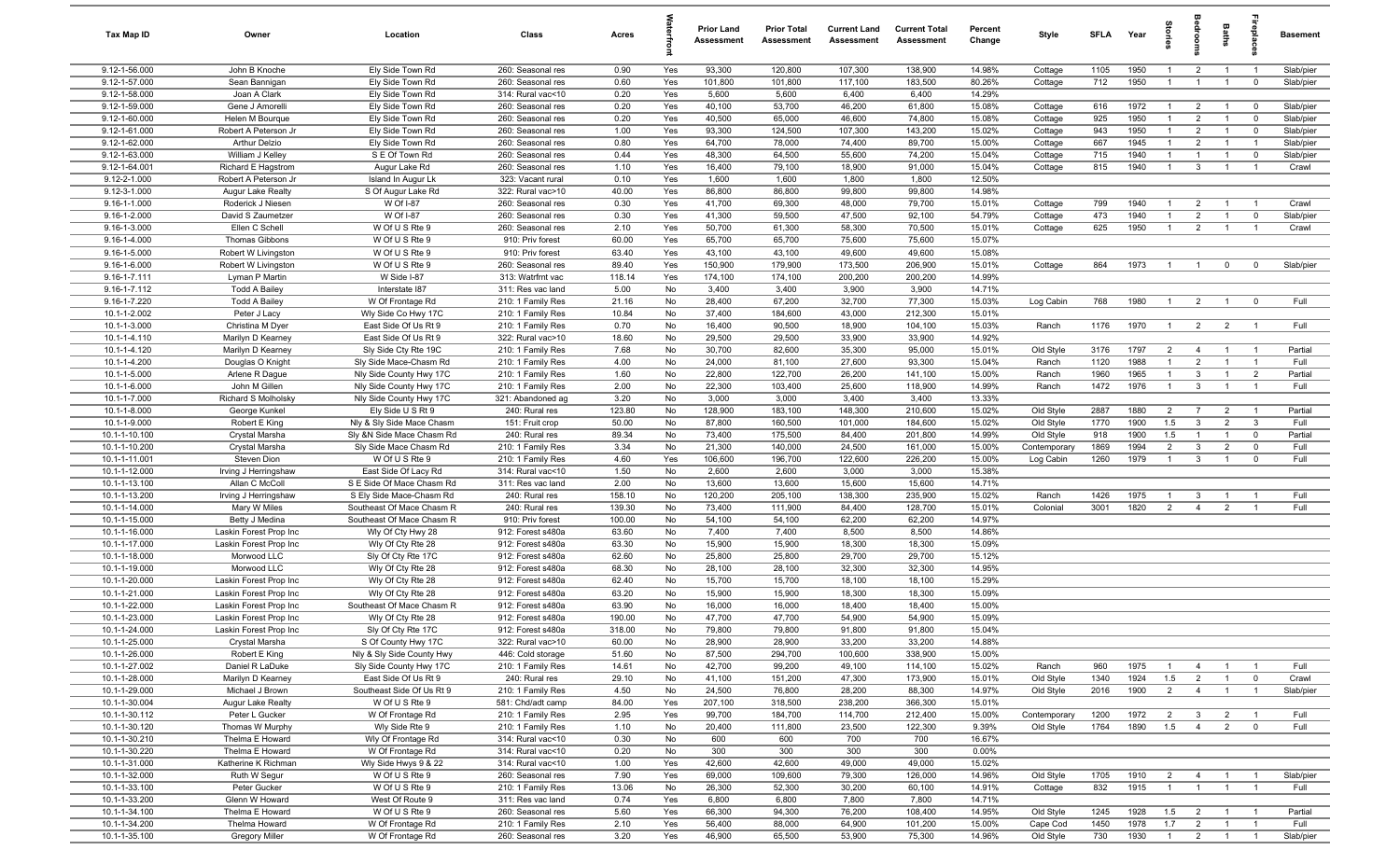| Tax Map ID                     | Owner                                 | Location                                              | Class                                  | Acres            |            | <b>Prior Land</b><br>Assessment | <b>Prior Total</b><br><b>Assessment</b> | <b>Current Land</b><br>Assessment | <b>Current Total</b><br><b>Assessment</b> | Percent<br>Change | Style              | <b>SFLA</b>  | Year         | g<br>Let                         | droon                            | Baths                            | eble                             | <b>Basement</b>        |
|--------------------------------|---------------------------------------|-------------------------------------------------------|----------------------------------------|------------------|------------|---------------------------------|-----------------------------------------|-----------------------------------|-------------------------------------------|-------------------|--------------------|--------------|--------------|----------------------------------|----------------------------------|----------------------------------|----------------------------------|------------------------|
| 9.12-1-56.000                  | John B Knoche                         | Ely Side Town Rd                                      | 260: Seasonal res                      | 0.90             | Yes        | 93,300                          | 120,800                                 | 107,300                           | 138,900                                   | 14.98%            | Cottage            | 1105         | 1950         | $\mathbf{1}$                     | $\overline{2}$                   | $\overline{1}$                   | $\overline{1}$                   | Slab/pier              |
| 9.12-1-57.000                  | Sean Bannigan                         | Ely Side Town Rd                                      | 260: Seasonal res                      | 0.60             | Yes        | 101,800                         | 101,800                                 | 117,100                           | 183,500                                   | 80.26%            | Cottage            | 712          | 1950         | $\mathbf{1}$                     | $\overline{1}$                   |                                  | $\mathbf 0$                      | Slab/pier              |
| 9.12-1-58.000                  | Joan A Clark                          | Ely Side Town Rd                                      | 314: Rural vac<10                      | 0.20             | Yes        | 5,600                           | 5,600                                   | 6,400                             | 6,400                                     | 14.29%            |                    |              |              |                                  |                                  |                                  |                                  |                        |
| 9.12-1-59.000                  | Gene J Amorelli                       | Ely Side Town Rd                                      | 260: Seasonal res                      | 0.20             | Yes        | 40,100                          | 53,700                                  | 46,200                            | 61,800                                    | 15.08%            | Cottage            | 616          | 1972         | $\overline{1}$                   | $\overline{2}$                   | $\overline{1}$                   | $\overline{0}$                   | Slab/pier              |
| 9.12-1-60.000<br>9.12-1-61.000 | Helen M Bourque                       | Ely Side Town Rd                                      | 260: Seasonal res<br>260: Seasonal res | 0.20<br>1.00     | Yes<br>Yes | 40,500<br>93,300                | 65,000<br>124,500                       | 46,600<br>107,300                 | 74,800<br>143,200                         | 15.08%<br>15.02%  | Cottage            | 925<br>943   | 1950<br>1950 | $\overline{1}$<br>$\overline{1}$ | $\overline{2}$<br>$\overline{2}$ | $\overline{1}$<br>$\overline{1}$ | $\overline{0}$<br>$\overline{0}$ | Slab/pier<br>Slab/pier |
| 9.12-1-62.000                  | Robert A Peterson Jr<br>Arthur Delzio | Ely Side Town Rd<br>Ely Side Town Rd                  | 260: Seasonal res                      | 0.80             | Yes        | 64,700                          | 78,000                                  | 74,400                            | 89,700                                    | 15.00%            | Cottage<br>Cottage | 667          | 1945         | $\overline{1}$                   | $\overline{2}$                   | $\overline{1}$                   | $\overline{1}$                   | Slab/pier              |
| 9.12-1-63.000                  | William J Kelley                      | S E Of Town Rd                                        | 260: Seasonal res                      | 0.44             | Yes        | 48,300                          | 64,500                                  | 55,600                            | 74,200                                    | 15.04%            | Cottage            | 715          | 1940         | $\overline{1}$                   | $\overline{1}$                   | $\overline{1}$                   | $\mathbf 0$                      | Slab/pier              |
| 9.12-1-64.001                  | Richard E Hagstrom                    | Augur Lake Rd                                         | 260: Seasonal res                      | 1.10             | Yes        | 16,400                          | 79,100                                  | 18,900                            | 91,000                                    | 15.04%            | Cottage            | 815          | 1940         | $\overline{1}$                   | $\mathbf{3}$                     | $\overline{1}$                   | $\overline{1}$                   | Crawl                  |
| 9.12-2-1.000                   | Robert A Peterson Jr                  | Island In Augur Lk                                    | 323: Vacant rural                      | 0.10             | Yes        | 1,600                           | 1,600                                   | 1,800                             | 1,800                                     | 12.50%            |                    |              |              |                                  |                                  |                                  |                                  |                        |
| 9.12-3-1.000                   | Augur Lake Realty                     | S Of Augur Lake Rd                                    | 322: Rural vac>10                      | 40.00            | Yes        | 86,800                          | 86,800                                  | 99,800                            | 99,800                                    | 14.98%            |                    |              |              |                                  |                                  |                                  |                                  |                        |
| 9.16-1-1.000                   | Roderick J Niesen                     | W Of I-87                                             | 260: Seasonal res                      | 0.30             | Yes        | 41,700                          | 69,300                                  | 48,000                            | 79,700                                    | 15.01%            | Cottage            | 799          | 1940         | $\overline{1}$                   | $\overline{2}$                   |                                  | $\overline{\phantom{0}}$         | Crawl                  |
| 9.16-1-2.000                   | David S Zaumetzer                     | W Of I-87                                             | 260: Seasonal res                      | 0.30             | Yes        | 41,300                          | 59,500                                  | 47,500                            | 92,100                                    | 54.79%            | Cottage            | 473          | 1940         |                                  | $\overline{2}$                   |                                  | $\mathbf 0$                      | Slab/pier              |
| $9.16 - 1 - 3.000$             | Ellen C Schell                        | W Of U S Rte 9                                        | 260: Seasonal res                      | 2.10             | Yes        | 50,700                          | 61,300                                  | 58,300                            | 70,500                                    | 15.01%            | Cottage            | 625          | 1950         | $\mathbf{1}$                     | $\overline{2}$                   |                                  |                                  | Crawl                  |
| 9.16-1-4.000                   | Thomas Gibbons                        | W Of U S Rte 9                                        | 910: Priv forest                       | 60.00            | Yes        | 65,700                          | 65,700                                  | 75,600                            | 75,600                                    | 15.07%            |                    |              |              |                                  |                                  |                                  |                                  |                        |
| 9.16-1-5.000                   | Robert W Livingston                   | W Of U S Rte 9                                        | 910: Priv forest                       | 63.40            | Yes        | 43,100                          | 43,100                                  | 49,600                            | 49,600                                    | 15.08%            |                    |              |              |                                  |                                  |                                  |                                  |                        |
| $9.16 - 1 - 6.000$             | Robert W Livingston                   | W Of U S Rte 9                                        | 260: Seasonal res                      | 89.40            | Yes        | 150,900                         | 179,900                                 | 173,500                           | 206,900                                   | 15.01%            | Cottage            | 864          | 1973         | $\overline{1}$                   | $\overline{1}$                   | $\mathbf 0$                      | $\overline{0}$                   | Slab/pier              |
| $9.16 - 1 - 7.111$             | Lyman P Martin                        | W Side I-87                                           | 313: Watrfrnt vac                      | 118.14           | Yes        | 174,100                         | 174,100                                 | 200,200                           | 200,200                                   | 14.99%            |                    |              |              |                                  |                                  |                                  |                                  |                        |
| 9.16-1-7.112                   | <b>Todd A Bailey</b>                  | Interstate 187                                        | 311: Res vac land                      | 5.00             | No         | 3,400                           | 3,400                                   | 3,900                             | 3,900                                     | 14.71%            |                    |              |              |                                  |                                  |                                  |                                  |                        |
| 9.16-1-7.220                   | <b>Todd A Bailey</b>                  | W Of Frontage Rd                                      | 210: 1 Family Res                      | 21.16            | No         | 28,400                          | 67,200                                  | 32,700                            | 77,300                                    | 15.03%            | Log Cabin          | 768          | 1980         | $\overline{1}$                   | $\overline{2}$                   | $\overline{1}$                   | $\mathbf{0}$                     | Full                   |
| 10.1-1-2.002<br>10.1-1-3.000   | Peter J Lacy<br>Christina M Dyer      | Wly Side Co Hwy 17C<br>East Side Of Us Rt 9           | 210: 1 Family Res<br>210: 1 Family Res | 10.84<br>0.70    | No<br>No   | 37,400<br>16,400                | 184,600<br>90,500                       | 43,000<br>18,900                  | 212,300<br>104,100                        | 15.01%<br>15.03%  | Ranch              | 1176         | 1970         | $\overline{1}$                   | $\overline{2}$                   | $\overline{2}$                   | $\overline{1}$                   | Full                   |
| 10.1-1-4.110                   | Marilyn D Kearney                     | East Side Of Us Rt 9                                  | 322: Rural vac>10                      | 18.60            | No         | 29,500                          | 29,500                                  | 33,900                            | 33,900                                    | 14.92%            |                    |              |              |                                  |                                  |                                  |                                  |                        |
| 10.1-1-4.120                   | Marilyn D Kearney                     | Sly Side Cty Rte 19C                                  | 210: 1 Family Res                      | 7.68             | No         | 30,700                          | 82,600                                  | 35,300                            | 95,000                                    | 15.01%            | Old Style          | 3176         | 1797         | $\overline{2}$                   | $\overline{4}$                   | $\mathbf{1}$                     | $\overline{\phantom{0}}$         | Partial                |
| $10.1 - 1 - 4.200$             | Douglas O Knight                      | Sly Side Mace-Chasm Rd                                | 210: 1 Family Res                      | 4.00             | No         | 24,000                          | 81,100                                  | 27,600                            | 93,300                                    | 15.04%            | Ranch              | 1120         | 1988         |                                  | $\overline{2}$                   |                                  | $\overline{1}$                   | Full                   |
| 10.1-1-5.000                   | Arlene R Dague                        | Nly Side County Hwy 17C                               | 210: 1 Family Res                      | 1.60             | No         | 22,800                          | 122,700                                 | 26,200                            | 141,100                                   | 15.00%            | Ranch              | 1960         | 1965         | $\mathbf{1}$                     | $\mathbf{3}$                     |                                  | $\overline{2}$                   | Partial                |
| 10.1-1-6.000                   | John M Gillen                         | Nly Side County Hwy 17C                               | 210: 1 Family Res                      | 2.00             | No         | 22,300                          | 103,400                                 | 25,600                            | 118,900                                   | 14.99%            | Ranch              | 1472         | 1976         | $\overline{1}$                   | $\mathbf{3}$                     |                                  | - 1                              | Full                   |
| 10.1-1-7.000                   | Richard S Molholsky                   | Nly Side County Hwy 17C                               | 321: Abandoned ag                      | 3.20             | No         | 3,000                           | 3,000                                   | 3,400                             | 3,400                                     | 13.33%            |                    |              |              |                                  |                                  |                                  |                                  |                        |
| 10.1-1-8.000                   | George Kunkel                         | Ely Side U S Rt 9                                     | 240: Rural res                         | 123.80           | No         | 128,900                         | 183,100                                 | 148,300                           | 210,600                                   | 15.02%            | Old Style          | 2887         | 1880         | $\overline{2}$                   | $\overline{7}$                   | $\overline{2}$                   | $\overline{\phantom{0}}$         | Partial                |
| 10.1-1-9.000                   | Robert E King                         | Nly & Sly Side Mace Chasm                             | 151: Fruit crop                        | 50.00            | No         | 87,800                          | 160,500                                 | 101,000                           | 184,600                                   | 15.02%            | Old Style          | 1770         | 1900         | 1.5                              | $\mathbf{3}$                     | $\overline{2}$                   | $\overline{3}$                   | Full                   |
| 10.1-1-10.100                  | Crystal Marsha                        | Sly &N Side Mace Chasm Rd                             | 240: Rural res                         | 89.34            | No         | 73,400                          | 175,500                                 | 84,400                            | 201,800                                   | 14.99%            | Old Style          | 918          | 1900         | 1.5                              | $\overline{1}$                   | $\overline{1}$                   | $\mathbf 0$                      | Partial                |
| 10.1-1-10.200                  | Crystal Marsha                        | Sly Side Mace Chasm Rd                                | 210: 1 Family Res                      | 3.34             | No         | 21,300                          | 140,000                                 | 24,500                            | 161,000                                   | 15.00%            | Contemporary       | 1869         | 1994         | $\overline{2}$                   | $\mathbf{3}$                     | $\overline{2}$                   | $\mathbf 0$                      | Full                   |
| 10.1-1-11.001                  | Steven Dion                           | W Of U S Rte 9                                        | 210: 1 Family Res                      | 4.60             | Yes        | 106,600                         | 196,700                                 | 122,600                           | 226,200                                   | 15.00%            | Log Cabin          | 1260         | 1979         | $\overline{1}$                   | $\mathbf{3}$                     | $\overline{1}$                   | $\mathbf 0$                      | Full                   |
| 10.1-1-12.000                  | Irving J Herringshaw                  | East Side Of Lacy Rd                                  | 314: Rural vac<10                      | 1.50             | No         | 2,600                           | 2,600                                   | 3,000                             | 3,000                                     | 15.38%            |                    |              |              |                                  |                                  |                                  |                                  |                        |
| 10.1-1-13.100                  | Allan C McColl                        | S E Side Of Mace Chasm Rd                             | 311: Res vac land                      | 2.00             | No         | 13,600                          | 13,600                                  | 15,600                            | 15,600                                    | 14.71%            |                    |              |              |                                  | $\mathbf{3}$                     |                                  | $\overline{\phantom{0}}$         | Full                   |
| 10.1-1-13.200<br>10.1-1-14.000 | Irving J Herringshaw<br>Mary W Miles  | S Ely Side Mace-Chasm Rd<br>Southeast Of Mace Chasm R | 240: Rural res<br>240: Rural res       | 158.10<br>139.30 | No<br>No   | 120,200<br>73,400               | 205,100<br>111,900                      | 138,300<br>84,400                 | 235,900<br>128,700                        | 15.02%<br>15.01%  | Ranch<br>Colonial  | 1426<br>3001 | 1975<br>1820 | $\overline{1}$<br>$\overline{2}$ | $\overline{4}$                   | $\overline{1}$<br>$\overline{2}$ | $\overline{1}$                   | Full                   |
| 10.1-1-15.000                  | Betty J Medina                        | Southeast Of Mace Chasm R                             | 910: Priv forest                       | 100.00           | No         | 54,100                          | 54,100                                  | 62,200                            | 62,200                                    | 14.97%            |                    |              |              |                                  |                                  |                                  |                                  |                        |
| 10.1-1-16.000                  | Laskin Forest Prop Inc                | Wly Of Cty Hwy 28                                     | 912: Forest s480a                      | 63.60            | No         | 7,400                           | 7,400                                   | 8,500                             | 8,500                                     | 14.86%            |                    |              |              |                                  |                                  |                                  |                                  |                        |
| 10.1-1-17.000                  | Laskin Forest Prop Inc                | Wly Of Cty Rte 28                                     | 912: Forest s480a                      | 63.30            | No         | 15,900                          | 15,900                                  | 18,300                            | 18,300                                    | 15.09%            |                    |              |              |                                  |                                  |                                  |                                  |                        |
| $10.1 - 1 - 18.000$            | Morwood LLC                           | Sly Of Cty Rte 17C                                    | 912: Forest s480a                      | 62.60            | No         | 25,800                          | 25,800                                  | 29,700                            | 29,700                                    | 15.12%            |                    |              |              |                                  |                                  |                                  |                                  |                        |
| 10.1-1-19.000                  | Morwood LLC                           | Wly Of Cty Rte 28                                     | 912: Forest s480a                      | 68.30            | No         | 28,100                          | 28,100                                  | 32,300                            | 32,300                                    | 14.95%            |                    |              |              |                                  |                                  |                                  |                                  |                        |
| 10.1-1-20.000                  | Laskin Forest Prop Inc                | Wly Of Cty Rte 28                                     | 912: Forest s480a                      | 62.40            | No         | 15,700                          | 15,700                                  | 18,100                            | 18,100                                    | 15.29%            |                    |              |              |                                  |                                  |                                  |                                  |                        |
| 10.1-1-21.000                  | Laskin Forest Prop Inc                | Wly Of Cty Rte 28                                     | 912: Forest s480a                      | 63.20            | No         | 15,900                          | 15,900                                  | 18,300                            | 18,300                                    | 15.09%            |                    |              |              |                                  |                                  |                                  |                                  |                        |
| 10.1-1-22.000                  | Laskin Forest Prop Inc                | Southeast Of Mace Chasm R                             | 912: Forest s480a                      | 63.90            | No         | 16,000                          | 16,000                                  | 18,400                            | 18,400                                    | 15.00%            |                    |              |              |                                  |                                  |                                  |                                  |                        |
| 10.1-1-23.000                  | Laskin Forest Prop Inc                | Wly Of Cty Rte 28                                     | 912: Forest s480a                      | 190.00           | No         | 47,700                          | 47,700                                  | 54,900                            | 54,900                                    | 15.09%            |                    |              |              |                                  |                                  |                                  |                                  |                        |
| 10.1-1-24.000                  | Laskin Forest Prop Inc.               | Sly Of Cty Rte 17C                                    | 912: Forest s480a                      | 318.00           | No         | 79.800                          | 79.800                                  | 91,800                            | 91,800                                    | 15.04%            |                    |              |              |                                  |                                  |                                  |                                  |                        |
| 10.1-1-25.000                  | Crystal Marsha                        | S Of County Hwy 17C                                   | 322: Rural vac>10                      | 60.00            | No         | 28,900                          | 28,900                                  | 33,200                            | 33,200                                    | 14.88%            |                    |              |              |                                  |                                  |                                  |                                  |                        |
| 10.1-1-26.000                  | Robert E King                         | Nly & Sly Side County Hwy                             | 446: Cold storage                      | 51.60            | No         | 87,500                          | 294,700                                 | 100,600                           | 338,900                                   | 15.00%            |                    |              |              |                                  |                                  |                                  |                                  |                        |
| 10.1-1-27.002                  | Daniel R LaDuke                       | Sly Side County Hwy 17C                               | 210: 1 Family Res                      | 14.61            | No         | 42,700                          | 99,200                                  | 49,100                            | 114,100                                   | 15.02%            | Ranch              | 960          | 1975         | $\overline{1}$                   | $\overline{4}$                   | $\overline{1}$                   | $\overline{1}$                   | Full                   |
| 10.1-1-28.000                  | Marilyn D Kearney                     | East Side Of Us Rt 9                                  | 240: Rural res                         | 29.10<br>4.50    | No         | 41,100<br>24,500                | 151,200<br>76,800                       | 47,300<br>28,200                  | 173,900<br>88,300                         | 15.01%            | Old Style          | 1340         | 1924<br>1900 | 1.5<br>$\overline{2}$            | $\overline{2}$                   | $\overline{1}$                   | $\overline{0}$<br>$\overline{1}$ | Crawl                  |
| 10.1-1-29.000<br>10.1-1-30.004 | Michael J Brown<br>Augur Lake Realty  | Southeast Side Of Us Rt 9<br>W Of U S Rte 9           | 210: 1 Family Res<br>581: Chd/adt camp | 84.00            | No<br>Yes  | 207,100                         | 318,500                                 | 238,200                           | 366,300                                   | 14.97%<br>15.01%  | Old Style          | 2016         |              |                                  | $\overline{4}$                   |                                  |                                  | Slab/pier              |
| 10.1-1-30.112                  | Peter L Gucker                        | W Of Frontage Rd                                      | 210: 1 Family Res                      | 2.95             | Yes        | 99,700                          | 184,700                                 | 114,700                           | 212,400                                   | 15.00%            | Contemporary       | 1200         | 1972         | $\overline{2}$                   | $\overline{\mathbf{3}}$          | $\overline{2}$                   | $\overline{1}$                   | Full                   |
| 10.1-1-30.120                  | Thomas W Murphy                       | Wly Side Rte 9                                        | 210: 1 Family Res                      | 1.10             | No         | 20,400                          | 111,800                                 | 23,500                            | 122,300                                   | 9.39%             | Old Style          | 1764         | 1890         | 1.5                              | $\overline{4}$                   | $\overline{2}$                   | $\overline{\mathbf{0}}$          | Full                   |
| 10.1-1-30.210                  | Thelma E Howard                       | Wly Of Frontage Rd                                    | 314: Rural vac<10                      | 0.30             | No         | 600                             | 600                                     | 700                               | 700                                       | 16.67%            |                    |              |              |                                  |                                  |                                  |                                  |                        |
| 10.1-1-30.220                  | Thelma E Howard                       | W Of Frontage Rd                                      | 314: Rural vac<10                      | 0.20             | No         | 300                             | 300                                     | 300                               | 300                                       | 0.00%             |                    |              |              |                                  |                                  |                                  |                                  |                        |
| 10.1-1-31.000                  | Katherine K Richman                   | Wly Side Hwys 9 & 22                                  | 314: Rural vac<10                      | 1.00             | Yes        | 42,600                          | 42,600                                  | 49,000                            | 49,000                                    | 15.02%            |                    |              |              |                                  |                                  |                                  |                                  |                        |
| 10.1-1-32.000                  | Ruth W Segur                          | W Of U S Rte 9                                        | 260: Seasonal res                      | 7.90             | Yes        | 69,000                          | 109,600                                 | 79,300                            | 126,000                                   | 14.96%            | Old Style          | 1705         | 1910         | $\overline{2}$                   | $\overline{4}$                   | $\overline{1}$                   | $\overline{1}$                   | Slab/pier              |
| 10.1-1-33.100                  | Peter Gucker                          | W Of U S Rte 9                                        | 210: 1 Family Res                      | 13.06            | No         | 26,300                          | 52,300                                  | 30,200                            | 60,100                                    | 14.91%            | Cottage            | 832          | 1915         | $\overline{1}$                   | $\overline{1}$                   | $\overline{1}$                   | $\overline{1}$                   | Full                   |
| 10.1-1-33.200                  | Glenn W Howard                        | West Of Route 9                                       | 311: Res vac land                      | 0.74             | Yes        | 6,800                           | 6,800                                   | 7,800                             | 7,800                                     | 14.71%            |                    |              |              |                                  |                                  |                                  |                                  |                        |
| 10.1-1-34.100                  | Thelma E Howard                       | W Of U S Rte 9                                        | 260: Seasonal res                      | 5.60             | Yes        | 66,300                          | 94,300                                  | 76,200                            | 108,400                                   | 14.95%            | Old Style          | 1245         | 1928         | 1.5                              | $\overline{\mathbf{2}}$          | $\overline{1}$                   | $\overline{1}$                   | Partial                |
| 10.1-1-34.200                  | Thelma Howard                         | W Of Frontage Rd                                      | 210: 1 Family Res                      | 2.10             | Yes        | 56,400                          | 88,000                                  | 64,900                            | 101,200                                   | 15.00%            | Cape Cod           | 1450         | 1978         | 1.7                              | $\overline{2}$                   | $\overline{1}$                   | $\overline{1}$                   | Full                   |
| 10.1-1-35.100                  | Gregory Miller                        | W Of Frontage Rd                                      | 260: Seasonal res                      | 3.20             | Yes        | 46,900                          | 65,500                                  | 53,900                            | 75,300                                    | 14.96%            | Old Style          | 730          | 1930         |                                  | $1 \qquad 2 \qquad 1$            |                                  | $\overline{1}$                   | Slab/pier              |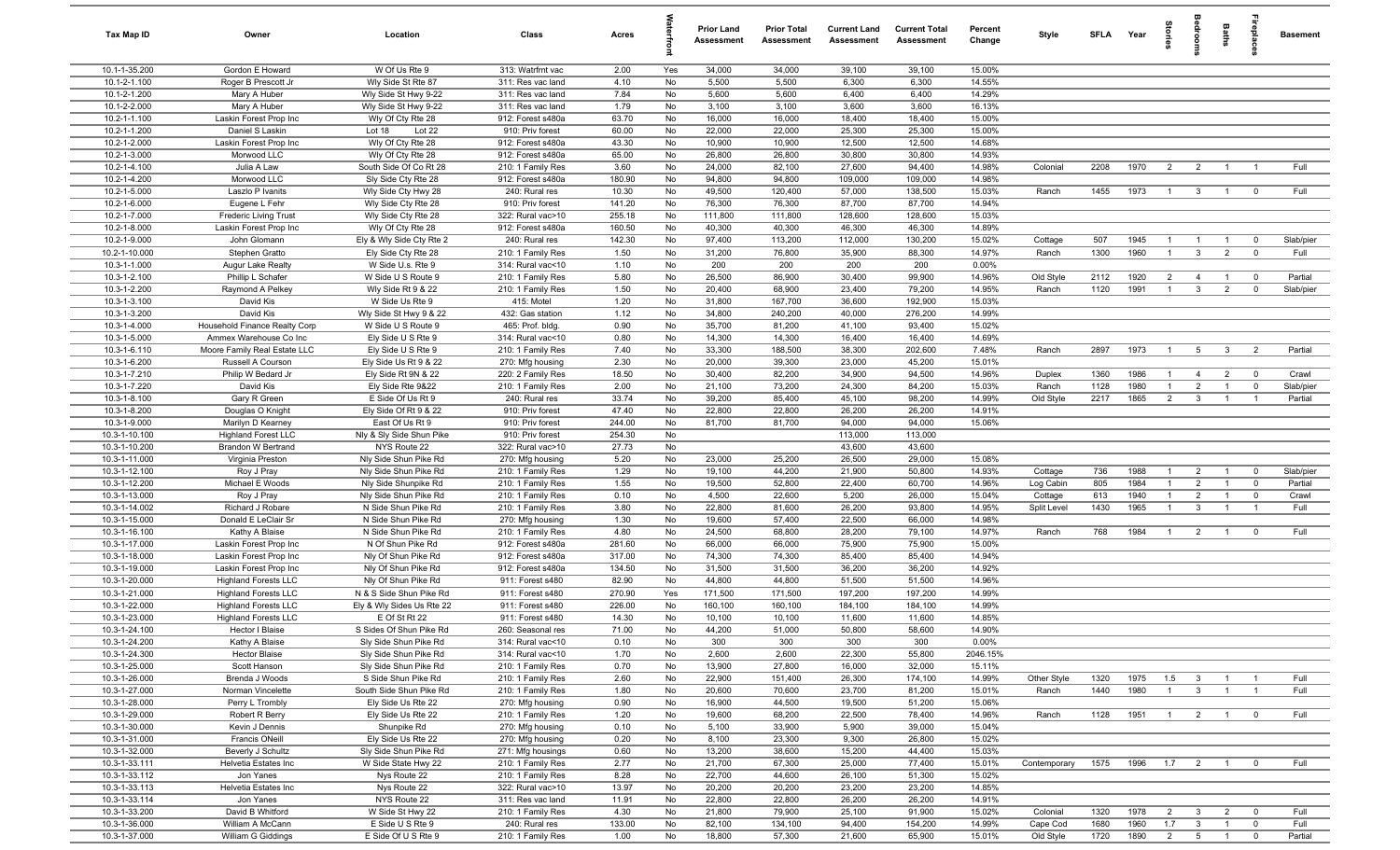| Tax Map ID                     | Owner                                                   | Location                                       | Class                                  | Acres          |          | <b>Prior Land</b><br>Assessment | <b>Prior Total</b><br>Assessment | <b>Current Land</b><br><b>Assessment</b> | <b>Current Total</b><br><b>Assessment</b> | Percent<br>Change | Style                | SFLA Year    |              | $\frac{1}{2}$                    |                                | Baths                            | eble                             | <b>Basement</b> |
|--------------------------------|---------------------------------------------------------|------------------------------------------------|----------------------------------------|----------------|----------|---------------------------------|----------------------------------|------------------------------------------|-------------------------------------------|-------------------|----------------------|--------------|--------------|----------------------------------|--------------------------------|----------------------------------|----------------------------------|-----------------|
| 10.1-1-35.200                  | Gordon E Howard                                         | W Of Us Rte 9                                  | 313: Watrfrnt vac                      | 2.00           | Yes      | 34,000                          | 34,000                           | 39,100                                   | 39,100                                    | 15.00%            |                      |              |              |                                  |                                |                                  |                                  |                 |
| 10.1-2-1.100                   | Roger B Prescott Jr                                     | Wly Side St Rte 87                             | 311: Res vac land                      | 4.10           | No       | 5,500                           | 5,500                            | 6,300                                    | 6,300                                     | 14.55%            |                      |              |              |                                  |                                |                                  |                                  |                 |
| 10.1-2-1.200                   | Mary A Huber                                            | Wly Side St Hwy 9-22                           | 311: Res vac land                      | 7.84           | No       | 5,600                           | 5,600                            | 6,400                                    | 6,400                                     | 14.29%            |                      |              |              |                                  |                                |                                  |                                  |                 |
| 10.1-2-2.000                   | Mary A Huber                                            | Wly Side St Hwy 9-22                           | 311: Res vac land                      | 1.79           | No       | 3,100                           | 3,100                            | 3,600                                    | 3,600                                     | 16.13%            |                      |              |              |                                  |                                |                                  |                                  |                 |
| 10.2-1-1.100                   | Laskin Forest Prop Inc                                  | Wly Of Cty Rte 28                              | 912: Forest s480a                      | 63.70          | No       | 16,000                          | 16,000                           | 18,400                                   | 18,400                                    | 15.00%            |                      |              |              |                                  |                                |                                  |                                  |                 |
| 10.2-1-1.200<br>10.2-1-2.000   | Daniel S Laskin                                         | Lot 22<br>Lot 18                               | 910: Priv forest<br>912: Forest s480a  | 60.00          | No       | 22,000                          | 22,000                           | 25,300<br>12,500                         | 25,300                                    | 15.00%            |                      |              |              |                                  |                                |                                  |                                  |                 |
| 10.2-1-3.000                   | Laskin Forest Prop Inc<br>Morwood LLC                   | Wly Of Cty Rte 28<br>Wly Of Cty Rte 28         | 912: Forest s480a                      | 43.30<br>65.00 | No<br>No | 10,900<br>26,800                | 10,900<br>26,800                 | 30,800                                   | 12,500<br>30,800                          | 14.68%<br>14.93%  |                      |              |              |                                  |                                |                                  |                                  |                 |
| 10.2-1-4.100                   | Julia A Law                                             | South Side Of Co Rt 28                         | 210: 1 Family Res                      | 3.60           | No       | 24,000                          | 82,100                           | 27,600                                   | 94,400                                    | 14.98%            | Colonial             | 2208         | 1970         | $\overline{2}$                   | $\overline{2}$                 | $\overline{1}$                   | $\overline{1}$                   | Full            |
| 10.2-1-4.200                   | Morwood LLC                                             | Sly Side Cty Rte 28                            | 912: Forest s480a                      | 180.90         | No       | 94,800                          | 94,800                           | 109,000                                  | 109,000                                   | 14.98%            |                      |              |              |                                  |                                |                                  |                                  |                 |
| 10.2-1-5.000                   | Laszlo P Ivanits                                        | Wly Side Cty Hwy 28                            | 240: Rural res                         | 10.30          | No       | 49,500                          | 120,400                          | 57,000                                   | 138,500                                   | 15.03%            | Ranch                | 1455         | 1973         | $\overline{1}$                   | $\mathbf{3}$                   | $\overline{1}$                   | $^{\circ}$                       | Full            |
| 10.2-1-6.000                   | Eugene L Fehr                                           | Wly Side Cty Rte 28                            | 910: Priv forest                       | 141.20         | No       | 76,300                          | 76,300                           | 87,700                                   | 87,700                                    | 14.94%            |                      |              |              |                                  |                                |                                  |                                  |                 |
| 10.2-1-7.000                   | Frederic Living Trust                                   | Wly Side Cty Rte 28                            | 322: Rural vac>10                      | 255.18         | No       | 111,800                         | 111,800                          | 128,600                                  | 128,600                                   | 15.03%            |                      |              |              |                                  |                                |                                  |                                  |                 |
| 10.2-1-8.000                   | Laskin Forest Prop Inc                                  | Wly Of Cty Rte 28                              | 912: Forest s480a                      | 160.50         | No       | 40,300                          | 40,300                           | 46,300                                   | 46,300                                    | 14.89%            |                      |              |              |                                  |                                |                                  |                                  |                 |
| 10.2-1-9.000                   | John Glomann                                            | Ely & Wly Side Cty Rte 2                       | 240: Rural res                         | 142.30         | No       | 97,400                          | 113,200                          | 112,000                                  | 130,200                                   | 15.02%            | Cottage              | 507          | 1945         | $\mathbf{1}$                     | -1                             | $\mathbf{1}$                     | $\mathbf 0$                      | Slab/pier       |
| 10.2-1-10.000                  | Stephen Gratto                                          | Ely Side Cty Rte 28                            | 210: 1 Family Res                      | 1.50           | No       | 31,200                          | 76,800                           | 35,900                                   | 88,300                                    | 14.97%            | Ranch                | 1300         | 1960         | $\mathbf{1}$                     | $\mathbf{3}$                   | $\overline{2}$                   | $\mathbf 0$                      | Full            |
| 10.3-1-1.000                   | Augur Lake Realty                                       | W Side U.s. Rte 9                              | 314: Rural vac<10                      | 1.10           | No       | 200                             | 200                              | 200                                      | 200                                       | 0.00%             |                      |              |              |                                  |                                |                                  |                                  |                 |
| 10.3-1-2.100                   | Phillip L Schafer                                       | W Side U S Route 9                             | 210: 1 Family Res                      | 5.80           | No       | 26,500                          | 86,900                           | 30,400                                   | 99,900                                    | 14.96%            | Old Style            | 2112         | 1920         | $\overline{2}$                   | $\overline{4}$                 |                                  | $^{\circ}$                       | Partial         |
| 10.3-1-2.200                   | Raymond A Pelkey                                        | Wly Side Rt 9 & 22                             | 210: 1 Family Res                      | 1.50           | No       | 20,400                          | 68,900                           | 23,400                                   | 79,200                                    | 14.95%            | Ranch                | 1120         | 1991         | $\overline{1}$                   | $\mathbf{3}$                   | $\overline{2}$                   | $\mathbf 0$                      | Slab/pier       |
| 10.3-1-3.100                   | David Kis                                               | W Side Us Rte 9                                | 415: Motel                             | 1.20           | No       | 31,800                          | 167,700                          | 36,600                                   | 192,900                                   | 15.03%            |                      |              |              |                                  |                                |                                  |                                  |                 |
| 10.3-1-3.200<br>10.3-1-4.000   | David Kis                                               | Wly Side St Hwy 9 & 22                         | 432: Gas station                       | 1.12<br>0.90   | No       | 34,800                          | 240,200                          | 40,000                                   | 276,200                                   | 14.99%            |                      |              |              |                                  |                                |                                  |                                  |                 |
| 10.3-1-5.000                   | Household Finance Realty Corp<br>Ammex Warehouse Co Inc | W Side U S Route 9<br>Ely Side U S Rte 9       | 465: Prof. bldg.<br>314: Rural vac<10  | 0.80           | No<br>No | 35,700<br>14,300                | 81,200<br>14,300                 | 41,100<br>16,400                         | 93,400<br>16,400                          | 15.02%<br>14.69%  |                      |              |              |                                  |                                |                                  |                                  |                 |
| 10.3-1-6.110                   | Moore Family Real Estate LLC                            | Ely Side U S Rte 9                             | 210: 1 Family Res                      | 7.40           | No       | 33,300                          | 188,500                          | 38,300                                   | 202,600                                   | 7.48%             | Ranch                | 2897         | 1973         | $\overline{1}$                   | $5\overline{5}$                | $\mathbf{3}$                     | $\overline{2}$                   | Partial         |
| 10.3-1-6.200                   | Russell A Courson                                       | Ely Side Us Rt 9 & 22                          | 270: Mfg housing                       | 2.30           | No       | 20,000                          | 39,300                           | 23,000                                   | 45,200                                    | 15.01%            |                      |              |              |                                  |                                |                                  |                                  |                 |
| 10.3-1-7.210                   | Philip W Bedard Jr                                      | Ely Side Rt 9N & 22                            | 220: 2 Family Res                      | 18.50          | No       | 30,400                          | 82,200                           | 34,900                                   | 94,500                                    | 14.96%            | Duplex               | 1360         | 1986         | $\overline{1}$                   | $\overline{4}$                 | $\overline{2}$                   | $\mathbf 0$                      | Crawl           |
| 10.3-1-7.220                   | David Kis                                               | Ely Side Rte 9&22                              | 210: 1 Family Res                      | 2.00           | No       | 21,100                          | 73,200                           | 24,300                                   | 84,200                                    | 15.03%            | Ranch                | 1128         | 1980         | $\overline{1}$                   | $\overline{2}$                 | $\overline{1}$                   | $\mathbf 0$                      | Slab/pier       |
| 10.3-1-8.100                   | Gary R Green                                            | E Side Of Us Rt 9                              | 240: Rural res                         | 33.74          | No       | 39,200                          | 85,400                           | 45,100                                   | 98,200                                    | 14.99%            | Old Style            | 2217         | 1865         | $\overline{2}$                   | $\mathbf{3}$                   |                                  |                                  | Partial         |
| 10.3-1-8.200                   | Douglas O Knight                                        | Ely Side Of Rt 9 & 22                          | 910: Priv forest                       | 47.40          | No       | 22,800                          | 22,800                           | 26,200                                   | 26,200                                    | 14.91%            |                      |              |              |                                  |                                |                                  |                                  |                 |
| 10.3-1-9.000                   | Marilyn D Kearney                                       | East Of Us Rt 9                                | 910: Priv forest                       | 244.00         | No       | 81,700                          | 81,700                           | 94,000                                   | 94,000                                    | 15.06%            |                      |              |              |                                  |                                |                                  |                                  |                 |
| 10.3-1-10.100                  | <b>Highland Forest LLC</b>                              | Nly & Sly Side Shun Pike                       | 910: Priv forest                       | 254.30         | No       |                                 |                                  | 113,000                                  | 113,000                                   |                   |                      |              |              |                                  |                                |                                  |                                  |                 |
| 10.3-1-10.200                  | Brandon W Bertrand                                      | NYS Route 22                                   | 322: Rural vac>10                      | 27.73          | No       |                                 |                                  | 43,600                                   | 43,600                                    |                   |                      |              |              |                                  |                                |                                  |                                  |                 |
| 10.3-1-11.000                  | Virginia Preston                                        | Nly Side Shun Pike Rd                          | 270: Mfg housing                       | 5.20           | No       | 23,000                          | 25,200                           | 26,500                                   | 29,000                                    | 15.08%            |                      |              |              |                                  |                                |                                  |                                  |                 |
| 10.3-1-12.100                  | Roy J Pray                                              | Nly Side Shun Pike Rd                          | 210: 1 Family Res                      | 1.29           | No       | 19,100                          | 44,200                           | 21,900                                   | 50,800                                    | 14.93%            | Cottage              | 736          | 1988         | $\overline{1}$                   | $\overline{2}$                 | $\overline{1}$                   | $\mathbf 0$                      | Slab/pier       |
| 10.3-1-12.200                  | Michael E Woods                                         | Nly Side Shunpike Rd                           | 210: 1 Family Res                      | 1.55           | No       | 19,500                          | 52,800                           | 22,400                                   | 60,700                                    | 14.96%            | Log Cabin            | 805          | 1984         | $\overline{1}$                   | $\overline{2}$                 | $\overline{1}$<br>$\overline{1}$ | $^{\circ}$                       | Partial         |
| 10.3-1-13.000<br>10.3-1-14.002 | Roy J Pray                                              | Nly Side Shun Pike Rd                          | 210: 1 Family Res                      | 0.10<br>3.80   | No       | 4,500<br>22,800                 | 22,600                           | 5,200<br>26,200                          | 26,000<br>93,800                          | 15.04%<br>14.95%  | Cottage              | 613<br>1430  | 1940<br>1965 | $\overline{1}$<br>$\overline{1}$ | $\overline{2}$<br>$\mathbf{3}$ | $\overline{1}$                   | $^{\circ}$<br>$\overline{1}$     | Crawl<br>Full   |
| $10.3 - 1 - 15.000$            | Richard J Robare<br>Donald E LeClair Sr                 | N Side Shun Pike Rd<br>N Side Shun Pike Rd     | 210: 1 Family Res<br>270: Mfg housing  | 1.30           | No<br>No | 19,600                          | 81,600<br>57,400                 | 22,500                                   | 66,000                                    | 14.98%            | Split Level          |              |              |                                  |                                |                                  |                                  |                 |
| 10.3-1-16.100                  | Kathy A Blaise                                          | N Side Shun Pike Rd                            | 210: 1 Family Res                      | 4.80           | No       | 24,500                          | 68,800                           | 28,200                                   | 79,100                                    | 14.97%            | Ranch                | 768          | 1984         | $\overline{1}$                   | $\overline{2}$                 | $\overline{1}$                   | $^{\circ}$                       | Full            |
| 10.3-1-17.000                  | Laskin Forest Prop Inc                                  | N Of Shun Pike Rd                              | 912: Forest s480a                      | 281.60         | No       | 66,000                          | 66,000                           | 75,900                                   | 75,900                                    | 15.00%            |                      |              |              |                                  |                                |                                  |                                  |                 |
| 10.3-1-18.000                  | Laskin Forest Prop Inc                                  | Nly Of Shun Pike Rd                            | 912: Forest s480a                      | 317.00         | No       | 74,300                          | 74,300                           | 85,400                                   | 85,400                                    | 14.94%            |                      |              |              |                                  |                                |                                  |                                  |                 |
| 10.3-1-19.000                  | Laskin Forest Prop Inc                                  | Nly Of Shun Pike Rd                            | 912: Forest s480a                      | 134.50         | No       | 31,500                          | 31,500                           | 36,200                                   | 36,200                                    | 14.92%            |                      |              |              |                                  |                                |                                  |                                  |                 |
| 10.3-1-20.000                  | <b>Highland Forests LLC</b>                             | Nly Of Shun Pike Rd                            | 911: Forest s480                       | 82.90          | No       | 44,800                          | 44,800                           | 51,500                                   | 51,500                                    | 14.96%            |                      |              |              |                                  |                                |                                  |                                  |                 |
| 10.3-1-21.000                  | <b>Highland Forests LLC</b>                             | N & S Side Shun Pike Rd                        | 911: Forest s480                       | 270.90         | Yes      | 171,500                         | 171,500                          | 197,200                                  | 197,200                                   | 14.99%            |                      |              |              |                                  |                                |                                  |                                  |                 |
| 10.3-1-22.000                  | <b>Highland Forests LLC</b>                             | Ely & Wly Sides Us Rte 22                      | 911: Forest s480                       | 226.00         | No       | 160,100                         | 160,100                          | 184,100                                  | 184,100                                   | 14.99%            |                      |              |              |                                  |                                |                                  |                                  |                 |
| 10.3-1-23.000                  | <b>Highland Forests LLC</b>                             | E Of St Rt 22                                  | 911: Forest s480                       | 14.30          | No       | 10,100                          | 10,100                           | 11,600                                   | 11,600                                    | 14.85%            |                      |              |              |                                  |                                |                                  |                                  |                 |
| 10.3-1-24.100                  | Hector I Blaise                                         | S Sides Of Shun Pike Rd                        | 260: Seasonal res                      | 71.00          | No       | 44,200                          | 51,000                           | 50,800                                   | 58,600                                    | 14.90%            |                      |              |              |                                  |                                |                                  |                                  |                 |
| 10.3-1-24.200                  | Kathy A Blaise                                          | Sly Side Shun Pike Rd                          | 314: Rural vac<10                      | 0.10           | No       | 300                             | 300                              | 300                                      | 300                                       | 0.00%             |                      |              |              |                                  |                                |                                  |                                  |                 |
| 10.3-1-24.300                  | <b>Hector Blaise</b>                                    | Sly Side Shun Pike Rd                          | 314: Rural vac<10                      | 1.70           | No       | 2,600                           | 2,600                            | 22,300                                   | 55,800                                    | 2046.15%          |                      |              |              |                                  |                                |                                  |                                  |                 |
| 10.3-1-25.000                  | Scott Hanson                                            | Sly Side Shun Pike Rd                          | 210: 1 Family Res                      | 0.70           | No       | 13,900                          | 27,800                           | 16,000                                   | 32,000                                    | 15.11%            |                      |              |              |                                  |                                |                                  |                                  |                 |
| 10.3-1-26.000<br>10.3-1-27.000 | Brenda J Woods<br>Norman Vincelette                     | S Side Shun Pike Rd<br>South Side Shun Pike Rd | 210: 1 Family Res<br>210: 1 Family Res | 2.60<br>1.80   | No<br>No | 22,900<br>20,600                | 151,400<br>70,600                | 26,300<br>23,700                         | 174,100<br>81,200                         | 14.99%<br>15.01%  | Other Style<br>Ranch | 1320<br>1440 | 1975<br>1980 | 1.5<br>$\overline{1}$            | $\mathbf{3}$<br>$\mathbf{3}$   | $\overline{1}$<br>$\overline{1}$ | $\overline{1}$<br>$\overline{1}$ | Full<br>Full    |
| 10.3-1-28.000                  | Perry L Trombly                                         | Ely Side Us Rte 22                             | 270: Mfg housing                       | 0.90           | No       | 16,900                          | 44,500                           | 19,500                                   | 51,200                                    | 15.06%            |                      |              |              |                                  |                                |                                  |                                  |                 |
| 10.3-1-29.000                  | Robert R Berry                                          | Ely Side Us Rte 22                             | 210: 1 Family Res                      | 1.20           | No       | 19,600                          | 68,200                           | 22,500                                   | 78,400                                    | 14.96%            | Ranch                | 1128         | 1951         | $\overline{1}$                   | $\overline{2}$                 | $\mathbf{1}$                     | $\overline{0}$                   | Full            |
| 10.3-1-30.000                  | Kevin J Dennis                                          | Shunpike Rd                                    | 270: Mfg housing                       | 0.10           | No       | 5,100                           | 33,900                           | 5,900                                    | 39,000                                    | 15.04%            |                      |              |              |                                  |                                |                                  |                                  |                 |
| 10.3-1-31.000                  | Francis ONeill                                          | Ely Side Us Rte 22                             | 270: Mfg housing                       | 0.20           | No       | 8,100                           | 23,300                           | 9,300                                    | 26,800                                    | 15.02%            |                      |              |              |                                  |                                |                                  |                                  |                 |
| 10.3-1-32.000                  | Beverly J Schultz                                       | Sly Side Shun Pike Rd                          | 271: Mfg housings                      | 0.60           | No       | 13,200                          | 38,600                           | 15,200                                   | 44,400                                    | 15.03%            |                      |              |              |                                  |                                |                                  |                                  |                 |
| 10.3-1-33.111                  | Helvetia Estates Inc                                    | W Side State Hwy 22                            | 210: 1 Family Res                      | 2.77           | No       | 21,700                          | 67,300                           | 25,000                                   | 77,400                                    | 15.01%            | Contemporary         | 1575         | 1996         | $1.7 \t 2$                       |                                | $\overline{1}$                   | $\overline{0}$                   | Full            |
| 10.3-1-33.112                  | Jon Yanes                                               | Nys Route 22                                   | 210: 1 Family Res                      | 8.28           | No       | 22,700                          | 44,600                           | 26,100                                   | 51,300                                    | 15.02%            |                      |              |              |                                  |                                |                                  |                                  |                 |
| 10.3-1-33.113                  | Helvetia Estates Inc                                    | Nys Route 22                                   | 322: Rural vac>10                      | 13.97          | No       | 20,200                          | 20,200                           | 23,200                                   | 23,200                                    | 14.85%            |                      |              |              |                                  |                                |                                  |                                  |                 |
| 10.3-1-33.114                  | Jon Yanes                                               | NYS Route 22                                   | 311: Res vac land                      | 11.91          | No       | 22,800                          | 22,800                           | 26,200                                   | 26,200                                    | 14.91%            |                      |              |              |                                  |                                |                                  |                                  |                 |
| 10.3-1-33.200                  | David B Whitford                                        | W Side St Hwy 22                               | 210: 1 Family Res                      | 4.30           | No       | 21,800                          | 79,900                           | 25,100                                   | 91,900                                    | 15.02%            | Colonial             | 1320         | 1978         | $\overline{2}$                   | $\mathbf{3}$                   | $\overline{2}$                   | $\overline{0}$                   | Full            |
| 10.3-1-36.000                  | William A McCann                                        | E Side U S Rte 9                               | 240: Rural res                         | 133.00         | No       | 82,100                          | 134,100                          | 94,400                                   | 154,200                                   | 14.99%            | Cape Cod             | 1680         | 1960         | 1.7                              | $\overline{\mathbf{3}}$        | $\overline{1}$                   | $\mathbf 0$                      | Full            |
| 10.3-1-37.000                  | William G Giddings                                      | E Side Of U S Rte 9                            | 210: 1 Family Res                      | 1.00           | No       | 18,800                          | 57,300                           | 21,600                                   | 65,900                                    | 15.01%            | Old Style            | 1720         | 1890         | $\overline{2}$                   | $5^{\circ}$                    | $\overline{1}$                   | $\overline{0}$                   | Partial         |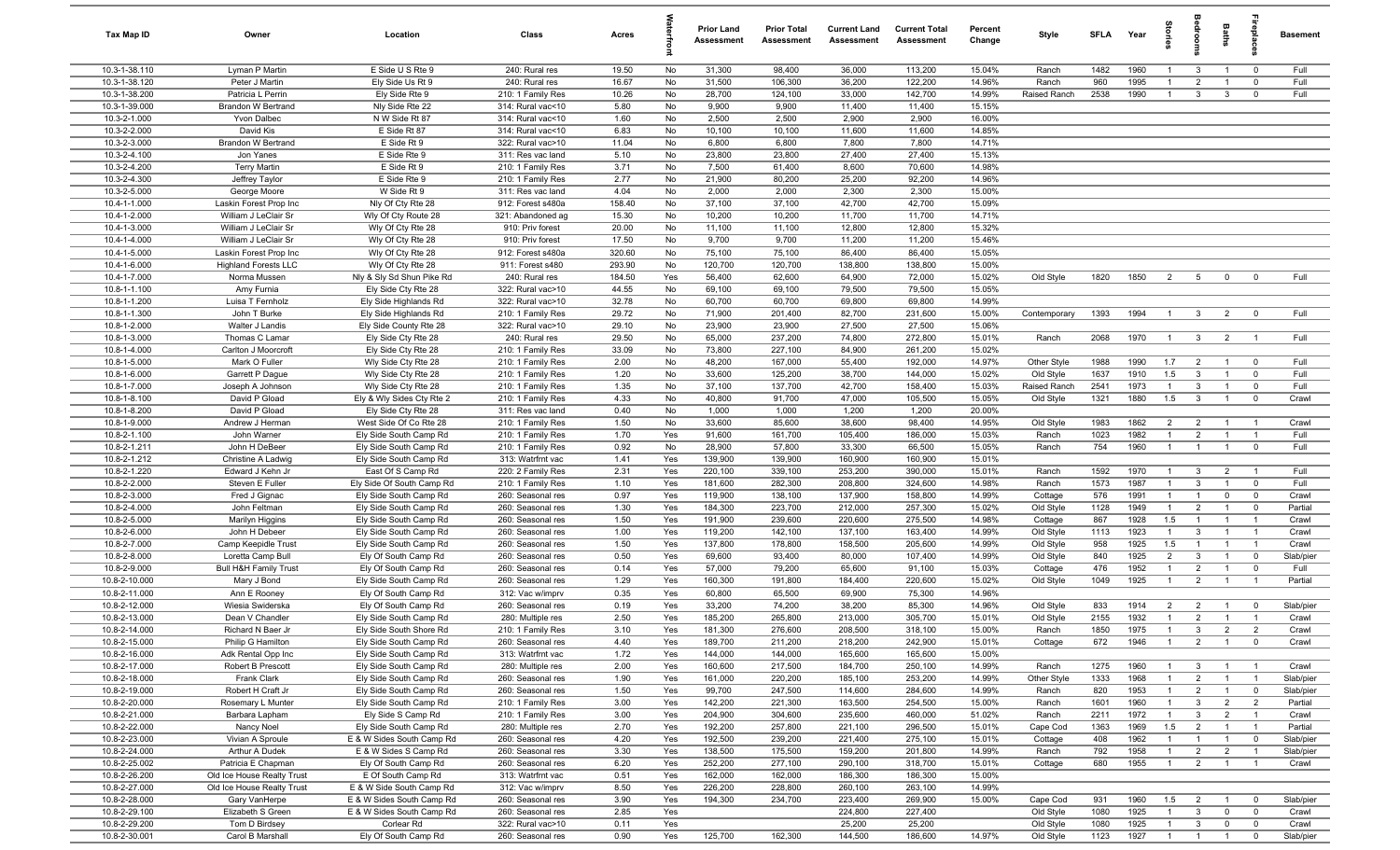| Tax Map ID                     | Owner                                  | Location                                               | Class                                  | Acres           |            | <b>Prior Land</b><br>Assessment | <b>Prior Total</b><br>Assessment | <b>Current Land</b><br>Assessment | <b>Current Total</b><br><b>Assessment</b> | Percent<br>Change | Style                 | <b>SFLA</b>  | Year         | g.                               | droon                          | Baths                            | eble                       | <b>Basement</b> |
|--------------------------------|----------------------------------------|--------------------------------------------------------|----------------------------------------|-----------------|------------|---------------------------------|----------------------------------|-----------------------------------|-------------------------------------------|-------------------|-----------------------|--------------|--------------|----------------------------------|--------------------------------|----------------------------------|----------------------------|-----------------|
| 10.3-1-38.110                  | Lyman P Martin                         | E Side U S Rte 9                                       | 240: Rural res                         | 19.50           | No         | 31,300                          | 98,400                           | 36,000                            | 113,200                                   | 15.04%            | Ranch                 | 1482         | 1960         | $\mathbf{1}$                     | 3                              | $\overline{1}$                   | $\overline{\mathbf{0}}$    | Full            |
| 10.3-1-38.120                  | Peter J Martin                         | Ely Side Us Rt 9                                       | 240: Rural res                         | 16.67           | No         | 31,500                          | 106,300                          | 36,200                            | 122,200                                   | 14.96%            | Ranch                 | 960          | 1995         | -1                               | $\overline{2}$                 |                                  | $^{\circ}$                 | Full            |
| 10.3-1-38.200                  | Patricia L Perrin                      | Ely Side Rte 9                                         | 210: 1 Family Res                      | 10.26           | No         | 28,700                          | 124,100                          | 33,000                            | 142,700                                   | 14.99%            | Raised Ranch          | 2538         | 1990         | $\mathbf{1}$                     | $\mathbf{3}$                   | 3                                | $\mathbf 0$                | Full            |
| 10.3-1-39.000                  | <b>Brandon W Bertrand</b>              | Nly Side Rte 22                                        | 314: Rural vac<10                      | 5.80            | No         | 9,900                           | 9,900                            | 11,400                            | 11,400                                    | 15.15%            |                       |              |              |                                  |                                |                                  |                            |                 |
| 10.3-2-1.000<br>10.3-2-2.000   | Yvon Dalbec<br>David Kis               | N W Side Rt 87<br>E Side Rt 87                         | 314: Rural vac<10<br>314: Rural vac<10 | 1.60<br>6.83    | No<br>No   | 2,500<br>10,100                 | 2,500<br>10,100                  | 2,900<br>11,600                   | 2,900<br>11,600                           | 16.00%<br>14.85%  |                       |              |              |                                  |                                |                                  |                            |                 |
| 10.3-2-3.000                   | <b>Brandon W Bertrand</b>              | E Side Rt 9                                            | 322: Rural vac>10                      | 11.04           | No         | 6,800                           | 6,800                            | 7,800                             | 7,800                                     | 14.71%            |                       |              |              |                                  |                                |                                  |                            |                 |
| 10.3-2-4.100                   | Jon Yanes                              | E Side Rte 9                                           | 311: Res vac land                      | 5.10            | No         | 23,800                          | 23,800                           | 27,400                            | 27,400                                    | 15.13%            |                       |              |              |                                  |                                |                                  |                            |                 |
| 10.3-2-4.200                   | <b>Terry Martin</b>                    | E Side Rt 9                                            | 210: 1 Family Res                      | 3.71            | No         | 7,500                           | 61,400                           | 8,600                             | 70,600                                    | 14.98%            |                       |              |              |                                  |                                |                                  |                            |                 |
| 10.3-2-4.300                   | Jeffrey Taylor                         | E Side Rte 9                                           | 210: 1 Family Res                      | 2.77            | No         | 21,900                          | 80,200                           | 25,200                            | 92,200                                    | 14.96%            |                       |              |              |                                  |                                |                                  |                            |                 |
| 10.3-2-5.000                   | George Moore                           | W Side Rt 9                                            | 311: Res vac land                      | 4.04            | No         | 2,000                           | 2,000                            | 2,300                             | 2,300                                     | 15.00%            |                       |              |              |                                  |                                |                                  |                            |                 |
| 10.4-1-1.000                   | Laskin Forest Prop Inc                 | Nly Of Cty Rte 28                                      | 912: Forest s480a                      | 158.40          | No         | 37,100                          | 37,100                           | 42,700                            | 42,700                                    | 15.09%            |                       |              |              |                                  |                                |                                  |                            |                 |
| 10.4-1-2.000                   | William J LeClair Sr                   | Wly Of Cty Route 28                                    | 321: Abandoned ag                      | 15.30           | No         | 10,200                          | 10,200                           | 11,700                            | 11,700                                    | 14.71%            |                       |              |              |                                  |                                |                                  |                            |                 |
| 10.4-1-3.000                   | William J LeClair Sr                   | Wly Of Cty Rte 28                                      | 910: Priv forest                       | 20.00           | No         | 11,100                          | 11,100                           | 12,800                            | 12,800                                    | 15.32%            |                       |              |              |                                  |                                |                                  |                            |                 |
| 10.4-1-4.000                   | William J LeClair Sr                   | Wly Of Cty Rte 28                                      | 910: Priv forest                       | 17.50           | No         | 9,700                           | 9,700                            | 11,200                            | 11,200                                    | 15.46%            |                       |              |              |                                  |                                |                                  |                            |                 |
| 10.4-1-5.000                   | Laskin Forest Prop Inc                 | Wly Of Cty Rte 28                                      | 912: Forest s480a                      | 320.60          | No         | 75,100                          | 75,100                           | 86,400                            | 86,400                                    | 15.05%            |                       |              |              |                                  |                                |                                  |                            |                 |
| 10.4-1-6.000                   | <b>Highland Forests LLC</b>            | Wly Of Cty Rte 28                                      | 911: Forest s480                       | 293.90          | No         | 120,700                         | 120,700                          | 138,800                           | 138,800                                   | 15.00%            |                       |              |              |                                  |                                |                                  |                            |                 |
| 10.4-1-7.000                   | Norma Mussen                           | Nly & Sly Sd Shun Pike Rd                              | 240: Rural res                         | 184.50<br>44.55 | Yes        | 56,400                          | 62,600                           | 64,900                            | 72,000                                    | 15.02%            | Old Style             | 1820         | 1850         | $\overline{2}$                   | 5                              | $\mathbf 0$                      | $\mathbf 0$                | Full            |
| 10.8-1-1.100<br>10.8-1-1.200   | Amy Furnia<br>Luisa T Fernholz         | Ely Side Cty Rte 28<br>Ely Side Highlands Rd           | 322: Rural vac>10<br>322: Rural vac>10 | 32.78           | No<br>No   | 69,100<br>60,700                | 69,100<br>60,700                 | 79,500<br>69,800                  | 79,500<br>69,800                          | 15.05%<br>14.99%  |                       |              |              |                                  |                                |                                  |                            |                 |
| 10.8-1-1.300                   | John T Burke                           | Ely Side Highlands Rd                                  | 210: 1 Family Res                      | 29.72           | No         | 71,900                          | 201,400                          | 82,700                            | 231,600                                   | 15.00%            | Contemporary          | 1393         | 1994         | $\overline{1}$                   | $\mathbf{3}$                   | $\overline{2}$                   | $\overline{\mathbf{0}}$    | Full            |
| 10.8-1-2.000                   | Walter J Landis                        | Ely Side County Rte 28                                 | 322: Rural vac>10                      | 29.10           | No         | 23,900                          | 23,900                           | 27,500                            | 27,500                                    | 15.06%            |                       |              |              |                                  |                                |                                  |                            |                 |
| 10.8-1-3.000                   | Thomas C Lamar                         | Ely Side Cty Rte 28                                    | 240: Rural res                         | 29.50           | No         | 65,000                          | 237,200                          | 74,800                            | 272,800                                   | 15.01%            | Ranch                 | 2068         | 1970         | $\overline{1}$                   | $\mathbf{3}$                   | $\overline{2}$                   | $\overline{1}$             | Full            |
| 10.8-1-4.000                   | Carlton J Moorcroft                    | Ely Side Cty Rte 28                                    | 210: 1 Family Res                      | 33.09           | No         | 73,800                          | 227,100                          | 84,900                            | 261,200                                   | 15.02%            |                       |              |              |                                  |                                |                                  |                            |                 |
| 10.8-1-5.000                   | Mark O Fuller                          | Wly Side Cty Rte 28                                    | 210: 1 Family Res                      | 2.00            | No         | 48,200                          | 167,000                          | 55,400                            | 192,000                                   | 14.97%            | Other Style           | 1988         | 1990         | 1.7                              | $\overline{2}$                 | $\overline{1}$                   | $\mathbf 0$                | Full            |
| 10.8-1-6.000                   | Garrett P Dague                        | Wly Side Cty Rte 28                                    | 210: 1 Family Res                      | 1.20            | No         | 33,600                          | 125,200                          | 38,700                            | 144,000                                   | 15.02%            | Old Style             | 1637         | 1910         | 1.5                              | $\mathbf{3}$                   |                                  | $\mathbf 0$                | Full            |
| 10.8-1-7.000                   | Joseph A Johnson                       | Wly Side Cty Rte 28                                    | 210: 1 Family Res                      | 1.35            | No         | 37,100                          | 137,700                          | 42,700                            | 158,400                                   | 15.03%            | Raised Ranch          | 2541         | 1973         | $\mathbf{1}$                     | $\mathbf{3}$                   | $\overline{1}$                   | $\mathbf 0$                | Full            |
| $10.8 - 1 - 8.100$             | David P Gload                          | Ely & Wly Sides Cty Rte 2                              | 210: 1 Family Res                      | 4.33            | No         | 40,800                          | 91,700                           | 47,000                            | 105,500                                   | 15.05%            | Old Style             | 1321         | 1880         | 1.5                              | $\mathbf{3}$                   |                                  | $\mathbf 0$                | Crawl           |
| 10.8-1-8.200                   | David P Gload                          | Ely Side Cty Rte 28                                    | 311: Res vac land                      | 0.40            | No         | 1,000                           | 1,000                            | 1,200                             | 1,200                                     | 20.00%            |                       |              |              |                                  |                                |                                  |                            |                 |
| 10.8-1-9.000                   | Andrew J Herman                        | West Side Of Co Rte 28                                 | 210: 1 Family Res                      | 1.50            | No         | 33,600                          | 85,600                           | 38,600                            | 98,400                                    | 14.95%            | Old Style             | 1983         | 1862         | $\overline{2}$                   | $\overline{2}$                 | $\overline{1}$                   | $\overline{1}$             | Crawl           |
| 10.8-2-1.100                   | John Warner                            | Ely Side South Camp Rd                                 | 210: 1 Family Res                      | 1.70            | Yes        | 91,600                          | 161,700                          | 105,400                           | 186,000                                   | 15.03%            | Ranch                 | 1023         | 1982         | $\overline{1}$                   | $\overline{2}$                 | $\overline{1}$                   | $\overline{1}$             | Full            |
| 10.8-2-1.211                   | John H DeBeer                          | Ely Side South Camp Rd                                 | 210: 1 Family Res                      | 0.92            | No         | 28,900                          | 57,800                           | 33,300                            | 66,500                                    | 15.05%            | Ranch                 | 754          | 1960         | $\overline{1}$                   | $\overline{1}$                 | $\overline{1}$                   | $\mathbf 0$                | Full            |
| 10.8-2-1.212<br>10.8-2-1.220   | Christine A Ladwig<br>Edward J Kehn Jr | Ely Side South Camp Rd<br>East Of S Camp Rd            | 313: Watrfrnt vac<br>220: 2 Family Res | 1.41<br>2.31    | Yes<br>Yes | 139,900<br>220,100              | 139,900<br>339,100               | 160,900<br>253,200                | 160,900<br>390,000                        | 15.01%<br>15.01%  | Ranch                 | 1592         | 1970         | $\overline{1}$                   | $\mathbf{3}$                   | $\overline{2}$                   | $\overline{1}$             | Full            |
| 10.8-2-2.000                   | Steven E Fuller                        | Ely Side Of South Camp Rd                              | 210: 1 Family Res                      | 1.10            | Yes        | 181,600                         | 282,300                          | 208,800                           | 324,600                                   | 14.98%            | Ranch                 | 1573         | 1987         | $\overline{1}$                   | $\mathbf{3}$                   | $\overline{1}$                   | $\mathbf 0$                | Full            |
| 10.8-2-3.000                   | Fred J Gignac                          | Ely Side South Camp Rd                                 | 260: Seasonal res                      | 0.97            | Yes        | 119,900                         | 138,100                          | 137,900                           | 158,800                                   | 14.99%            | Cottage               | 576          | 1991         | $\mathbf{1}$                     | $\overline{1}$                 | $\mathbf 0$                      | $\overline{0}$             | Crawl           |
| 10.8-2-4.000                   | John Feltman                           | Ely Side South Camp Rd                                 | 260: Seasonal res                      | 1.30            | Yes        | 184,300                         | 223,700                          | 212,000                           | 257,300                                   | 15.02%            | Old Style             | 1128         | 1949         | $\overline{1}$                   | $\overline{2}$                 | $\mathbf{1}$                     | $\mathbf 0$                | Partial         |
| 10.8-2-5.000                   | Marilyn Higgins                        | Ely Side South Camp Rd                                 | 260: Seasonal res                      | 1.50            | Yes        | 191,900                         | 239,600                          | 220,600                           | 275,500                                   | 14.98%            | Cottage               | 867          | 1928         | 1.5                              | $\overline{1}$                 | $\overline{1}$                   | $\overline{1}$             | Crawl           |
| 10.8-2-6.000                   | John H Debeer                          | Ely Side South Camp Rd                                 | 260: Seasonal res                      | 1.00            | Yes        | 119,200                         | 142,100                          | 137,100                           | 163,400                                   | 14.99%            | Old Style             | 1113         | 1923         | $\mathbf{1}$                     | $\mathbf{3}$                   |                                  | - 1                        | Crawl           |
| 10.8-2-7.000                   | Camp Keepidle Trust                    | Ely Side South Camp Rd                                 | 260: Seasonal res                      | 1.50            | Yes        | 137,800                         | 178,800                          | 158,500                           | 205,600                                   | 14.99%            | Old Style             | 958          | 1925         | 1.5                              | $\overline{1}$                 | $\mathbf{1}$                     | $\overline{1}$             | Crawl           |
| 10.8-2-8.000                   | Loretta Camp Bull                      | Ely Of South Camp Rd                                   | 260: Seasonal res                      | 0.50            | Yes        | 69,600                          | 93,400                           | 80,000                            | 107,400                                   | 14.99%            | Old Style             | 840          | 1925         | $\overline{2}$                   | $\mathbf{3}$                   |                                  | $\mathbf 0$                | Slab/pier       |
| 10.8-2-9.000                   | <b>Bull H&amp;H Family Trust</b>       | Ely Of South Camp Rd                                   | 260: Seasonal res                      | 0.14            | Yes        | 57,000                          | 79,200                           | 65,600                            | 91,100                                    | 15.03%            | Cottage               | 476          | 1952         | $\overline{1}$                   | $\overline{2}$                 | $\overline{1}$                   | $\mathbf 0$                | Full            |
| 10.8-2-10.000                  | Mary J Bond                            | Ely Side South Camp Rd                                 | 260: Seasonal res                      | 1.29            | Yes        | 160,300                         | 191,800                          | 184,400                           | 220,600                                   | 15.02%            | Old Style             | 1049         | 1925         | $\overline{1}$                   | $\overline{2}$                 | $\overline{1}$                   | $\overline{1}$             | Partial         |
| 10.8-2-11.000                  | Ann E Rooney                           | Ely Of South Camp Rd                                   | 312: Vac w/imprv                       | 0.35            | Yes        | 60,800                          | 65,500                           | 69,900                            | 75,300                                    | 14.96%            |                       |              |              |                                  |                                |                                  |                            |                 |
| 10.8-2-12.000                  | Wiesia Swiderska                       | Ely Of South Camp Rd                                   | 260: Seasonal res                      | 0.19            | Yes        | 33,200                          | 74,200                           | 38,200                            | 85,300                                    | 14.96%            | Old Style             | 833          | 1914         | $\overline{2}$                   | $\overline{2}$                 | $\overline{1}$                   | $\mathbf 0$                | Slab/pier       |
| 10.8-2-13.000<br>10.8-2-14.000 | Dean V Chandler<br>Richard N Baer Jr   | Ely Side South Camp Rd<br>Elv Side South Shore Rd      | 280: Multiple res<br>210: 1 Family Res | 2.50<br>3.10    | Yes<br>Yes | 185,200<br>181.300              | 265,800<br>276,600               | 213,000<br>208,500                | 305,700<br>318.100                        | 15.01%<br>15.00%  | Old Style<br>Ranch    | 2155<br>1850 | 1932<br>1975 | $\overline{1}$<br>$\overline{1}$ | $\overline{2}$<br>$\mathbf{3}$ | $\overline{1}$<br>2              | $\overline{1}$<br>-2       | Crawl<br>Crawl  |
| 10.8-2-15.000                  | Philip G Hamilton                      | Ely Side South Camp Rd                                 | 260: Seasonal res                      | 4.40            | Yes        | 189,700                         | 211,200                          | 218,200                           | 242,900                                   | 15.01%            | Cottage               | 672          | 1946         | $\overline{1}$                   | $\overline{2}$                 | $\overline{1}$                   | $\overline{0}$             | Crawl           |
| 10.8-2-16.000                  | Adk Rental Opp Inc                     | Ely Side South Camp Rd                                 | 313: Watrfrnt vac                      | 1.72            | Yes        | 144,000                         | 144,000                          | 165,600                           | 165,600                                   | 15.00%            |                       |              |              |                                  |                                |                                  |                            |                 |
| 10.8-2-17.000                  | Robert B Prescott                      | Ely Side South Camp Rd                                 | 280: Multiple res                      | 2.00            | Yes        | 160,600                         | 217,500                          | 184,700                           | 250,100                                   | 14.99%            | Ranch                 | 1275         | 1960         | $\mathbf{1}$                     | 3                              |                                  | $\overline{1}$             | Crawl           |
| 10.8-2-18.000                  | Frank Clark                            | Ely Side South Camp Rd                                 | 260: Seasonal res                      | 1.90            | Yes        | 161,000                         | 220,200                          | 185,100                           | 253,200                                   | 14.99%            | Other Style           | 1333         | 1968         | $\mathbf{1}$                     | $\overline{2}$                 | $\overline{1}$                   | $\overline{1}$             | Slab/pier       |
| 10.8-2-19.000                  | Robert H Craft Jr                      | Ely Side South Camp Rd                                 | 260: Seasonal res                      | 1.50            | Yes        | 99,700                          | 247,500                          | 114,600                           | 284,600                                   | 14.99%            | Ranch                 | 820          | 1953         |                                  | $\overline{2}$                 |                                  | $\mathbf 0$                | Slab/pier       |
| 10.8-2-20.000                  | Rosemary L Munter                      | Ely Side South Camp Rd                                 | 210: 1 Family Res                      | 3.00            | Yes        | 142,200                         | 221,300                          | 163,500                           | 254,500                                   | 15.00%            | Ranch                 | 1601         | 1960         |                                  | $\mathbf{3}$                   | $\overline{2}$                   | $\overline{2}$             | Partial         |
| 10.8-2-21.000                  | Barbara Lapham                         | Ely Side S Camp Rd                                     | 210: 1 Family Res                      | 3.00            | Yes        | 204,900                         | 304,600                          | 235,600                           | 460,000                                   | 51.02%            | Ranch                 | 2211         | 1972         | $\overline{1}$                   | $\mathbf{3}$                   | $\overline{2}$                   | $\overline{1}$             | Crawl           |
| 10.8-2-22.000                  | Nancy Noel                             | Ely Side South Camp Rd                                 | 280: Multiple res                      | 2.70            | Yes        | 192,200                         | 257,800                          | 221,100                           | 296,500                                   | 15.01%            | Cape Cod              | 1363         | 1969         | 1.5                              | $\overline{2}$                 | $\overline{1}$                   | $\overline{1}$             | Partial         |
| 10.8-2-23.000                  | Vivian A Sproule                       | E & W Sides South Camp Rd                              | 260: Seasonal res                      | 4.20            | Yes        | 192,500                         | 239,200                          | 221,400                           | 275,100                                   | 15.01%            | Cottage               | 408          | 1962         | $\overline{1}$                   | $\overline{1}$                 | $\overline{1}$                   | $\overline{0}$             | Slab/pier       |
| 10.8-2-24.000                  | Arthur A Dudek                         | E & W Sides S Camp Rd                                  | 260: Seasonal res                      | 3.30            | Yes        | 138,500                         | 175,500                          | 159,200                           | 201,800                                   | 14.99%            | Ranch                 | 792          | 1958         | $\mathbf{1}$                     | $\overline{2}$                 | $\overline{2}$                   | $\overline{1}$             | Slab/pier       |
| 10.8-2-25.002                  | Patricia E Chapman                     | Ely Of South Camp Rd                                   | 260: Seasonal res                      | 6.20            | Yes        | 252,200                         | 277,100                          | 290,100                           | 318,700                                   | 15.01%            | Cottage               | 680          | 1955         | $\mathbf{1}$                     | $\overline{2}$                 | $\overline{1}$                   | $\overline{1}$             | Crawl           |
| 10.8-2-26.200                  | Old Ice House Realty Trust             | E Of South Camp Rd                                     | 313: Watrfrnt vac                      | 0.51            | Yes        | 162,000                         | 162,000                          | 186,300                           | 186,300                                   | 15.00%            |                       |              |              |                                  |                                |                                  |                            |                 |
| 10.8-2-27.000                  | Old Ice House Realty Trust             | E & W Side South Camp Rd                               | 312: Vac w/imprv                       | 8.50            | Yes        | 226,200                         | 228,800                          | 260,100                           | 263,100                                   | 14.99%            |                       |              |              |                                  |                                |                                  |                            |                 |
| 10.8-2-28.000<br>10.8-2-29.100 | Gary VanHerpe<br>Elizabeth S Green     | E & W Sides South Camp Rd<br>E & W Sides South Camp Rd | 260: Seasonal res                      | 3.90<br>2.85    | Yes<br>Yes | 194,300                         | 234,700                          | 223,400<br>224,800                | 269,900<br>227,400                        | 15.00%            | Cape Cod<br>Old Style | 931<br>1080  | 1960<br>1925 | 1.5<br>$\mathbf{1}$              | $\overline{2}$<br>$\mathbf{3}$ | $\overline{1}$<br>$\overline{0}$ | $\mathbf 0$<br>$\mathbf 0$ | Slab/pier       |
| 10.8-2-29.200                  | Tom D Birdsey                          | Corlear Rd                                             | 260: Seasonal res<br>322: Rural vac>10 | 0.11            | Yes        |                                 |                                  | 25,200                            | 25,200                                    |                   | Old Style             | 1080         | 1925         | $\mathbf{1}$                     | $\mathbf{3}$                   | $\overline{0}$                   | $\mathbf 0$                | Crawl<br>Crawl  |
| 10.8-2-30.001                  | Carol B Marshall                       | Ely Of South Camp Rd                                   | 260: Seasonal res                      | 0.90            | Yes        | 125,700                         | 162,300                          | 144,500                           | 186,600                                   | 14.97%            | Old Style             | 1123         | 1927         | $\overline{1}$                   | $\overline{1}$                 | $\overline{1}$                   | $\overline{\mathbf{0}}$    | Slab/pier       |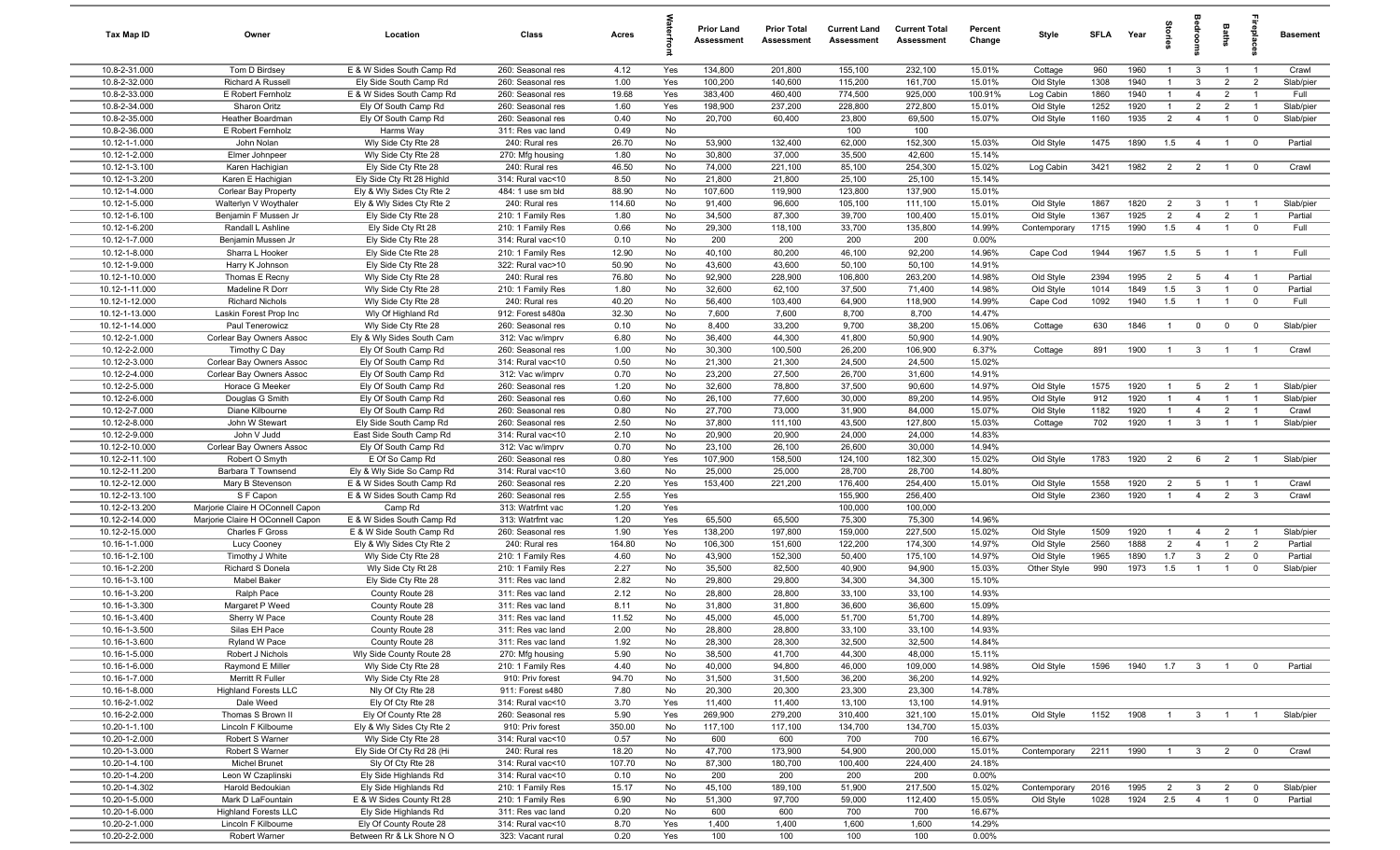| Tax Map ID                     | Owner                                           | Location                                           | Class                                  | Acres          |            | <b>Prior Land</b><br>Assessment | <b>Prior Total</b><br>Assessment | <b>Current Land</b><br>Assessment | <b>Current Total</b><br>Assessment | Percent<br>Change  | Style                  | SFLA         | Year         | Storie                           | adroom                         | Baths                            | ebla                             | <b>Basement</b>    |
|--------------------------------|-------------------------------------------------|----------------------------------------------------|----------------------------------------|----------------|------------|---------------------------------|----------------------------------|-----------------------------------|------------------------------------|--------------------|------------------------|--------------|--------------|----------------------------------|--------------------------------|----------------------------------|----------------------------------|--------------------|
| 10.8-2-31.000                  | Tom D Birdsey                                   | E & W Sides South Camp Rd                          | 260: Seasonal res                      | 4.12           | Yes        | 134,800                         | 201,800                          | 155,100                           | 232,100                            | 15.01%             | Cottage                | 960          | 1960         | -1                               | 3                              |                                  | $\overline{\phantom{0}}$         | Crawl              |
| 10.8-2-32.000                  | Richard A Russell                               | Ely Side South Camp Rd                             | 260: Seasonal res                      | 1.00           | Yes        | 100,200                         | 140,600                          | 115,200                           | 161,700                            | 15.01%             | Old Style              | 1308         | 1940         | $\mathbf{1}$                     | 3                              | $\overline{2}$                   | $\overline{2}$                   | Slab/pier          |
| 10.8-2-33.000                  | E Robert Fernholz                               | E & W Sides South Camp Rd                          | 260: Seasonal res                      | 19.68          | Yes        | 383,400                         | 460,400                          | 774,500                           | 925,000                            | 100.91%            | Log Cabin              | 1860         | 1940         | $\overline{1}$                   | $\overline{4}$                 | $\overline{2}$                   | $\overline{\phantom{0}}$         | Full               |
| 10.8-2-34.000                  | Sharon Oritz                                    | Ely Of South Camp Rd                               | 260: Seasonal res                      | 1.60           | Yes        | 198,900                         | 237,200                          | 228,800                           | 272,800                            | 15.01%             | Old Style              | 1252<br>1160 | 1920<br>1935 | $\overline{1}$<br>$\overline{2}$ | $\overline{2}$                 | $\overline{2}$<br>$\overline{1}$ | $\overline{1}$<br>$\overline{0}$ | Slab/pier          |
| 10.8-2-35.000<br>10.8-2-36.000 | Heather Boardman<br>E Robert Fernholz           | Ely Of South Camp Rd<br>Harms Way                  | 260: Seasonal res<br>311: Res vac land | 0.40<br>0.49   | No<br>No   | 20,700                          | 60,400                           | 23,800<br>100                     | 69,500<br>100                      | 15.07%             | Old Style              |              |              |                                  | $\overline{4}$                 |                                  |                                  | Slab/pier          |
| 10.12-1-1.000                  | John Nolan                                      | Wly Side Cty Rte 28                                | 240: Rural res                         | 26.70          | No         | 53,900                          | 132,400                          | 62,000                            | 152,300                            | 15.03%             | Old Style              | 1475         | 1890         | 1.5                              | $\overline{4}$                 | $\overline{1}$                   | $\mathbf{0}$                     | Partial            |
| 10.12-1-2.000                  | Elmer Johnpeer                                  | Wly Side Cty Rte 28                                | 270: Mfg housing                       | 1.80           | No         | 30,800                          | 37,000                           | 35,500                            | 42,600                             | 15.14%             |                        |              |              |                                  |                                |                                  |                                  |                    |
| 10.12-1-3.100                  | Karen Hachigian                                 | Ely Side Cty Rte 28                                | 240: Rural res                         | 46.50          | No         | 74,000                          | 221,100                          | 85,100                            | 254,300                            | 15.02%             | Log Cabin              | 3421         | 1982         | 2                                | $\overline{2}$                 | $\overline{1}$                   | $\mathbf{0}$                     | Crawl              |
| 10.12-1-3.200                  | Karen E Hachigian                               | Ely Side Cty Rt 28 Highld                          | 314: Rural vac<10                      | 8.50           | No         | 21,800                          | 21,800                           | 25,100                            | 25,100                             | 15.14%             |                        |              |              |                                  |                                |                                  |                                  |                    |
| 10.12-1-4.000                  | Corlear Bay Property                            | Ely & Wly Sides Cty Rte 2                          | 484: 1 use sm bld                      | 88.90          | No         | 107,600                         | 119,900                          | 123,800                           | 137,900                            | 15.01%             |                        |              |              |                                  |                                |                                  |                                  |                    |
| 10.12-1-5.000                  | Walterlyn V Woythaler                           | Ely & Wly Sides Cty Rte 2                          | 240: Rural res                         | 114.60         | No         | 91,400                          | 96,600                           | 105,100                           | 111,100                            | 15.01%             | Old Style              | 1867         | 1820         | $\overline{2}$                   | 3                              |                                  | $\overline{1}$                   | Slab/pier          |
| 10.12-1-6.100                  | Benjamin F Mussen Jr                            | Ely Side Cty Rte 28                                | 210: 1 Family Res                      | 1.80           | No         | 34,500                          | 87,300                           | 39,700                            | 100,400                            | 15.01%             | Old Style              | 1367         | 1925         | $\overline{2}$                   | $\overline{4}$                 | $\overline{2}$                   | $\overline{1}$                   | Partial            |
| 10.12-1-6.200                  | Randall L Ashline                               | Ely Side Cty Rt 28                                 | 210: 1 Family Res                      | 0.66           | No         | 29,300                          | 118,100                          | 33,700                            | 135,800                            | 14.99%             | Contemporary           | 1715         | 1990         | 1.5                              | $\overline{4}$                 | $\overline{1}$                   | $\mathbf 0$                      | Full               |
| 10.12-1-7.000                  | Benjamin Mussen Jr                              | Ely Side Cty Rte 28                                | 314: Rural vac<10                      | 0.10           | No         | 200                             | 200                              | 200                               | 200                                | 0.00%              |                        |              |              |                                  |                                |                                  |                                  |                    |
| 10.12-1-8.000<br>10.12-1-9.000 | Sharra L Hooker<br>Harry K Johnson              | Ely Side Cte Rte 28<br>Ely Side Cty Rte 28         | 210: 1 Family Res<br>322: Rural vac>10 | 12.90<br>50.90 | No<br>No   | 40,100<br>43,600                | 80,200<br>43,600                 | 46,100<br>50,100                  | 92,200<br>50,100                   | 14.96%<br>14.91%   | Cape Cod               | 1944         | 1967         | 1.5                              | 5                              | $\overline{1}$                   | $\overline{1}$                   | Full               |
| 10.12-1-10.000                 | Thomas E Recny                                  | Wly Side Cty Rte 28                                | 240: Rural res                         | 76.80          | No         | 92,900                          | 228,900                          | 106,800                           | 263,200                            | 14.98%             | Old Style              | 2394         | 1995         | $\overline{2}$                   | 5                              | $\overline{4}$                   | $\overline{1}$                   | Partial            |
| 10.12-1-11.000                 | Madeline R Dorr                                 | Wly Side Cty Rte 28                                | 210: 1 Family Res                      | 1.80           | No         | 32,600                          | 62,100                           | 37,500                            | 71,400                             | 14.98%             | Old Style              | 1014         | 1849         | 1.5                              | $\mathbf{3}$                   | $\overline{1}$                   | $\mathbf 0$                      | Partial            |
| 10.12-1-12.000                 | <b>Richard Nichols</b>                          | Wly Side Cty Rte 28                                | 240: Rural res                         | 40.20          | No         | 56,400                          | 103,400                          | 64,900                            | 118,900                            | 14.99%             | Cape Cod               | 1092         | 1940         | 1.5                              | $\overline{1}$                 | $\overline{1}$                   | $\overline{\mathbf{0}}$          | Full               |
| 10.12-1-13.000                 | Laskin Forest Prop Inc                          | Wly Of Highland Rd                                 | 912: Forest s480a                      | 32.30          | No         | 7,600                           | 7,600                            | 8,700                             | 8,700                              | 14.47%             |                        |              |              |                                  |                                |                                  |                                  |                    |
| 10.12-1-14.000                 | Paul Tenerowicz                                 | Wly Side Cty Rte 28                                | 260: Seasonal res                      | 0.10           | No         | 8,400                           | 33,200                           | 9,700                             | 38,200                             | 15.06%             | Cottage                | 630          | 1846         | $\overline{1}$                   | $\mathbf 0$                    | $\mathbf 0$                      | $\mathbf 0$                      | Slab/pier          |
| 10.12-2-1.000                  | Corlear Bay Owners Assoc                        | Ely & Wly Sides South Cam                          | 312: Vac w/imprv                       | 6.80           | No         | 36,400                          | 44,300                           | 41,800                            | 50,900                             | 14.90%             |                        |              |              |                                  |                                |                                  |                                  |                    |
| 10.12-2-2.000                  | Timothy C Day                                   | Ely Of South Camp Rd                               | 260: Seasonal res                      | 1.00           | No         | 30,300                          | 100,500                          | 26,200                            | 106,900                            | 6.37%              | Cottage                | 891          | 1900         | $\overline{1}$                   | 3                              |                                  |                                  | Crawl              |
| 10.12-2-3.000                  | Corlear Bay Owners Assoc                        | Ely Of South Camp Rd                               | 314: Rural vac<10                      | 0.50           | No         | 21,300                          | 21,300                           | 24,500                            | 24,500                             | 15.02%             |                        |              |              |                                  |                                |                                  |                                  |                    |
| 10.12-2-4.000                  | Corlear Bay Owners Assoc                        | Ely Of South Camp Rd                               | 312: Vac w/imprv                       | 0.70           | No         | 23,200                          | 27,500                           | 26,700                            | 31,600                             | 14.91%             |                        |              |              |                                  |                                |                                  |                                  |                    |
| 10.12-2-5.000                  | Horace G Meeker                                 | Ely Of South Camp Rd                               | 260: Seasonal res                      | 1.20           | No         | 32,600                          | 78,800                           | 37,500                            | 90,600                             | 14.97%             | Old Style              | 1575         | 1920         | $\overline{1}$                   | 5                              | $\overline{2}$                   | $\overline{\phantom{0}}$         | Slab/pier          |
| 10.12-2-6.000                  | Douglas G Smith                                 | Ely Of South Camp Rd                               | 260: Seasonal res                      | 0.60           | No         | 26,100                          | 77,600                           | 30,000                            | 89,200                             | 14.95%             | Old Style              | 912          | 1920<br>1920 | $\overline{1}$<br>$\overline{1}$ | $\overline{4}$                 | $\overline{1}$                   | $\overline{1}$<br>$\overline{1}$ | Slab/pier          |
| 10.12-2-7.000<br>10.12-2-8.000 | Diane Kilbourne<br>John W Stewart               | Ely Of South Camp Rd<br>Ely Side South Camp Rd     | 260: Seasonal res<br>260: Seasonal res | 0.80<br>2.50   | No<br>No   | 27,700<br>37,800                | 73,000<br>111,100                | 31,900<br>43,500                  | 84,000<br>127,800                  | 15.07%<br>15.03%   | Old Style<br>Cottage   | 1182<br>702  | 1920         | $\overline{1}$                   | $\overline{4}$<br>$\mathbf{3}$ | $\overline{2}$<br>$\overline{1}$ | $\overline{1}$                   | Crawl<br>Slab/pier |
| 10.12-2-9.000                  | John V Judd                                     | East Side South Camp Rd                            | 314: Rural vac<10                      | 2.10           | No         | 20,900                          | 20,900                           | 24,000                            | 24,000                             | 14.83%             |                        |              |              |                                  |                                |                                  |                                  |                    |
| 10.12-2-10.000                 | Corlear Bay Owners Assoc                        | Ely Of South Camp Rd                               | 312: Vac w/imprv                       | 0.70           | No         | 23,100                          | 26,100                           | 26,600                            | 30,000                             | 14.94%             |                        |              |              |                                  |                                |                                  |                                  |                    |
| 10.12-2-11.100                 | Robert O Smyth                                  | E Of So Camp Rd                                    | 260: Seasonal res                      | 0.80           | Yes        | 107,900                         | 158,500                          | 124,100                           | 182,300                            | 15.02%             | Old Style              | 1783         | 1920         | 2                                | 6                              | $\overline{2}$                   | $\overline{1}$                   | Slab/pier          |
| 10.12-2-11.200                 | Barbara T Townsend                              | Ely & Wly Side So Camp Rd                          | 314: Rural vac<10                      | 3.60           | No         | 25,000                          | 25,000                           | 28,700                            | 28,700                             | 14.80%             |                        |              |              |                                  |                                |                                  |                                  |                    |
| 10.12-2-12.000                 | Mary B Stevenson                                | E & W Sides South Camp Rd                          | 260: Seasonal res                      | 2.20           | Yes        | 153,400                         | 221,200                          | 176,400                           | 254,400                            | 15.01%             | Old Style              | 1558         | 1920         | $\overline{2}$                   | 5                              | -1                               | - 1                              | Crawl              |
| 10.12-2-13.100                 | S F Capon                                       | E & W Sides South Camp Rd                          | 260: Seasonal res                      | 2.55           | Yes        |                                 |                                  | 155,900                           | 256,400                            |                    | Old Style              | 2360         | 1920         | $\overline{1}$                   | $\overline{4}$                 | $\overline{2}$                   | $\mathbf{3}$                     | Crawl              |
| 10.12-2-13.200                 | Marjorie Claire H OConnell Capon                | Camp Rd                                            | 313: Watrfrnt vac                      | 1.20           | Yes        |                                 |                                  | 100,000                           | 100,000                            |                    |                        |              |              |                                  |                                |                                  |                                  |                    |
| 10.12-2-14.000                 | Marjorie Claire H OConnell Capon                | E & W Sides South Camp Rd                          | 313: Watrfrnt vac                      | 1.20           | Yes        | 65,500                          | 65,500                           | 75,300                            | 75,300                             | 14.96%             |                        |              |              |                                  |                                |                                  |                                  |                    |
| 10.12-2-15.000                 | Charles F Gross                                 | E & W Side South Camp Rd                           | 260: Seasonal res                      | 1.90           | Yes        | 138,200                         | 197,800                          | 159,000                           | 227,500                            | 15.02%             | Old Style              | 1509         | 1920         | $\mathbf{1}$                     | 4                              | $\overline{2}$<br>$\overline{1}$ | - 1                              | Slab/pier          |
| 10.16-1-1.000<br>10.16-1-2.100 | Lucy Cooney<br>Timothy J White                  | Ely & Wly Sides Cty Rte 2<br>Wly Side Cty Rte 28   | 240: Rural res<br>210: 1 Family Res    | 164.80<br>4.60 | No<br>No   | 106,300<br>43,900               | 151,600<br>152,300               | 122,200<br>50,400                 | 174,300<br>175,100                 | 14.97%<br>14.97%   | Old Style<br>Old Style | 2560<br>1965 | 1888<br>1890 | $\overline{2}$<br>1.7            | $\overline{4}$<br>$\mathbf{3}$ | $\overline{2}$                   | $\overline{2}$<br>$\mathbf 0$    | Partial<br>Partial |
| 10.16-1-2.200                  | Richard S Donela                                | Wly Side Cty Rt 28                                 | 210: 1 Family Res                      | 2.27           | No         | 35,500                          | 82,500                           | 40,900                            | 94,900                             | 15.03%             | Other Style            | 990          | 1973         | 1.5                              | $\overline{1}$                 | $\overline{1}$                   | $\mathbf 0$                      | Slab/pier          |
| 10.16-1-3.100                  | Mabel Baker                                     | Ely Side Cty Rte 28                                | 311: Res vac land                      | 2.82           | No         | 29,800                          | 29,800                           | 34,300                            | 34,300                             | 15.10%             |                        |              |              |                                  |                                |                                  |                                  |                    |
| 10.16-1-3.200                  | Ralph Pace                                      | County Route 28                                    | 311: Res vac land                      | 2.12           | No         | 28,800                          | 28,800                           | 33,100                            | 33,100                             | 14.93%             |                        |              |              |                                  |                                |                                  |                                  |                    |
| $10.16 - 1 - 3.300$            | Margaret P Weed                                 | County Route 28                                    | 311: Res vac land                      | 8.11           | No         | 31,800                          | 31,800                           | 36,600                            | 36,600                             | 15.09%             |                        |              |              |                                  |                                |                                  |                                  |                    |
| 10.16-1-3.400                  | Sherry W Pace                                   | County Route 28                                    | 311: Res vac land                      | 11.52          | No         | 45,000                          | 45,000                           | 51,700                            | 51,700                             | 14.89%             |                        |              |              |                                  |                                |                                  |                                  |                    |
| 10.16-1-3.500                  | Silas EH Pace                                   | County Route 28                                    | 311: Res vac land                      | 2.00           | No         | 28,800                          | 28,800                           | 33,100                            | 33,100                             | 14.93%             |                        |              |              |                                  |                                |                                  |                                  |                    |
| 10.16-1-3.600                  | Ryland W Pace                                   | County Route 28                                    | 311: Res vac land                      | 1.92           | No         | 28,300                          | 28,300                           | 32,500                            | 32,500                             | 14.84%             |                        |              |              |                                  |                                |                                  |                                  |                    |
| 10.16-1-5.000                  | Robert J Nichols                                | Wly Side County Route 28                           | 270: Mfg housing                       | 5.90           | No         | 38,500                          | 41,700                           | 44,300                            | 48,000                             | 15.11%             |                        |              |              |                                  |                                |                                  |                                  |                    |
| 10.16-1-6.000                  | Raymond E Miller                                | Wly Side Cty Rte 28                                | 210: 1 Family Res                      | 4.40           | No         | 40,000                          | 94,800                           | 46,000                            | 109,000                            | 14.98%             | Old Style              | 1596         | 1940         | 1.7                              | $\overline{\mathbf{3}}$        |                                  | $\mathbf 0$                      | Partial            |
| 10.16-1-7.000<br>10.16-1-8.000 | Merritt R Fuller<br><b>Highland Forests LLC</b> | Wly Side Cty Rte 28<br>Nly Of Cty Rte 28           | 910: Priv forest<br>911: Forest s480   | 94.70<br>7.80  | No<br>No   | 31,500<br>20,300                | 31,500<br>20,300                 | 36,200<br>23,300                  | 36,200<br>23,300                   | 14.92%<br>14.78%   |                        |              |              |                                  |                                |                                  |                                  |                    |
| 10.16-2-1.002                  | Dale Weed                                       | Ely Of Cty Rte 28                                  | 314: Rural vac<10                      | 3.70           | Yes        | 11,400                          | 11,400                           | 13,100                            | 13,100                             | 14.91%             |                        |              |              |                                  |                                |                                  |                                  |                    |
| 10.16-2-2.000                  | Thomas S Brown II                               | Ely Of County Rte 28                               | 260: Seasonal res                      | 5.90           | Yes        | 269,900                         | 279,200                          | 310,400                           | 321,100                            | 15.01%             | Old Style              | 1152         | 1908         | $\overline{1}$                   | $\mathbf{3}$                   | $\overline{1}$                   | $\overline{1}$                   | Slab/pier          |
| 10.20-1-1.100                  | Lincoln F Kilbourne                             | Ely & Wly Sides Cty Rte 2                          | 910: Priv forest                       | 350.00         | No         | 117,100                         | 117,100                          | 134,700                           | 134,700                            | 15.03%             |                        |              |              |                                  |                                |                                  |                                  |                    |
| 10.20-1-2.000                  | Robert S Warner                                 | Wly Side Cty Rte 28                                | 314: Rural vac<10                      | 0.57           | No         | 600                             | 600                              | 700                               | 700                                | 16.67%             |                        |              |              |                                  |                                |                                  |                                  |                    |
| 10.20-1-3.000                  | Robert S Warner                                 | Ely Side Of Cty Rd 28 (Hi                          | 240: Rural res                         | 18.20          | No         | 47,700                          | 173,900                          | 54,900                            | 200,000                            | 15.01%             | Contemporary           | 2211         | 1990         | $\overline{1}$                   | $\mathbf{3}$                   | $\overline{2}$                   | $\mathbf 0$                      | Crawl              |
| 10.20-1-4.100                  | Michel Brunet                                   | Sly Of Cty Rte 28                                  | 314: Rural vac<10                      | 107.70         | No         | 87,300                          | 180,700                          | 100,400                           | 224,400                            | 24.18%             |                        |              |              |                                  |                                |                                  |                                  |                    |
| 10.20-1-4.200                  | Leon W Czaplinski                               | Ely Side Highlands Rd                              | 314: Rural vac<10                      | 0.10           | No         | 200                             | 200                              | 200                               | 200                                | 0.00%              |                        |              |              |                                  |                                |                                  |                                  |                    |
| 10.20-1-4.302                  | Harold Bedoukian                                | Ely Side Highlands Rd                              | 210: 1 Family Res                      | 15.17          | No         | 45,100                          | 189,100                          | 51,900                            | 217,500                            | 15.02%             | Contemporary           | 2016         | 1995         | $\overline{2}$                   | $\mathbf{3}$                   | $\overline{2}$                   | $\mathbf 0$                      | Slab/pier          |
| 10.20-1-5.000                  | Mark D LaFountain                               | E & W Sides County Rt 28                           | 210: 1 Family Res                      | 6.90           | No         | 51,300                          | 97,700                           | 59,000                            | 112,400                            | 15.05%             | Old Style              | 1028         | 1924         | 2.5                              | $\overline{4}$                 | $\mathbf{1}$                     | $\mathbf 0$                      | Partial            |
| 10.20-1-6.000                  | <b>Highland Forests LLC</b>                     | Ely Side Highlands Rd                              | 311: Res vac land                      | 0.20           | No         | 600                             | 600                              | 700                               | 700                                | 16.67%             |                        |              |              |                                  |                                |                                  |                                  |                    |
| 10.20-2-1.000<br>10.20-2-2.000 | Lincoln F Kilbourne<br>Robert Warner            | Ely Of County Route 28<br>Between Rr & Lk Shore NO | 314: Rural vac<10<br>323: Vacant rural | 8.70<br>0.20   | Yes<br>Yes | 1,400<br>100                    | 1,400<br>100                     | 1,600<br>100                      | 1,600<br>100                       | 14.29%<br>$0.00\%$ |                        |              |              |                                  |                                |                                  |                                  |                    |
|                                |                                                 |                                                    |                                        |                |            |                                 |                                  |                                   |                                    |                    |                        |              |              |                                  |                                |                                  |                                  |                    |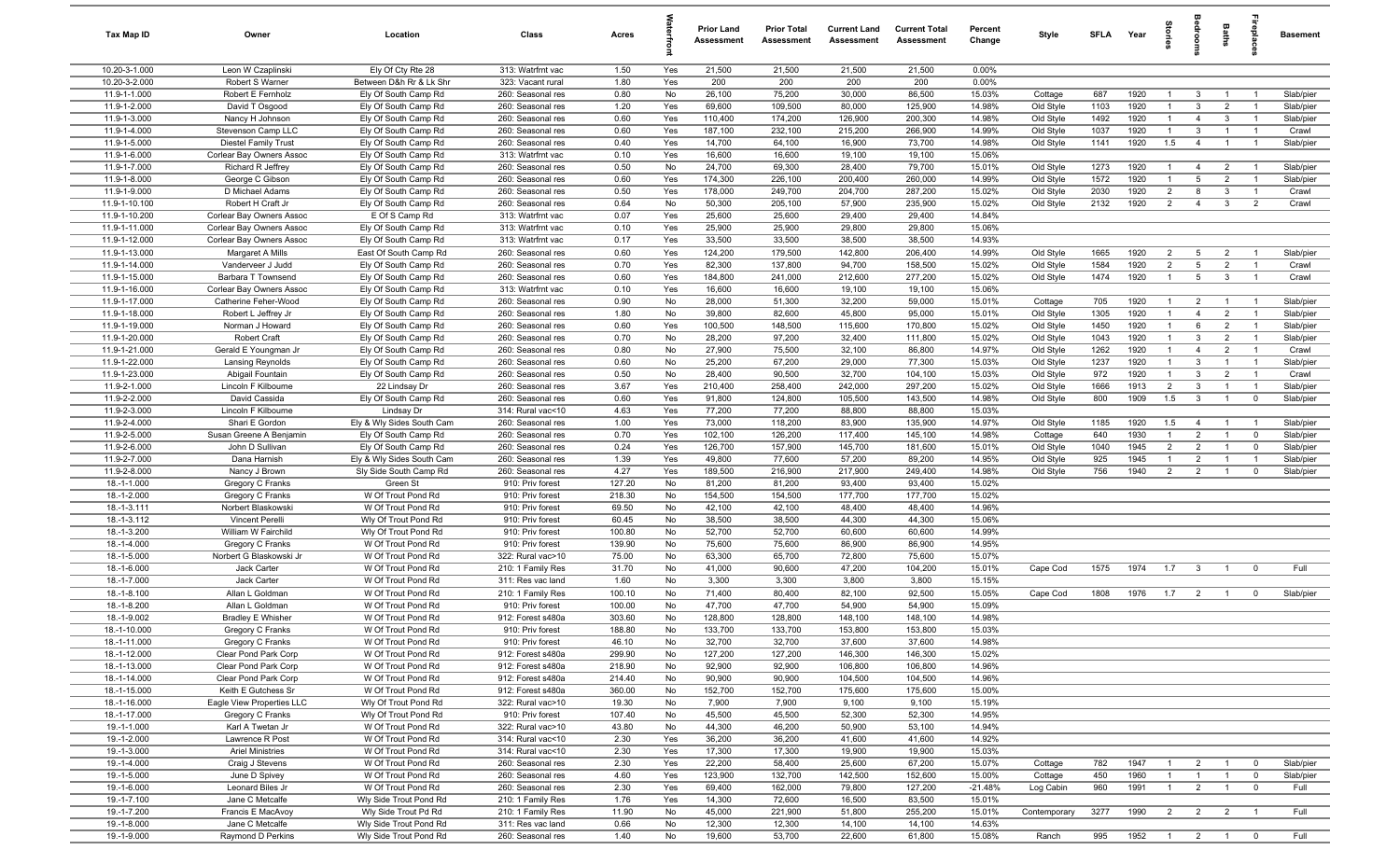| Tax Map ID                     | Owner                                            | Location                                     | Class                                  | Acres            |            | <b>Prior Land</b><br>Assessment | <b>Prior Total</b><br>Assessment | <b>Current Land</b><br>Assessment | <b>Current Total</b><br><b>Assessment</b> | Percent<br>Change | Style                  | SFLA         | Year         | iorie                          |                                | Baths                          | replac                           | <b>Basement</b>    |
|--------------------------------|--------------------------------------------------|----------------------------------------------|----------------------------------------|------------------|------------|---------------------------------|----------------------------------|-----------------------------------|-------------------------------------------|-------------------|------------------------|--------------|--------------|--------------------------------|--------------------------------|--------------------------------|----------------------------------|--------------------|
| 10.20-3-1.000                  | Leon W Czaplinski                                | Ely Of Cty Rte 28                            | 313: Watrfrnt vac                      | 1.50             | Yes        | 21,500                          | 21,500                           | 21,500                            | 21,500                                    | $0.00\%$          |                        |              |              |                                |                                |                                |                                  |                    |
| 10.20-3-2.000                  | Robert S Warner                                  | Between D&h Rr & Lk Shr                      | 323: Vacant rural                      | 1.80             | Yes        | 200                             | 200                              | 200                               | 200                                       | 0.00%             |                        |              |              |                                |                                |                                |                                  |                    |
| 11.9-1-1.000                   | Robert E Fernholz                                | Ely Of South Camp Rd                         | 260: Seasonal res                      | 0.80             | No         | 26,100                          | 75,200                           | 30,000                            | 86,500                                    | 15.03%            | Cottage                | 687          | 1920         | -1                             | 3                              | $\overline{1}$                 |                                  | Slab/pier          |
| 11.9-1-2.000                   | David T Osgood                                   | Ely Of South Camp Rd                         | 260: Seasonal res                      | 1.20             | Yes        | 69,600                          | 109,500                          | 80,000                            | 125,900                                   | 14.98%            | Old Style              | 1103         | 1920<br>1920 | $\mathbf{1}$                   | $\mathbf{3}$<br>$\overline{4}$ | $\overline{2}$                 |                                  | Slab/pier          |
| 11.9-1-3.000<br>11.9-1-4.000   | Nancy H Johnson<br>Stevenson Camp LLC            | Ely Of South Camp Rd<br>Ely Of South Camp Rd | 260: Seasonal res<br>260: Seasonal res | 0.60<br>0.60     | Yes<br>Yes | 110,400<br>187,100              | 174,200<br>232,100               | 126,900<br>215,200                | 200,300<br>266,900                        | 14.98%<br>14.99%  | Old Style<br>Old Style | 1492<br>1037 | 1920         | $\mathbf{1}$<br>$\overline{1}$ | 3                              | $\mathbf{3}$<br>$\overline{1}$ | $\overline{1}$<br>$\overline{1}$ | Slab/pier<br>Crawl |
| 11.9-1-5.000                   | <b>Diestel Family Trust</b>                      | Ely Of South Camp Rd                         | 260: Seasonal res                      | 0.40             | Yes        | 14,700                          | 64,100                           | 16,900                            | 73,700                                    | 14.98%            | Old Style              | 1141         | 1920         | 1.5                            | $\overline{4}$                 | $\overline{1}$                 | $\overline{1}$                   | Slab/pier          |
| 11.9-1-6.000                   | Corlear Bay Owners Assoc                         | Ely Of South Camp Rd                         | 313: Watrfrnt vac                      | 0.10             | Yes        | 16,600                          | 16,600                           | 19,100                            | 19,100                                    | 15.06%            |                        |              |              |                                |                                |                                |                                  |                    |
| 11.9-1-7.000                   | Richard R Jeffrey                                | Ely Of South Camp Rd                         | 260: Seasonal res                      | 0.50             | No         | 24,700                          | 69,300                           | 28,400                            | 79,700                                    | 15.01%            | Old Style              | 1273         | 1920         | $\overline{1}$                 | 4                              | $\overline{2}$                 |                                  | Slab/pier          |
| 11.9-1-8.000                   | George C Gibson                                  | Ely Of South Camp Rd                         | 260: Seasonal res                      | 0.60             | Yes        | 174,300                         | 226,100                          | 200,400                           | 260,000                                   | 14.99%            | Old Style              | 1572         | 1920         | $\overline{1}$                 | 5                              | $\overline{2}$                 | $\overline{1}$                   | Slab/pier          |
| 11.9-1-9.000                   | D Michael Adams                                  | Ely Of South Camp Rd                         | 260: Seasonal res                      | 0.50             | Yes        | 178,000                         | 249,700                          | 204,700                           | 287,200                                   | 15.02%            | Old Style              | 2030         | 1920         | $\overline{2}$                 | 8                              | $\mathbf{3}$                   | - 1                              | Crawl              |
| 11.9-1-10.100                  | Robert H Craft Jr                                | Ely Of South Camp Rd                         | 260: Seasonal res                      | 0.64             | No         | 50,300                          | 205,100                          | 57,900                            | 235,900                                   | 15.02%            | Old Style              | 2132         | 1920         | $\overline{2}$                 | $\overline{4}$                 | $\mathbf{3}$                   | 2                                | Crawl              |
| 11.9-1-10.200                  | Corlear Bay Owners Assoc                         | E Of S Camp Rd                               | 313: Watrfrnt vac                      | 0.07             | Yes        | 25,600                          | 25,600                           | 29,400                            | 29,400                                    | 14.84%            |                        |              |              |                                |                                |                                |                                  |                    |
| 11.9-1-11.000                  | Corlear Bay Owners Assoc                         | Ely Of South Camp Rd                         | 313: Watrfrnt vac                      | 0.10             | Yes        | 25,900                          | 25,900                           | 29,800                            | 29,800                                    | 15.06%            |                        |              |              |                                |                                |                                |                                  |                    |
| 11.9-1-12.000                  | Corlear Bay Owners Assoc                         | Ely Of South Camp Rd                         | 313: Watrfrnt vac                      | 0.17             | Yes        | 33,500                          | 33,500                           | 38,500                            | 38,500                                    | 14.93%            |                        |              |              |                                |                                |                                |                                  |                    |
| 11.9-1-13.000                  | Margaret A Mills                                 | East Of South Camp Rd                        | 260: Seasonal res                      | 0.60             | Yes        | 124,200                         | 179,500                          | 142,800                           | 206,400                                   | 14.99%            | Old Style              | 1665         | 1920         | $\overline{2}$                 | $5\overline{5}$                | $\overline{2}$                 |                                  | Slab/pier          |
| 11.9-1-14.000                  | Vanderveer J Judd                                | Ely Of South Camp Rd                         | 260: Seasonal res                      | 0.70             | Yes        | 82,300                          | 137,800                          | 94,700                            | 158,500                                   | 15.02%            | Old Style              | 1584         | 1920         | $\overline{2}$                 | 5                              | $\overline{2}$                 | $\overline{1}$                   | Crawl              |
| 11.9-1-15.000                  | Barbara T Townsend                               | Ely Of South Camp Rd                         | 260: Seasonal res                      | 0.60             | Yes        | 184,800                         | 241,000                          | 212,600                           | 277,200                                   | 15.02%            | Old Style              | 1474         | 1920         | $\mathbf{1}$                   | $5\overline{)}$                | $\mathbf{3}$                   | $\overline{1}$                   | Crawl              |
| 11.9-1-16.000<br>11.9-1-17.000 | Corlear Bay Owners Assoc<br>Catherine Feher-Wood | Ely Of South Camp Rd<br>Ely Of South Camp Rd | 313: Watrfrnt vac<br>260: Seasonal res | 0.10<br>0.90     | Yes<br>No  | 16,600<br>28,000                | 16,600<br>51,300                 | 19,100<br>32,200                  | 19,100<br>59,000                          | 15.06%<br>15.01%  | Cottage                | 705          | 1920         | $\overline{1}$                 | $\overline{2}$                 | $\overline{1}$                 | $\overline{1}$                   | Slab/pier          |
| 11.9-1-18.000                  | Robert L Jeffrey Jr                              | Ely Of South Camp Rd                         | 260: Seasonal res                      | 1.80             | No         | 39,800                          | 82,600                           | 45,800                            | 95,000                                    | 15.01%            | Old Style              | 1305         | 1920         | $\mathbf{1}$                   | $\overline{4}$                 | $\overline{2}$                 | $\overline{1}$                   | Slab/pier          |
| 11.9-1-19.000                  | Norman J Howard                                  | Ely Of South Camp Rd                         | 260: Seasonal res                      | 0.60             | Yes        | 100,500                         | 148,500                          | 115,600                           | 170,800                                   | 15.02%            | Old Style              | 1450         | 1920         | $\mathbf{1}$                   | 6                              | $\overline{2}$                 | $\overline{1}$                   | Slab/pier          |
| 11.9-1-20.000                  | <b>Robert Craft</b>                              | Ely Of South Camp Rd                         | 260: Seasonal res                      | 0.70             | No         | 28,200                          | 97,200                           | 32,400                            | 111,800                                   | 15.02%            | Old Style              | 1043         | 1920         | $\mathbf{1}$                   | $\mathbf{3}$                   | $\overline{2}$                 | $\overline{1}$                   | Slab/pier          |
| 11.9-1-21.000                  | Gerald E Youngman Jr                             | Ely Of South Camp Rd                         | 260: Seasonal res                      | 0.80             | No         | 27,900                          | 75,500                           | 32,100                            | 86,800                                    | 14.97%            | Old Style              | 1262         | 1920         | $\mathbf{1}$                   | $\overline{4}$                 | $\overline{2}$                 |                                  | Crawl              |
| 11.9-1-22.000                  | Lansing Reynolds                                 | Ely Of South Camp Rd                         | 260: Seasonal res                      | 0.60             | No         | 25,200                          | 67,200                           | 29,000                            | 77,300                                    | 15.03%            | Old Style              | 1237         | 1920         | $\mathbf{1}$                   | $\mathbf{3}$                   | $\overline{1}$                 | $\overline{1}$                   | Slab/pier          |
| 11.9-1-23.000                  | Abigail Fountain                                 | Ely Of South Camp Rd                         | 260: Seasonal res                      | 0.50             | No         | 28,400                          | 90,500                           | 32,700                            | 104,100                                   | 15.03%            | Old Style              | 972          | 1920         | $\mathbf{1}$                   | $\mathbf{3}$                   | $\overline{2}$                 |                                  | Crawl              |
| 11.9-2-1.000                   | Lincoln F Kilbourne                              | 22 Lindsay Dr                                | 260: Seasonal res                      | 3.67             | Yes        | 210,400                         | 258,400                          | 242,000                           | 297,200                                   | 15.02%            | Old Style              | 1666         | 1913         | $\overline{2}$                 | $\mathbf{3}$                   | $\overline{1}$                 | $\overline{1}$                   | Slab/pier          |
| 11.9-2-2.000                   | David Cassida                                    | Ely Of South Camp Rd                         | 260: Seasonal res                      | 0.60             | Yes        | 91,800                          | 124,800                          | 105,500                           | 143,500                                   | 14.98%            | Old Style              | 800          | 1909         | 1.5                            | 3                              | $\mathbf{1}$                   | $\mathbf 0$                      | Slab/pier          |
| 11.9-2-3.000                   | Lincoln F Kilbourne                              | Lindsay Dr                                   | 314: Rural vac<10                      | 4.63             | Yes        | 77,200                          | 77,200                           | 88,800                            | 88,800                                    | 15.03%            |                        |              |              |                                |                                |                                |                                  |                    |
| 11.9-2-4.000                   | Shari E Gordon                                   | Ely & Wly Sides South Cam                    | 260: Seasonal res                      | 1.00             | Yes        | 73,000                          | 118,200                          | 83,900                            | 135,900                                   | 14.97%            | Old Style              | 1185         | 1920         | 1.5                            | $\overline{4}$                 | $\overline{1}$                 | $\overline{1}$                   | Slab/pier          |
| 11.9-2-5.000                   | Susan Greene A Benjamin                          | Ely Of South Camp Rd                         | 260: Seasonal res                      | 0.70             | Yes        | 102,100                         | 126,200                          | 117,400                           | 145,100                                   | 14.98%            | Cottage                | 640          | 1930         | $\overline{1}$                 | $\overline{2}$                 | $\overline{1}$                 | $^{\circ}$                       | Slab/pier          |
| 11.9-2-6.000                   | John D Sullivan                                  | Ely Of South Camp Rd                         | 260: Seasonal res                      | 0.24             | Yes        | 126,700                         | 157,900                          | 145,700                           | 181,600                                   | 15.01%            | Old Style              | 1040         | 1945         | $\overline{2}$                 | $\overline{2}$                 | $\overline{1}$                 | $^{\circ}$                       | Slab/pier          |
| 11.9-2-7.000                   | Dana Harnish                                     | Ely & Wly Sides South Cam                    | 260: Seasonal res                      | 1.39             | Yes        | 49,800                          | 77,600                           | 57,200                            | 89,200                                    | 14.95%            | Old Style              | 925          | 1945         | $\overline{1}$                 | $\overline{2}$                 | $\overline{1}$                 | $\overline{1}$                   | Slab/pier          |
| 11.9-2-8.000<br>18.-1-1.000    | Nancy J Brown<br>Gregory C Franks                | Sly Side South Camp Rd<br>Green St           | 260: Seasonal res<br>910: Priv forest  | 4.27<br>127.20   | Yes<br>No  | 189,500<br>81,200               | 216,900<br>81,200                | 217,900<br>93,400                 | 249,400<br>93,400                         | 14.98%<br>15.02%  | Old Style              | 756          | 1940         | $\overline{2}$                 | $\overline{2}$                 | $\overline{1}$                 | $^{\circ}$                       | Slab/pier          |
| 18.-1-2.000                    | Gregory C Franks                                 | W Of Trout Pond Rd                           | 910: Priv forest                       | 218.30           | No         | 154,500                         | 154,500                          | 177,700                           | 177,700                                   | 15.02%            |                        |              |              |                                |                                |                                |                                  |                    |
| 18.-1-3.111                    | Norbert Blaskowski                               | W Of Trout Pond Rd                           | 910: Priv forest                       | 69.50            | No         | 42,100                          | 42,100                           | 48,400                            | 48,400                                    | 14.96%            |                        |              |              |                                |                                |                                |                                  |                    |
| 18.-1-3.112                    | Vincent Perelli                                  | Wly Of Trout Pond Rd                         | 910: Priv forest                       | 60.45            | No         | 38,500                          | 38,500                           | 44,300                            | 44,300                                    | 15.06%            |                        |              |              |                                |                                |                                |                                  |                    |
| 18.-1-3.200                    | William W Fairchild                              | Wly Of Trout Pond Rd                         | 910: Priv forest                       | 100.80           | No         | 52,700                          | 52,700                           | 60,600                            | 60,600                                    | 14.99%            |                        |              |              |                                |                                |                                |                                  |                    |
| 18.-1-4.000                    | Gregory C Franks                                 | W Of Trout Pond Rd                           | 910: Priv forest                       | 139.90           | No         | 75,600                          | 75,600                           | 86,900                            | 86,900                                    | 14.95%            |                        |              |              |                                |                                |                                |                                  |                    |
| 18.-1-5.000                    | Norbert G Blaskowski Jr                          | W Of Trout Pond Rd                           | 322: Rural vac>10                      | 75.00            | No         | 63,300                          | 65,700                           | 72,800                            | 75,600                                    | 15.07%            |                        |              |              |                                |                                |                                |                                  |                    |
| 18.-1-6.000                    | Jack Carter                                      | W Of Trout Pond Rd                           | 210: 1 Family Res                      | 31.70            | No         | 41,000                          | 90,600                           | 47,200                            | 104,200                                   | 15.01%            | Cape Cod               | 1575         | 1974         | 1.7                            | $\mathbf{3}$                   | $\overline{1}$                 | $^{\circ}$                       | Full               |
| 18.-1-7.000                    | Jack Carter                                      | W Of Trout Pond Rd                           | 311: Res vac land                      | 1.60             | No         | 3,300                           | 3,300                            | 3,800                             | 3,800                                     | 15.15%            |                        |              |              |                                |                                |                                |                                  |                    |
| 18.-1-8.100                    | Allan L Goldman                                  | W Of Trout Pond Rd                           | 210: 1 Family Res                      | 100.10           | No         | 71,400                          | 80,400                           | 82,100                            | 92,500                                    | 15.05%            | Cape Cod               | 1808         | 1976         | 1.7                            | $\overline{2}$                 | $\overline{1}$                 | $^{\circ}$                       | Slab/pier          |
| 18.-1-8.200                    | Allan L Goldman                                  | W Of Trout Pond Rd                           | 910: Priv forest                       | 100.00           | No         | 47,700                          | 47,700                           | 54,900                            | 54,900                                    | 15.09%            |                        |              |              |                                |                                |                                |                                  |                    |
| 18.-1-9.002                    | <b>Bradley E Whisher</b>                         | W Of Trout Pond Rd                           | 912: Forest s480a                      | 303.60           | No         | 128,800                         | 128,800                          | 148,100                           | 148,100                                   | 14.98%            |                        |              |              |                                |                                |                                |                                  |                    |
| 18.-1-10.000                   | Gregory C Franks                                 | W Of Trout Pond Rd                           | 910: Priv forest                       | 188.80           | No         | 133,700                         | 133,700                          | 153,800                           | 153,800                                   | 15.03%            |                        |              |              |                                |                                |                                |                                  |                    |
| 18.-1-11.000                   | Gregory C Franks                                 | W Of Trout Pond Rd                           | 910: Priv forest                       | 46.10            | No         | 32,700                          | 32,700                           | 37,600                            | 37,600                                    | 14.98%            |                        |              |              |                                |                                |                                |                                  |                    |
| 18.-1-12.000<br>18.-1-13.000   | Clear Pond Park Corp<br>Clear Pond Park Corp     | W Of Trout Pond Rd<br>W Of Trout Pond Rd     | 912: Forest s480a<br>912: Forest s480a | 299.90<br>218.90 | No<br>No   | 127,200<br>92,900               | 127,200<br>92,900                | 146,300<br>106,800                | 146,300<br>106,800                        | 15.02%<br>14.96%  |                        |              |              |                                |                                |                                |                                  |                    |
| 18.-1-14.000                   | Clear Pond Park Corp                             | W Of Trout Pond Rd                           | 912: Forest s480a                      | 214.40           | No         | 90,900                          | 90,900                           | 104,500                           | 104,500                                   | 14.96%            |                        |              |              |                                |                                |                                |                                  |                    |
| 18.-1-15.000                   | Keith E Gutchess Sr                              | W Of Trout Pond Rd                           | 912: Forest s480a                      | 360.00           | No         | 152,700                         | 152,700                          | 175,600                           | 175,600                                   | 15.00%            |                        |              |              |                                |                                |                                |                                  |                    |
| 18.-1-16.000                   | Eagle View Properties LLC                        | Wly Of Trout Pond Rd                         | 322: Rural vac>10                      | 19.30            | No         | 7,900                           | 7,900                            | 9,100                             | 9,100                                     | 15.19%            |                        |              |              |                                |                                |                                |                                  |                    |
| 18.-1-17.000                   | Gregory C Franks                                 | Wly Of Trout Pond Rd                         | 910: Priv forest                       | 107.40           | No         | 45,500                          | 45,500                           | 52,300                            | 52,300                                    | 14.95%            |                        |              |              |                                |                                |                                |                                  |                    |
| 19.-1-1.000                    | Karl A Twetan Jr                                 | W Of Trout Pond Rd                           | 322: Rural vac>10                      | 43.80            | No         | 44,300                          | 46,200                           | 50,900                            | 53,100                                    | 14.94%            |                        |              |              |                                |                                |                                |                                  |                    |
| 19.-1-2.000                    | Lawrence R Post                                  | W Of Trout Pond Rd                           | 314: Rural vac<10                      | 2.30             | Yes        | 36,200                          | 36,200                           | 41,600                            | 41,600                                    | 14.92%            |                        |              |              |                                |                                |                                |                                  |                    |
| 19.-1-3.000                    | <b>Ariel Ministries</b>                          | W Of Trout Pond Rd                           | 314: Rural vac<10                      | 2.30             | Yes        | 17,300                          | 17,300                           | 19,900                            | 19,900                                    | 15.03%            |                        |              |              |                                |                                |                                |                                  |                    |
| 19.-1-4.000                    | Craig J Stevens                                  | W Of Trout Pond Rd                           | 260: Seasonal res                      | 2.30             | Yes        | 22,200                          | 58,400                           | 25,600                            | 67,200                                    | 15.07%            | Cottage                | 782          | 1947         | $\mathbf{1}$                   | $\overline{2}$                 | $\overline{1}$                 | $\overline{0}$                   | Slab/pier          |
| 19.-1-5.000                    | June D Spivey                                    | W Of Trout Pond Rd                           | 260: Seasonal res                      | 4.60             | Yes        | 123,900                         | 132,700                          | 142,500                           | 152,600                                   | 15.00%            | Cottage                | 450          | 1960         | $\mathbf{1}$                   | $\overline{1}$                 | $\overline{1}$                 | $\overline{0}$                   | Slab/pier          |
| 19.-1-6.000                    | Leonard Biles Jr                                 | W Of Trout Pond Rd                           | 260: Seasonal res                      | 2.30             | Yes        | 69,400                          | 162,000                          | 79,800                            | 127,200                                   | $-21.48%$         | Log Cabin              | 960          | 1991         | $\overline{1}$                 | $\overline{2}$                 | $\overline{1}$                 | $\mathbf 0$                      | Full               |
| 19.-1-7.100                    | Jane C Metcalfe                                  | Wly Side Trout Pond Rd                       | 210: 1 Family Res                      | 1.76             | Yes        | 14,300                          | 72,600                           | 16,500                            | 83,500                                    | 15.01%            |                        |              |              |                                |                                |                                |                                  |                    |
| 19.-1-7.200                    | Francis E MacAvoy                                | Wly Side Trout Pd Rd                         | 210: 1 Family Res                      | 11.90            | No         | 45,000                          | 221,900                          | 51,800                            | 255,200                                   | 15.01%            | Contemporary           | 3277         | 1990         | $\overline{2}$                 | $\overline{2}$                 | $\overline{2}$                 | $\overline{1}$                   | Full               |
| 19.-1-8.000                    | Jane C Metcalfe                                  | Wly Side Trout Pond Rd                       | 311: Res vac land                      | 0.66             | No         | 12,300                          | 12,300                           | 14,100                            | 14,100                                    | 14.63%            |                        |              |              |                                |                                |                                |                                  |                    |
| 19.-1-9.000                    | Raymond D Perkins                                | Wly Side Trout Pond Rd                       | 260: Seasonal res                      | 1.40             | No         | 19,600                          | 53,700                           | 22,600                            | 61,800                                    | 15.08%            | Ranch                  | 995          | 1952 1 2 1 0 |                                |                                |                                |                                  | Full               |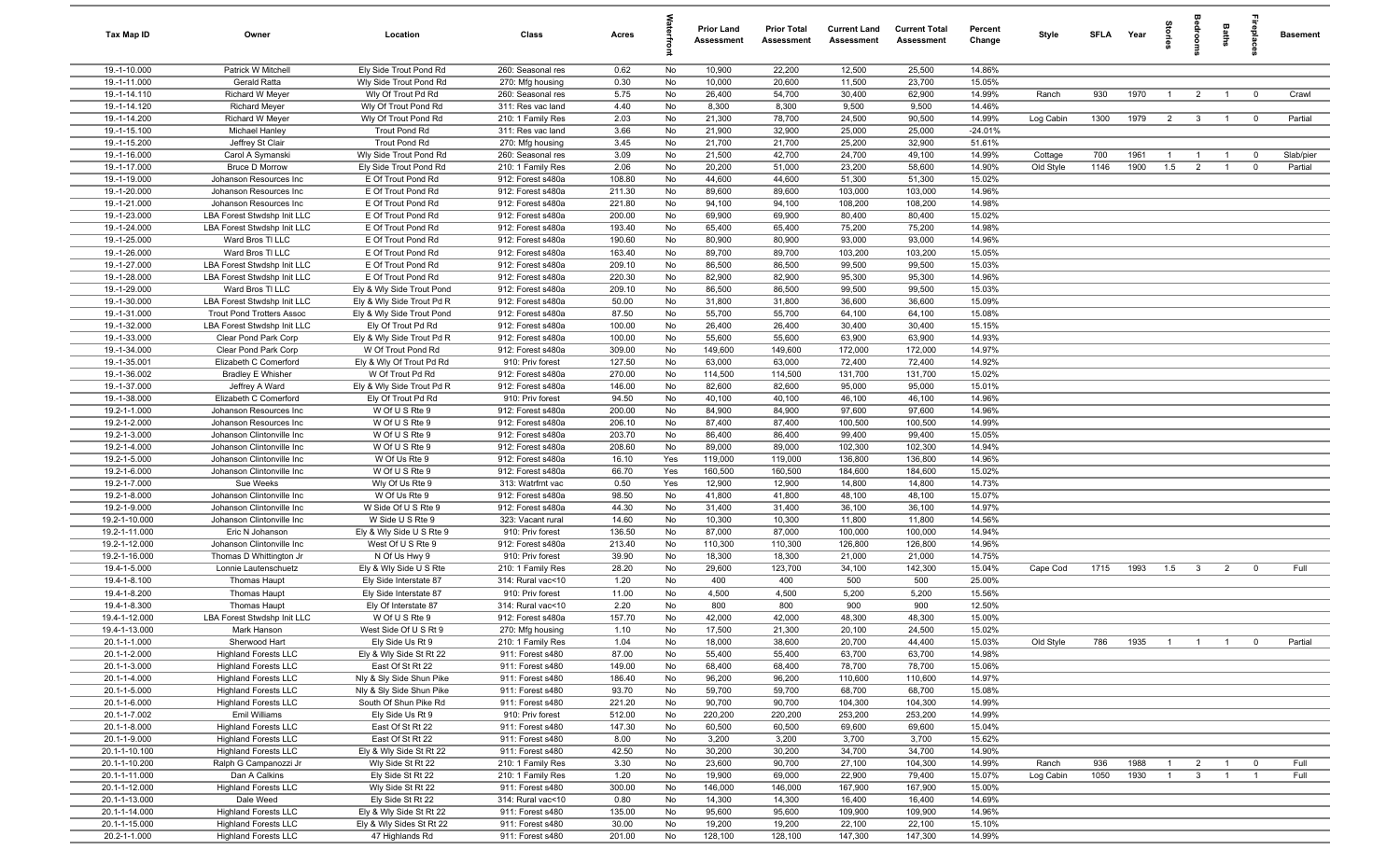| Tax Map ID                   | Owner                                                      | Location                                             | Class                                  | Acres            |          | <b>Prior Land</b><br>Assessment | <b>Prior Total</b><br>Assessment | <b>Current Land</b><br><b>Assessment</b> | <b>Current Total</b><br><b>Assessment</b> | Percent<br>Change | Style     |      | SFLA Year | tories         |                         | Baths          | replac                  | <b>Basement</b> |
|------------------------------|------------------------------------------------------------|------------------------------------------------------|----------------------------------------|------------------|----------|---------------------------------|----------------------------------|------------------------------------------|-------------------------------------------|-------------------|-----------|------|-----------|----------------|-------------------------|----------------|-------------------------|-----------------|
| 19.-1-10.000                 | Patrick W Mitchell                                         | Ely Side Trout Pond Rd                               | 260: Seasonal res                      | 0.62             | No       | 10,900                          | 22,200                           | 12,500                                   | 25,500                                    | 14.86%            |           |      |           |                |                         |                |                         |                 |
| 19.-1-11.000                 | Gerald Ratta                                               | Wly Side Trout Pond Rd                               | 270: Mfg housing                       | 0.30             | No       | 10,000                          | 20,600                           | 11,500                                   | 23,700                                    | 15.05%            |           |      |           |                |                         |                |                         |                 |
| 19.-1-14.110                 | Richard W Meyer                                            | Wly Of Trout Pd Rd                                   | 260: Seasonal res                      | 5.75             | No       | 26,400                          | 54,700                           | 30,400                                   | 62,900                                    | 14.99%            | Ranch     | 930  | 1970      | $\overline{1}$ | $\overline{2}$          | $\overline{1}$ | $\overline{0}$          | Crawl           |
| 19.-1-14.120                 | <b>Richard Meyer</b>                                       | Wly Of Trout Pond Rd                                 | 311: Res vac land                      | 4.40             | No       | 8,300                           | 8,300                            | 9,500                                    | 9,500                                     | 14.46%            |           |      |           |                |                         |                |                         |                 |
| 19.-1-14.200                 | <b>Richard W Meyer</b>                                     | Wly Of Trout Pond Rd                                 | 210: 1 Family Res                      | 2.03             | No       | 21,300                          | 78,700                           | 24,500                                   | 90,500                                    | 14.99%            | Log Cabin | 1300 | 1979      | $\overline{2}$ | $\overline{\mathbf{3}}$ | $\overline{1}$ | $\overline{\mathbf{0}}$ | Partial         |
| 19.-1-15.100                 | Michael Hanley                                             | Trout Pond Rd                                        | 311: Res vac land                      | 3.66             | No<br>No | 21,900                          | 32,900                           | 25,000                                   | 25,000                                    | $-24.01%$         |           |      |           |                |                         |                |                         |                 |
| 19.-1-15.200<br>19.-1-16.000 | Jeffrey St Clair<br>Carol A Symanski                       | Trout Pond Rd<br>Wly Side Trout Pond Rd              | 270: Mfg housing<br>260: Seasonal res  | 3.45<br>3.09     | No       | 21,700<br>21,500                | 21,700<br>42,700                 | 25,200<br>24,700                         | 32,900<br>49,100                          | 51.61%<br>14.99%  | Cottage   | 700  | 1961      | $\overline{1}$ | $\overline{1}$          | $\overline{1}$ | $\overline{0}$          | Slab/pier       |
| 19.-1-17.000                 | <b>Bruce D Morrow</b>                                      | Ely Side Trout Pond Rd                               | 210: 1 Family Res                      | 2.06             | No       | 20,200                          | 51,000                           | 23,200                                   | 58,600                                    | 14.90%            | Old Style | 1146 | 1900      | 1.5            | $\overline{2}$          | $\overline{1}$ | $\overline{0}$          | Partial         |
| 19.-1-19.000                 | Johanson Resources Inc                                     | E Of Trout Pond Rd                                   | 912: Forest s480a                      | 108.80           | No       | 44,600                          | 44,600                           | 51,300                                   | 51,300                                    | 15.02%            |           |      |           |                |                         |                |                         |                 |
| 19.-1-20.000                 | Johanson Resources Inc                                     | E Of Trout Pond Rd                                   | 912: Forest s480a                      | 211.30           | No       | 89,600                          | 89,600                           | 103,000                                  | 103,000                                   | 14.96%            |           |      |           |                |                         |                |                         |                 |
| 19.-1-21.000                 | Johanson Resources Inc                                     | E Of Trout Pond Rd                                   | 912: Forest s480a                      | 221.80           | No       | 94,100                          | 94,100                           | 108,200                                  | 108,200                                   | 14.98%            |           |      |           |                |                         |                |                         |                 |
| 19.-1-23.000                 | <b>LBA Forest Stwdshp Init LLC</b>                         | E Of Trout Pond Rd                                   | 912: Forest s480a                      | 200.00           | No       | 69,900                          | 69,900                           | 80,400                                   | 80,400                                    | 15.02%            |           |      |           |                |                         |                |                         |                 |
| 19.-1-24.000                 | LBA Forest Stwdshp Init LLC                                | E Of Trout Pond Rd                                   | 912: Forest s480a                      | 193.40           | No       | 65,400                          | 65,400                           | 75,200                                   | 75,200                                    | 14.98%            |           |      |           |                |                         |                |                         |                 |
| 19.-1-25.000                 | Ward Bros TI LLC                                           | E Of Trout Pond Rd                                   | 912: Forest s480a                      | 190.60           | No       | 80,900                          | 80,900                           | 93,000                                   | 93,000                                    | 14.96%            |           |      |           |                |                         |                |                         |                 |
| 19.-1-26.000                 | Ward Bros TI LLC                                           | E Of Trout Pond Rd                                   | 912: Forest s480a                      | 163.40           | No       | 89,700                          | 89,700                           | 103,200                                  | 103,200                                   | 15.05%            |           |      |           |                |                         |                |                         |                 |
| 19.-1-27.000                 | LBA Forest Stwdshp Init LLC                                | E Of Trout Pond Rd                                   | 912: Forest s480a                      | 209.10           | No       | 86,500                          | 86,500                           | 99,500                                   | 99,500                                    | 15.03%            |           |      |           |                |                         |                |                         |                 |
| 19.-1-28.000                 | LBA Forest Stwdshp Init LLC                                | E Of Trout Pond Rd                                   | 912: Forest s480a                      | 220.30           | No       | 82,900                          | 82,900                           | 95,300                                   | 95,300                                    | 14.96%            |           |      |           |                |                         |                |                         |                 |
| 19.-1-29.000                 | Ward Bros TI LLC                                           | Ely & Wly Side Trout Pond                            | 912: Forest s480a                      | 209.10           | No       | 86,500                          | 86,500                           | 99,500                                   | 99,500                                    | 15.03%            |           |      |           |                |                         |                |                         |                 |
| 19.-1-30.000                 | LBA Forest Stwdshp Init LLC                                | Ely & Wly Side Trout Pd R                            | 912: Forest s480a                      | 50.00            | No       | 31,800                          | 31,800                           | 36,600                                   | 36,600                                    | 15.09%            |           |      |           |                |                         |                |                         |                 |
| 19.-1-31.000                 | <b>Trout Pond Trotters Assoc</b>                           | Ely & Wly Side Trout Pond                            | 912: Forest s480a                      | 87.50            | No       | 55,700                          | 55,700                           | 64,100                                   | 64,100                                    | 15.08%            |           |      |           |                |                         |                |                         |                 |
| 19.-1-32.000<br>19.-1-33.000 | LBA Forest Stwdshp Init LLC<br>Clear Pond Park Corp        | Ely Of Trout Pd Rd<br>Ely & Wly Side Trout Pd R      | 912: Forest s480a<br>912: Forest s480a | 100.00<br>100.00 | No<br>No | 26,400<br>55,600                | 26,400<br>55,600                 | 30,400<br>63,900                         | 30,400<br>63,900                          | 15.15%<br>14.93%  |           |      |           |                |                         |                |                         |                 |
| 19.-1-34.000                 | Clear Pond Park Corp                                       | W Of Trout Pond Rd                                   | 912: Forest s480a                      | 309.00           | No       | 149,600                         | 149,600                          | 172,000                                  | 172,000                                   | 14.97%            |           |      |           |                |                         |                |                         |                 |
| 19.-1-35.001                 | Elizabeth C Comerford                                      | Ely & Wly Of Trout Pd Rd                             | 910: Priv forest                       | 127.50           | No       | 63,000                          | 63,000                           | 72,400                                   | 72,400                                    | 14.92%            |           |      |           |                |                         |                |                         |                 |
| 19.-1-36.002                 | <b>Bradley E Whisher</b>                                   | W Of Trout Pd Rd                                     | 912: Forest s480a                      | 270.00           | No       | 114,500                         | 114,500                          | 131,700                                  | 131,700                                   | 15.02%            |           |      |           |                |                         |                |                         |                 |
| 19.-1-37.000                 | Jeffrey A Ward                                             | Ely & Wly Side Trout Pd R                            | 912: Forest s480a                      | 146.00           | No       | 82,600                          | 82,600                           | 95,000                                   | 95,000                                    | 15.01%            |           |      |           |                |                         |                |                         |                 |
| 19.-1-38.000                 | Elizabeth C Comerford                                      | Ely Of Trout Pd Rd                                   | 910: Priv forest                       | 94.50            | No       | 40,100                          | 40,100                           | 46,100                                   | 46,100                                    | 14.96%            |           |      |           |                |                         |                |                         |                 |
| 19.2-1-1.000                 | Johanson Resources Inc                                     | W Of U S Rte 9                                       | 912: Forest s480a                      | 200.00           | No       | 84,900                          | 84,900                           | 97,600                                   | 97,600                                    | 14.96%            |           |      |           |                |                         |                |                         |                 |
| 19.2-1-2.000                 | Johanson Resources Inc                                     | W Of U S Rte 9                                       | 912: Forest s480a                      | 206.10           | No       | 87,400                          | 87,400                           | 100,500                                  | 100,500                                   | 14.99%            |           |      |           |                |                         |                |                         |                 |
| 19.2-1-3.000                 | Johanson Clintonville Inc                                  | W Of U S Rte 9                                       | 912: Forest s480a                      | 203.70           | No       | 86,400                          | 86,400                           | 99,400                                   | 99,400                                    | 15.05%            |           |      |           |                |                         |                |                         |                 |
| 19.2-1-4.000                 | Johanson Clintonville Inc                                  | W Of U S Rte 9                                       | 912: Forest s480a                      | 208.60           | No       | 89,000                          | 89,000                           | 102,300                                  | 102,300                                   | 14.94%            |           |      |           |                |                         |                |                         |                 |
| 19.2-1-5.000                 | Johanson Clintonville Inc                                  | W Of Us Rte 9                                        | 912: Forest s480a                      | 16.10            | Yes      | 119,000                         | 119,000                          | 136,800                                  | 136,800                                   | 14.96%            |           |      |           |                |                         |                |                         |                 |
| 19.2-1-6.000                 | Johanson Clintonville Inc                                  | W Of U S Rte 9                                       | 912: Forest s480a                      | 66.70            | Yes      | 160,500                         | 160,500                          | 184,600                                  | 184,600                                   | 15.02%            |           |      |           |                |                         |                |                         |                 |
| 19.2-1-7.000                 | Sue Weeks                                                  | Wly Of Us Rte 9                                      | 313: Watrfrnt vac                      | 0.50             | Yes      | 12,900                          | 12,900                           | 14,800                                   | 14,800                                    | 14.73%            |           |      |           |                |                         |                |                         |                 |
| 19.2-1-8.000<br>19.2-1-9.000 | Johanson Clintonville Inc<br>Johanson Clintonville Inc     | W Of Us Rte 9<br>W Side Of U S Rte 9                 | 912: Forest s480a<br>912: Forest s480a | 98.50<br>44.30   | No       | 41,800                          | 41,800                           | 48,100                                   | 48,100                                    | 15.07%            |           |      |           |                |                         |                |                         |                 |
| 19.2-1-10.000                | Johanson Clintonville Inc                                  | W Side U S Rte 9                                     | 323: Vacant rural                      | 14.60            | No<br>No | 31,400<br>10,300                | 31,400<br>10,300                 | 36,100<br>11,800                         | 36,100<br>11,800                          | 14.97%<br>14.56%  |           |      |           |                |                         |                |                         |                 |
| 19.2-1-11.000                | Eric N Johanson                                            | Ely & Wly Side U S Rte 9                             | 910: Priv forest                       | 136.50           | No       | 87,000                          | 87,000                           | 100,000                                  | 100,000                                   | 14.94%            |           |      |           |                |                         |                |                         |                 |
| 19.2-1-12.000                | Johanson Clintonville Inc                                  | West Of U S Rte 9                                    | 912: Forest s480a                      | 213.40           | No       | 110,300                         | 110,300                          | 126,800                                  | 126,800                                   | 14.96%            |           |      |           |                |                         |                |                         |                 |
| 19.2-1-16.000                | Thomas D Whittington Jr                                    | N Of Us Hwy 9                                        | 910: Priv forest                       | 39.90            | No       | 18,300                          | 18,300                           | 21,000                                   | 21,000                                    | 14.75%            |           |      |           |                |                         |                |                         |                 |
| 19.4-1-5.000                 | Lonnie Lautenschuetz                                       | Ely & Wly Side U S Rte                               | 210: 1 Family Res                      | 28.20            | No       | 29,600                          | 123,700                          | 34,100                                   | 142,300                                   | 15.04%            | Cape Cod  | 1715 | 1993      | 1.5            | $\overline{\mathbf{3}}$ | $\overline{2}$ | $\overline{0}$          | Full            |
| 19.4-1-8.100                 | <b>Thomas Haupt</b>                                        | Ely Side Interstate 87                               | 314: Rural vac<10                      | 1.20             | No       | 400                             | 400                              | 500                                      | 500                                       | 25.00%            |           |      |           |                |                         |                |                         |                 |
| 19.4-1-8.200                 | <b>Thomas Haupt</b>                                        | Ely Side Interstate 87                               | 910: Priv forest                       | 11.00            | No       | 4,500                           | 4,500                            | 5,200                                    | 5,200                                     | 15.56%            |           |      |           |                |                         |                |                         |                 |
| 19.4-1-8.300                 | <b>Thomas Haupt</b>                                        | Ely Of Interstate 87                                 | 314: Rural vac<10                      | 2.20             | No       | 800                             | 800                              | 900                                      | 900                                       | 12.50%            |           |      |           |                |                         |                |                         |                 |
| 19.4-1-12.000                | LBA Forest Stwdshp Init LLC                                | W Of U S Rte 9                                       | 912: Forest s480a                      | 157.70           | No       | 42,000                          | 42,000                           | 48,300                                   | 48,300                                    | 15.00%            |           |      |           |                |                         |                |                         |                 |
| 19.4-1-13.000                | Mark Hanson                                                | West Side Of U S Rt 9                                | 270: Mfg housing                       | 1.10             | No       | 17,500                          | 21,300                           | 20,100                                   | 24,500                                    | 15.02%            |           |      |           |                |                         |                |                         |                 |
| 20.1-1-1.000                 | Sherwood Hart                                              | Ely Side Us Rt 9                                     | 210: 1 Family Res                      | 1.04             | No       | 18,000                          | 38,600                           | 20,700                                   | 44,400                                    | 15.03%            | Old Style | 786  | 1935      | $\overline{1}$ | $\blacksquare$          | $\overline{1}$ | $\overline{\mathbf{0}}$ | Partial         |
| 20.1-1-2.000                 | <b>Highland Forests LLC</b>                                | Ely & Wly Side St Rt 22                              | 911: Forest s480                       | 87.00            | No       | 55,400                          | 55,400                           | 63,700                                   | 63,700                                    | 14.98%            |           |      |           |                |                         |                |                         |                 |
| 20.1-1-3.000                 | <b>Highland Forests LLC</b>                                | East Of St Rt 22                                     | 911: Forest s480                       | 149.00           | No       | 68,400                          | 68,400                           | 78,700                                   | 78,700                                    | 15.06%            |           |      |           |                |                         |                |                         |                 |
| 20.1-1-4.000<br>20.1-1-5.000 | <b>Highland Forests LLC</b><br><b>Highland Forests LLC</b> | Nly & Sly Side Shun Pike<br>Nly & Sly Side Shun Pike | 911: Forest s480<br>911: Forest s480   | 186.40<br>93.70  | No<br>No | 96,200<br>59,700                | 96,200<br>59,700                 | 110,600<br>68,700                        | 110,600<br>68,700                         | 14.97%<br>15.08%  |           |      |           |                |                         |                |                         |                 |
| 20.1-1-6.000                 | <b>Highland Forests LLC</b>                                | South Of Shun Pike Rd                                | 911: Forest s480                       | 221.20           | No       | 90,700                          | 90,700                           | 104,300                                  | 104,300                                   | 14.99%            |           |      |           |                |                         |                |                         |                 |
| 20.1-1-7.002                 | Emil Williams                                              | Ely Side Us Rt 9                                     | 910: Priv forest                       | 512.00           | No       | 220,200                         | 220,200                          | 253,200                                  | 253,200                                   | 14.99%            |           |      |           |                |                         |                |                         |                 |
| 20.1-1-8.000                 | <b>Highland Forests LLC</b>                                | East Of St Rt 22                                     | 911: Forest s480                       | 147.30           | No       | 60,500                          | 60,500                           | 69,600                                   | 69,600                                    | 15.04%            |           |      |           |                |                         |                |                         |                 |
| 20.1-1-9.000                 | <b>Highland Forests LLC</b>                                | East Of St Rt 22                                     | 911: Forest s480                       | 8.00             | No       | 3,200                           | 3,200                            | 3,700                                    | 3,700                                     | 15.62%            |           |      |           |                |                         |                |                         |                 |
| 20.1-1-10.100                | <b>Highland Forests LLC</b>                                | Ely & Wly Side St Rt 22                              | 911: Forest s480                       | 42.50            | No       | 30,200                          | 30,200                           | 34,700                                   | 34,700                                    | 14.90%            |           |      |           |                |                         |                |                         |                 |
| 20.1-1-10.200                | Ralph G Campanozzi Jr                                      | Wly Side St Rt 22                                    | 210: 1 Family Res                      | 3.30             | No       | 23,600                          | 90,700                           | 27,100                                   | 104,300                                   | 14.99%            | Ranch     | 936  | 1988      | $\overline{1}$ | $\overline{2}$          | $\overline{1}$ | $\overline{0}$          | Full            |
| 20.1-1-11.000                | Dan A Calkins                                              | Ely Side St Rt 22                                    | 210: 1 Family Res                      | 1.20             | No       | 19,900                          | 69,000                           | 22,900                                   | 79,400                                    | 15.07%            | Log Cabin | 1050 | 1930      | $\overline{1}$ | $\overline{\mathbf{3}}$ | $\overline{1}$ | $\overline{1}$          | Full            |
| 20.1-1-12.000                | <b>Highland Forests LLC</b>                                | Wly Side St Rt 22                                    | 911: Forest s480                       | 300.00           | No       | 146,000                         | 146,000                          | 167,900                                  | 167,900                                   | 15.00%            |           |      |           |                |                         |                |                         |                 |
| 20.1-1-13.000                | Dale Weed                                                  | Ely Side St Rt 22                                    | 314: Rural vac<10                      | 0.80             | No       | 14,300                          | 14,300                           | 16,400                                   | 16,400                                    | 14.69%            |           |      |           |                |                         |                |                         |                 |
| 20.1-1-14.000                | <b>Highland Forests LLC</b>                                | Ely & Wly Side St Rt 22                              | 911: Forest s480                       | 135.00           | No       | 95,600                          | 95,600                           | 109,900                                  | 109,900                                   | 14.96%            |           |      |           |                |                         |                |                         |                 |
| 20.1-1-15.000                | <b>Highland Forests LLC</b>                                | Ely & Wly Sides St Rt 22                             | 911: Forest s480                       | 30.00            | No       | 19,200                          | 19,200                           | 22,100                                   | 22,100                                    | 15.10%            |           |      |           |                |                         |                |                         |                 |
| 20.2-1-1.000                 | <b>Highland Forests LLC</b>                                | 47 Highlands Rd                                      | 911: Forest s480                       | 201.00           | No       | 128,100                         | 128,100                          | 147,300                                  | 147,300                                   | 14.99%            |           |      |           |                |                         |                |                         |                 |